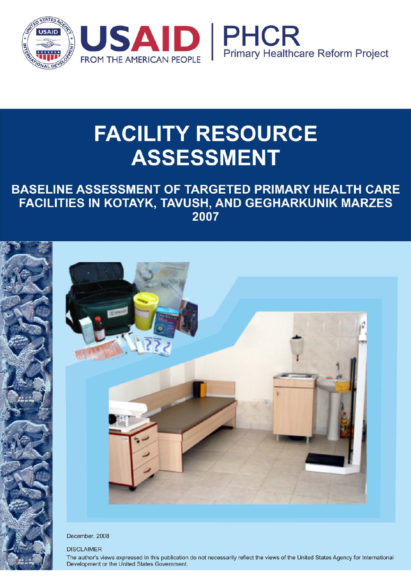

# **FACILITY RESOURCE ASSESSMENT**

# BASELINE ASSESSMENT OF TARGETED PRIMARY HEALTH CARE **FACILITIES IN KOTAYK, TAVUSH, AND GEGHARKUNIK MARZES** 2007



December, 2008

#### **DISCLAIMER**

The author's views expressed in this publication do not necessarily reflect the views of the United States Agency for International Development or the United States Government.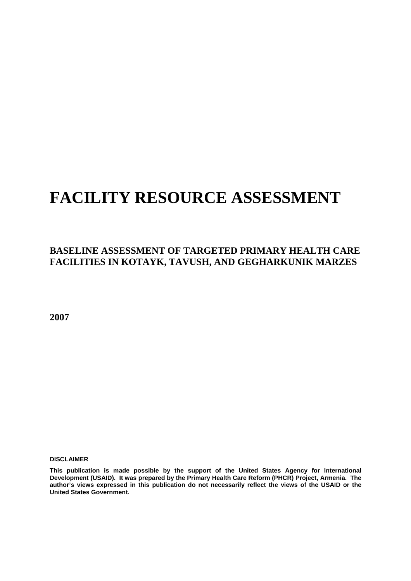# **FACILITY RESOURCE ASSESSMENT**

### **BASELINE ASSESSMENT OF TARGETED PRIMARY HEALTH CARE FACILITIES IN KOTAYK, TAVUSH, AND GEGHARKUNIK MARZES**

**2007** 

**DISCLAIMER** 

**This publication is made possible by the support of the United States Agency for International Development (USAID). It was prepared by the Primary Health Care Reform (PHCR) Project, Armenia. The author's views expressed in this publication do not necessarily reflect the views of the USAID or the United States Government.**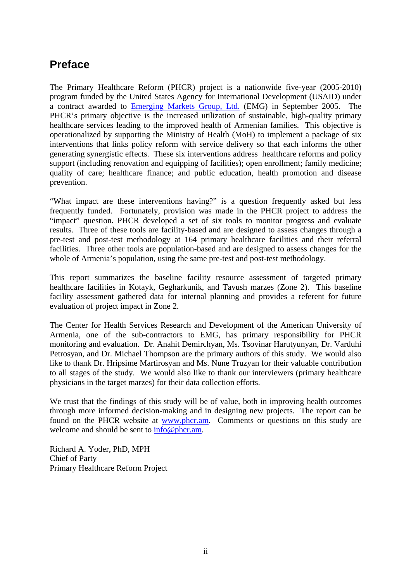### **Preface**

The Primary Healthcare Reform (PHCR) project is a nationwide five-year (2005-2010) program funded by the United States Agency for International Development (USAID) under a contract awarded to Emerging Markets Group, Ltd. (EMG) in September 2005. The PHCR's primary objective is the increased utilization of sustainable, high-quality primary healthcare services leading to the improved health of Armenian families. This objective is operationalized by supporting the Ministry of Health (MoH) to implement a package of six interventions that links policy reform with service delivery so that each informs the other generating synergistic effects. These six interventions address healthcare reforms and policy support (including renovation and equipping of facilities); open enrollment; family medicine; quality of care; healthcare finance; and public education, health promotion and disease prevention.

"What impact are these interventions having?" is a question frequently asked but less frequently funded. Fortunately, provision was made in the PHCR project to address the "impact" question. PHCR developed a set of six tools to monitor progress and evaluate results. Three of these tools are facility-based and are designed to assess changes through a pre-test and post-test methodology at 164 primary healthcare facilities and their referral facilities. Three other tools are population-based and are designed to assess changes for the whole of Armenia's population, using the same pre-test and post-test methodology.

This report summarizes the baseline facility resource assessment of targeted primary healthcare facilities in Kotayk, Gegharkunik, and Tavush marzes (Zone 2). This baseline facility assessment gathered data for internal planning and provides a referent for future evaluation of project impact in Zone 2.

The Center for Health Services Research and Development of the American University of Armenia, one of the sub-contractors to EMG, has primary responsibility for PHCR monitoring and evaluation. Dr. Anahit Demirchyan, Ms. Tsovinar Harutyunyan, Dr. Varduhi Petrosyan, and Dr. Michael Thompson are the primary authors of this study. We would also like to thank Dr. Hripsime Martirosyan and Ms. Nune Truzyan for their valuable contribution to all stages of the study. We would also like to thank our interviewers (primary healthcare physicians in the target marzes) for their data collection efforts.

We trust that the findings of this study will be of value, both in improving health outcomes through more informed decision-making and in designing new projects. The report can be found on the PHCR website at www.phcr.am. Comments or questions on this study are welcome and should be sent to  $info@phcr.$ am.

Richard A. Yoder, PhD, MPH Chief of Party Primary Healthcare Reform Project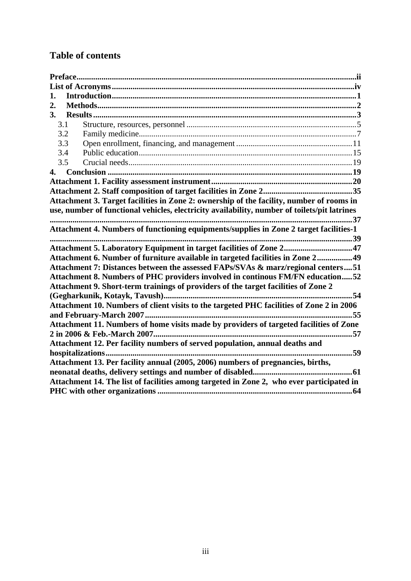### **Table of contents**

| 1.  |                                                                                              |
|-----|----------------------------------------------------------------------------------------------|
| 2.  |                                                                                              |
| 3.  |                                                                                              |
| 3.1 |                                                                                              |
| 3.2 |                                                                                              |
| 3.3 |                                                                                              |
| 3.4 |                                                                                              |
| 3.5 |                                                                                              |
| 4.  |                                                                                              |
|     |                                                                                              |
|     |                                                                                              |
|     | Attachment 3. Target facilities in Zone 2: ownership of the facility, number of rooms in     |
|     | use, number of functional vehicles, electricity availability, number of toilets/pit latrines |
|     |                                                                                              |
|     | Attachment 4. Numbers of functioning equipments/supplies in Zone 2 target facilities-1       |
|     |                                                                                              |
|     | Attachment 5. Laboratory Equipment in target facilities of Zone 247                          |
|     | Attachment 6. Number of furniture available in targeted facilities in Zone 2 49              |
|     | Attachment 7: Distances between the assessed FAPs/SVAs & marz/regional centers51             |
|     | Attachment 8. Numbers of PHC providers involved in continous FM/FN education52               |
|     | Attachment 9. Short-term trainings of providers of the target facilities of Zone 2           |
|     |                                                                                              |
|     | Attachment 10. Numbers of client visits to the targeted PHC facilities of Zone 2 in 2006     |
|     |                                                                                              |
|     | Attachment 11. Numbers of home visits made by providers of targeted facilities of Zone       |
|     |                                                                                              |
|     | Attachment 12. Per facility numbers of served population, annual deaths and                  |
|     | 59                                                                                           |
|     | Attachment 13. Per facility annual (2005, 2006) numbers of pregnancies, births,              |
|     |                                                                                              |
|     | Attachment 14. The list of facilities among targeted in Zone 2, who ever participated in     |
|     |                                                                                              |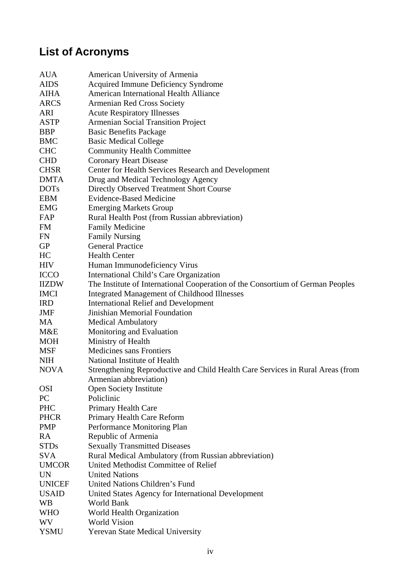# **List of Acronyms**

| <b>AUA</b>    | American University of Armenia                                                 |
|---------------|--------------------------------------------------------------------------------|
| <b>AIDS</b>   | Acquired Immune Deficiency Syndrome                                            |
| <b>AIHA</b>   | American International Health Alliance                                         |
| <b>ARCS</b>   | <b>Armenian Red Cross Society</b>                                              |
| <b>ARI</b>    | <b>Acute Respiratory Illnesses</b>                                             |
| <b>ASTP</b>   | <b>Armenian Social Transition Project</b>                                      |
| <b>BBP</b>    | <b>Basic Benefits Package</b>                                                  |
| <b>BMC</b>    | <b>Basic Medical College</b>                                                   |
| <b>CHC</b>    | <b>Community Health Committee</b>                                              |
| <b>CHD</b>    | <b>Coronary Heart Disease</b>                                                  |
| <b>CHSR</b>   | Center for Health Services Research and Development                            |
| <b>DMTA</b>   | Drug and Medical Technology Agency                                             |
| <b>DOTs</b>   | Directly Observed Treatment Short Course                                       |
| <b>EBM</b>    | <b>Evidence-Based Medicine</b>                                                 |
| <b>EMG</b>    | <b>Emerging Markets Group</b>                                                  |
| FAP           | Rural Health Post (from Russian abbreviation)                                  |
| <b>FM</b>     | <b>Family Medicine</b>                                                         |
| FN            | <b>Family Nursing</b>                                                          |
| <b>GP</b>     | <b>General Practice</b>                                                        |
| HC            | <b>Health Center</b>                                                           |
| <b>HIV</b>    | Human Immunodeficiency Virus                                                   |
| <b>ICCO</b>   | International Child's Care Organization                                        |
| <b>IIZDW</b>  | The Institute of International Cooperation of the Consortium of German Peoples |
| <b>IMCI</b>   | <b>Integrated Management of Childhood Illnesses</b>                            |
| <b>IRD</b>    | <b>International Relief and Development</b>                                    |
| JMF           | Jinishian Memorial Foundation                                                  |
| <b>MA</b>     | <b>Medical Ambulatory</b>                                                      |
| M&E           | Monitoring and Evaluation                                                      |
| <b>MOH</b>    | Ministry of Health                                                             |
| <b>MSF</b>    | <b>Medicines sans Frontiers</b>                                                |
| <b>NIH</b>    | National Institute of Health                                                   |
| <b>NOVA</b>   | Strengthening Reproductive and Child Health Care Services in Rural Areas (from |
|               | Armenian abbreviation)                                                         |
| <b>OSI</b>    | <b>Open Society Institute</b>                                                  |
| PC            | Policlinic                                                                     |
| <b>PHC</b>    | Primary Health Care                                                            |
| <b>PHCR</b>   | Primary Health Care Reform                                                     |
| <b>PMP</b>    | Performance Monitoring Plan                                                    |
| RA            | Republic of Armenia                                                            |
| <b>STDs</b>   | <b>Sexually Transmitted Diseases</b>                                           |
| SVA.          | Rural Medical Ambulatory (from Russian abbreviation)                           |
| <b>UMCOR</b>  | United Methodist Committee of Relief                                           |
| UN            | <b>United Nations</b>                                                          |
| <b>UNICEF</b> | United Nations Children's Fund                                                 |
| <b>USAID</b>  | United States Agency for International Development                             |
| WB            | World Bank                                                                     |
| <b>WHO</b>    | World Health Organization                                                      |
| <b>WV</b>     | <b>World Vision</b>                                                            |
| <b>YSMU</b>   | Yerevan State Medical University                                               |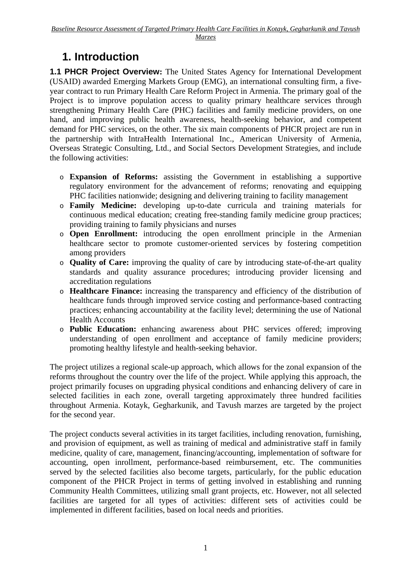## **1. Introduction**

**1.1 PHCR Project Overview:** The United States Agency for International Development (USAID) awarded Emerging Markets Group (EMG), an international consulting firm, a fiveyear contract to run Primary Health Care Reform Project in Armenia. The primary goal of the Project is to improve population access to quality primary healthcare services through strengthening Primary Health Care (PHC) facilities and family medicine providers, on one hand, and improving public health awareness, health-seeking behavior, and competent demand for PHC services, on the other. The six main components of PHCR project are run in the partnership with IntraHealth International Inc., American University of Armenia, Overseas Strategic Consulting, Ltd., and Social Sectors Development Strategies, and include the following activities:

- o **Expansion of Reforms:** assisting the Government in establishing a supportive regulatory environment for the advancement of reforms; renovating and equipping PHC facilities nationwide; designing and delivering training to facility management
- o **Family Medicine:** developing up-to-date curricula and training materials for continuous medical education; creating free-standing family medicine group practices; providing training to family physicians and nurses
- o **Open Enrollment:** introducing the open enrollment principle in the Armenian healthcare sector to promote customer-oriented services by fostering competition among providers
- o **Quality of Care:** improving the quality of care by introducing state-of-the-art quality standards and quality assurance procedures; introducing provider licensing and accreditation regulations
- o **Healthcare Finance:** increasing the transparency and efficiency of the distribution of healthcare funds through improved service costing and performance-based contracting practices; enhancing accountability at the facility level; determining the use of National Health Accounts
- o **Public Education:** enhancing awareness about PHC services offered; improving understanding of open enrollment and acceptance of family medicine providers; promoting healthy lifestyle and health-seeking behavior.

The project utilizes a regional scale-up approach, which allows for the zonal expansion of the reforms throughout the country over the life of the project. While applying this approach, the project primarily focuses on upgrading physical conditions and enhancing delivery of care in selected facilities in each zone, overall targeting approximately three hundred facilities throughout Armenia. Kotayk, Gegharkunik, and Tavush marzes are targeted by the project for the second year.

The project conducts several activities in its target facilities, including renovation, furnishing, and provision of equipment, as well as training of medical and administrative staff in family medicine, quality of care, management, financing/accounting, implementation of software for accounting, open inrollment, performance-based reimbursement, etc. The communities served by the selected facilities also become targets, particularly, for the public education component of the PHCR Project in terms of getting involved in establishing and running Community Health Committees, utilizing small grant projects, etc. However, not all selected facilities are targeted for all types of activities: different sets of activities could be implemented in different facilities, based on local needs and priorities.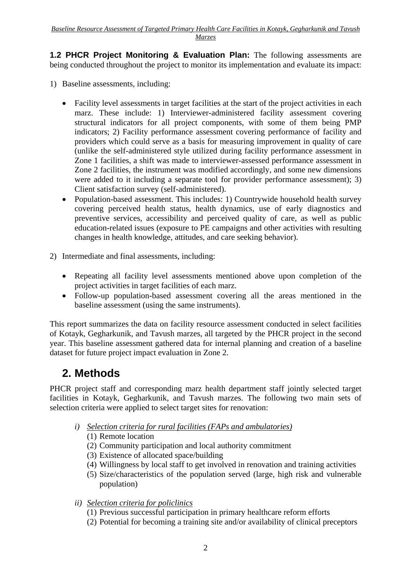**1.2 PHCR Project Monitoring & Evaluation Plan:** The following assessments are being conducted throughout the project to monitor its implementation and evaluate its impact:

- 1) Baseline assessments, including:
	- Facility level assessments in target facilities at the start of the project activities in each marz. These include: 1) Interviewer-administered facility assessment covering structural indicators for all project components, with some of them being PMP indicators; 2) Facility performance assessment covering performance of facility and providers which could serve as a basis for measuring improvement in quality of care (unlike the self-administered style utilized during facility performance assessment in Zone 1 facilities, a shift was made to interviewer-assessed performance assessment in Zone 2 facilities, the instrument was modified accordingly, and some new dimensions were added to it including a separate tool for provider performance assessment); 3) Client satisfaction survey (self-administered).
	- Population-based assessment. This includes: 1) Countrywide household health survey covering perceived health status, health dynamics, use of early diagnostics and preventive services, accessibility and perceived quality of care, as well as public education-related issues (exposure to PE campaigns and other activities with resulting changes in health knowledge, attitudes, and care seeking behavior).
- 2) Intermediate and final assessments, including:
	- Repeating all facility level assessments mentioned above upon completion of the project activities in target facilities of each marz.
	- Follow-up population-based assessment covering all the areas mentioned in the baseline assessment (using the same instruments).

This report summarizes the data on facility resource assessment conducted in select facilities of Kotayk, Gegharkunik, and Tavush marzes, all targeted by the PHCR project in the second year. This baseline assessment gathered data for internal planning and creation of a baseline dataset for future project impact evaluation in Zone 2.

# **2. Methods**

PHCR project staff and corresponding marz health department staff jointly selected target facilities in Kotayk, Gegharkunik, and Tavush marzes. The following two main sets of selection criteria were applied to select target sites for renovation:

- *i) Selection criteria for rural facilities (FAPs and ambulatories)* 
	- (1) Remote location
	- (2) Community participation and local authority commitment
	- (3) Existence of allocated space/building
	- (4) Willingness by local staff to get involved in renovation and training activities
	- (5) Size/characteristics of the population served (large, high risk and vulnerable population)
- *ii) Selection criteria for policlinics*
	- (1) Previous successful participation in primary healthcare reform efforts
	- (2) Potential for becoming a training site and/or availability of clinical preceptors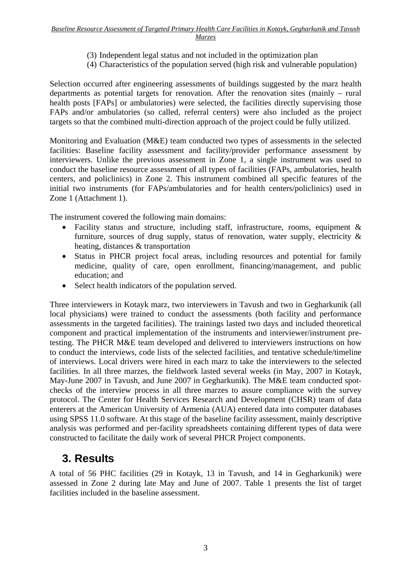- (3) Independent legal status and not included in the optimization plan
- (4) Characteristics of the population served (high risk and vulnerable population)

Selection occurred after engineering assessments of buildings suggested by the marz health departments as potential targets for renovation. After the renovation sites (mainly – rural health posts [FAPs] or ambulatories) were selected, the facilities directly supervising those FAPs and/or ambulatories (so called, referral centers) were also included as the project targets so that the combined multi-direction approach of the project could be fully utilized.

Monitoring and Evaluation (M&E) team conducted two types of assessments in the selected facilities: Baseline facility assessment and facility/provider performance assessment by interviewers. Unlike the previous assessment in Zone 1, a single instrument was used to conduct the baseline resource assessment of all types of facilities (FAPs, ambulatories, health centers, and policlinics) in Zone 2. This instrument combined all specific features of the initial two instruments (for FAPs/ambulatories and for health centers/policlinics) used in Zone 1 (Attachment 1).

The instrument covered the following main domains:

- Facility status and structure, including staff, infrastructure, rooms, equipment & furniture, sources of drug supply, status of renovation, water supply, electricity & heating, distances & transportation
- Status in PHCR project focal areas, including resources and potential for family medicine, quality of care, open enrollment, financing/management, and public education; and
- Select health indicators of the population served.

Three interviewers in Kotayk marz, two interviewers in Tavush and two in Gegharkunik (all local physicians) were trained to conduct the assessments (both facility and performance assessments in the targeted facilities). The trainings lasted two days and included theoretical component and practical implementation of the instruments and interviewer/instrument pretesting. The PHCR M&E team developed and delivered to interviewers instructions on how to conduct the interviews, code lists of the selected facilities, and tentative schedule/timeline of interviews. Local drivers were hired in each marz to take the interviewers to the selected facilities. In all three marzes, the fieldwork lasted several weeks (in May, 2007 in Kotayk, May-June 2007 in Tavush, and June 2007 in Gegharkunik). The M&E team conducted spotchecks of the interview process in all three marzes to assure compliance with the survey protocol. The Center for Health Services Research and Development (CHSR) team of data enterers at the American University of Armenia (AUA) entered data into computer databases using SPSS 11.0 software. At this stage of the baseline facility assessment, mainly descriptive analysis was performed and per-facility spreadsheets containing different types of data were constructed to facilitate the daily work of several PHCR Project components.

### **3. Results**

A total of 56 PHC facilities (29 in Kotayk, 13 in Tavush, and 14 in Gegharkunik) were assessed in Zone 2 during late May and June of 2007. Table 1 presents the list of target facilities included in the baseline assessment.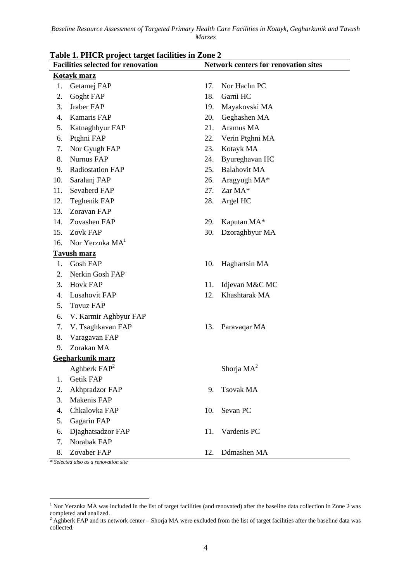|     | Table 1. I HCK project target facilities in Zone 2<br><b>Facilities selected for renovation</b><br><b>Network centers for renovation sites</b> |     |                      |  |  |
|-----|------------------------------------------------------------------------------------------------------------------------------------------------|-----|----------------------|--|--|
|     | <b>Kotayk marz</b>                                                                                                                             |     |                      |  |  |
| 1.  | Getamej FAP                                                                                                                                    | 17. | Nor Hachn PC         |  |  |
| 2.  | Goght FAP                                                                                                                                      | 18. | Garni HC             |  |  |
| 3.  | Jraber FAP                                                                                                                                     | 19. | Mayakovski MA        |  |  |
| 4.  | Kamaris FAP                                                                                                                                    | 20. | Geghashen MA         |  |  |
| 5.  | Katnaghbyur FAP                                                                                                                                | 21. | Aramus MA            |  |  |
| 6.  | Ptghni FAP                                                                                                                                     | 22. | Verin Ptghni MA      |  |  |
| 7.  | Nor Gyugh FAP                                                                                                                                  | 23. | Kotayk MA            |  |  |
| 8.  | <b>Nurnus FAP</b>                                                                                                                              | 24. | Byureghavan HC       |  |  |
| 9.  | <b>Radiostation FAP</b>                                                                                                                        | 25. | <b>Balahovit MA</b>  |  |  |
| 10. | Saralanj FAP                                                                                                                                   | 26. | Aragyugh MA*         |  |  |
| 11. | Sevaberd FAP                                                                                                                                   | 27. | Zar MA*              |  |  |
| 12. | Teghenik FAP                                                                                                                                   | 28. | Argel HC             |  |  |
| 13. | Zoravan FAP                                                                                                                                    |     |                      |  |  |
| 14. | Zovashen FAP                                                                                                                                   | 29. | Kaputan MA*          |  |  |
| 15. | Zovk FAP                                                                                                                                       | 30. | Dzoraghbyur MA       |  |  |
|     | 16. Nor Yerznka $MA1$                                                                                                                          |     |                      |  |  |
|     | <b>Tavush marz</b>                                                                                                                             |     |                      |  |  |
| 1.  | <b>Gosh FAP</b>                                                                                                                                | 10. | Haghartsin MA        |  |  |
| 2.  | Nerkin Gosh FAP                                                                                                                                |     |                      |  |  |
| 3.  | <b>Hovk FAP</b>                                                                                                                                | 11. | Idjevan M&C MC       |  |  |
| 4.  | Lusahovit FAP                                                                                                                                  | 12. | Khashtarak MA        |  |  |
| 5.  | <b>Tovuz FAP</b>                                                                                                                               |     |                      |  |  |
| 6.  | V. Karmir Aghbyur FAP                                                                                                                          |     |                      |  |  |
| 7.  | V. Tsaghkavan FAP                                                                                                                              | 13. | Paravaqar MA         |  |  |
| 8.  | Varagavan FAP                                                                                                                                  |     |                      |  |  |
| 9.  | Zorakan MA                                                                                                                                     |     |                      |  |  |
|     | Gegharkunik marz                                                                                                                               |     |                      |  |  |
|     | Aghberk FAP <sup>2</sup>                                                                                                                       |     | Shorja $\text{MA}^2$ |  |  |
| 1.  | <b>Getik FAP</b>                                                                                                                               |     |                      |  |  |
| 2.  | Akhpradzor FAP                                                                                                                                 | 9.  | <b>Tsovak MA</b>     |  |  |
| 3.  | Makenis FAP                                                                                                                                    |     |                      |  |  |
| 4.  | Chkalovka FAP                                                                                                                                  | 10. | Sevan PC             |  |  |
| 5.  | Gagarin FAP                                                                                                                                    |     |                      |  |  |
| 6.  | Djaghatsadzor FAP                                                                                                                              | 11. | Vardenis PC          |  |  |
| 7.  | Norabak FAP                                                                                                                                    |     |                      |  |  |
| 8.  | Zovaber FAP                                                                                                                                    | 12. | Ddmashen MA          |  |  |

### **Table 1. PHCR project target facilities in Zone 2**

*\* Selected also as a renovation site* 

<sup>&</sup>lt;sup>1</sup> Nor Yerznka MA was included in the list of target facilities (and renovated) after the baseline data collection in Zone 2 was completed and analized.<br><sup>2</sup> Aghberk FAP and its network center – Shorja MA were excluded from the list of target facilities after the baseline data was

collected.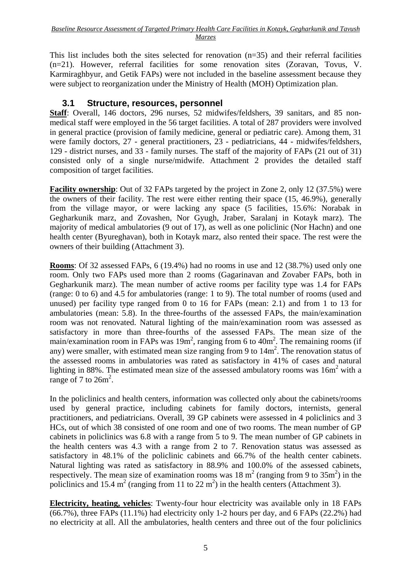This list includes both the sites selected for renovation (n=35) and their referral facilities (n=21). However, referral facilities for some renovation sites (Zoravan, Tovus, V. Karmiraghbyur, and Getik FAPs) were not included in the baseline assessment because they were subject to reorganization under the Ministry of Health (MOH) Optimization plan.

#### **3.1 Structure, resources, personnel**

**Staff**: Overall, 146 doctors, 296 nurses, 52 midwifes/feldshers, 39 sanitars, and 85 nonmedical staff were employed in the 56 target facilities. A total of 287 providers were involved in general practice (provision of family medicine, general or pediatric care). Among them, 31 were family doctors, 27 - general practitioners, 23 - pediatricians, 44 - midwifes/feldshers, 129 - district nurses, and 33 - family nurses. The staff of the majority of FAPs (21 out of 31) consisted only of a single nurse/midwife. Attachment 2 provides the detailed staff composition of target facilities.

**Facility ownership**: Out of 32 FAPs targeted by the project in Zone 2, only 12 (37.5%) were the owners of their facility. The rest were either renting their space (15, 46.9%), generally from the village mayor, or were lacking any space (5 facilities, 15.6%: Norabak in Gegharkunik marz, and Zovashen, Nor Gyugh, Jraber, Saralanj in Kotayk marz). The majority of medical ambulatories (9 out of 17), as well as one policlinic (Nor Hachn) and one health center (Byureghavan), both in Kotayk marz, also rented their space. The rest were the owners of their building (Attachment 3).

**Rooms**: Of 32 assessed FAPs, 6 (19.4%) had no rooms in use and 12 (38.7%) used only one room. Only two FAPs used more than 2 rooms (Gagarinavan and Zovaber FAPs, both in Gegharkunik marz). The mean number of active rooms per facility type was 1.4 for FAPs (range: 0 to 6) and 4.5 for ambulatories (range: 1 to 9). The total number of rooms (used and unused) per facility type ranged from 0 to 16 for FAPs (mean: 2.1) and from 1 to 13 for ambulatories (mean: 5.8). In the three-fourths of the assessed FAPs, the main/examination room was not renovated. Natural lighting of the main/examination room was assessed as satisfactory in more than three-fourths of the assessed FAPs. The mean size of the main/examination room in FAPs was  $19m^2$ , ranging from 6 to  $40m^2$ . The remaining rooms (if any) were smaller, with estimated mean size ranging from 9 to  $14m<sup>2</sup>$ . The renovation status of the assessed rooms in ambulatories was rated as satisfactory in 41% of cases and natural lighting in 88%. The estimated mean size of the assessed ambulatory rooms was  $16m<sup>2</sup>$  with a range of 7 to  $26m^2$ .

In the policlinics and health centers, information was collected only about the cabinets/rooms used by general practice, including cabinets for family doctors, internists, general practitioners, and pediatricians. Overall, 39 GP cabinets were assessed in 4 policlinics and 3 HCs, out of which 38 consisted of one room and one of two rooms. The mean number of GP cabinets in policlinics was 6.8 with a range from 5 to 9. The mean number of GP cabinets in the health centers was 4.3 with a range from 2 to 7. Renovation status was assessed as satisfactory in 48.1% of the policlinic cabinets and 66.7% of the health center cabinets. Natural lighting was rated as satisfactory in 88.9% and 100.0% of the assessed cabinets, respectively. The mean size of examination rooms was  $18 \text{ m}^2$  (ranging from 9 to  $35 \text{ m}^2$ ) in the policlinics and 15.4 m<sup>2</sup> (ranging from 11 to 22 m<sup>2</sup>) in the health centers (Attachment 3).

**Electricity, heating, vehicles**: Twenty-four hour electricity was available only in 18 FAPs  $(66.7\%)$ , three FAPs  $(11.1\%)$  had electricity only 1-2 hours per day, and 6 FAPs  $(22.2\%)$  had no electricity at all. All the ambulatories, health centers and three out of the four policlinics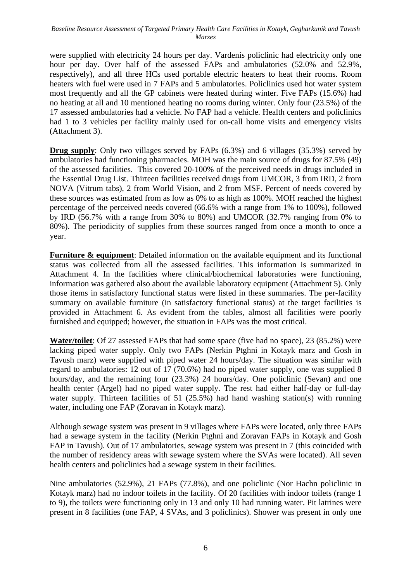were supplied with electricity 24 hours per day. Vardenis policlinic had electricity only one hour per day. Over half of the assessed FAPs and ambulatories (52.0% and 52.9%, respectively), and all three HCs used portable electric heaters to heat their rooms. Room heaters with fuel were used in 7 FAPs and 5 ambulatories. Policlinics used hot water system most frequently and all the GP cabinets were heated during winter. Five FAPs (15.6%) had no heating at all and 10 mentioned heating no rooms during winter. Only four (23.5%) of the 17 assessed ambulatories had a vehicle. No FAP had a vehicle. Health centers and policlinics had 1 to 3 vehicles per facility mainly used for on-call home visits and emergency visits (Attachment 3).

**Drug supply**: Only two villages served by FAPs (6.3%) and 6 villages (35.3%) served by ambulatories had functioning pharmacies. MOH was the main source of drugs for 87.5% (49) of the assessed facilities. This covered 20-100% of the perceived needs in drugs included in the Essential Drug List. Thirteen facilities received drugs from UMCOR, 3 from IRD, 2 from NOVA (Vitrum tabs), 2 from World Vision, and 2 from MSF. Percent of needs covered by these sources was estimated from as low as 0% to as high as 100%. MOH reached the highest percentage of the perceived needs covered (66.6% with a range from 1% to 100%), followed by IRD (56.7% with a range from 30% to 80%) and UMCOR (32.7% ranging from 0% to 80%). The periodicity of supplies from these sources ranged from once a month to once a year.

**Furniture & equipment**: Detailed information on the available equipment and its functional status was collected from all the assessed facilities. This information is summarized in Attachment 4. In the facilities where clinical/biochemical laboratories were functioning, information was gathered also about the available laboratory equipment (Attachment 5). Only those items in satisfactory functional status were listed in these summaries. The per-facility summary on available furniture (in satisfactory functional status) at the target facilities is provided in Attachment 6. As evident from the tables, almost all facilities were poorly furnished and equipped; however, the situation in FAPs was the most critical.

**Water/toilet**: Of 27 assessed FAPs that had some space (five had no space), 23 (85.2%) were lacking piped water supply. Only two FAPs (Nerkin Ptghni in Kotayk marz and Gosh in Tavush marz) were supplied with piped water 24 hours/day. The situation was similar with regard to ambulatories: 12 out of 17 (70.6%) had no piped water supply, one was supplied 8 hours/day, and the remaining four (23.3%) 24 hours/day. One policlinic (Sevan) and one health center (Argel) had no piped water supply. The rest had either half-day or full-day water supply. Thirteen facilities of 51 (25.5%) had hand washing station(s) with running water, including one FAP (Zoravan in Kotayk marz).

Although sewage system was present in 9 villages where FAPs were located, only three FAPs had a sewage system in the facility (Nerkin Ptghni and Zoravan FAPs in Kotayk and Gosh FAP in Tavush). Out of 17 ambulatories, sewage system was present in 7 (this coincided with the number of residency areas with sewage system where the SVAs were located). All seven health centers and policlinics had a sewage system in their facilities.

Nine ambulatories (52.9%), 21 FAPs (77.8%), and one policlinic (Nor Hachn policlinic in Kotayk marz) had no indoor toilets in the facility. Of 20 facilities with indoor toilets (range 1 to 9), the toilets were functioning only in 13 and only 10 had running water. Pit latrines were present in 8 facilities (one FAP, 4 SVAs, and 3 policlinics). Shower was present in only one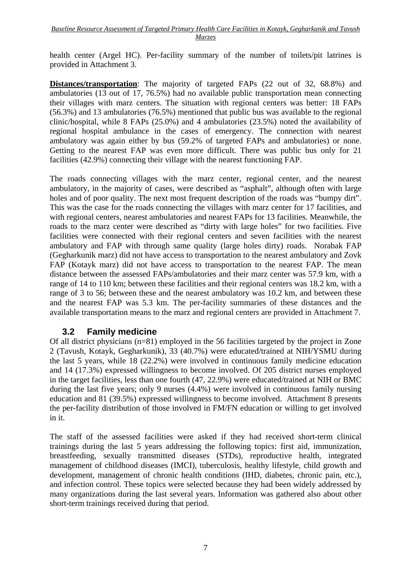health center (Argel HC). Per-facility summary of the number of toilets/pit latrines is provided in Attachment 3.

**Distances/transportation**: The majority of targeted FAPs (22 out of 32, 68.8%) and ambulatories (13 out of 17, 76.5%) had no available public transportation mean connecting their villages with marz centers. The situation with regional centers was better: 18 FAPs (56.3%) and 13 ambulatories (76.5%) mentioned that public bus was available to the regional clinic/hospital, while 8 FAPs (25.0%) and 4 ambulatories (23.5%) noted the availability of regional hospital ambulance in the cases of emergency. The connection with nearest ambulatory was again either by bus (59.2% of targeted FAPs and ambulatories) or none. Getting to the nearest FAP was even more difficult. There was public bus only for 21 facilities (42.9%) connecting their village with the nearest functioning FAP.

The roads connecting villages with the marz center, regional center, and the nearest ambulatory, in the majority of cases, were described as "asphalt", although often with large holes and of poor quality. The next most frequent description of the roads was "bumpy dirt". This was the case for the roads connecting the villages with marz center for 17 facilities, and with regional centers, nearest ambulatories and nearest FAPs for 13 facilities. Meanwhile, the roads to the marz center were described as "dirty with large holes" for two facilities. Five facilities were connected with their regional centers and seven facilities with the nearest ambulatory and FAP with through same quality (large holes dirty) roads. Norabak FAP (Gegharkunik marz) did not have access to transportation to the nearest ambulatory and Zovk FAP (Kotayk marz) did not have access to transportation to the nearest FAP. The mean distance between the assessed FAPs/ambulatories and their marz center was 57.9 km, with a range of 14 to 110 km; between these facilities and their regional centers was 18.2 km, with a range of 3 to 56; between these and the nearest ambulatory was 10.2 km, and between these and the nearest FAP was 5.3 km. The per-facility summaries of these distances and the available transportation means to the marz and regional centers are provided in Attachment 7.

#### **3.2 Family medicine**

Of all district physicians (n=81) employed in the 56 facilities targeted by the project in Zone 2 (Tavush, Kotayk, Gegharkunik), 33 (40.7%) were educated/trained at NIH/YSMU during the last 5 years, while 18 (22.2%) were involved in continuous family medicine education and 14 (17.3%) expressed willingness to become involved. Of 205 district nurses employed in the target facilities, less than one fourth (47, 22.9%) were educated/trained at NIH or BMC during the last five years; only 9 nurses (4.4%) were involved in continuous family nursing education and 81 (39.5%) expressed willingness to become involved. Attachment 8 presents the per-facility distribution of those involved in FM/FN education or willing to get involved in it.

The staff of the assessed facilities were asked if they had received short-term clinical trainings during the last 5 years addressing the following topics: first aid, immunization, breastfeeding, sexually transmitted diseases (STDs), reproductive health, integrated management of childhood diseases (IMCI), tuberculosis, healthy lifestyle, child growth and development, management of chronic health conditions (IHD, diabetes, chronic pain, etc.), and infection control. These topics were selected because they had been widely addressed by many organizations during the last several years. Information was gathered also about other short-term trainings received during that period.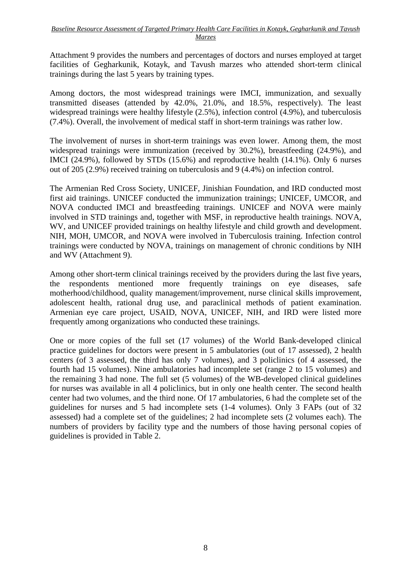Attachment 9 provides the numbers and percentages of doctors and nurses employed at target facilities of Gegharkunik, Kotayk, and Tavush marzes who attended short-term clinical trainings during the last 5 years by training types.

Among doctors, the most widespread trainings were IMCI, immunization, and sexually transmitted diseases (attended by 42.0%, 21.0%, and 18.5%, respectively). The least widespread trainings were healthy lifestyle (2.5%), infection control (4.9%), and tuberculosis (7.4%). Overall, the involvement of medical staff in short-term trainings was rather low.

The involvement of nurses in short-term trainings was even lower. Among them, the most widespread trainings were immunization (received by 30.2%), breastfeeding (24.9%), and IMCI (24.9%), followed by STDs (15.6%) and reproductive health (14.1%). Only 6 nurses out of 205 (2.9%) received training on tuberculosis and 9 (4.4%) on infection control.

The Armenian Red Cross Society, UNICEF, Jinishian Foundation, and IRD conducted most first aid trainings. UNICEF conducted the immunization trainings; UNICEF, UMCOR, and NOVA conducted IMCI and breastfeeding trainings. UNICEF and NOVA were mainly involved in STD trainings and, together with MSF, in reproductive health trainings. NOVA, WV, and UNICEF provided trainings on healthy lifestyle and child growth and development. NIH, MOH, UMCOR, and NOVA were involved in Tuberculosis training. Infection control trainings were conducted by NOVA, trainings on management of chronic conditions by NIH and WV (Attachment 9).

Among other short-term clinical trainings received by the providers during the last five years, the respondents mentioned more frequently trainings on eye diseases, safe motherhood/childhood, quality management/improvement, nurse clinical skills improvement, adolescent health, rational drug use, and paraclinical methods of patient examination. Armenian eye care project, USAID, NOVA, UNICEF, NIH, and IRD were listed more frequently among organizations who conducted these trainings.

One or more copies of the full set (17 volumes) of the World Bank-developed clinical practice guidelines for doctors were present in 5 ambulatories (out of 17 assessed), 2 health centers (of 3 assessed, the third has only 7 volumes), and 3 policlinics (of 4 assessed, the fourth had 15 volumes). Nine ambulatories had incomplete set (range 2 to 15 volumes) and the remaining 3 had none. The full set (5 volumes) of the WB-developed clinical guidelines for nurses was available in all 4 policlinics, but in only one health center. The second health center had two volumes, and the third none. Of 17 ambulatories, 6 had the complete set of the guidelines for nurses and 5 had incomplete sets (1-4 volumes). Only 3 FAPs (out of 32 assessed) had a complete set of the guidelines; 2 had incomplete sets (2 volumes each). The numbers of providers by facility type and the numbers of those having personal copies of guidelines is provided in Table 2.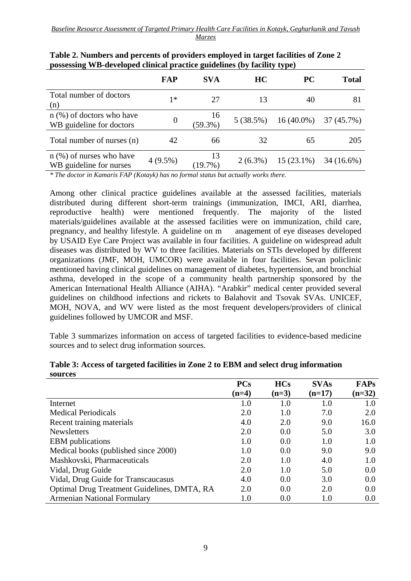|                                                         | FAP        | <b>SVA</b>       | HC         | <b>PC</b>    | <b>Total</b> |
|---------------------------------------------------------|------------|------------------|------------|--------------|--------------|
| Total number of doctors<br>(n)                          | 1∗         | 27               | 13         | 40           | 81           |
| $n$ (%) of doctors who have<br>WB guideline for doctors | $\theta$   | 16<br>$(59.3\%)$ | 5(38.5%)   | $16(40.0\%)$ | 37(45.7%)    |
| Total number of nurses (n)                              | 42         | 66               | 32         | 65           | 205          |
| $n$ (%) of nurses who have<br>WB guideline for nurses   | $4(9.5\%)$ | 13<br>(19.7%)    | $2(6.3\%)$ | $15(23.1\%)$ | $34(16.6\%)$ |

| Table 2. Numbers and percents of providers employed in target facilities of Zone 2 |
|------------------------------------------------------------------------------------|
| possessing WB-developed clinical practice guidelines (by facility type)            |

*\* The doctor in Kamaris FAP (Kotayk) has no formal status but actually works there.*

Among other clinical practice guidelines available at the assessed facilities, materials distributed during different short-term trainings (immunization, IMCI, ARI, diarrhea, reproductive health) were mentioned frequently. The majority of the listed materials/guidelines available at the assessed facilities were on immunization, child care, pregnancy, and healthy lifestyle. A guideline on m anagement of eye diseases developed by USAID Eye Care Project was available in four facilities. A guideline on widespread adult diseases was distributed by WV to three facilities. Materials on STIs developed by different organizations (JMF, MOH, UMCOR) were available in four facilities. Sevan policlinic mentioned having clinical guidelines on management of diabetes, hypertension, and bronchial asthma, developed in the scope of a community health partnership sponsored by the American International Health Alliance (AIHA). "Arabkir" medical center provided several guidelines on childhood infections and rickets to Balahovit and Tsovak SVAs. UNICEF, MOH, NOVA, and WV were listed as the most frequent developers/providers of clinical guidelines followed by UMCOR and MSF.

Table 3 summarizes information on access of targeted facilities to evidence-based medicine sources and to select drug information sources.

|                                             | <b>PCs</b> | <b>HCs</b> | <b>SVAs</b> | <b>FAPs</b> |
|---------------------------------------------|------------|------------|-------------|-------------|
|                                             | $(n=4)$    | $(n=3)$    | $(n=17)$    | $(n=32)$    |
| Internet                                    | $1.0\,$    | 1.0        | 1.0         | 1.0         |
| <b>Medical Periodicals</b>                  | 2.0        | 1.0        | 7.0         | 2.0         |
| Recent training materials                   | 4.0        | 2.0        | 9.0         | 16.0        |
| <b>Newsletters</b>                          | 2.0        | 0.0        | 5.0         | 3.0         |
| <b>EBM</b> publications                     | 1.0        | 0.0        | 1.0         | 1.0         |
| Medical books (published since 2000)        | 1.0        | 0.0        | 9.0         | 9.0         |
| Mashkovski, Pharmaceuticals                 | 2.0        | 1.0        | 4.0         | 1.0         |
| Vidal, Drug Guide                           | 2.0        | 1.0        | 5.0         | 0.0         |
| Vidal, Drug Guide for Transcaucasus         | 4.0        | 0.0        | 3.0         | 0.0         |
| Optimal Drug Treatment Guidelines, DMTA, RA | 2.0        | 0.0        | 2.0         | 0.0         |
| <b>Armenian National Formulary</b>          | $1.0\,$    | 0.0        | 1.0         | 0.0         |

**Table 3: Access of targeted facilities in Zone 2 to EBM and select drug information sources**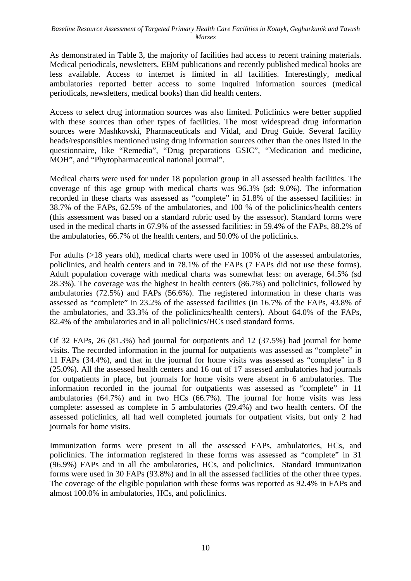As demonstrated in Table 3, the majority of facilities had access to recent training materials. Medical periodicals, newsletters, EBM publications and recently published medical books are less available. Access to internet is limited in all facilities. Interestingly, medical ambulatories reported better access to some inquired information sources (medical periodicals, newsletters, medical books) than did health centers.

Access to select drug information sources was also limited. Policlinics were better supplied with these sources than other types of facilities. The most widespread drug information sources were Mashkovski, Pharmaceuticals and Vidal, and Drug Guide. Several facility heads/responsibles mentioned using drug information sources other than the ones listed in the questionnaire, like "Remedia", "Drug preparations GSIC", "Medication and medicine, MOH", and "Phytopharmaceutical national journal".

Medical charts were used for under 18 population group in all assessed health facilities. The coverage of this age group with medical charts was 96.3% (sd: 9.0%). The information recorded in these charts was assessed as "complete" in 51.8% of the assessed facilities: in 38.7% of the FAPs, 62.5% of the ambulatories, and 100 % of the policlinics/health centers (this assessment was based on a standard rubric used by the assessor). Standard forms were used in the medical charts in 67.9% of the assessed facilities: in 59.4% of the FAPs, 88.2% of the ambulatories, 66.7% of the health centers, and 50.0% of the policlinics.

For adults (>18 years old), medical charts were used in 100% of the assessed ambulatories, policlinics, and health centers and in 78.1% of the FAPs (7 FAPs did not use these forms). Adult population coverage with medical charts was somewhat less: on average, 64.5% (sd 28.3%). The coverage was the highest in health centers (86.7%) and policlinics, followed by ambulatories (72.5%) and FAPs (56.6%). The registered information in these charts was assessed as "complete" in 23.2% of the assessed facilities (in 16.7% of the FAPs, 43.8% of the ambulatories, and 33.3% of the policlinics/health centers). About 64.0% of the FAPs, 82.4% of the ambulatories and in all policlinics/HCs used standard forms.

Of 32 FAPs, 26 (81.3%) had journal for outpatients and 12 (37.5%) had journal for home visits. The recorded information in the journal for outpatients was assessed as "complete" in 11 FAPs (34.4%), and that in the journal for home visits was assessed as "complete" in 8 (25.0%). All the assessed health centers and 16 out of 17 assessed ambulatories had journals for outpatients in place, but journals for home visits were absent in 6 ambulatories. The information recorded in the journal for outpatients was assessed as "complete" in 11 ambulatories (64.7%) and in two HCs (66.7%). The journal for home visits was less complete: assessed as complete in 5 ambulatories (29.4%) and two health centers. Of the assessed policlinics, all had well completed journals for outpatient visits, but only 2 had journals for home visits.

Immunization forms were present in all the assessed FAPs, ambulatories, HCs, and policlinics. The information registered in these forms was assessed as "complete" in 31 (96.9%) FAPs and in all the ambulatories, HCs, and policlinics. Standard Immunization forms were used in 30 FAPs (93.8%) and in all the assessed facilities of the other three types. The coverage of the eligible population with these forms was reported as 92.4% in FAPs and almost 100.0% in ambulatories, HCs, and policlinics.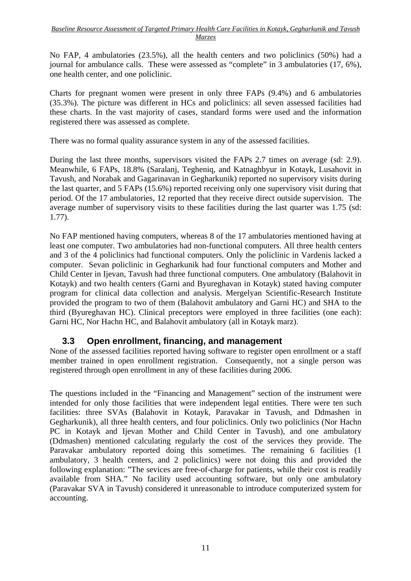No FAP, 4 ambulatories (23.5%), all the health centers and two policlinics (50%) had a journal for ambulance calls. These were assessed as "complete" in 3 ambulatories (17, 6%), one health center, and one policlinic.

Charts for pregnant women were present in only three FAPs (9.4%) and 6 ambulatories (35.3%). The picture was different in HCs and policlinics: all seven assessed facilities had these charts. In the vast majority of cases, standard forms were used and the information registered there was assessed as complete.

There was no formal quality assurance system in any of the assessed facilities.

During the last three months, supervisors visited the FAPs 2.7 times on average (sd: 2.9). Meanwhile, 6 FAPs, 18.8% (Saralanj, Tegheniq, and Katnaghbyur in Kotayk, Lusahovit in Tavush, and Norabak and Gagarinavan in Gegharkunik) reported no supervisory visits during the last quarter, and 5 FAPs (15.6%) reported receiving only one supervisory visit during that period. Of the 17 ambulatories, 12 reported that they receive direct outside supervision. The average number of supervisory visits to these facilities during the last quarter was 1.75 (sd: 1.77).

No FAP mentioned having computers, whereas 8 of the 17 ambulatories mentioned having at least one computer. Two ambulatories had non-functional computers. All three health centers and 3 of the 4 policlinics had functional computers. Only the policlinic in Vardenis lacked a computer. Sevan policlinic in Gegharkunik had four functional computers and Mother and Child Center in Ijevan, Tavush had three functional computers. One ambulatory (Balahovit in Kotayk) and two health centers (Garni and Byureghavan in Kotayk) stated having computer program for clinical data collection and analysis. Mergelyan Scientific-Research Institute provided the program to two of them (Balahovit ambulatory and Garni HC) and SHA to the third (Byureghavan HC). Clinical preceptors were employed in three facilities (one each): Garni HC, Nor Hachn HC, and Balahovit ambulatory (all in Kotayk marz).

#### **3.3 Open enrollment, financing, and management**

None of the assessed facilities reported having software to register open enrollment or a staff member trained in open enrollment registration. Consequently, not a single person was registered through open enrollment in any of these facilities during 2006.

The questions included in the "Financing and Management" section of the instrument were intended for only those facilities that were independent legal entities. There were ten such facilities: three SVAs (Balahovit in Kotayk, Paravakar in Tavush, and Ddmashen in Gegharkunik), all three health centers, and four policlinics. Only two policlinics (Nor Hachn PC in Kotayk and Ijevan Mother and Child Center in Tavush), and one ambulatory (Ddmashen) mentioned calculating regularly the cost of the services they provide. The Paravakar ambulatory reported doing this sometimes. The remaining 6 facilities (1) ambulatory, 3 health centers, and 2 policlinics) were not doing this and provided the following explanation: "The sevices are free-of-charge for patients, while their cost is readily available from SHA." No facility used accounting software, but only one ambulatory (Paravakar SVA in Tavush) considered it unreasonable to introduce computerized system for accounting.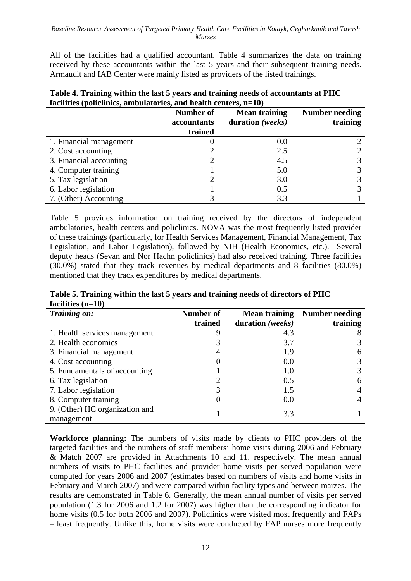All of the facilities had a qualified accountant. Table 4 summarizes the data on training received by these accountants within the last 5 years and their subsequent training needs. Armaudit and IAB Center were mainly listed as providers of the listed trainings.

| Table 4. Training within the last 5 years and training needs of accountants at PHC |
|------------------------------------------------------------------------------------|
| facilities (policlinics, ambulatories, and health centers, $n=10$ )                |

|                         | <b>Number of</b><br>accountants | <b>Mean training</b><br>duration (weeks) | <b>Number needing</b><br>training |
|-------------------------|---------------------------------|------------------------------------------|-----------------------------------|
|                         | trained                         |                                          |                                   |
| 1. Financial management |                                 | 0.0                                      |                                   |
| 2. Cost accounting      |                                 | 2.5                                      |                                   |
| 3. Financial accounting |                                 | 4.5                                      |                                   |
| 4. Computer training    |                                 | 5.0                                      |                                   |
| 5. Tax legislation      |                                 | 3.0                                      |                                   |
| 6. Labor legislation    |                                 | 0.5                                      |                                   |
| 7. (Other) Accounting   |                                 | 3.3                                      |                                   |

Table 5 provides information on training received by the directors of independent ambulatories, health centers and policlinics. NOVA was the most frequently listed provider of these trainings (particularly, for Health Services Management, Financial Management, Tax Legislation, and Labor Legislation), followed by NIH (Health Economics, etc.). Several deputy heads (Sevan and Nor Hachn policlinics) had also received training. Three facilities (30.0%) stated that they track revenues by medical departments and 8 facilities (80.0%) mentioned that they track expenditures by medical departments.

**Table 5. Training within the last 5 years and training needs of directors of PHC facilities (n=10)** 

| Training on:                                 | Number of | <b>Mean training</b> | Number needing |
|----------------------------------------------|-----------|----------------------|----------------|
|                                              | trained   | duration (weeks)     | training       |
| 1. Health services management                | 9         | 4.3                  |                |
| 2. Health economics                          |           | 3.7                  | 3              |
| 3. Financial management                      | 4         | 1.9                  | 6              |
| 4. Cost accounting                           |           | 0.0                  | 3              |
| 5. Fundamentals of accounting                |           | 1.0                  | 3              |
| 6. Tax legislation                           |           | 0.5                  | 6              |
| 7. Labor legislation                         |           | 1.5                  |                |
| 8. Computer training                         |           | 0.0                  |                |
| 9. (Other) HC organization and<br>management |           | 3.3                  |                |

**Workforce planning:** The numbers of visits made by clients to PHC providers of the targeted facilities and the numbers of staff members' home visits during 2006 and February & Match 2007 are provided in Attachments 10 and 11, respectively. The mean annual numbers of visits to PHC facilities and provider home visits per served population were computed for years 2006 and 2007 (estimates based on numbers of visits and home visits in February and March 2007) and were compared within facility types and between marzes. The results are demonstrated in Table 6. Generally, the mean annual number of visits per served population (1.3 for 2006 and 1.2 for 2007) was higher than the corresponding indicator for home visits (0.5 for both 2006 and 2007). Policlinics were visited most frequently and FAPs – least frequently. Unlike this, home visits were conducted by FAP nurses more frequently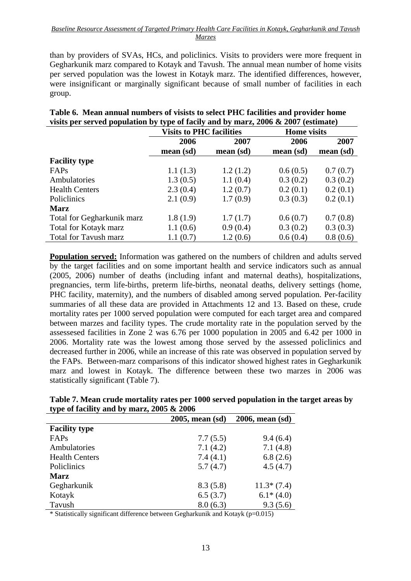than by providers of SVAs, HCs, and policlinics. Visits to providers were more frequent in Gegharkunik marz compared to Kotayk and Tavush. The annual mean number of home visits per served population was the lowest in Kotayk marz. The identified differences, however, were insignificant or marginally significant because of small number of facilities in each group.

| Table v. Theall allmal humbers of visites to select I HC facilities and provider home |                                 |      |                    |      |  |
|---------------------------------------------------------------------------------------|---------------------------------|------|--------------------|------|--|
| visits per served population by type of facily and by marz, 2006 $\&$ 2007 (estimate) |                                 |      |                    |      |  |
|                                                                                       | <b>Visits to PHC facilities</b> |      | <b>Home</b> visits |      |  |
|                                                                                       | 2006                            | 2007 | 2006               | 2007 |  |

**Table 6. Mean annual numbers of visists to select PHC facilities and provider home** 

|                              | 2006      | 2007      | 2006      | 2007      |
|------------------------------|-----------|-----------|-----------|-----------|
|                              | mean (sd) | mean (sd) | mean (sd) | mean (sd) |
| <b>Facility type</b>         |           |           |           |           |
| FAPs                         | 1.1(1.3)  | 1.2(1.2)  | 0.6(0.5)  | 0.7(0.7)  |
| Ambulatories                 | 1.3(0.5)  | 1.1(0.4)  | 0.3(0.2)  | 0.3(0.2)  |
| <b>Health Centers</b>        | 2.3(0.4)  | 1.2(0.7)  | 0.2(0.1)  | 0.2(0.1)  |
| <b>Policlinics</b>           | 2.1(0.9)  | 1.7(0.9)  | 0.3(0.3)  | 0.2(0.1)  |
| <b>Marz</b>                  |           |           |           |           |
| Total for Gegharkunik marz   | 1.8(1.9)  | 1.7(1.7)  | 0.6(0.7)  | 0.7(0.8)  |
| Total for Kotayk marz        | 1.1(0.6)  | 0.9(0.4)  | 0.3(0.2)  | 0.3(0.3)  |
| <b>Total for Tavush marz</b> | 1.1(0.7)  | 1.2(0.6)  | 0.6(0.4)  | 0.8(0.6)  |

**Population served:** Information was gathered on the numbers of children and adults served by the target facilities and on some important health and service indicators such as annual (2005, 2006) number of deaths (including infant and maternal deaths), hospitalizations, pregnancies, term life-births, preterm life-births, neonatal deaths, delivery settings (home, PHC facility, maternity), and the numbers of disabled among served population. Per-facility summaries of all these data are provided in Attachments 12 and 13. Based on these, crude mortality rates per 1000 served population were computed for each target area and compared between marzes and facility types. The crude mortality rate in the population served by the assessesed facilities in Zone 2 was 6.76 per 1000 population in 2005 and 6.42 per 1000 in 2006. Mortality rate was the lowest among those served by the assessed policlinics and decreased further in 2006, while an increase of this rate was observed in population served by the FAPs. Between-marz comparisons of this indicator showed highest rates in Gegharkunik marz and lowest in Kotayk. The difference between these two marzes in 2006 was statistically significant (Table 7).

|                                              |                                                                           | Table 7. Mean crude mortality rates per 1000 served population in the target areas by |
|----------------------------------------------|---------------------------------------------------------------------------|---------------------------------------------------------------------------------------|
| type of facility and by marz, $2005 \& 2006$ |                                                                           |                                                                                       |
|                                              | $2005$ mean $\left(\text{cd}\right)$ $2006$ mean $\left(\text{cd}\right)$ |                                                                                       |

|                       | $2005$ , mean $(sd)$ | 2006, mean (sd) |
|-----------------------|----------------------|-----------------|
| <b>Facility type</b>  |                      |                 |
| FAPs                  | 7.7(5.5)             | 9.4(6.4)        |
| Ambulatories          | 7.1(4.2)             | 7.1(4.8)        |
| <b>Health Centers</b> | 7.4(4.1)             | 6.8(2.6)        |
| Policlinics           | 5.7(4.7)             | 4.5(4.7)        |
| <b>Marz</b>           |                      |                 |
| Gegharkunik           | 8.3(5.8)             | $11.3*(7.4)$    |
| Kotayk                | 6.5(3.7)             | $6.1*(4.0)$     |
| Tavush                | 8.0(6.3)             | 9.3(5.6)        |

 $*$  Statistically significant difference between Gegharkunik and Kotayk (p=0.015)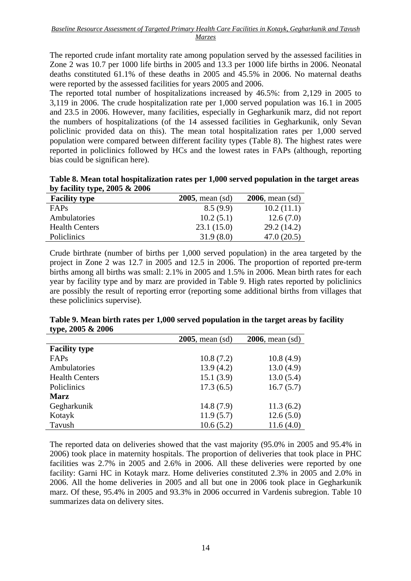The reported crude infant mortality rate among population served by the assessed facilities in Zone 2 was 10.7 per 1000 life births in 2005 and 13.3 per 1000 life births in 2006. Neonatal deaths constituted 61.1% of these deaths in 2005 and 45.5% in 2006. No maternal deaths were reported by the assessed facilities for years 2005 and 2006.

The reported total number of hospitalizations increased by 46.5%: from 2,129 in 2005 to 3,119 in 2006. The crude hospitalization rate per 1,000 served population was 16.1 in 2005 and 23.5 in 2006. However, many facilities, especially in Gegharkunik marz, did not report the numbers of hospitalizations (of the 14 assessed facilities in Gegharkunik, only Sevan policlinic provided data on this). The mean total hospitalization rates per 1,000 served population were compared between different facility types (Table 8). The highest rates were reported in policlinics followed by HCs and the lowest rates in FAPs (although, reporting bias could be significan here).

| Table 8. Mean total hospitalization rates per 1,000 served population in the target areas |  |
|-------------------------------------------------------------------------------------------|--|
| by facility type, $2005 \& 2006$                                                          |  |

| <b>Facility type</b>  | $2005$ , mean (sd) | $2006$ , mean (sd) |
|-----------------------|--------------------|--------------------|
| <b>FAPs</b>           | 8.5(9.9)           | 10.2(11.1)         |
| Ambulatories          | 10.2(5.1)          | 12.6(7.0)          |
| <b>Health Centers</b> | 23.1(15.0)         | 29.2(14.2)         |
| <b>Policlinics</b>    | 31.9(8.0)          | 47.0(20.5)         |

Crude birthrate (number of births per 1,000 served population) in the area targeted by the project in Zone 2 was 12.7 in 2005 and 12.5 in 2006. The proportion of reported pre-term births among all births was small: 2.1% in 2005 and 1.5% in 2006. Mean birth rates for each year by facility type and by marz are provided in Table 9. High rates reported by policlinics are possibly the result of reporting error (reporting some additional births from villages that these policlinics supervise).

|                       | $2005$ , mean $(sd)$ | $2006$ , mean $(sd)$ |
|-----------------------|----------------------|----------------------|
| <b>Facility type</b>  |                      |                      |
| FAPs                  | 10.8(7.2)            | 10.8(4.9)            |
| Ambulatories          | 13.9(4.2)            | 13.0(4.9)            |
| <b>Health Centers</b> | 15.1(3.9)            | 13.0(5.4)            |
| Policlinics           | 17.3(6.5)            | 16.7(5.7)            |
| <b>Marz</b>           |                      |                      |
| Gegharkunik           | 14.8(7.9)            | 11.3(6.2)            |
| Kotayk                | 11.9(5.7)            | 12.6(5.0)            |
| Tavush                | 10.6(5.2)            | 11.6(4.0)            |

**Table 9. Mean birth rates per 1,000 served population in the target areas by facility type, 2005 & 2006** 

The reported data on deliveries showed that the vast majority (95.0% in 2005 and 95.4% in 2006) took place in maternity hospitals. The proportion of deliveries that took place in PHC facilities was 2.7% in 2005 and 2.6% in 2006. All these deliveries were reported by one facility: Garni HC in Kotayk marz. Home deliveries constituted 2.3% in 2005 and 2.0% in 2006. All the home deliveries in 2005 and all but one in 2006 took place in Gegharkunik marz. Of these, 95.4% in 2005 and 93.3% in 2006 occurred in Vardenis subregion. Table 10 summarizes data on delivery sites.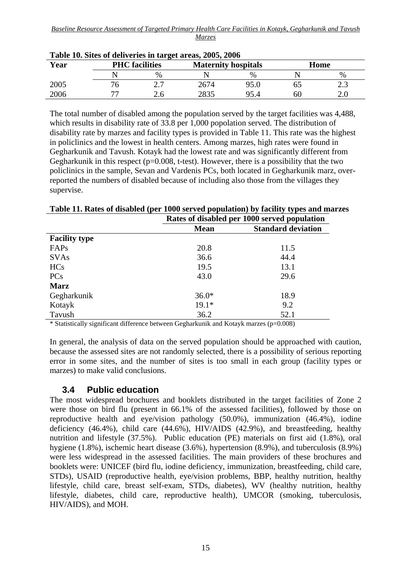| Year | <b>PHC</b> facilities    |     | <b>Maternity hospitals</b> |      | Home |      |  |
|------|--------------------------|-----|----------------------------|------|------|------|--|
|      |                          | %   |                            | $\%$ |      | %    |  |
| 2005 | Η.                       | ، ، | 2674                       | 95.0 |      | ر. ک |  |
| 2006 | $\overline{\phantom{a}}$ | 2.C | 2835                       | 95.4 | 60   | ∠.∪  |  |

**Table 10. Sites of deliveries in target areas, 2005, 2006** 

The total number of disabled among the population served by the target facilities was 4,488, which results in disability rate of 33.8 per 1,000 popolation served. The distribution of disability rate by marzes and facility types is provided in Table 11. This rate was the highest in policlinics and the lowest in health centers. Among marzes, high rates were found in Gegharkunik and Tavush. Kotayk had the lowest rate and was significantly different from Gegharkunik in this respect ( $p=0.008$ , t-test). However, there is a possibility that the two policlinics in the sample, Sevan and Vardenis PCs, both located in Gegharkunik marz, overreported the numbers of disabled because of including also those from the villages they supervise.

|                      |             | Rates of disabled per 1000 served population |  |  |  |  |
|----------------------|-------------|----------------------------------------------|--|--|--|--|
|                      | <b>Mean</b> | <b>Standard deviation</b>                    |  |  |  |  |
| <b>Facility type</b> |             |                                              |  |  |  |  |
| FAPs                 | 20.8        | 11.5                                         |  |  |  |  |
| <b>SVAs</b>          | 36.6        | 44.4                                         |  |  |  |  |
| <b>HCs</b>           | 19.5        | 13.1                                         |  |  |  |  |
| <b>PCs</b>           | 43.0        | 29.6                                         |  |  |  |  |
| <b>Marz</b>          |             |                                              |  |  |  |  |
| Gegharkunik          | $36.0*$     | 18.9                                         |  |  |  |  |
| Kotayk               | $19.1*$     | 9.2                                          |  |  |  |  |
| Tavush               | 36.2        | 52.1                                         |  |  |  |  |

**Table 11. Rates of disabled (per 1000 served population) by facility types and marzes** 

 $*$  Statistically significant difference between Gegharkunik and Kotayk marzes ( $p=0.008$ )

In general, the analysis of data on the served population should be approached with caution, because the assessed sites are not randomly selected, there is a possibility of serious reporting error in some sites, and the number of sites is too small in each group (facility types or marzes) to make valid conclusions.

#### **3.4 Public education**

The most widespread brochures and booklets distributed in the target facilities of Zone 2 were those on bird flu (present in 66.1% of the assessed facilities), followed by those on reproductive health and eye/vision pathology (50.0%), immunization (46.4%), iodine deficiency (46.4%), child care (44.6%), HIV/AIDS (42.9%), and breastfeeding, healthy nutrition and lifestyle (37.5%). Public education (PE) materials on first aid (1.8%), oral hygiene (1.8%), ischemic heart disease (3.6%), hypertension (8.9%), and tuberculosis (8.9%) were less widespread in the assessed facilities. The main providers of these brochures and booklets were: UNICEF (bird flu, iodine deficiency, immunization, breastfeeding, child care, STDs), USAID (reproductive health, eye/vision problems, BBP, healthy nutrition, healthy lifestyle, child care, breast self-exam, STDs, diabetes), WV (healthy nutrition, healthy lifestyle, diabetes, child care, reproductive health), UMCOR (smoking, tuberculosis, HIV/AIDS), and MOH.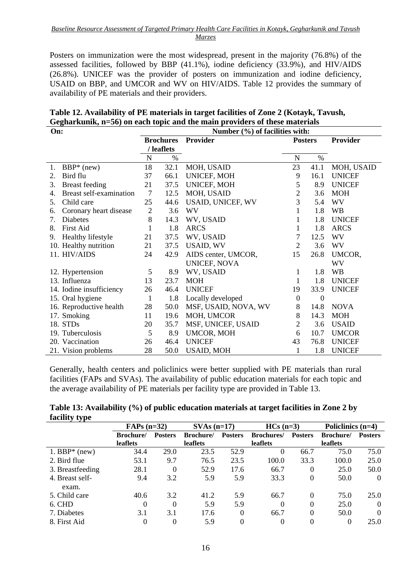Posters on immunization were the most widespread, present in the majority (76.8%) of the assessed facilities, followed by BBP (41.1%), iodine deficiency (33.9%), and HIV/AIDS (26.8%). UNICEF was the provider of posters on immunization and iodine deficiency, USAID on BBP, and UMCOR and WV on HIV/AIDS. Table 12 provides the summary of availability of PE materials and their providers.

| On:                           | Number (%) of facilities with: |                                |                      |                |                |                 |
|-------------------------------|--------------------------------|--------------------------------|----------------------|----------------|----------------|-----------------|
|                               |                                | <b>Brochures</b><br>/ leaflets | <b>Provider</b>      | <b>Posters</b> |                | <b>Provider</b> |
|                               | $\mathbf N$                    | $\%$                           |                      | N              | $\%$           |                 |
| $BBP*$ (new)<br>1.            | 18                             | 32.1                           | MOH, USAID           | 23             | 41.1           | MOH, USAID      |
| Bird flu<br>2.                | 37                             | 66.1                           | <b>UNICEF, MOH</b>   | 9              | 16.1           | <b>UNICEF</b>   |
| <b>Breast</b> feeding<br>3.   | 21                             | 37.5                           | UNICEF, MOH          | 5              | 8.9            | <b>UNICEF</b>   |
| Breast self-examination<br>4. | 7                              | 12.5                           | MOH, USAID           | $\overline{2}$ | 3.6            | <b>MOH</b>      |
| Child care<br>5.              | 25                             | 44.6                           | USAID, UNICEF, WV    | 3              | 5.4            | WV              |
| Coronary heart disease<br>6.  | $\overline{2}$                 | 3.6                            | WV                   | $\mathbf{1}$   | 1.8            | <b>WB</b>       |
| <b>Diabetes</b><br>7.         | 8                              | 14.3                           | WV, USAID            | 1              | 1.8            | <b>UNICEF</b>   |
| <b>First Aid</b><br>8.        | 1                              | 1.8                            | <b>ARCS</b>          | $\mathbf{1}$   | 1.8            | <b>ARCS</b>     |
| Healthy lifestyle<br>9.       | 21                             | 37.5                           | WV, USAID            | 7              | 12.5           | WV              |
| 10. Healthy nutrition         | 21                             | 37.5                           | USAID, WV            | $\overline{c}$ | 3.6            | WV              |
| 11. HIV/AIDS                  | 24                             | 42.9                           | AIDS center, UMCOR,  | 15             | 26.8           | UMCOR,          |
|                               |                                |                                | UNICEF, NOVA         |                |                | WV              |
| 12. Hypertension              | 5                              | 8.9                            | WV, USAID            | 1              | 1.8            | <b>WB</b>       |
| 13. Influenza                 | 13                             | 23.7                           | <b>MOH</b>           | 1              | 1.8            | <b>UNICEF</b>   |
| 14. Iodine insufficiency      | 26                             | 46.4                           | <b>UNICEF</b>        | 19             | 33.9           | <b>UNICEF</b>   |
| 15. Oral hygiene              | 1                              | 1.8                            | Locally developed    | $\overline{0}$ | $\overline{0}$ |                 |
| 16. Reproductive health       | 28                             | 50.0                           | MSF, USAID, NOVA, WV | 8              | 14.8           | <b>NOVA</b>     |
| 17. Smoking                   | 11                             | 19.6                           | MOH, UMCOR           | 8              | 14.3           | <b>MOH</b>      |
| 18. STDs                      | 20                             | 35.7                           | MSF, UNICEF, USAID   | 2              | 3.6            | <b>USAID</b>    |
| 19. Tuberculosis              | 5                              | 8.9                            | UMCOR, MOH           | 6              | 10.7           | <b>UMCOR</b>    |
| 20. Vaccination               | 26                             | 46.4                           | <b>UNICEF</b>        | 43             | 76.8           | <b>UNICEF</b>   |
| 21. Vision problems           | 28                             | 50.0                           | <b>USAID, MOH</b>    | 1              | 1.8            | <b>UNICEF</b>   |

| Table 12. Availability of PE materials in target facilities of Zone 2 (Kotayk, Tavush, |
|----------------------------------------------------------------------------------------|
| Gegharkunik, n=56) on each topic and the main providers of these materials             |

Generally, health centers and policlinics were better supplied with PE materials than rural facilities (FAPs and SVAs). The availability of public education materials for each topic and the average availability of PE materials per facility type are provided in Table 13.

|               | Table 13: Availability (%) of public education materials at target facilities in Zone 2 by |  |
|---------------|--------------------------------------------------------------------------------------------|--|
| facility type |                                                                                            |  |

|                  | $FAPs(n=32)$    |                | $SVAs$ (n=17) |                | $HCs(n=3)$         |                | Policlinics $(n=4)$ |                |
|------------------|-----------------|----------------|---------------|----------------|--------------------|----------------|---------------------|----------------|
|                  | <b>Brochure</b> | <b>Posters</b> | Brochure/     | <b>Posters</b> | <b>Brochures</b> / | <b>Posters</b> | Brochure/           | <b>Posters</b> |
|                  | <b>leaflets</b> |                | leaflets      |                | leaflets           |                | leaflets            |                |
| 1. BBP $*$ (new) | 34.4            | 29.0           | 23.5          | 52.9           | 0                  | 66.7           | 75.0                | 75.0           |
| 2. Bird flue     | 53.1            | 9.7            | 76.5          | 23.5           | 100.0              | 33.3           | 100.0               | 25.0           |
| 3. Breastfeeding | 28.1            | $\theta$       | 52.9          | 17.6           | 66.7               | $\Omega$       | 25.0                | 50.0           |
| 4. Breast self-  | 9.4             | 3.2            | 5.9           | 5.9            | 33.3               | $\Omega$       | 50.0                | $\theta$       |
| exam.            |                 |                |               |                |                    |                |                     |                |
| 5. Child care    | 40.6            | 3.2            | 41.2          | 5.9            | 66.7               |                | 75.0                | 25.0           |
| 6. CHD           | 0               | $\theta$       | 5.9           | 5.9            | 0                  |                | 25.0                | $\Omega$       |
| 7. Diabetes      | 3.1             | 3.1            | 17.6          | $\Omega$       | 66.7               |                | 50.0                | $\Omega$       |
| 8. First Aid     | $\Omega$        | 0              | 5.9           |                | 0                  |                | 0                   | 25.0           |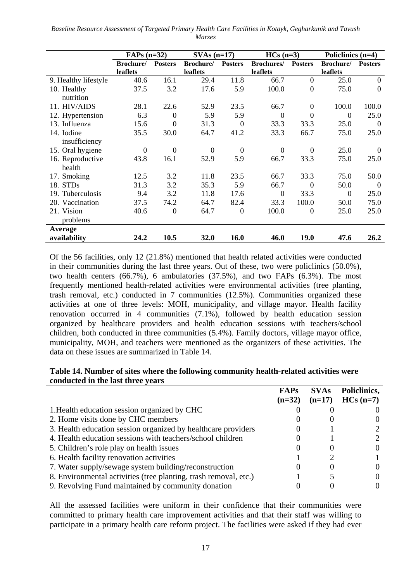|                      | $FAPs$ (n=32) |                |                   | $SVAs$ (n=17)  |                   | $HCs(n=3)$       |           | Policlinics (n=4) |  |
|----------------------|---------------|----------------|-------------------|----------------|-------------------|------------------|-----------|-------------------|--|
|                      | Brochure/     | <b>Posters</b> | <b>Brochure</b> / | <b>Posters</b> | <b>Brochures/</b> | <b>Posters</b>   | Brochure/ | <b>Posters</b>    |  |
|                      | leaflets      |                | leaflets          |                | leaflets          |                  | leaflets  |                   |  |
| 9. Healthy lifestyle | 40.6          | 16.1           | 29.4              | 11.8           | 66.7              | $\overline{0}$   | 25.0      | $\overline{0}$    |  |
| 10. Healthy          | 37.5          | 3.2            | 17.6              | 5.9            | 100.0             | $\overline{0}$   | 75.0      | $\theta$          |  |
| nutrition            |               |                |                   |                |                   |                  |           |                   |  |
| 11. HIV/AIDS         | 28.1          | 22.6           | 52.9              | 23.5           | 66.7              | $\boldsymbol{0}$ | 100.0     | 100.0             |  |
| 12. Hypertension     | 6.3           | $\overline{0}$ | 5.9               | 5.9            | $\Omega$          | $\overline{0}$   | $\Omega$  | 25.0              |  |
| 13. Influenza        | 15.6          | $\theta$       | 31.3              | $\Omega$       | 33.3              | 33.3             | 25.0      | $\Omega$          |  |
| 14. Iodine           | 35.5          | 30.0           | 64.7              | 41.2           | 33.3              | 66.7             | 75.0      | 25.0              |  |
| insufficiency        |               |                |                   |                |                   |                  |           |                   |  |
| 15. Oral hygiene     | $\Omega$      | $\Omega$       | $\Omega$          | $\theta$       | $\Omega$          | $\Omega$         | 25.0      | $\Omega$          |  |
| 16. Reproductive     | 43.8          | 16.1           | 52.9              | 5.9            | 66.7              | 33.3             | 75.0      | 25.0              |  |
| health               |               |                |                   |                |                   |                  |           |                   |  |
| 17. Smoking          | 12.5          | 3.2            | 11.8              | 23.5           | 66.7              | 33.3             | 75.0      | 50.0              |  |
| 18. STDs             | 31.3          | 3.2            | 35.3              | 5.9            | 66.7              | $\Omega$         | 50.0      | $\Omega$          |  |
| 19. Tuberculosis     | 9.4           | 3.2            | 11.8              | 17.6           | $\mathbf{0}$      | 33.3             | $\Omega$  | 25.0              |  |
| 20. Vaccination      | 37.5          | 74.2           | 64.7              | 82.4           | 33.3              | 100.0            | 50.0      | 75.0              |  |
| 21. Vision           | 40.6          | $\mathbf{0}$   | 64.7              | $\overline{0}$ | 100.0             | $\theta$         | 25.0      | 25.0              |  |
| problems             |               |                |                   |                |                   |                  |           |                   |  |
| Average              |               |                |                   |                |                   |                  |           |                   |  |
| availability         | 24.2          | 10.5           | 32.0              | 16.0           | 46.0              | 19.0             | 47.6      | 26.2              |  |

Of the 56 facilities, only 12 (21.8%) mentioned that health related activities were conducted in their communities during the last three years. Out of these, two were policlinics (50.0%), two health centers (66.7%), 6 ambulatories (37.5%), and two FAPs (6.3%). The most frequently mentioned health-related activities were environmental activities (tree planting, trash removal, etc.) conducted in 7 communities (12.5%). Communities organized these activities at one of three levels: MOH, municipality, and village mayor. Health facility renovation occurred in 4 communities (7.1%), followed by health education session organized by healthcare providers and health education sessions with teachers/school children, both conducted in three communities (5.4%). Family doctors, village mayor office, municipality, MOH, and teachers were mentioned as the organizers of these activities. The data on these issues are summarized in Table 14.

#### **Table 14. Number of sites where the following community health-related activities were conducted in the last three years**

|                                                                  | <b>FAPs</b> | <b>SVAs</b> | Policlinics, |
|------------------------------------------------------------------|-------------|-------------|--------------|
|                                                                  | $(n=32)$    | $(n=17)$    | $HCs(n=7)$   |
| 1. Health education session organized by CHC                     |             |             |              |
| 2. Home visits done by CHC members                               |             |             |              |
| 3. Health education session organized by healthcare providers    |             |             |              |
| 4. Health education sessions with teachers/school children       |             |             |              |
| 5. Children's role play on health issues                         |             |             |              |
| 6. Health facility renovation activities                         |             |             |              |
| 7. Water supply/sewage system building/reconstruction            |             |             |              |
| 8. Environmental activities (tree planting, trash removal, etc.) |             |             |              |
| 9. Revolving Fund maintained by community donation               |             |             |              |

All the assessed facilities were uniform in their confidence that their communities were committed to primary health care improvement activities and that their staff was willing to participate in a primary health care reform project. The facilities were asked if they had ever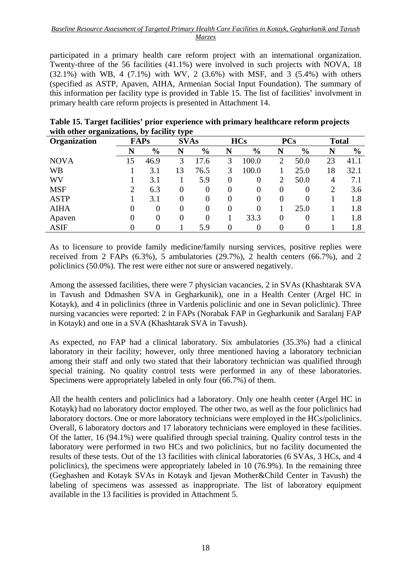participated in a primary health care reform project with an international organization. Twenty-three of the 56 facilities (41.1%) were involved in such projects with NOVA, 18  $(32.1\%)$  with WB, 4 (7.1%) with WV, 2 (3.6%) with MSF, and 3 (5.4%) with others (specified as ASTP, Apaven, AIHA, Armenian Social Input Foundation). The summary of this information per facility type is provided in Table 15. The list of facilities' involvment in primary health care reform projects is presented in Attachment 14.

| ັ<br>Organization |    | $\cdot$<br><b>FAPs</b> | $\overline{\phantom{a}}$<br>. .<br><b>SVAs</b> |               |          | <b>HCs</b>    |          | <b>PCs</b>    | <b>Total</b> |               |
|-------------------|----|------------------------|------------------------------------------------|---------------|----------|---------------|----------|---------------|--------------|---------------|
|                   | N  | $\frac{6}{9}$          | N                                              | $\frac{6}{9}$ | N        | $\frac{6}{6}$ | N        | $\frac{6}{9}$ | N            | $\frac{6}{9}$ |
| <b>NOVA</b>       | 15 | 46.9                   | 3                                              | 17.6          | 3        | 100.0         | 2        | 50.0          | 23           | 41.1          |
| <b>WB</b>         |    | 3.1                    | 13                                             | 76.5          | 3        | 100.0         |          | 25.0          | 18           | 32.1          |
| WV                |    | 3.1                    |                                                | 5.9           | $\theta$ | 0             | ∍        | 50.0          | 4            | 7.1           |
| <b>MSF</b>        |    | 6.3                    | $\theta$                                       | $\theta$      | $\theta$ | $\theta$      | $\theta$ | $\theta$      | 2            | 3.6           |
| <b>ASTP</b>       |    | 3.1                    |                                                | 0             | $\theta$ | 0             | 0        | 0             |              | 1.8           |
| <b>AIHA</b>       | 0  | 0                      | 0                                              | 0             | $\theta$ | 0             |          | 25.0          |              | 1.8           |
| Apaven            | O  | $\theta$               | 0                                              | $\Omega$      |          | 33.3          | 0        | $\Omega$      |              | 1.8           |
| <b>ASIF</b>       |    | 0                      |                                                | 5.9           | 0        |               |          |               |              | 1.8           |

**Table 15. Target facilities' prior experience with primary healthcare reform projects with other organizations, by facility type** 

As to licensure to provide family medicine/family nursing services, positive replies were received from 2 FAPs (6.3%), 5 ambulatories (29.7%), 2 health centers (66.7%), and 2 policlinics (50.0%). The rest were either not sure or answered negatively.

Among the assessed facilities, there were 7 physician vacancies, 2 in SVAs (Khashtarak SVA in Tavush and Ddmashen SVA in Gegharkunik), one in a Health Center (Argel HC in Kotayk), and 4 in policlinics (three in Vardenis policlinic and one in Sevan policlinic). Three nursing vacancies were reported: 2 in FAPs (Norabak FAP in Gegharkunik and Saralanj FAP in Kotayk) and one in a SVA (Khashtarak SVA in Tavush).

As expected, no FAP had a clinical laboratory. Six ambulatories (35.3%) had a clinical laboratory in their facility; however, only three mentioned having a laboratory technician among their staff and only two stated that their laboratory technician was qualified through special training. No quality control tests were performed in any of these laboratories. Specimens were appropriately labeled in only four (66.7%) of them.

All the health centers and policlinics had a laboratory. Only one health center (Argel HC in Kotayk) had no laboratory doctor employed. The other two, as well as the four policlinics had laboratory doctors. One or more laboratory technicians were employed in the HCs/policlinics. Overall, 6 laboratory doctors and 17 laboratory technicians were employed in these facilities. Of the latter, 16 (94.1%) were qualified through special training. Quality control tests in the laboratory were performed in two HCs and two policlinics, but no facility documented the results of these tests. Out of the 13 facilities with clinical laboratories (6 SVAs, 3 HCs, and 4 policlinics), the specimens were appropriately labeled in 10 (76.9%). In the remaining three (Geghashen and Kotayk SVAs in Kotayk and Ijevan Mother&Child Center in Tavush) the labeling of specimens was assessed as inappropriate. The list of laboratory equipment available in the 13 facilities is provided in Attachment 5.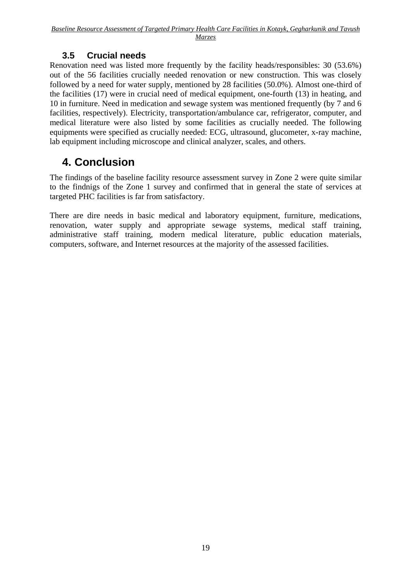### **3.5 Crucial needs**

Renovation need was listed more frequently by the facility heads/responsibles: 30 (53.6%) out of the 56 facilities crucially needed renovation or new construction. This was closely followed by a need for water supply, mentioned by 28 facilities (50.0%). Almost one-third of the facilities (17) were in crucial need of medical equipment, one-fourth (13) in heating, and 10 in furniture. Need in medication and sewage system was mentioned frequently (by 7 and 6 facilities, respectively). Electricity, transportation/ambulance car, refrigerator, computer, and medical literature were also listed by some facilities as crucially needed. The following equipments were specified as crucially needed: ECG, ultrasound, glucometer, x-ray machine, lab equipment including microscope and clinical analyzer, scales, and others.

### **4. Conclusion**

The findings of the baseline facility resource assessment survey in Zone 2 were quite similar to the findnigs of the Zone 1 survey and confirmed that in general the state of services at targeted PHC facilities is far from satisfactory.

There are dire needs in basic medical and laboratory equipment, furniture, medications, renovation, water supply and appropriate sewage systems, medical staff training, administrative staff training, modern medical literature, public education materials, computers, software, and Internet resources at the majority of the assessed facilities.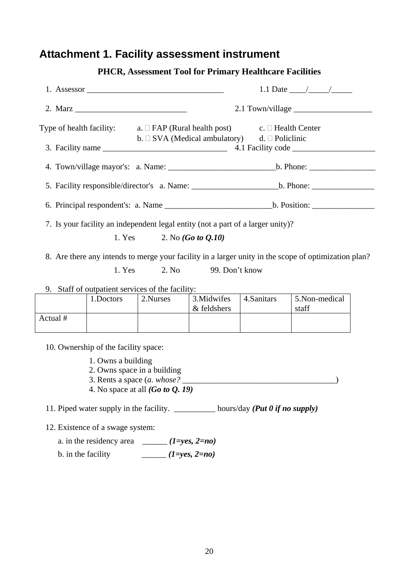### **Attachment 1. Facility assessment instrument**

|          | 1. Assessor                                                                        |                                                            |                            |                                                         |                                                                                                      |  |
|----------|------------------------------------------------------------------------------------|------------------------------------------------------------|----------------------------|---------------------------------------------------------|------------------------------------------------------------------------------------------------------|--|
|          |                                                                                    |                                                            |                            | $2.1$ Town/village $\_\_\_\_\_\_\_\_\_\_\_\_\_\_\_\_\_$ |                                                                                                      |  |
|          | Type of health facility: $a. \Box$ FAP (Rural health post) $c. \Box$ Health Center | b. $\Box$ SVA (Medical ambulatory) d. $\Box$ Policlinic    |                            |                                                         |                                                                                                      |  |
|          |                                                                                    |                                                            |                            |                                                         |                                                                                                      |  |
|          |                                                                                    |                                                            |                            |                                                         |                                                                                                      |  |
|          |                                                                                    |                                                            |                            |                                                         |                                                                                                      |  |
|          | 7. Is your facility an independent legal entity (not a part of a larger unity)?    | 1. Yes 2. No $(Go to Q.10)$                                |                            |                                                         | 8. Are there any intends to merge your facility in a larger unity in the scope of optimization plan? |  |
|          | 1. Yes                                                                             | 2. No                                                      | 99. Don't know             |                                                         |                                                                                                      |  |
|          | 9. Staff of outpatient services of the facility:                                   |                                                            |                            |                                                         |                                                                                                      |  |
|          | 1.Doctors                                                                          | 2.Nurses                                                   | 3. Midwifes<br>& feldshers | 4.Sanitars                                              | 5.Non-medical<br>staff                                                                               |  |
| Actual # |                                                                                    |                                                            |                            |                                                         |                                                                                                      |  |
|          | 10. Ownership of the facility space:                                               |                                                            |                            |                                                         |                                                                                                      |  |
|          | 1. Owns a building                                                                 | 2. Owns space in a building<br>3. Rents a space (a. whose? |                            |                                                         |                                                                                                      |  |

### **PHCR, Assessment Tool for Primary Healthcare Facilities**

4. No space at all *(Go to Q. 19)*

11. Piped water supply in the facility. \_\_\_\_\_\_\_\_\_\_ hours/day *(Put 0 if no supply)*

12. Existence of a swage system:

a. in the residency area  $\qquad \qquad$  *(1=yes, 2=no)* 

b. in the facility  $\qquad \qquad \qquad (1 = yes, 2 = no)$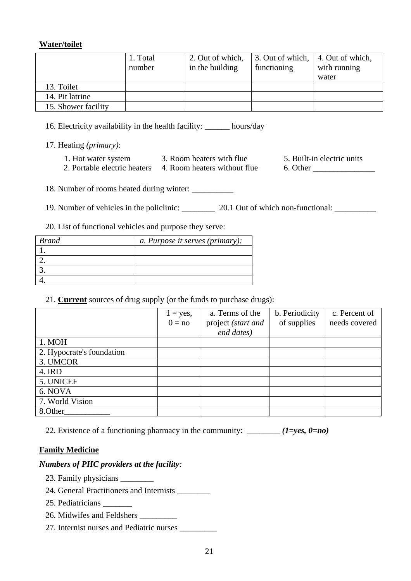#### **Water/toilet**

|                     | 1. Total | 2. Out of which, | 3. Out of which, 4. Out of which, |              |
|---------------------|----------|------------------|-----------------------------------|--------------|
|                     | number   | in the building  | functioning                       | with running |
|                     |          |                  |                                   | water        |
| 13. Toilet          |          |                  |                                   |              |
| 14. Pit latrine     |          |                  |                                   |              |
| 15. Shower facility |          |                  |                                   |              |

16. Electricity availability in the health facility: \_\_\_\_\_\_ hours/day

17. Heating *(primary)*:

- 1. Hot water system 3. Room heaters with flue 5. Built-in electric units
- 2. Portable electric heaters 4. Room heaters without flue 6. Other

18. Number of rooms heated during winter: \_\_\_\_\_\_\_\_\_\_

19. Number of vehicles in the policlinic: 20.1 Out of which non-functional:

20. List of functional vehicles and purpose they serve:

| <b>Brand</b> | a. Purpose it serves (primary): |
|--------------|---------------------------------|
|              |                                 |
|              |                                 |
|              |                                 |
|              |                                 |

21. **Current** sources of drug supply (or the funds to purchase drugs):

|                           | $1 = yes$ ,<br>$0 = no$ | a. Terms of the<br>project (start and<br>end dates) | b. Periodicity<br>of supplies | c. Percent of<br>needs covered |
|---------------------------|-------------------------|-----------------------------------------------------|-------------------------------|--------------------------------|
| 1. MOH                    |                         |                                                     |                               |                                |
| 2. Hypocrate's foundation |                         |                                                     |                               |                                |
| 3. UMCOR                  |                         |                                                     |                               |                                |
| 4. IRD                    |                         |                                                     |                               |                                |
| 5. UNICEF                 |                         |                                                     |                               |                                |
| 6. NOVA                   |                         |                                                     |                               |                                |
| 7. World Vision           |                         |                                                     |                               |                                |
| 8.Other                   |                         |                                                     |                               |                                |

22. Existence of a functioning pharmacy in the community:  $\frac{\ }{\ }$  *(1=yes, 0=no)* 

#### **Family Medicine**

#### *Numbers of PHC providers at the facility:*

- 23. Family physicians \_\_\_\_\_\_\_\_
- 24. General Practitioners and Internists \_\_\_\_\_\_\_\_
- 25. Pediatricians \_\_\_\_\_\_\_
- 26. Midwifes and Feldshers  $\overline{\phantom{a}}$
- 27. Internist nurses and Pediatric nurses \_\_\_\_\_\_\_\_\_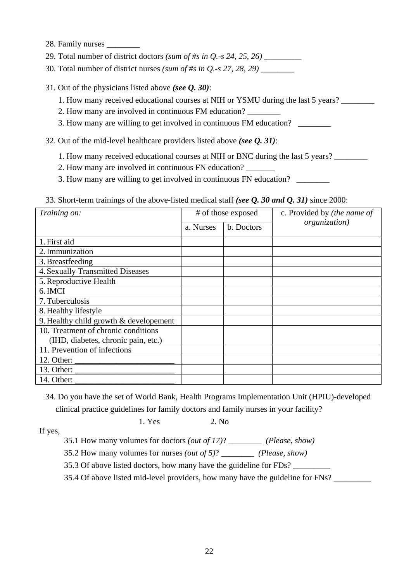- 28. Family nurses
- 29. Total number of district doctors *(sum of #s in Q.-s 24, 25, 26)* \_\_\_\_\_\_\_\_\_
- 30. Total number of district nurses *(sum of #s in Q.-s 27, 28, 29)* \_\_\_\_\_\_\_\_
- 31. Out of the physicians listed above *(see Q. 30)*:
	- 1. How many received educational courses at NIH or YSMU during the last 5 years? \_\_\_\_\_\_\_\_
	- 2. How many are involved in continuous FM education?
	- 3. How many are willing to get involved in continuous FM education?
- 32. Out of the mid-level healthcare providers listed above *(see Q. 31)*:
	- 1. How many received educational courses at NIH or BNC during the last 5 years?
	- 2. How many are involved in continuous FN education?
	- 3. How many are willing to get involved in continuous FN education?

|  |  | 33. Short-term trainings of the above-listed medical staff (see Q. 30 and Q. 31) since 2000: |  |  |
|--|--|----------------------------------------------------------------------------------------------|--|--|
|  |  |                                                                                              |  |  |

| Training on:                                                                                                                                                                                                                                                                                                                                                                                                         |           | # of those exposed | c. Provided by (the name of |  |
|----------------------------------------------------------------------------------------------------------------------------------------------------------------------------------------------------------------------------------------------------------------------------------------------------------------------------------------------------------------------------------------------------------------------|-----------|--------------------|-----------------------------|--|
|                                                                                                                                                                                                                                                                                                                                                                                                                      | a. Nurses | b. Doctors         | organization)               |  |
| 1. First aid                                                                                                                                                                                                                                                                                                                                                                                                         |           |                    |                             |  |
| 2. Immunization                                                                                                                                                                                                                                                                                                                                                                                                      |           |                    |                             |  |
| 3. Breastfeeding                                                                                                                                                                                                                                                                                                                                                                                                     |           |                    |                             |  |
| 4. Sexually Transmitted Diseases                                                                                                                                                                                                                                                                                                                                                                                     |           |                    |                             |  |
| 5. Reproductive Health                                                                                                                                                                                                                                                                                                                                                                                               |           |                    |                             |  |
| 6. IMCI                                                                                                                                                                                                                                                                                                                                                                                                              |           |                    |                             |  |
| 7. Tuberculosis                                                                                                                                                                                                                                                                                                                                                                                                      |           |                    |                             |  |
| 8. Healthy lifestyle                                                                                                                                                                                                                                                                                                                                                                                                 |           |                    |                             |  |
| 9. Healthy child growth $&$ developement                                                                                                                                                                                                                                                                                                                                                                             |           |                    |                             |  |
| 10. Treatment of chronic conditions                                                                                                                                                                                                                                                                                                                                                                                  |           |                    |                             |  |
| (IHD, diabetes, chronic pain, etc.)                                                                                                                                                                                                                                                                                                                                                                                  |           |                    |                             |  |
| 11. Prevention of infections                                                                                                                                                                                                                                                                                                                                                                                         |           |                    |                             |  |
| 12. Other: $\frac{1}{\sqrt{1-\frac{1}{2}}}\frac{1}{\sqrt{1-\frac{1}{2}}}\frac{1}{\sqrt{1-\frac{1}{2}}}\frac{1}{\sqrt{1-\frac{1}{2}}}\frac{1}{\sqrt{1-\frac{1}{2}}}\frac{1}{\sqrt{1-\frac{1}{2}}}\frac{1}{\sqrt{1-\frac{1}{2}}}\frac{1}{\sqrt{1-\frac{1}{2}}}\frac{1}{\sqrt{1-\frac{1}{2}}}\frac{1}{\sqrt{1-\frac{1}{2}}}\frac{1}{\sqrt{1-\frac{1}{2}}}\frac{1}{\sqrt{1-\frac{1}{2}}}\frac{1}{\sqrt{1-\frac{1}{2}}}\$ |           |                    |                             |  |
| 13. Other: $\frac{1}{\sqrt{1-\frac{1}{2}} \cdot \frac{1}{\sqrt{1-\frac{1}{2}} \cdot \frac{1}{2}} \cdot \frac{1}{\sqrt{1-\frac{1}{2}} \cdot \frac{1}{2}}}}$                                                                                                                                                                                                                                                           |           |                    |                             |  |
|                                                                                                                                                                                                                                                                                                                                                                                                                      |           |                    |                             |  |

34. Do you have the set of World Bank, Health Programs Implementation Unit (HPIU)-developed clinical practice guidelines for family doctors and family nurses in your facility?

If yes,

1. Yes 2. No

35.1 How many volumes for doctors *(out of 17)*? \_\_\_\_\_\_\_\_ *(Please, show)* 

35.2 How many volumes for nurses *(out of 5)*? \_\_\_\_\_\_\_\_ *(Please, show)*

35.3 Of above listed doctors, how many have the guideline for FDs?

35.4 Of above listed mid-level providers, how many have the guideline for FNs?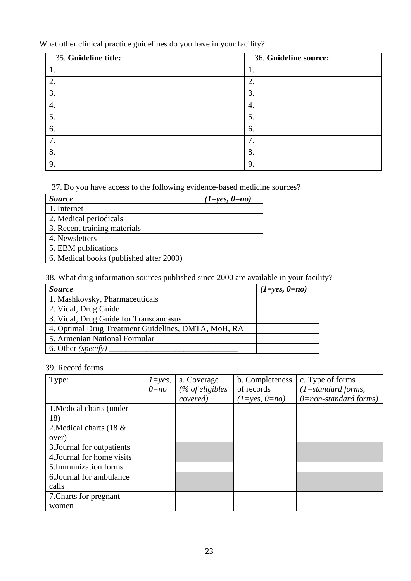What other clinical practice guidelines do you have in your facility?

| 35. Guideline title: | 36. Guideline source: |
|----------------------|-----------------------|
| 1.                   |                       |
| 2.                   | 2.                    |
| 3.                   | 3.                    |
| 4.                   | $\overline{4}$ .      |
| 5.                   | 5.                    |
| 6.                   | 6.                    |
| 7.                   | 7                     |
| 8.                   | 8.                    |
| 9.                   | 9                     |

37. Do you have access to the following evidence-based medicine sources?

| <i>Source</i>                           | $(1 = yes, 0 = no)$ |
|-----------------------------------------|---------------------|
| 1. Internet                             |                     |
| 2. Medical periodicals                  |                     |
| 3. Recent training materials            |                     |
| 4. Newsletters                          |                     |
| 5. EBM publications                     |                     |
| 6. Medical books (published after 2000) |                     |

38. What drug information sources published since 2000 are available in your facility?

| <b>Source</b>                                       | $(1 = yes, 0 = no)$ |
|-----------------------------------------------------|---------------------|
| 1. Mashkovsky, Pharmaceuticals                      |                     |
| 2. Vidal, Drug Guide                                |                     |
| 3. Vidal, Drug Guide for Transcaucasus              |                     |
| 4. Optimal Drug Treatment Guidelines, DMTA, MoH, RA |                     |
| 5. Armenian National Formular                       |                     |
| 6. Other ( <i>specify</i> )                         |                     |

### 39. Record forms

| Type:                      | $l = yes$ , | a. Coverage                | b. Completeness | c. Type of forms           |
|----------------------------|-------------|----------------------------|-----------------|----------------------------|
|                            | $0 = no$    | $\frac{1}{2}$ of eligibles | of records      | $(1=standard forms,$       |
|                            |             | covered)                   | $(1=yes, 0=no)$ | $0 = non-standard forms$ ) |
| 1. Medical charts (under   |             |                            |                 |                            |
| 18)                        |             |                            |                 |                            |
| 2. Medical charts (18 $\&$ |             |                            |                 |                            |
| over)                      |             |                            |                 |                            |
| 3. Journal for outpatients |             |                            |                 |                            |
| 4. Journal for home visits |             |                            |                 |                            |
| 5. Immunization forms      |             |                            |                 |                            |
| 6. Journal for ambulance   |             |                            |                 |                            |
| calls                      |             |                            |                 |                            |
| 7. Charts for pregnant     |             |                            |                 |                            |
| women                      |             |                            |                 |                            |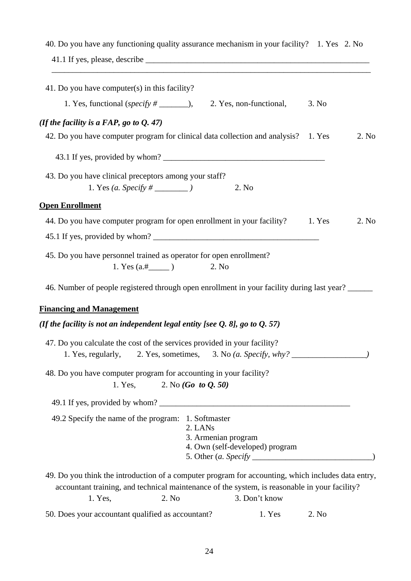| 40. Do you have any functioning quality assurance mechanism in your facility? 1. Yes 2. No                                                                                                                                               |        |       |
|------------------------------------------------------------------------------------------------------------------------------------------------------------------------------------------------------------------------------------------|--------|-------|
| 41. Do you have computer(s) in this facility?                                                                                                                                                                                            |        |       |
| 1. Yes, functional (specify $\#$ _________),<br>2. Yes, non-functional,                                                                                                                                                                  | 3. No  |       |
| (If the facility is a FAP, go to $Q. 47$ )                                                                                                                                                                                               |        |       |
| 42. Do you have computer program for clinical data collection and analysis? 1. Yes                                                                                                                                                       |        | 2. No |
|                                                                                                                                                                                                                                          |        |       |
| 43. Do you have clinical preceptors among your staff?<br>2. No                                                                                                                                                                           |        |       |
| <b>Open Enrollment</b>                                                                                                                                                                                                                   |        |       |
| 44. Do you have computer program for open enrollment in your facility?                                                                                                                                                                   | 1. Yes | 2. No |
|                                                                                                                                                                                                                                          |        |       |
| 45. Do you have personnel trained as operator for open enrollment?<br>2. No                                                                                                                                                              |        |       |
| 46. Number of people registered through open enrollment in your facility during last year?                                                                                                                                               |        |       |
| <b>Financing and Management</b>                                                                                                                                                                                                          |        |       |
| (If the facility is not an independent legal entity [see $Q$ . 8], go to $Q$ . 57)                                                                                                                                                       |        |       |
| 47. Do you calculate the cost of the services provided in your facility?<br>1. Yes, regularly, 2. Yes, sometimes, 3. No (a. Specify, why? ___________________                                                                            |        |       |
| 48. Do you have computer program for accounting in your facility?<br>1. Yes, 2. No $(Go \ to \ Q, 50)$                                                                                                                                   |        |       |
|                                                                                                                                                                                                                                          |        |       |
| 49.2 Specify the name of the program: 1. Softmaster<br>2. LANs<br>3. Armenian program<br>4. Own (self-developed) program                                                                                                                 |        |       |
| 49. Do you think the introduction of a computer program for accounting, which includes data entry,<br>accountant training, and technical maintenance of the system, is reasonable in your facility?<br>2. No<br>3. Don't know<br>1. Yes, |        |       |

50. Does your accountant qualified as accountant? 1. Yes 2. No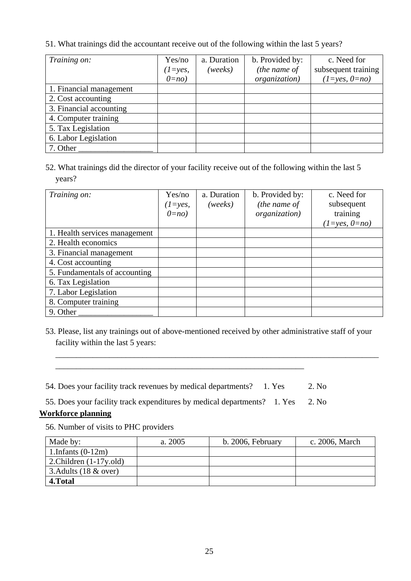51. What trainings did the accountant receive out of the following within the last 5 years?

| Training on:            | Yes/no<br>$(1 = yes,$ | a. Duration<br>(weeks) | b. Provided by:<br>(the name of | c. Need for<br>subsequent training |
|-------------------------|-----------------------|------------------------|---------------------------------|------------------------------------|
|                         | $0=no$                |                        | organization)                   | $(1=yes, 0=no)$                    |
| 1. Financial management |                       |                        |                                 |                                    |
| 2. Cost accounting      |                       |                        |                                 |                                    |
| 3. Financial accounting |                       |                        |                                 |                                    |
| 4. Computer training    |                       |                        |                                 |                                    |
| 5. Tax Legislation      |                       |                        |                                 |                                    |
| 6. Labor Legislation    |                       |                        |                                 |                                    |
| 7. Other                |                       |                        |                                 |                                    |

52. What trainings did the director of your facility receive out of the following within the last 5 years?

| Training on:                  | Yes/no<br>$(l = yes,$<br>$0=no$ | a. Duration<br>(weeks) | b. Provided by:<br>(the name of<br>organization) | c. Need for<br>subsequent<br>training<br>$(1 = yes, 0 = no)$ |
|-------------------------------|---------------------------------|------------------------|--------------------------------------------------|--------------------------------------------------------------|
| 1. Health services management |                                 |                        |                                                  |                                                              |
| 2. Health economics           |                                 |                        |                                                  |                                                              |
| 3. Financial management       |                                 |                        |                                                  |                                                              |
| 4. Cost accounting            |                                 |                        |                                                  |                                                              |
| 5. Fundamentals of accounting |                                 |                        |                                                  |                                                              |
| 6. Tax Legislation            |                                 |                        |                                                  |                                                              |
| 7. Labor Legislation          |                                 |                        |                                                  |                                                              |
| 8. Computer training          |                                 |                        |                                                  |                                                              |
| 9. Other                      |                                 |                        |                                                  |                                                              |

53. Please, list any trainings out of above-mentioned received by other administrative staff of your facility within the last 5 years:

\_\_\_\_\_\_\_\_\_\_\_\_\_\_\_\_\_\_\_\_\_\_\_\_\_\_\_\_\_\_\_\_\_\_\_\_\_\_\_\_\_\_\_\_\_\_\_\_\_\_\_\_\_\_\_\_\_\_\_\_\_\_\_\_\_\_\_\_\_\_\_\_\_\_\_\_\_\_

54. Does your facility track revenues by medical departments? 1. Yes 2. No

\_\_\_\_\_\_\_\_\_\_\_\_\_\_\_\_\_\_\_\_\_\_\_\_\_\_\_\_\_\_\_\_\_\_\_\_\_\_\_\_\_\_\_\_\_\_\_\_\_\_\_\_\_\_\_\_\_\_\_\_

55. Does your facility track expenditures by medical departments? 1. Yes 2. No

### **Workforce planning**

56. Number of visits to PHC providers

| Made by:                        | a. 2005 | b. 2006, February | c. 2006, March |
|---------------------------------|---------|-------------------|----------------|
| 1.Infants $(0-12m)$             |         |                   |                |
| 2. Children $(1-17y, old)$      |         |                   |                |
| 3. Adults $(18 \& \text{over})$ |         |                   |                |
| 4. Total                        |         |                   |                |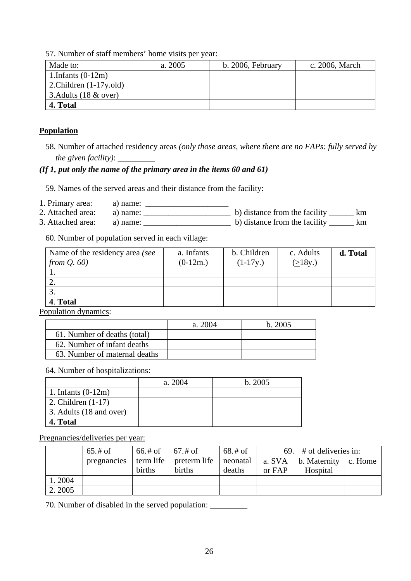57. Number of staff members' home visits per year:

| Made to:                   | a. 2005 | b. 2006, February | c. 2006, March |
|----------------------------|---------|-------------------|----------------|
| 1.Infants $(0-12m)$        |         |                   |                |
| 2. Children $(1-17y.$ old) |         |                   |                |
| 3. Adults $(18 \& over)$   |         |                   |                |
| 4. Total                   |         |                   |                |

#### **Population**

58. Number of attached residency areas *(only those areas, where there are no FAPs: fully served by the given facility)*: \_\_\_\_\_\_\_\_\_

#### *(If 1, put only the name of the primary area in the items 60 and 61)*

59. Names of the served areas and their distance from the facility:

- 1. Primary area: a) name: \_\_\_\_\_\_\_\_\_\_\_\_\_\_\_\_\_\_\_\_
- 2. Attached area: a) name: \_\_\_\_\_\_\_\_\_\_\_\_\_\_\_\_\_\_\_\_\_ b) distance from the facility \_\_\_\_\_\_ km 3. Attached area:  $\boxed{a}$  name:  $\boxed{a}$   $\boxed{b}$  distance from the facility  $\boxed{b}$  km

60. Number of population served in each village:

| Name of the residency area (see | a. Infants | b. Children | c. Adults | d. Total |
|---------------------------------|------------|-------------|-----------|----------|
| from $Q.60$                     | $(0-12m.)$ | $(1-17y)$   | (>18y.)   |          |
|                                 |            |             |           |          |
| ۷.                              |            |             |           |          |
|                                 |            |             |           |          |
| 4. Total                        |            |             |           |          |

Population dynamics:

|                               | a. 2004 | h.2005 |
|-------------------------------|---------|--------|
| 61. Number of deaths (total)  |         |        |
| 62. Number of infant deaths   |         |        |
| 63. Number of maternal deaths |         |        |

64. Number of hospitalizations:

|                         | a. 2004 | b. 2005 |
|-------------------------|---------|---------|
| 1. Infants $(0-12m)$    |         |         |
| 2. Children $(1-17)$    |         |         |
| 3. Adults (18 and over) |         |         |
| 4. Total                |         |         |

Pregnancies/deliveries per year:

|        | 65.# of     | $66. \# \text{ of } \;   \; 67. \# \; \text{ of }$ |              | $68. \text{\# of}$ |        | 69. $\#$ of deliveries in:           |  |
|--------|-------------|----------------------------------------------------|--------------|--------------------|--------|--------------------------------------|--|
|        | pregnancies | term life                                          | preterm life | neonatal           | a. SVA | $\vert$ b. Maternity $\vert$ c. Home |  |
|        |             | births                                             | births       | deaths             | or FAP | Hospital                             |  |
| 1.2004 |             |                                                    |              |                    |        |                                      |  |
| 2.2005 |             |                                                    |              |                    |        |                                      |  |

70. Number of disabled in the served population: \_\_\_\_\_\_\_\_\_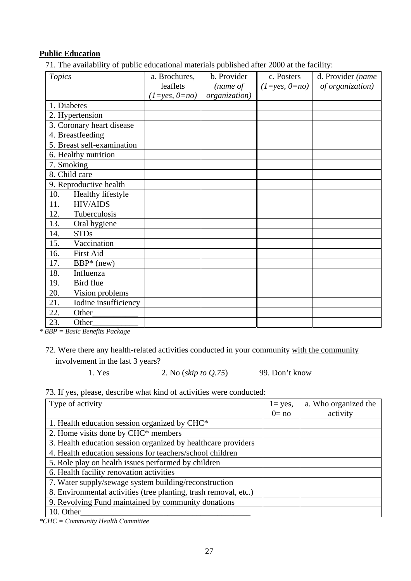#### **Public Education**

71. The availability of public educational materials published after 2000 at the facility:

| <b>Topics</b>               | a. Brochures,       | b. Provider   | c. Posters          | d. Provider (name |
|-----------------------------|---------------------|---------------|---------------------|-------------------|
|                             | leaflets            | (name of      | $(1 = yes, 0 = no)$ | of organization)  |
|                             | $(1 = yes, 0 = no)$ | organization) |                     |                   |
| 1. Diabetes                 |                     |               |                     |                   |
| 2. Hypertension             |                     |               |                     |                   |
| 3. Coronary heart disease   |                     |               |                     |                   |
| 4. Breastfeeding            |                     |               |                     |                   |
| 5. Breast self-examination  |                     |               |                     |                   |
| 6. Healthy nutrition        |                     |               |                     |                   |
| 7. Smoking                  |                     |               |                     |                   |
| 8. Child care               |                     |               |                     |                   |
| 9. Reproductive health      |                     |               |                     |                   |
| 10.<br>Healthy lifestyle    |                     |               |                     |                   |
| <b>HIV/AIDS</b><br>11.      |                     |               |                     |                   |
| 12.<br>Tuberculosis         |                     |               |                     |                   |
| 13.<br>Oral hygiene         |                     |               |                     |                   |
| 14.<br><b>STDs</b>          |                     |               |                     |                   |
| Vaccination<br>15.          |                     |               |                     |                   |
| 16.<br>First Aid            |                     |               |                     |                   |
| 17.<br>$BBP*$ (new)         |                     |               |                     |                   |
| 18.<br>Influenza            |                     |               |                     |                   |
| Bird flue<br>19.            |                     |               |                     |                   |
| 20.<br>Vision problems      |                     |               |                     |                   |
| Iodine insufficiency<br>21. |                     |               |                     |                   |
| 22.<br>Other_               |                     |               |                     |                   |
| 23.<br>Other                |                     |               |                     |                   |

*\* BBP = Basic Benefits Package* 

1. Yes 2. No (*skip to Q.75*) 99. Don't know

#### 73. If yes, please, describe what kind of activities were conducted:

| Type of activity                                                 | $l = yes$ , | a. Who organized the |
|------------------------------------------------------------------|-------------|----------------------|
|                                                                  | $0 = no$    | activity             |
| 1. Health education session organized by CHC*                    |             |                      |
| 2. Home visits done by CHC* members                              |             |                      |
| 3. Health education session organized by healthcare providers    |             |                      |
| 4. Health education sessions for teachers/school children        |             |                      |
| 5. Role play on health issues performed by children              |             |                      |
| 6. Health facility renovation activities                         |             |                      |
| 7. Water supply/sewage system building/reconstruction            |             |                      |
| 8. Environmental activities (tree planting, trash removal, etc.) |             |                      |
| 9. Revolving Fund maintained by community donations              |             |                      |
| 10. Other                                                        |             |                      |

*\*CHC = Community Health Committee* 

<sup>72.</sup> Were there any health-related activities conducted in your community with the community involvement in the last 3 years?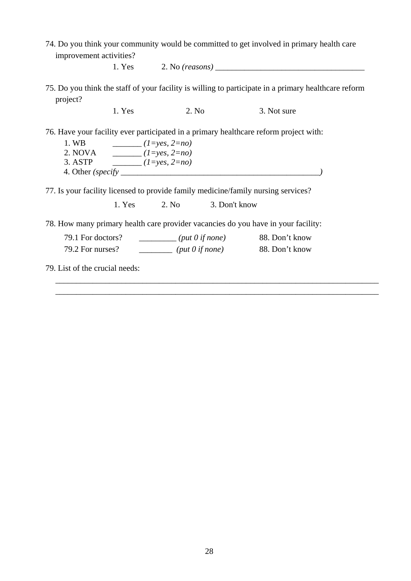74. Do you think your community would be committed to get involved in primary health care improvement activities?

1. Yes 2. No *(reasons)* \_\_\_\_\_\_\_\_\_\_\_\_\_\_\_\_\_\_\_\_\_\_\_\_\_\_\_\_\_\_\_\_\_\_\_\_

75. Do you think the staff of your facility is willing to participate in a primary healthcare reform project?

1. Yes 2. No 3. Not sure

76. Have your facility ever participated in a primary healthcare reform project with:

1. WB \_\_\_\_\_\_\_ *(1=yes, 2=no)* 2. NOVA \_\_\_\_\_\_\_ *(1=yes, 2=no)* 3. ASTP \_\_\_\_\_\_\_ *(1=yes, 2=no)*  4. Other *(specify \_\_\_\_\_\_\_\_\_\_\_\_\_\_\_\_\_\_\_\_\_\_\_\_\_\_\_\_\_\_\_\_\_\_\_\_\_\_\_\_\_\_\_\_\_\_\_\_)* 

77. Is your facility licensed to provide family medicine/family nursing services?

1. Yes 2. No 3. Don't know

78. How many primary health care provider vacancies do you have in your facility:

| 79.1 For doctors? | $(\text{put } 0 \text{ if none})$ | 88. Don't know |
|-------------------|-----------------------------------|----------------|
| 79.2 For nurses?  | $(\text{put } 0 \text{ if none})$ | 88. Don't know |

\_\_\_\_\_\_\_\_\_\_\_\_\_\_\_\_\_\_\_\_\_\_\_\_\_\_\_\_\_\_\_\_\_\_\_\_\_\_\_\_\_\_\_\_\_\_\_\_\_\_\_\_\_\_\_\_\_\_\_\_\_\_\_\_\_\_\_\_\_\_\_\_\_\_\_\_\_\_ \_\_\_\_\_\_\_\_\_\_\_\_\_\_\_\_\_\_\_\_\_\_\_\_\_\_\_\_\_\_\_\_\_\_\_\_\_\_\_\_\_\_\_\_\_\_\_\_\_\_\_\_\_\_\_\_\_\_\_\_\_\_\_\_\_\_\_\_\_\_\_\_\_\_\_\_\_\_

79. List of the crucial needs: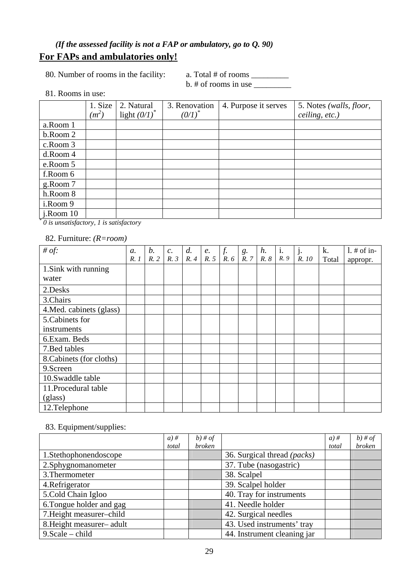### *(If the assessed facility is not a FAP or ambulatory, go to Q. 90)*  **For FAPs and ambulatories only!**

80. Number of rooms in the facility: a. Total # of rooms \_\_\_\_\_\_\_\_\_\_\_\_\_\_\_\_\_\_\_\_\_\_\_\_

 $b. \#$  of rooms in use  $\_\_$ 

81. Rooms in use:

|                                                   | 1. Size | 2. Natural      | 3. Renovation | 4. Purpose it serves | 5. Notes (walls, floor, |
|---------------------------------------------------|---------|-----------------|---------------|----------------------|-------------------------|
|                                                   | $(m^2)$ | light $(0/I)^*$ | $(0/I)^{*}$   |                      | ceiling, etc.)          |
| a.Room 1                                          |         |                 |               |                      |                         |
| b.Room 2                                          |         |                 |               |                      |                         |
| c.Room 3                                          |         |                 |               |                      |                         |
| d.Room 4                                          |         |                 |               |                      |                         |
| e.Room 5                                          |         |                 |               |                      |                         |
| f.Room 6                                          |         |                 |               |                      |                         |
| g.Room 7                                          |         |                 |               |                      |                         |
| h.Room 8                                          |         |                 |               |                      |                         |
| i.Room 9                                          |         |                 |               |                      |                         |
| $i$ . Room 10                                     |         |                 |               |                      |                         |
| $\theta$ is unextigated to $\theta$ is extigated. |         |                 |               |                      |                         |

 *0 is unsatisfactory, 1 is satisfactory* 

82. Furniture: *(R=room)*

| # of:                    | $\mathfrak{a}$ . | b.  | $c$ . | d.  | e.  | $f_{\cdot}$ | $\begin{array}{c} g. \\ R.7 \end{array}$ | $h$ . | $\mathbf{1}$ . | $\mathbf{1}$ j. | k.    | $1.$ # of in- |
|--------------------------|------------------|-----|-------|-----|-----|-------------|------------------------------------------|-------|----------------|-----------------|-------|---------------|
|                          | R.1              | R.2 | R.3   | R.4 | R.5 | R.6         |                                          | R.8   | R. 9           | R. 10           | Total | appropr.      |
| 1. Sink with running     |                  |     |       |     |     |             |                                          |       |                |                 |       |               |
| water                    |                  |     |       |     |     |             |                                          |       |                |                 |       |               |
| 2.Desks                  |                  |     |       |     |     |             |                                          |       |                |                 |       |               |
| 3.Chairs                 |                  |     |       |     |     |             |                                          |       |                |                 |       |               |
| 4. Med. cabinets (glass) |                  |     |       |     |     |             |                                          |       |                |                 |       |               |
| 5. Cabinets for          |                  |     |       |     |     |             |                                          |       |                |                 |       |               |
| instruments              |                  |     |       |     |     |             |                                          |       |                |                 |       |               |
| 6.Exam. Beds             |                  |     |       |     |     |             |                                          |       |                |                 |       |               |
| 7. Bed tables            |                  |     |       |     |     |             |                                          |       |                |                 |       |               |
| 8. Cabinets (for cloths) |                  |     |       |     |     |             |                                          |       |                |                 |       |               |
| 9.Screen                 |                  |     |       |     |     |             |                                          |       |                |                 |       |               |
| 10.Swaddle table         |                  |     |       |     |     |             |                                          |       |                |                 |       |               |
| 11. Procedural table     |                  |     |       |     |     |             |                                          |       |                |                 |       |               |
| (glass)                  |                  |     |       |     |     |             |                                          |       |                |                 |       |               |
| 12.Telephone             |                  |     |       |     |     |             |                                          |       |                |                 |       |               |

### 83. Equipment/supplies:

|                          | $a)$ # | $b)$ # of     |                             | $a)$ # | $b)$ # of |
|--------------------------|--------|---------------|-----------------------------|--------|-----------|
|                          | total  | <i>broken</i> |                             | total  | broken    |
| 1.Stethophonendoscope    |        |               | 36. Surgical thread (packs) |        |           |
| 2.Sphygnomanometer       |        |               | 37. Tube (nasogastric)      |        |           |
| 3. Thermometer           |        |               | 38. Scalpel                 |        |           |
| 4. Refrigerator          |        |               | 39. Scalpel holder          |        |           |
| 5.Cold Chain Igloo       |        |               | 40. Tray for instruments    |        |           |
| 6. Tongue holder and gag |        |               | 41. Needle holder           |        |           |
| 7. Height measurer-child |        |               | 42. Surgical needles        |        |           |
| 8. Height measurer-adult |        |               | 43. Used instruments' tray  |        |           |
| $9. Scale - child$       |        |               | 44. Instrument cleaning jar |        |           |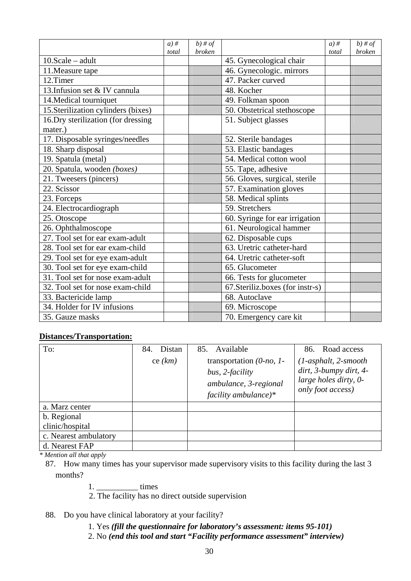|                                     | $a)$ # | $\overline{b}$ ) # of |                                   | $a)$ # | $\overline{b}$ # of |
|-------------------------------------|--------|-----------------------|-----------------------------------|--------|---------------------|
|                                     | total  | <b>broken</b>         |                                   | total  | <i>broken</i>       |
| $10.Scale - adult$                  |        |                       | 45. Gynecological chair           |        |                     |
| 11. Measure tape                    |        |                       | 46. Gynecologic. mirrors          |        |                     |
| 12.Timer                            |        |                       | 47. Packer curved                 |        |                     |
| 13. Infusion set & IV cannula       |        |                       | 48. Kocher                        |        |                     |
| 14. Medical tourniquet              |        |                       | 49. Folkman spoon                 |        |                     |
| 15. Sterilization cylinders (bixes) |        |                       | 50. Obstetrical stethoscope       |        |                     |
| 16. Dry sterilization (for dressing |        |                       | $\overline{51}$ . Subject glasses |        |                     |
| mater.)                             |        |                       |                                   |        |                     |
| 17. Disposable syringes/needles     |        |                       | 52. Sterile bandages              |        |                     |
| 18. Sharp disposal                  |        |                       | 53. Elastic bandages              |        |                     |
| 19. Spatula (metal)                 |        |                       | 54. Medical cotton wool           |        |                     |
| 20. Spatula, wooden (boxes)         |        |                       | 55. Tape, adhesive                |        |                     |
| 21. Tweesers (pincers)              |        |                       | 56. Gloves, surgical, sterile     |        |                     |
| 22. Scissor                         |        |                       | 57. Examination gloves            |        |                     |
| 23. Forceps                         |        |                       | 58. Medical splints               |        |                     |
| 24. Electrocardiograph              |        |                       | 59. Stretchers                    |        |                     |
| 25. Otoscope                        |        |                       | 60. Syringe for ear irrigation    |        |                     |
| 26. Ophthalmoscope                  |        |                       | 61. Neurological hammer           |        |                     |
| 27. Tool set for ear exam-adult     |        |                       | 62. Disposable cups               |        |                     |
| 28. Tool set for ear exam-child     |        |                       | 63. Uretric catheter-hard         |        |                     |
| 29. Tool set for eye exam-adult     |        |                       | 64. Uretric catheter-soft         |        |                     |
| 30. Tool set for eye exam-child     |        |                       | 65. Glucometer                    |        |                     |
| 31. Tool set for nose exam-adult    |        |                       | 66. Tests for glucometer          |        |                     |
| 32. Tool set for nose exam-child    |        |                       | 67. Steriliz. boxes (for instr-s) |        |                     |
| 33. Bactericide lamp                |        |                       | 68. Autoclave                     |        |                     |
| 34. Holder for IV infusions         |        |                       | 69. Microscope                    |        |                     |
| 35. Gauze masks                     |        |                       | 70. Emergency care kit            |        |                     |

#### **Distances/Transportation:**

| To:                   | Distan<br>84.<br>ce $(km)$ | 85. Available<br>transportation $(0$ -no, 1-<br>bus, 2-facility<br>ambulance, 3-regional<br>facility ambulance)* | 86. Road access<br>$(1-asphalt, 2-smooth$<br>dirt, 3-bumpy dirt, 4-<br>large holes dirty, 0-<br>only foot access) |
|-----------------------|----------------------------|------------------------------------------------------------------------------------------------------------------|-------------------------------------------------------------------------------------------------------------------|
| a. Marz center        |                            |                                                                                                                  |                                                                                                                   |
| b. Regional           |                            |                                                                                                                  |                                                                                                                   |
| clinic/hospital       |                            |                                                                                                                  |                                                                                                                   |
| c. Nearest ambulatory |                            |                                                                                                                  |                                                                                                                   |
| d. Nearest FAP        |                            |                                                                                                                  |                                                                                                                   |

*\* Mention all that apply*

87. How many times has your supervisor made supervisory visits to this facility during the last 3 months?

1. \_\_\_\_\_\_\_\_\_\_ times

2. The facility has no direct outside supervision

#### 88. Do you have clinical laboratory at your facility?

- 1. Yes *(fill the questionnaire for laboratory's assessment: items 95-101)*
- 2. No *(end this tool and start "Facility performance assessment" interview)*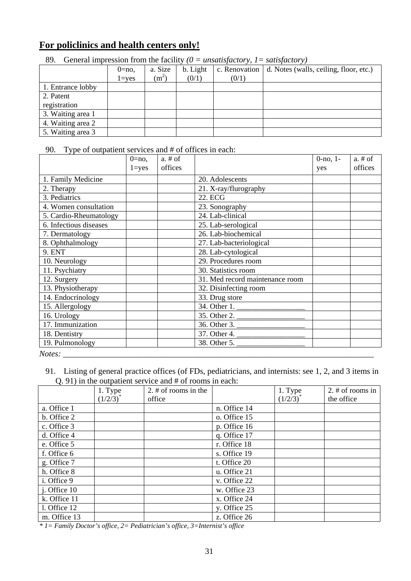### **For policlinics and health centers only!**

|                   | $0=no$ ,<br>$1 = yes$ | a. Size<br>$(m^2)$ | b. Light<br>(0/1) | (0/1) | c. Renovation $\vert$ d. Notes (walls, ceiling, floor, etc.) |
|-------------------|-----------------------|--------------------|-------------------|-------|--------------------------------------------------------------|
| 1. Entrance lobby |                       |                    |                   |       |                                                              |
| 2. Patent         |                       |                    |                   |       |                                                              |
| registration      |                       |                    |                   |       |                                                              |
| 3. Waiting area 1 |                       |                    |                   |       |                                                              |
| 4. Waiting area 2 |                       |                    |                   |       |                                                              |
| 5. Waiting area 3 |                       |                    |                   |       |                                                              |

89. General impression from the facility  $(0 = unsatisfactory, 1 = satisfactory)$ 

90. Type of outpatient services and # of offices in each:

|                        | $0 = no$ , | $a. \# of$ |                                 | $0$ -no, $1$ - | $a. \# of$ |
|------------------------|------------|------------|---------------------------------|----------------|------------|
|                        | $1 = yes$  | offices    |                                 | yes            | offices    |
| 1. Family Medicine     |            |            | 20. Adolescents                 |                |            |
| 2. Therapy             |            |            | 21. X-ray/flurography           |                |            |
| 3. Pediatrics          |            |            | 22. ECG                         |                |            |
| 4. Women consultation  |            |            | 23. Sonography                  |                |            |
| 5. Cardio-Rheumatology |            |            | 24. Lab-clinical                |                |            |
| 6. Infectious diseases |            |            | 25. Lab-serological             |                |            |
| 7. Dermatology         |            |            | 26. Lab-biochemical             |                |            |
| 8. Ophthalmology       |            |            | 27. Lab-bacteriological         |                |            |
| 9. ENT                 |            |            | 28. Lab-cytological             |                |            |
| 10. Neurology          |            |            | 29. Procedures room             |                |            |
| 11. Psychiatry         |            |            | 30. Statistics room             |                |            |
| 12. Surgery            |            |            | 31. Med record maintenance room |                |            |
| 13. Physiotherapy      |            |            | 32. Disinfecting room           |                |            |
| 14. Endocrinology      |            |            | 33. Drug store                  |                |            |
| 15. Allergology        |            |            | $\overline{34}$ . Other 1.      |                |            |
| 16. Urology            |            |            | $\overline{35.}$ Other 2.       |                |            |
| 17. Immunization       |            |            | 36. Other 3.                    |                |            |
| 18. Dentistry          |            |            | $\overline{37}$ . Other 4.      |                |            |
| 19. Pulmonology        |            |            | 38. Other 5.                    |                |            |
| Notes:                 |            |            |                                 |                |            |

91. Listing of general practice offices (of FDs, pediatricians, and internists: see 1, 2, and 3 items in Q. 91) in the outpatient service and # of rooms in each:

|              |               | $\sqrt{2}$ . $\sqrt{1}$ in the outputtent set (for any $\pi$ of rooms in each. |              |               |                     |
|--------------|---------------|--------------------------------------------------------------------------------|--------------|---------------|---------------------|
|              | 1. Type       | 2. $#$ of rooms in the                                                         |              | 1. Type       | 2. $\#$ of rooms in |
|              | $(1/2/3)^{*}$ | office                                                                         |              | $(1/2/3)^{*}$ | the office          |
| a. Office 1  |               |                                                                                | n. Office 14 |               |                     |
| b. Office 2  |               |                                                                                | o. Office 15 |               |                     |
| c. Office 3  |               |                                                                                | p. Office 16 |               |                     |
| d. Office 4  |               |                                                                                | q. Office 17 |               |                     |
| e. Office 5  |               |                                                                                | r. Office 18 |               |                     |
| f. Office 6  |               |                                                                                | s. Office 19 |               |                     |
| g. Office 7  |               |                                                                                | t. Office 20 |               |                     |
| h. Office 8  |               |                                                                                | u. Office 21 |               |                     |
| i. Office 9  |               |                                                                                | v. Office 22 |               |                     |
| j. Office 10 |               |                                                                                | w. Office 23 |               |                     |
| k. Office 11 |               |                                                                                | x. Office 24 |               |                     |
| l. Office 12 |               |                                                                                | y. Office 25 |               |                     |
| m. Office 13 |               |                                                                                | z. Office 26 |               |                     |

*\* 1= Family Doctor's office, 2= Pediatrician's office, 3=Internist's office*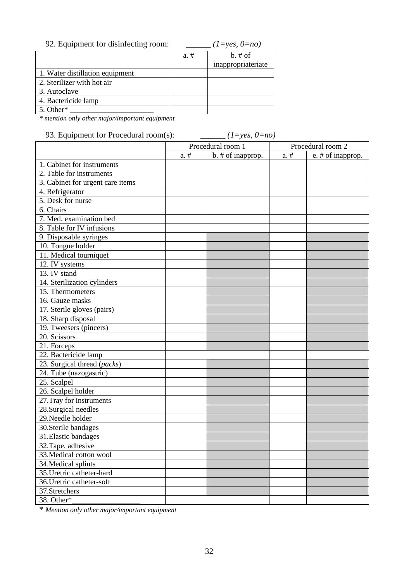| 92. Equipment for disinfecting room: |         | $(1=yes, 0=no)$    |
|--------------------------------------|---------|--------------------|
|                                      | $a. \#$ | $b. \# of$         |
|                                      |         | inappropriateriate |
| 1. Water distillation equipment      |         |                    |
| 2. Sterilizer with hot air           |         |                    |
| 3. Autoclave                         |         |                    |
| 4. Bactericide lamp                  |         |                    |
| 5. Other*                            |         |                    |

*\* mention only other major/important equipment*

93. Equipment for Procedural room(s): *\_\_\_\_\_\_ (1=yes, 0=no)*

|                                  | Procedural room 1 |                   |         | Procedural room 2 |
|----------------------------------|-------------------|-------------------|---------|-------------------|
|                                  | $a. \#$           | b. # of inapprop. | $a. \#$ | e. # of inapprop. |
| 1. Cabinet for instruments       |                   |                   |         |                   |
| 2. Table for instruments         |                   |                   |         |                   |
| 3. Cabinet for urgent care items |                   |                   |         |                   |
| 4. Refrigerator                  |                   |                   |         |                   |
| 5. Desk for nurse                |                   |                   |         |                   |
| 6. Chairs                        |                   |                   |         |                   |
| 7. Med. examination bed          |                   |                   |         |                   |
| 8. Table for IV infusions        |                   |                   |         |                   |
| 9. Disposable syringes           |                   |                   |         |                   |
| 10. Tongue holder                |                   |                   |         |                   |
| 11. Medical tourniquet           |                   |                   |         |                   |
| 12. IV systems                   |                   |                   |         |                   |
| 13. IV stand                     |                   |                   |         |                   |
| 14. Sterilization cylinders      |                   |                   |         |                   |
| 15. Thermometers                 |                   |                   |         |                   |
| 16. Gauze masks                  |                   |                   |         |                   |
| 17. Sterile gloves (pairs)       |                   |                   |         |                   |
| 18. Sharp disposal               |                   |                   |         |                   |
| 19. Tweesers (pincers)           |                   |                   |         |                   |
| 20. Scissors                     |                   |                   |         |                   |
| 21. Forceps                      |                   |                   |         |                   |
| 22. Bactericide lamp             |                   |                   |         |                   |
| 23. Surgical thread (packs)      |                   |                   |         |                   |
| 24. Tube (nazogastric)           |                   |                   |         |                   |
| 25. Scalpel                      |                   |                   |         |                   |
| $26.$ Scalpel holder             |                   |                   |         |                   |
| 27. Tray for instruments         |                   |                   |         |                   |
| $28.$ Surgical needles           |                   |                   |         |                   |
| 29. Needle holder                |                   |                   |         |                   |
| 30. Sterile bandages             |                   |                   |         |                   |
| 31. Elastic bandages             |                   |                   |         |                   |
| 32. Tape, adhesive               |                   |                   |         |                   |
| 33. Medical cotton wool          |                   |                   |         |                   |
| 34. Medical splints              |                   |                   |         |                   |
| 35. Uretric catheter-hard        |                   |                   |         |                   |
| 36. Uretric catheter-soft        |                   |                   |         |                   |
| 37.Stretchers                    |                   |                   |         |                   |
| 38. Other*                       |                   |                   |         |                   |

\* *Mention only other major/important equipment*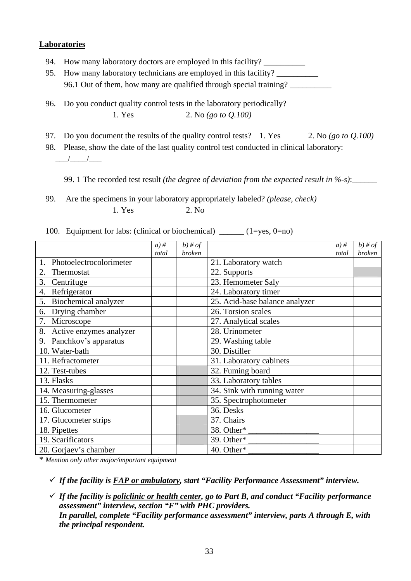#### **Laboratories**

- 94. How many laboratory doctors are employed in this facility?
- 95. How many laboratory technicians are employed in this facility? 96.1 Out of them, how many are qualified through special training? \_\_\_\_\_\_\_\_\_\_
- 96. Do you conduct quality control tests in the laboratory periodically? 1. Yes 2. No *(go to Q.100)*
- 97. Do you document the results of the quality control tests? 1. Yes 2. No *(go to Q.100)*

98. Please, show the date of the last quality control test conducted in clinical laboratory:  $\frac{1}{\sqrt{2\pi}}$ 

99. 1 The recorded test result *(the degree of deviation from the expected result in %-s)*:

99. Are the specimens in your laboratory appropriately labeled? *(please, check)*  $1 \text{ Yes}$  2. No

100. Equipment for labs: (clinical or biochemical) \_\_\_\_\_\_ (1=yes, 0=no)

|                                  | $a)$ # | $b)$ # of |                                | $a)$ # | $b)$ # of     |
|----------------------------------|--------|-----------|--------------------------------|--------|---------------|
|                                  | total  | broken    |                                | total  | <b>broken</b> |
| Photoelectrocolorimeter<br>1.    |        |           | 21. Laboratory watch           |        |               |
| 2.<br>Thermostat                 |        |           | 22. Supports                   |        |               |
| 3.<br>Centrifuge                 |        |           | 23. Hemometer Saly             |        |               |
| $\overline{4}$ .<br>Refrigerator |        |           | 24. Laboratory timer           |        |               |
| Biochemical analyzer<br>5.       |        |           | 25. Acid-base balance analyzer |        |               |
| Drying chamber<br>6.             |        |           | 26. Torsion scales             |        |               |
| Microscope                       |        |           | 27. Analytical scales          |        |               |
| 8.<br>Active enzymes analyzer    |        |           | 28. Urinometer                 |        |               |
| Panchkov's apparatus<br>9.       |        |           | 29. Washing table              |        |               |
| 10. Water-bath                   |        |           | 30. Distiller                  |        |               |
| 11. Refractometer                |        |           | 31. Laboratory cabinets        |        |               |
| 12. Test-tubes                   |        |           | 32. Fuming board               |        |               |
| 13. Flasks                       |        |           | 33. Laboratory tables          |        |               |
| 14. Measuring-glasses            |        |           | 34. Sink with running water    |        |               |
| 15. Thermometer                  |        |           | 35. Spectrophotometer          |        |               |
| 16. Glucometer                   |        |           | 36. Desks                      |        |               |
| 17. Glucometer strips            |        |           | 37. Chairs                     |        |               |
| 18. Pipettes                     |        |           | 38. Other*                     |        |               |
| 19. Scarificators                |        |           | 39. Other*                     |        |               |
| 20. Gorjaev's chamber            |        |           | 40. Other*                     |        |               |

\* *Mention only other major/important equipment*

9 *If the facility is FAP or ambulatory, start "Facility Performance Assessment" interview.* 

9 *If the facility is policlinic or health center, go to Part B, and conduct "Facility performance assessment" interview, section "F" with PHC providers. In parallel, complete "Facility performance assessment" interview, parts A through E, with the principal respondent.*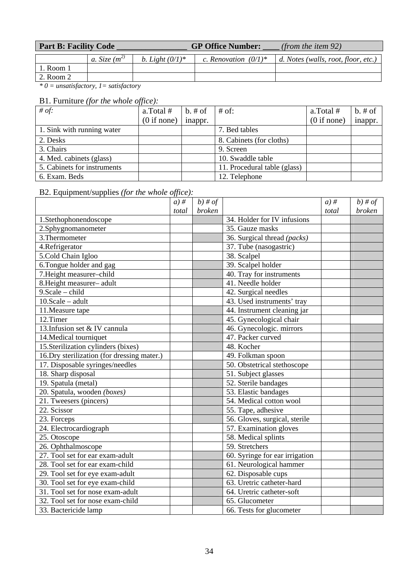| <b>Part B: Facility Code</b> |                 |                    | <b>GP Office Number:</b> | (from the item $92$ )               |
|------------------------------|-----------------|--------------------|--------------------------|-------------------------------------|
|                              | a. Size $(m^2)$ | b. Light $(0/1)^*$ | c. Renovation $(0/1)^*$  | d. Notes (walls, root, floor, etc.) |
| 1. Room 1                    |                 |                    |                          |                                     |
| 2. Room 2                    |                 |                    |                          |                                     |

*\* 0 = unsatisfactory, 1= satisfactory* 

### B1. Furniture *(for the whole office):*

| # of:                       | a.Total#    | $b. \# of$ | $#$ of:                      | a.Total#    | $b. \# of$ |
|-----------------------------|-------------|------------|------------------------------|-------------|------------|
|                             | (0 if none) | inappr.    |                              | (0 if none) | inappr.    |
| 1. Sink with running water  |             |            | 7. Bed tables                |             |            |
| 2. Desks                    |             |            | 8. Cabinets (for cloths)     |             |            |
| 3. Chairs                   |             |            | 9. Screen                    |             |            |
| 4. Med. cabinets (glass)    |             |            | 10. Swaddle table            |             |            |
| 5. Cabinets for instruments |             |            | 11. Procedural table (glass) |             |            |
| 6. Exam. Beds               |             |            | 12. Telephone                |             |            |

### B2. Equipment/supplies *(for the whole office):*

|                                             | $a)$ # | $b)$ # of     |                                | $a)$ # | $b)$ # of     |
|---------------------------------------------|--------|---------------|--------------------------------|--------|---------------|
|                                             | total  | <b>broken</b> |                                | total  | <i>broken</i> |
| 1.Stethophonendoscope                       |        |               | 34. Holder for IV infusions    |        |               |
| 2.Sphygnomanometer                          |        |               | 35. Gauze masks                |        |               |
| 3. Thermometer                              |        |               | 36. Surgical thread (packs)    |        |               |
| 4.Refrigerator                              |        |               | 37. Tube (nasogastric)         |        |               |
| 5.Cold Chain Igloo                          |        |               | 38. Scalpel                    |        |               |
| 6. Tongue holder and gag                    |        |               | 39. Scalpel holder             |        |               |
| 7. Height measurer-child                    |        |               | 40. Tray for instruments       |        |               |
| 8. Height measurer- adult                   |        |               | 41. Needle holder              |        |               |
| 9. Scale - child                            |        |               | 42. Surgical needles           |        |               |
| $10.Scale - adult$                          |        |               | 43. Used instruments' tray     |        |               |
| 11. Measure tape                            |        |               | 44. Instrument cleaning jar    |        |               |
| 12.Timer                                    |        |               | 45. Gynecological chair        |        |               |
| 13. Infusion set & IV cannula               |        |               | 46. Gynecologic. mirrors       |        |               |
| 14. Medical tourniquet                      |        |               | 47. Packer curved              |        |               |
| 15. Sterilization cylinders (bixes)         |        |               | 48. Kocher                     |        |               |
| 16. Dry sterilization (for dressing mater.) |        |               | 49. Folkman spoon              |        |               |
| 17. Disposable syringes/needles             |        |               | 50. Obstetrical stethoscope    |        |               |
| 18. Sharp disposal                          |        |               | 51. Subject glasses            |        |               |
| 19. Spatula (metal)                         |        |               | 52. Sterile bandages           |        |               |
| 20. Spatula, wooden (boxes)                 |        |               | 53. Elastic bandages           |        |               |
| 21. Tweesers (pincers)                      |        |               | 54. Medical cotton wool        |        |               |
| 22. Scissor                                 |        |               | 55. Tape, adhesive             |        |               |
| 23. Forceps                                 |        |               | 56. Gloves, surgical, sterile  |        |               |
| 24. Electrocardiograph                      |        |               | 57. Examination gloves         |        |               |
| 25. Otoscope                                |        |               | 58. Medical splints            |        |               |
| 26. Ophthalmoscope                          |        |               | 59. Stretchers                 |        |               |
| 27. Tool set for ear exam-adult             |        |               | 60. Syringe for ear irrigation |        |               |
| 28. Tool set for ear exam-child             |        |               | 61. Neurological hammer        |        |               |
| 29. Tool set for eye exam-adult             |        |               | 62. Disposable cups            |        |               |
| 30. Tool set for eye exam-child             |        |               | 63. Uretric catheter-hard      |        |               |
| 31. Tool set for nose exam-adult            |        |               | 64. Uretric catheter-soft      |        |               |
| 32. Tool set for nose exam-child            |        |               | 65. Glucometer                 |        |               |
| 33. Bactericide lamp                        |        |               | 66. Tests for glucometer       |        |               |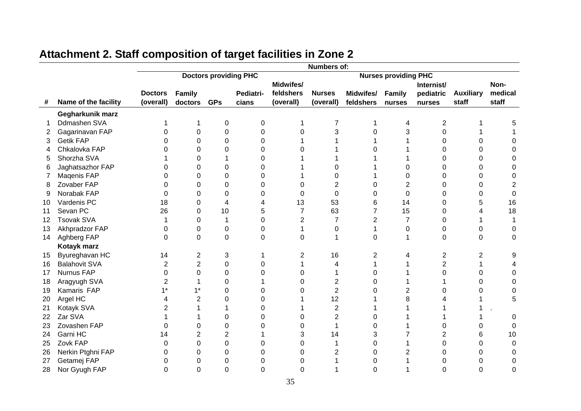|    |                      | Numbers of:    |                  |                              |           |                |                |                |                             |                |                  |                |  |  |
|----|----------------------|----------------|------------------|------------------------------|-----------|----------------|----------------|----------------|-----------------------------|----------------|------------------|----------------|--|--|
|    |                      |                |                  | <b>Doctors providing PHC</b> |           |                |                |                | <b>Nurses providing PHC</b> |                |                  |                |  |  |
|    |                      |                |                  |                              |           | Midwifes/      |                |                |                             | Internist/     |                  | Non-           |  |  |
|    |                      | <b>Doctors</b> | Family           |                              | Pediatri- | feldshers      | <b>Nurses</b>  | Midwifes/      | Family                      | pediatric      | <b>Auxiliary</b> | medical        |  |  |
| #  | Name of the facility | (overall)      | doctors GPs      |                              | cians     | (overall)      | (overall)      | feldshers      | nurses                      | nurses         | staff            | staff          |  |  |
|    | Gegharkunik marz     |                |                  |                              |           |                |                |                |                             |                |                  |                |  |  |
|    | Ddmashen SVA         |                | 1                | 0                            | 0         | 1              | 7              | 1              | 4                           | 2              | 1                | 5              |  |  |
| 2  | Gagarinavan FAP      | 0              | 0                | $\mathbf 0$                  | 0         | $\Omega$       | 3              | 0              | 3                           | 0              |                  |                |  |  |
| 3  | <b>Getik FAP</b>     |                | 0                | 0                            | 0         |                |                |                |                             | 0              |                  | 0              |  |  |
| 4  | Chkalovka FAP        |                | 0                | 0                            | 0         | 0              |                | n              |                             | 0              | O                | $\Omega$       |  |  |
| 5  | Shorzha SVA          |                | 0                | 1                            | 0         |                |                |                |                             | 0              | O                | 0              |  |  |
| 6  | Jaghatsazhor FAP     |                | 0                | 0                            | 0         |                | 0              |                | 0                           | 0              | ∩                | $\Omega$       |  |  |
| 7  | Maqenis FAP          | 0              | 0                | 0                            | 0         |                | 0              |                | 0                           | 0              | 0                | 0              |  |  |
| 8  | Zovaber FAP          | U              | 0                | 0                            | 0         | 0              | $\overline{2}$ | 0              | $\overline{2}$              | 0              | 0                | $\overline{2}$ |  |  |
| 9  | Norabak FAP          | 0              | $\Omega$         | 0                            | 0         | 0              | $\overline{0}$ | 0              | $\mathbf 0$                 | 0              | 0                | $\mathbf 0$    |  |  |
| 10 | Vardenis PC          | 18             | 0                | 4                            | 4         | 13             | 53             | 6              | 14                          | 0              | 5                | 16             |  |  |
| 11 | Sevan PC             | 26             | 0                | 10                           | 5         | $\overline{7}$ | 63             | 7              | 15                          | 0              | 4                | 18             |  |  |
| 12 | <b>Tsovak SVA</b>    |                | 0                | 1                            | 0         | $\overline{2}$ | $\overline{7}$ | $\overline{2}$ | $\overline{7}$              | 0              |                  | -1             |  |  |
| 13 | Akhpradzor FAP       | 0              | 0                | 0                            | 0         |                | $\mathbf 0$    | 1              | 0                           | 0              | 0                | 0              |  |  |
| 14 | Aghberg FAP          | 0              | $\boldsymbol{0}$ | 0                            | 0         | 0              | 1              | 0              |                             | 0              | 0                | $\mathbf 0$    |  |  |
|    | Kotayk marz          |                |                  |                              |           |                |                |                |                             |                |                  |                |  |  |
| 15 | Byureghavan HC       | 14             | 2                | 3                            |           | $\overline{c}$ | 16             | 2              | 4                           | 2              | 2                | 9              |  |  |
| 16 | <b>Balahovit SVA</b> | 2              | $\overline{2}$   | 0                            | 0         |                | 4              | 1              |                             | $\overline{2}$ |                  | 4              |  |  |
| 17 | Nurnus FAP           | 0              | 0                | 0                            | 0         | 0              | 1              | 0              |                             | 0              | 0                | $\Omega$       |  |  |
| 18 | Aragyugh SVA         | 2              |                  | 0                            |           | 0              | $\overline{2}$ | 0              |                             |                | 0                | 0              |  |  |
| 19 | Kamaris FAP          | $1*$           | $1*$             | 0                            | 0         | 0              | $\overline{2}$ | 0              | $\overline{2}$              | 0              | 0                | 0              |  |  |
| 20 | Argel HC             | 4              | 2                | 0                            | 0         |                | 12             |                | 8                           |                |                  | 5              |  |  |
| 21 | Kotayk SVA           | 2              |                  | 1                            | ∩         |                | $\overline{2}$ |                |                             |                |                  |                |  |  |
| 22 | Zar SVA              |                |                  | 0                            | Ω         | 0              | $\overline{2}$ | 0              |                             |                |                  | 0              |  |  |
| 23 | Zovashen FAP         | U              | 0                | 0                            | Ω         | 0              | 1              | 0              |                             | 0              | 0                | 0              |  |  |
| 24 | Garni HC             | 14             | 2                | $\overline{2}$               |           | 3              | 14             | 3              |                             | 2              | 6                | 10             |  |  |
| 25 | Zovk FAP             | 0              | $\Omega$         | $\overline{0}$               | 0         | $\Omega$       | 1              | 0              |                             | $\Omega$       | 0                | $\Omega$       |  |  |
| 26 | Nerkin Ptghni FAP    | 0              | 0                | 0                            | 0         | 0              | 2              | 0              | $\overline{2}$              | 0              | $\Omega$         | $\Omega$       |  |  |
| 27 | Getamej FAP          | 0              | 0                | 0                            | 0         | 0              |                | 0              |                             | 0              | 0                | 0              |  |  |
| 28 | Nor Gyugh FAP        | 0              | 0                | 0                            | 0         | 0              |                | 0              |                             | 0              | $\Omega$         | $\Omega$       |  |  |

# **Attachment 2. Staff composition of target facilities in Zone 2**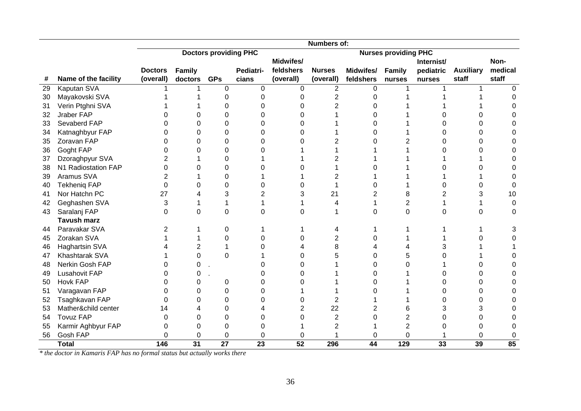|    |                       | Numbers of:<br><b>Doctors providing PHC</b><br><b>Nurses providing PHC</b> |         |                 |           |                |                |                |                |            |                  |              |  |  |  |
|----|-----------------------|----------------------------------------------------------------------------|---------|-----------------|-----------|----------------|----------------|----------------|----------------|------------|------------------|--------------|--|--|--|
|    |                       |                                                                            |         |                 |           |                |                |                |                |            |                  |              |  |  |  |
|    |                       |                                                                            |         |                 |           | Midwifes/      |                |                |                | Internist/ |                  | Non-         |  |  |  |
|    |                       | <b>Doctors</b>                                                             | Family  |                 | Pediatri- | feldshers      | <b>Nurses</b>  | Midwifes/      | Family         | pediatric  | <b>Auxiliary</b> | medical      |  |  |  |
| #  | Name of the facility  | (overall)                                                                  | doctors | <b>GPs</b>      | cians     | (overall)      | (overall)      | feldshers      | nurses         | nurses     | staff            | staff        |  |  |  |
| 29 | <b>Kaputan SVA</b>    |                                                                            |         | 0               | 0         | $\Omega$       | $\overline{2}$ | $\Omega$       |                |            |                  | $\Omega$     |  |  |  |
| 30 | Mayakovski SVA        |                                                                            |         | 0               | 0         | 0              | $\overline{2}$ | U              |                |            |                  | <sup>0</sup> |  |  |  |
| 31 | Verin Ptghni SVA      |                                                                            |         | $\Omega$        |           | $\Omega$       | $\overline{2}$ | ∩              |                |            |                  | U            |  |  |  |
| 32 | Jraber FAP            |                                                                            |         | 0               |           | 0              |                | 0              |                |            |                  |              |  |  |  |
| 33 | Sevaberd FAP          |                                                                            | 0       | 0               |           | 0              |                | U              |                |            |                  |              |  |  |  |
| 34 | Katnaghbyur FAP       |                                                                            | 0       | 0               |           | 0              |                | U              |                |            |                  |              |  |  |  |
| 35 | Zoravan FAP           |                                                                            | 0       | 0               |           | 0              | 2              | ∩              | $\overline{2}$ |            |                  |              |  |  |  |
| 36 | Goght FAP             | ი                                                                          | 0       | 0               |           |                |                |                |                |            |                  |              |  |  |  |
| 37 | Dzoraghpyur SVA       | 2                                                                          |         | 0               |           |                | 2              |                |                |            |                  | 0            |  |  |  |
| 38 | N1 Radiostation FAP   | ი                                                                          | 0       | 0               |           | 0              |                |                |                | n          |                  | 0            |  |  |  |
| 39 | Aramus SVA            | 2                                                                          |         | $\Omega$        |           |                | 2              |                |                |            |                  | 0            |  |  |  |
| 40 | <b>Tekhenig FAP</b>   | $\Omega$                                                                   | 0       | $\Omega$        | O         | 0              |                | 0              |                | U          | ი                | $\Omega$     |  |  |  |
| 41 | Nor Hatchn PC         | 27                                                                         |         | 3               |           | 3              | 21             | $\overline{2}$ | 8              |            | 3                | 10           |  |  |  |
| 42 | Geghashen SVA         | 3                                                                          |         | 1               |           |                | 4              |                | $\overline{2}$ |            |                  | 0            |  |  |  |
| 43 | Saralanj FAP          | 0                                                                          | 0       | 0               | 0         | 0              |                | 0              | $\overline{0}$ | 0          | 0                | 0            |  |  |  |
|    | <b>Tavush marz</b>    |                                                                            |         |                 |           |                |                |                |                |            |                  |              |  |  |  |
| 44 | Paravakar SVA         | 2                                                                          |         | 0               |           |                | 4              |                |                |            |                  | 3            |  |  |  |
| 45 | Zorakan SVA           |                                                                            |         | $\Omega$        |           | 0              | $\overline{2}$ | 0              |                |            |                  | 0            |  |  |  |
| 46 | <b>Haghartsin SVA</b> |                                                                            | 2       |                 |           |                | 8              | 4              | 4              | 3          |                  |              |  |  |  |
| 47 | Khashtarak SVA        |                                                                            | 0       | $\Omega$        |           | 0              | 5              | 0              | 5              |            |                  | 0            |  |  |  |
| 48 | Nerkin Gosh FAP       | 0                                                                          | 0       |                 |           | O              |                | U              | 0              |            |                  |              |  |  |  |
| 49 | <b>Lusahovit FAP</b>  |                                                                            | O       |                 |           | 0              |                | U              |                | O          |                  | O            |  |  |  |
| 50 | Hovk FAP              |                                                                            | O       | 0               |           | 0              |                | U              |                |            | O                |              |  |  |  |
| 51 | Varagavan FAP         |                                                                            | 0       | 0               |           |                |                |                |                |            | n                |              |  |  |  |
| 52 | Tsaghkavan FAP        | 0                                                                          | 0       | 0               |           | 0              | $\overline{2}$ |                |                |            | ი                |              |  |  |  |
| 53 | Mather&child center   | 14                                                                         |         | 0               |           | $\overline{2}$ | 22             | 2              | 6              | 3          | 3                |              |  |  |  |
| 54 | <b>Tovuz FAP</b>      | 0                                                                          | O       | 0               | U         | 0              | $\overline{2}$ | 0              | 2              | U          | ი                | 0            |  |  |  |
| 55 | Karmir Aghbyur FAP    | O                                                                          | 0       | $\Omega$        | 0         |                | 2              |                | $\overline{2}$ |            | ი                | 0            |  |  |  |
| 56 | Gosh FAP              | 0                                                                          | 0       | $\Omega$        | 0         | 0              |                | 0              | $\Omega$       |            | 0                | 0            |  |  |  |
|    | <b>Total</b>          | 146                                                                        | 31      | $\overline{27}$ | 23        | 52             | 296            | 44             | 129            | 33         | 39               | 85           |  |  |  |

*\* the doctor in Kamaris FAP has no formal status but actually works there*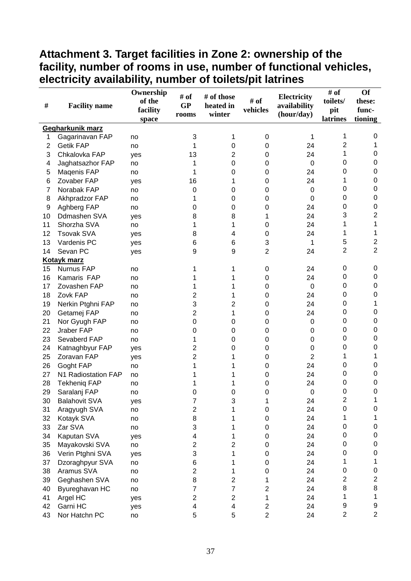### **Attachment 3. Target facilities in Zone 2: ownership of the facility, number of rooms in use, number of functional vehicles, electricity availability, number of toilets/pit latrines**

|                |                      | Ownership | # of                    | # of those     |                  | Electricity    | # of                    | Of                      |
|----------------|----------------------|-----------|-------------------------|----------------|------------------|----------------|-------------------------|-------------------------|
| #              | <b>Facility name</b> | of the    | GP                      | heated in      | # of             | availability   | toilets/                | these:                  |
|                |                      | facility  | rooms                   | winter         | vehicles         | (hour/day)     | pit                     | func-                   |
|                |                      | space     |                         |                |                  |                | latrines                | tioning                 |
|                | Gegharkunik marz     |           |                         |                |                  |                |                         |                         |
| 1              | Gagarinavan FAP      | no        | 3                       | 1              | 0                | 1              | 1                       | 0                       |
| $\overline{2}$ | <b>Getik FAP</b>     | no        | 1                       | 0              | 0                | 24             | 2                       | 1                       |
| 3              | Chkalovka FAP        | yes       | 13                      | 2              | 0                | 24             | 1                       | 0                       |
| 4              | Jaghatsazhor FAP     | no        | 1                       | 0              | 0                | $\mathbf 0$    | 0                       | 0                       |
| 5              | Maqenis FAP          | no        | 1                       | 0              | 0                | 24             | 0                       | 0                       |
| 6              | Zovaber FAP          | yes       | 16                      | 1              | $\mathbf 0$      | 24             | 1                       | 0                       |
| 7              | Norabak FAP          | no        | 0                       | 0              | 0                | $\mathbf 0$    | 0                       | 0                       |
| 8              | Akhpradzor FAP       | no        | 1                       | 0              | 0                | $\mathbf 0$    | 0                       | 0                       |
| 9              | Aghberg FAP          | no        | 0                       | 0              | 0                | 24             | 0                       | 0                       |
| 10             | Ddmashen SVA         | yes       | 8                       | 8              | 1                | 24             | 3                       | $\boldsymbol{2}$        |
| 11             | Shorzha SVA          | no        | 1                       | 1              | 0                | 24             | 1                       | 1                       |
| 12             | <b>Tsovak SVA</b>    | yes       | 8                       | 4              | 0                | 24             | 1                       | 1                       |
| 13             | Vardenis PC          | yes       | 6                       | 6              | 3                | 1              | 5                       | $\overline{c}$          |
| 14             | Sevan PC             | yes       | 9                       | 9              | $\overline{c}$   | 24             | 2                       | $\overline{2}$          |
|                | <b>Kotayk marz</b>   |           |                         |                |                  |                |                         |                         |
| 15             | Nurnus FAP           | no        | 1                       | 1              | 0                | 24             | 0                       | 0                       |
| 16             | Kamaris FAP          | no        | 1                       |                | 0                | 24             | 0                       | 0                       |
| 17             | Zovashen FAP         | no        | 1                       | 1              | 0                | $\mathbf 0$    | 0                       | 0                       |
| 18             | Zovk FAP             | no        | 2                       | 1              | 0                | 24             | 0                       | 0                       |
| 19             | Nerkin Ptghni FAP    | no        | 3                       | 2              | 0                | 24             | 0                       | 1                       |
| 20             | Getamej FAP          | no        | 2                       | 1              | 0                | 24             | 0                       | 0                       |
| 21             | Nor Gyugh FAP        | no        | 0                       | 0              | 0                | $\mathbf 0$    | 0                       | 0                       |
| 22             | Jraber FAP           | no        | 0                       | 0              | 0                | 0              | 0                       | 0                       |
| 23             | Sevaberd FAP         | no        | 1                       | 0              | 0                | 0              | 0                       | 0                       |
| 24             | Katnaghbyur FAP      | yes       | 2                       | 0              | 0                | 0              | 0                       | 0                       |
| 25             | Zoravan FAP          | yes       | 2                       | 1              | 0                | $\overline{2}$ | 1                       | 1                       |
| 26             | Goght FAP            | no        | 1                       | 1              | 0                | 24             | 0                       | 0                       |
| 27             | N1 Radiostation FAP  | no        | 1                       |                | 0                | 24             | 0                       | 0                       |
| 28             | <b>Tekheniq FAP</b>  | no        | 1                       | 1              | 0                | 24             | 0                       | 0                       |
| 29             | Saralanj FAP         | no        | 0                       | 0              | 0                | $\mathbf 0$    | 0                       | 0                       |
| 30             | <b>Balahovit SVA</b> | yes       | 7                       | 3              | 1                | 24             | $\overline{\mathbf{c}}$ | 1                       |
| 31             | Aragyugh SVA         | no        | $\overline{\mathbf{c}}$ | 1              | 0                | 24             | 0                       | 0                       |
| 32             | Kotayk SVA           | no        | 8                       | 1              | 0                | 24             | 1                       | 1                       |
| 33             | Zar SVA              | no        | 3                       | 1              | 0                | 24             | 0                       | 0                       |
| 34             | Kaputan SVA          | yes       | $\overline{\mathbf{4}}$ | 1              | 0                | 24             | 0                       | 0                       |
| 35             | Mayakovski SVA       | no        | $\overline{c}$          | 2              | 0                | 24             | 0                       | 0                       |
| 36             | Verin Ptghni SVA     | yes       | 3                       | 1              | $\boldsymbol{0}$ | 24             | 0                       | 0                       |
| 37             | Dzoraghpyur SVA      | no        | 6                       | 1              | 0                | 24             | 1                       | 1                       |
| 38             | Aramus SVA           | no        | $\overline{c}$          | 1              | 0                | 24             | 0                       | 0                       |
| 39             | Geghashen SVA        | no        | 8                       | $\overline{2}$ | 1                | 24             | $\overline{c}$          | $\overline{\mathbf{c}}$ |
| 40             | Byureghavan HC       | no        | 7                       | 7              | $\overline{2}$   | 24             | 8                       | 8                       |
| 41             | Argel HC             | yes       | $\overline{c}$          | $\overline{2}$ | 1                | 24             | 1                       | $\mathbf 1$             |
| 42             | Garni HC             | yes       | $\overline{\mathbf{4}}$ | 4              | $\boldsymbol{2}$ | 24             | 9                       | 9                       |
| 43             | Nor Hatchn PC        | no        | 5                       | 5              | $\overline{2}$   | 24             | $\overline{2}$          | $\overline{2}$          |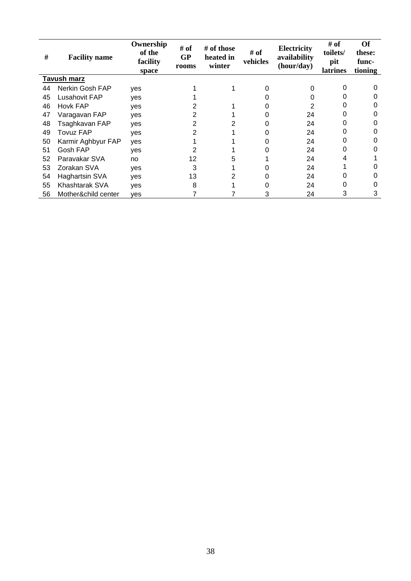| #  | <b>Facility name</b> | Ownership<br>of the<br>facility<br>space | # of<br><b>GP</b><br>rooms | # of those<br>heated in<br>winter | # of<br>vehicles | Electricity<br>availability<br>(hour/day) | # of<br>toilets/<br>pit<br><b>latrines</b> | <b>Of</b><br>these:<br>func-<br>tioning |
|----|----------------------|------------------------------------------|----------------------------|-----------------------------------|------------------|-------------------------------------------|--------------------------------------------|-----------------------------------------|
|    | <b>Tavush marz</b>   |                                          |                            |                                   |                  |                                           |                                            |                                         |
| 44 | Nerkin Gosh FAP      | yes                                      |                            |                                   | 0                | 0                                         | O                                          |                                         |
| 45 | Lusahovit FAP        | yes                                      |                            |                                   |                  | 0                                         | O                                          |                                         |
| 46 | <b>Hovk FAP</b>      | yes                                      |                            |                                   |                  | 2                                         | 0                                          |                                         |
| 47 | Varagavan FAP        | yes                                      | 2                          |                                   |                  | 24                                        | O                                          |                                         |
| 48 | Tsaghkavan FAP       | yes                                      | 2                          | 2                                 |                  | 24                                        | O                                          |                                         |
| 49 | Tovuz FAP            | yes                                      | 2                          |                                   |                  | 24                                        | 0                                          |                                         |
| 50 | Karmir Aghbyur FAP   | yes                                      |                            |                                   |                  | 24                                        | 0                                          |                                         |
| 51 | Gosh FAP             | yes                                      |                            |                                   |                  | 24                                        | 0                                          |                                         |
| 52 | Paravakar SVA        | no                                       | 12                         | 5                                 |                  | 24                                        | 4                                          |                                         |
| 53 | Zorakan SVA          | yes                                      | 3                          |                                   |                  | 24                                        |                                            |                                         |
| 54 | Haghartsin SVA       | yes                                      | 13                         | 2                                 |                  | 24                                        | 0                                          |                                         |
| 55 | Khashtarak SVA       | yes                                      | 8                          |                                   |                  | 24                                        | 0                                          |                                         |
| 56 | Mother&child center  | ves                                      |                            |                                   | 3                | 24                                        | 3                                          | 3                                       |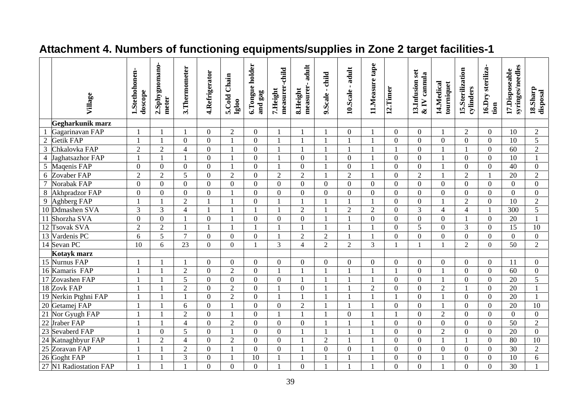|                          | Village                | 1.Stethohonen-<br>doscope | 2.Sphygnomano-<br>meter | 3. Thermometer | 4.Refrigerator   | 5.Cold Chain<br>Igloo | 6.Tongue holder<br>and gag | measurer-child<br>7.Height | adult<br>measurer-<br>8.Height | 9.Scale - child | 10.Scale - adult        | 11.Measure tape | 12.Timer         | 13.Infusion set<br>$&$ IV cannula | 14.Medical<br>tourniquet | 15.Sterilization<br>cylinders | 16.Dry steriliza-<br>tion | syringes/needles<br>17.Disposeable | 18.Sharp<br>disposal |
|--------------------------|------------------------|---------------------------|-------------------------|----------------|------------------|-----------------------|----------------------------|----------------------------|--------------------------------|-----------------|-------------------------|-----------------|------------------|-----------------------------------|--------------------------|-------------------------------|---------------------------|------------------------------------|----------------------|
|                          | Gegharkunik marz       |                           |                         |                |                  |                       |                            |                            |                                |                 |                         |                 |                  |                                   |                          |                               |                           |                                    |                      |
|                          | Gagarinavan FAP        |                           |                         |                | $\theta$         | $\sqrt{2}$            | $\overline{0}$             | $\mathbf{1}$               |                                |                 | $\boldsymbol{0}$        |                 | $\boldsymbol{0}$ | $\overline{0}$                    | $\mathbf{1}$             | $\overline{2}$                | $\boldsymbol{0}$          | 10                                 | $\overline{2}$       |
| $\overline{2}$           | Getik FAP              | $\blacksquare$            |                         | $\overline{0}$ | $\overline{0}$   | $\mathbf{1}$          | $\overline{0}$             | $\mathbf{1}$               | $\mathbf{1}$                   |                 |                         |                 | $\overline{0}$   | $\overline{0}$                    | $\overline{0}$           | $\mathbf{0}$                  | $\overline{0}$            | $\overline{10}$                    | $\overline{5}$       |
| 3                        | Chkalovka FAP          | $\overline{2}$            | $\overline{2}$          | $\overline{4}$ | $\overline{0}$   | $\mathbf{1}$          | $\overline{0}$             | $\mathbf{1}$               | $\overline{1}$                 | $\mathbf{1}$    |                         |                 | $\mathbf{1}$     | $\overline{0}$                    | $\mathbf{1}$             | $\mathbf{1}$                  | $\overline{0}$            | 60                                 | $\overline{2}$       |
| $\overline{\mathcal{L}}$ | Jaghatsazhor FAP       |                           |                         |                | $\Omega$         | $\mathbf{1}$          | $\theta$                   | $\mathbf{1}$               | $\overline{0}$                 |                 | $\Omega$                |                 | $\overline{0}$   | $\theta$                          |                          | $\overline{0}$                | $\overline{0}$            | $\overline{10}$                    |                      |
| 5                        | Maqenis FAP            | $\boldsymbol{0}$          | $\overline{0}$          | $\overline{0}$ | $\overline{0}$   | $\mathbf{1}$          | $\overline{0}$             | $\mathbf{1}$               | $\boldsymbol{0}$               |                 | $\overline{0}$          |                 | $\overline{0}$   | $\overline{0}$                    | $\mathbf{1}$             | $\overline{0}$                | $\overline{0}$            | 40                                 | $\overline{0}$       |
| 6                        | Zovaber FAP            | $\overline{2}$            | $\overline{2}$          | 5              | $\overline{0}$   | $\overline{2}$        | $\theta$                   | $\overline{2}$             | $\overline{2}$                 |                 | $\overline{2}$          |                 | $\overline{0}$   | $\overline{2}$                    | $\mathbf{1}$             | $\overline{2}$                |                           | 20                                 | $\overline{2}$       |
| 7                        | Norabak FAP            | $\overline{0}$            | $\overline{0}$          | $\Omega$       | $\overline{0}$   | $\overline{0}$        | $\Omega$                   | $\overline{0}$             | $\overline{0}$                 | $\overline{0}$  | $\overline{0}$          | $\Omega$        | $\overline{0}$   | $\Omega$                          | $\overline{0}$           | $\overline{0}$                | $\overline{0}$            | $\Omega$                           | $\overline{0}$       |
| 8                        | <b>Akhpradzor FAP</b>  | $\overline{0}$            | $\overline{0}$          | $\Omega$       | $\theta$         | $\mathbf{1}$          | $\Omega$                   | $\theta$                   | $\overline{0}$                 | $\overline{0}$  | $\Omega$                | $\Omega$        | $\overline{0}$   | $\Omega$                          | $\Omega$                 | $\overline{0}$                | $\overline{0}$            | $\Omega$                           | $\Omega$             |
| 9                        | Aghberg FAP            |                           |                         | $\overline{2}$ |                  |                       | $\Omega$                   | $\mathbf{1}$               |                                |                 |                         |                 | $\overline{0}$   | $\Omega$                          | $\mathbf{1}$             | $\overline{2}$                | $\overline{0}$            | 10                                 | $\overline{2}$       |
|                          | 10 Ddmashen SVA        | $\overline{3}$            | $\overline{3}$          | $\overline{4}$ |                  | $\mathbf{1}$          |                            | $\mathbf{1}$               | $\overline{2}$                 | $\mathbf{1}$    | $\overline{2}$          | $\overline{2}$  | $\overline{0}$   | $\overline{3}$                    | $\overline{4}$           | $\overline{4}$                | $\mathbf{1}$              | $\overline{300}$                   | 5                    |
| 11                       | Shorzha SVA            | $\overline{0}$            | $\overline{0}$          |                | $\overline{0}$   | $\mathbf{1}$          | $\Omega$                   | $\theta$                   | $\overline{0}$                 | $\mathbf{1}$    |                         | $\theta$        | $\overline{0}$   | $\overline{0}$                    | $\overline{0}$           |                               | $\overline{0}$            | 20                                 |                      |
|                          | 12 Tsovak SVA          | $\overline{2}$            | $\overline{2}$          |                |                  |                       |                            |                            |                                |                 |                         |                 | $\overline{0}$   | 5                                 | $\overline{0}$           | 3                             | $\overline{0}$            | 15                                 | 10                   |
|                          | 13 Vardenis PC         | 6                         | 5                       | $\overline{7}$ | $\boldsymbol{0}$ | $\boldsymbol{0}$      | $\Omega$                   | $\overline{1}$             | $\overline{2}$                 | $\overline{2}$  |                         |                 | $\overline{0}$   | $\overline{0}$                    | $\mathbf{0}$             | $\mathbf{0}$                  | $\overline{0}$            | $\overline{0}$                     | $\overline{0}$       |
| 14 Sevan PC              |                        | 10                        | 6                       | 23             | $\overline{0}$   | $\overline{0}$        |                            | $\overline{3}$             | $\overline{4}$                 | $\overline{2}$  | $\overline{2}$          | 3               |                  | $\overline{1}$                    | $\mathbf{1}$             | $\overline{2}$                | $\overline{0}$            | 50                                 | $\overline{2}$       |
|                          | Kotayk marz            |                           |                         |                |                  |                       |                            |                            |                                |                 |                         |                 |                  |                                   |                          |                               |                           |                                    |                      |
|                          | 15 Nurnus FAP          |                           |                         | $\mathbf{1}$   | $\overline{0}$   | $\boldsymbol{0}$      | $\overline{0}$             | $\overline{0}$             | $\boldsymbol{0}$               | $\overline{0}$  | $\overline{0}$          | $\overline{0}$  | $\overline{0}$   | $\overline{0}$                    | $\overline{0}$           | $\overline{0}$                | $\overline{0}$            | 11                                 | $\overline{0}$       |
|                          | 16 Kamaris FAP         |                           |                         | $\overline{2}$ | $\overline{0}$   | $\overline{2}$        | $\mathbf{0}$               | $\mathbf{1}$               | $\overline{1}$                 | 1               |                         |                 | -1               | $\overline{0}$                    | $\mathbf{1}$             | $\overline{0}$                | $\overline{0}$            | 60                                 | $\overline{0}$       |
|                          | 17 Zovashen FAP        |                           |                         | 5              | $\overline{0}$   | $\overline{0}$        | $\overline{0}$             | $\overline{0}$             |                                |                 |                         |                 | $\overline{0}$   | $\overline{0}$                    | $\mathbf{1}$             | $\overline{0}$                | $\overline{0}$            | 20                                 | 5                    |
| 18 Zovk FAP              |                        |                           |                         | $\overline{c}$ | $\overline{0}$   | $\sqrt{2}$            | $\Omega$                   |                            | $\mathbf{0}$                   |                 |                         | $\overline{2}$  | $\overline{0}$   | $\overline{0}$                    | $\overline{2}$           |                               | $\overline{0}$            | 20                                 |                      |
|                          | 19 Nerkin Ptghni FAP   | $\overline{1}$            |                         | $\mathbf{1}$   | $\Omega$         | $\overline{2}$        | $\Omega$                   | $\mathbf{1}$               |                                |                 |                         |                 | 1                | $\Omega$                          | $\mathbf{1}$             | $\Omega$                      | $\overline{0}$            | 20                                 |                      |
|                          | 20 Getamej FAP         |                           |                         | 6              | $\overline{0}$   | $\mathbf{1}$          | $\overline{0}$             | $\overline{0}$             | $\overline{2}$                 |                 | $\overline{\mathbf{1}}$ |                 | $\overline{0}$   | $\overline{0}$                    | $\mathbf{1}$             | $\mathbf{0}$                  | $\overline{0}$            | $\overline{20}$                    | $\overline{10}$      |
| 21                       | Nor Gyugh FAP          |                           |                         | $\overline{2}$ | $\Omega$         | $\mathbf{1}$          | $\theta$                   | $\mathbf{1}$               | $\blacksquare$                 |                 | $\overline{0}$          |                 | $\mathbf{1}$     | $\Omega$                          | $\overline{2}$           | $\Omega$                      | $\overline{0}$            | $\theta$                           | $\overline{0}$       |
| $\overline{22}$          | <b>Jraber FAP</b>      |                           |                         | 4              | $\Omega$         | $\overline{2}$        | $\Omega$                   | $\Omega$                   | $\mathbf{0}$                   |                 |                         |                 | $\overline{0}$   | $\Omega$                          | $\Omega$                 | $\theta$                      | $\overline{0}$            | $\overline{50}$                    | $\overline{2}$       |
| 23                       | <b>Sevaberd FAP</b>    | $\mathbf{1}$              | $\Omega$                | 5              | $\Omega$         | $\mathbf{1}$          | $\Omega$                   | $\Omega$                   | $\mathbf{1}$                   | 1               |                         |                 | $\overline{0}$   | $\Omega$                          | $\overline{2}$           | $\overline{0}$                | $\overline{0}$            | 20                                 | $\overline{0}$       |
| $\overline{24}$          | Katnaghbyur FAP        | $\mathbf{1}$              | $\overline{2}$          | 4              | $\Omega$         | $\overline{2}$        | $\Omega$                   | $\overline{0}$             | $\mathbf{1}$                   | $\overline{2}$  | $\overline{\mathbf{1}}$ |                 | $\overline{0}$   | $\Omega$                          | $\mathbf{1}$             | $\mathbf{1}$                  | $\overline{0}$            | $\overline{80}$                    | 10                   |
| 25                       | Zoravan FAP            |                           |                         | $\overline{2}$ | $\Omega$         | $\mathbf{1}$          | $\Omega$                   | $\Omega$                   |                                | $\overline{0}$  | $\Omega$                |                 | $\Omega$         | $\Omega$                          | $\Omega$                 | $\Omega$                      | $\overline{0}$            | 30                                 | $\overline{2}$       |
| 26 Goght FAP             |                        |                           |                         | 3              | 0                | 1                     | 10                         |                            |                                |                 |                         |                 | $\mathbf{0}$     | $\Omega$                          | $\mathbf{1}$             | $\Omega$                      | $\boldsymbol{0}$          | 10                                 | 6                    |
|                          | 27 N1 Radiostation FAP |                           |                         |                | $\overline{0}$   | $\overline{0}$        | $\Omega$                   |                            | $\theta$                       |                 |                         |                 | $\theta$         | $\theta$                          |                          | $\overline{0}$                | $\overline{0}$            | 30                                 |                      |

# **Attachment 4. Numbers of functioning equipments/supplies in Zone 2 target facilities-1**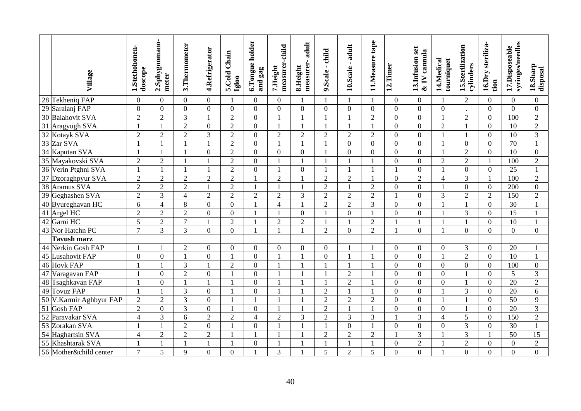|                 | Village                  | 1.Stethohonen-<br>doscope | 2.Sphygnomano-<br>meter | 3. Thermometer | 4.Refrigerator | 5.Cold Chain<br>lgloo | 6.Tongue holder<br>and gag | measurer-child<br>7. Height | adult<br>measurer-<br>8.Height | 9.Scale - child | 10.Scale - adult | tape<br>11.Measure | 12.Timer         | 13. Infusion set<br>$\&$ IV cannula | 14.Medical<br>tourniquet | 15.Sterilization<br>cylinders | 16.Dry steriliza-<br>tion | syringes/needles<br>17.Disposeable | 18.Sharp<br>disposal |
|-----------------|--------------------------|---------------------------|-------------------------|----------------|----------------|-----------------------|----------------------------|-----------------------------|--------------------------------|-----------------|------------------|--------------------|------------------|-------------------------------------|--------------------------|-------------------------------|---------------------------|------------------------------------|----------------------|
|                 | 28 Tekheniq FAP          | $\boldsymbol{0}$          | $\overline{0}$          | $\Omega$       | $\overline{0}$ | $\mathbf{1}$          | $\theta$                   | $\boldsymbol{0}$            |                                |                 |                  |                    | $\overline{0}$   | $\boldsymbol{0}$                    |                          | $\mathfrak{2}$                | $\boldsymbol{0}$          | $\overline{0}$                     | $\overline{0}$       |
|                 | 29 Saralanj FAP          | $\overline{0}$            | $\overline{0}$          | $\theta$       | $\overline{0}$ | $\overline{0}$        | $\Omega$                   | $\overline{0}$              | $\overline{0}$                 | $\overline{0}$  | $\overline{0}$   | $\overline{0}$     | $\overline{0}$   | $\overline{0}$                      | $\overline{0}$           |                               | $\overline{0}$            | $\Omega$                           | $\overline{0}$       |
|                 | 30 Balahovit SVA         | $\overline{2}$            | $\overline{2}$          | 3              |                | $\overline{2}$        | $\Omega$                   | 1                           |                                |                 |                  | $\overline{2}$     | $\overline{0}$   | $\Omega$                            |                          | $\overline{2}$                | $\overline{0}$            | 100                                | $\overline{2}$       |
| 31              | Aragyugh SVA             |                           | $\mathbf{1}$            | $\overline{2}$ | $\overline{0}$ | $\overline{2}$        | $\boldsymbol{0}$           | $\mathbf{1}$                |                                |                 |                  |                    | $\overline{0}$   | $\boldsymbol{0}$                    | $\overline{2}$           | $\mathbf{1}$                  | $\overline{0}$            | 10                                 | $\overline{2}$       |
| 32              | Kotayk SVA               | $\overline{2}$            | $\overline{2}$          | $\overline{2}$ | $\overline{3}$ | $\overline{2}$        | $\overline{0}$             | $\overline{2}$              | $\overline{2}$                 | $\overline{2}$  | $\overline{2}$   | $\overline{2}$     | $\overline{0}$   | $\overline{0}$                      |                          | $\mathbf{1}$                  | $\overline{0}$            | 10                                 | 3                    |
| $\overline{33}$ | Zar SVA                  |                           |                         |                |                | $\overline{2}$        | $\overline{0}$             | $\mathbf{1}$                |                                |                 | $\overline{0}$   | $\Omega$           | $\mathbf{0}$     | $\overline{0}$                      |                          | $\overline{0}$                | $\overline{0}$            | 70                                 | $\mathbf{1}$         |
| $\overline{34}$ | Kaputan SVA              |                           |                         |                | $\overline{0}$ | $\overline{c}$        | $\boldsymbol{0}$           | $\boldsymbol{0}$            | $\mathbf{0}$                   |                 | $\mathbf{0}$     | $\theta$           | $\boldsymbol{0}$ | $\boldsymbol{0}$                    |                          | $\overline{2}$                | $\overline{0}$            | $\overline{10}$                    | $\mathbf{0}$         |
|                 | 35 Mayakovski SVA        | $\overline{2}$            | $\overline{2}$          |                |                | $\overline{2}$        | $\overline{0}$             |                             |                                |                 |                  |                    | $\overline{0}$   | $\overline{0}$                      | $\overline{2}$           | $\overline{2}$                |                           | 100                                | $\overline{2}$       |
|                 | 36 Verin Ptghni SVA      |                           | $\mathbf{1}$            | $\overline{1}$ |                | $\overline{2}$        | $\overline{0}$             | $\mathbf{1}$                | $\overline{0}$                 | $\mathbf{1}$    | $\mathbf{1}$     |                    | $\mathbf{1}$     | $\overline{0}$                      | $\mathbf{1}$             | $\overline{0}$                | $\overline{0}$            | $\overline{25}$                    | $\mathbf{1}$         |
|                 | 37 Dzoraghpyur SVA       | $\overline{c}$            | $\overline{c}$          | $\overline{2}$ | $\overline{2}$ | $\sqrt{2}$            | $\mathbf{1}$               | $\overline{2}$              |                                | $\overline{c}$  | $\overline{2}$   |                    | $\overline{0}$   | $\overline{2}$                      | $\overline{4}$           | 3                             | $\mathbf{1}$              | 100                                | $\mathbf{2}$         |
| $\overline{38}$ | <b>Aramus SVA</b>        | $\overline{c}$            | $\overline{2}$          | $\overline{2}$ |                | $\overline{2}$        | $\overline{1}$             | $\mathbf{1}$                |                                | $\overline{2}$  |                  | $\overline{2}$     | $\overline{0}$   | $\boldsymbol{0}$                    |                          | $\overline{0}$                | $\boldsymbol{0}$          | 200                                | $\mathbf{0}$         |
|                 | 39 Geghashen SVA         | $\overline{2}$            | 3                       | $\overline{4}$ | $\overline{2}$ | $\overline{2}$        | $\overline{2}$             | $\overline{2}$              | $\overline{3}$                 | $\overline{2}$  | $\overline{2}$   | $\overline{2}$     | $\mathbf{1}$     | $\overline{0}$                      | 3                        | $\overline{2}$                | $\overline{2}$            | 150                                | $\overline{2}$       |
|                 | 40 Byureghavan HC        | 6                         | $\overline{4}$          | 8              | $\mathbf{0}$   | $\overline{0}$        |                            | $\overline{4}$              | $\mathbf{1}$                   | $\overline{2}$  | $\overline{2}$   | $\overline{3}$     | $\mathbf{0}$     | $\overline{0}$                      |                          | $\mathbf{1}$                  | $\overline{0}$            | 30                                 | $\mathbf{1}$         |
|                 | 41 Argel HC              | $\overline{2}$            | $\overline{2}$          | $\overline{2}$ | $\mathbf{0}$   | $\overline{0}$        | $\overline{1}$             | 1                           | $\mathbf{0}$                   | $\mathbf{1}$    | $\mathbf{0}$     |                    | $\mathbf{0}$     | $\overline{0}$                      |                          | 3                             | $\boldsymbol{0}$          | 15                                 | $\mathbf{1}$         |
|                 | 42 Garni HC              | 5                         | $\overline{c}$          | $\overline{7}$ |                | $\overline{2}$        |                            | $\overline{2}$              | $\overline{2}$                 | $\mathbf{1}$    |                  | $\overline{2}$     | $\mathbf{1}$     |                                     |                          | $\mathbf{1}$                  | $\overline{0}$            | 10                                 | -1                   |
|                 | 43 Nor Hatchn PC         | $\overline{7}$            | $\overline{3}$          | $\overline{3}$ | $\overline{0}$ | $\overline{0}$        | $\overline{1}$             | $\mathbf{1}$                | $\mathbf{1}$                   | $\overline{2}$  | $\overline{0}$   | $\overline{2}$     | $\mathbf{1}$     | $\overline{0}$                      | $\mathbf{1}$             | $\overline{0}$                | $\overline{0}$            | $\overline{0}$                     | $\overline{0}$       |
|                 | Tavush marz              |                           |                         |                |                |                       |                            |                             |                                |                 |                  |                    |                  |                                     |                          |                               |                           |                                    |                      |
|                 | 44 Nerkin Gosh FAP       |                           |                         | $\overline{2}$ | $\overline{0}$ | $\boldsymbol{0}$      | $\mathbf{0}$               | $\boldsymbol{0}$            | $\boldsymbol{0}$               | $\overline{0}$  |                  |                    | $\overline{0}$   | $\mathbf{0}$                        | $\overline{0}$           | 3                             | $\boldsymbol{0}$          | 20                                 | $\mathbf{1}$         |
|                 | 45 Lusahovit FAP         | $\overline{0}$            | $\overline{0}$          | $\mathbf{1}$   | $\overline{0}$ | $\mathbf{1}$          | $\overline{0}$             |                             |                                | $\overline{0}$  |                  |                    | $\overline{0}$   | $\overline{0}$                      |                          | $\overline{2}$                | $\overline{0}$            | $\overline{10}$                    | 1                    |
|                 | 46 Hovk FAP              |                           |                         | $\overline{3}$ |                | $\overline{2}$        | $\theta$                   |                             |                                |                 |                  |                    | $\overline{0}$   | $\overline{0}$                      | $\Omega$                 | $\overline{0}$                | $\overline{0}$            | 100                                | $\overline{0}$       |
|                 | 47 Varagavan FAP         |                           | $\overline{0}$          | $\overline{2}$ | $\overline{0}$ | $\mathbf{1}$          | $\boldsymbol{0}$           | $\mathbf{1}$                |                                | $\mathbf{1}$    | $\overline{2}$   |                    | $\overline{0}$   | $\mathbf{0}$                        | $\overline{0}$           | $\mathbf{1}$                  | $\overline{0}$            | 5                                  | 3                    |
|                 | 48 Tsaghkavan FAP        |                           | $\overline{0}$          |                |                |                       | $\overline{0}$             |                             |                                |                 | $\overline{2}$   |                    | $\overline{0}$   | $\overline{0}$                      | $\overline{0}$           | $\mathbf{1}$                  | $\overline{0}$            | 20                                 | $\overline{2}$       |
|                 | 49 Tovuz FAP             | $\mathbf{1}$              | $\mathbf{1}$            | $\overline{3}$ | $\overline{0}$ | $\mathbf{1}$          | $\overline{0}$             | $\mathbf{1}$                |                                | $\overline{2}$  |                  |                    | $\overline{0}$   | $\overline{0}$                      |                          | $\overline{3}$                | $\overline{0}$            | $\overline{20}$                    | 6                    |
|                 | 50 V.Karmir Aghbyur FAP  | $\sqrt{2}$                | $\overline{c}$          | 3              | $\Omega$       | $\overline{1}$        | $\mathbf{1}$               | $\mathbf{1}$                |                                | $\sqrt{2}$      | $\overline{2}$   | $\overline{2}$     | $\overline{0}$   | $\overline{0}$                      | $\mathbf{1}$             | $\mathbf{1}$                  | $\Omega$                  | $\overline{50}$                    | 9                    |
|                 | $\overline{51}$ Gosh FAP | $\overline{2}$            | $\overline{0}$          | 3              | $\overline{0}$ | $\mathbf{1}$          | $\overline{0}$             | $\mathbf{1}$                |                                | $\overline{2}$  | $\mathbf{1}$     |                    | $\overline{0}$   | $\mathbf{0}$                        | $\overline{0}$           | $\mathbf{1}$                  | $\overline{0}$            | 20                                 | $\overline{3}$       |
| $\overline{52}$ | Paravakar SVA            | $\overline{4}$            | $\overline{3}$          | 6              | $\overline{2}$ | $\overline{2}$        | $\overline{4}$             | $\overline{2}$              | 3                              | $\overline{2}$  | $\overline{3}$   | $\overline{3}$     | $\mathbf{1}$     | $\overline{3}$                      | $\overline{4}$           | $\overline{5}$                | $\overline{0}$            | 150                                | $\overline{2}$       |
| $\overline{53}$ | Zorakan SVA              |                           |                         | $\overline{2}$ | $\overline{0}$ | $\mathbf{1}$          | $\overline{0}$             | $\mathbf{1}$                |                                | $\mathbf{1}$    | $\boldsymbol{0}$ |                    | $\boldsymbol{0}$ | $\boldsymbol{0}$                    | $\overline{0}$           | 3                             | $\overline{0}$            | 30                                 | $\mathbf{1}$         |
|                 | 54 Haghartsin SVA        | $\overline{4}$            | $\overline{c}$          | $\overline{2}$ | $\overline{2}$ | $\mathbf{1}$          | $\overline{1}$             | $\mathbf{1}$                |                                | $\overline{2}$  | $\overline{2}$   | $\overline{2}$     | $\mathbf{1}$     | 3                                   |                          | 3                             | $\mathbf{1}$              | 50                                 | 15                   |
|                 | 55 Khashtarak SVA        | $\mathbf{1}$              | 1                       | $\mathbf{1}$   |                | $\mathbf{1}$          | $\overline{0}$             | $\mathbf{1}$                |                                | $\mathbf{1}$    | $\overline{1}$   | $\mathbf{1}$       | $\overline{0}$   | $\overline{2}$                      |                          | $\sqrt{2}$                    | $\overline{0}$            | $\boldsymbol{0}$                   | $\overline{2}$       |
|                 | 56 Mother&child center   | $\overline{7}$            | 5                       | 9              | $\mathbf{0}$   | $\overline{0}$        |                            | $\overline{3}$              |                                | 5               | $\overline{2}$   | 5                  | $\mathbf{0}$     | $\overline{0}$                      |                          | $\overline{0}$                | $\overline{0}$            | $\overline{0}$                     | $\overline{0}$       |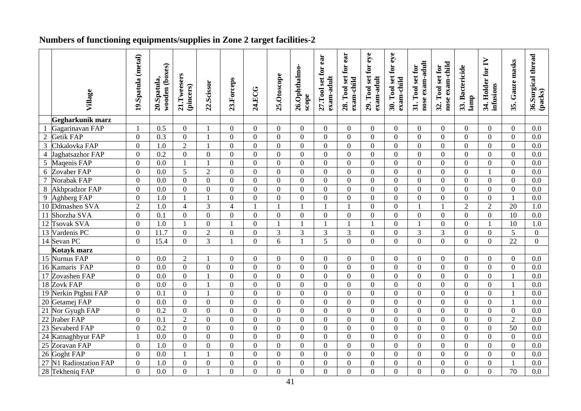# **Numbers of functioning equipments/supplies in Zone 2 target facilities-2**

|                 |                       | 19.Spatula (metal) | wooden (boxes)   |                          |                |                  |                |                | 26.Ophthalmo-    | ear<br>27.Tool set for | 28. Tool set for ear | 29. Tool set for eye | 30. Tool set for eye | nose exam-adult<br>31. Tool set for | nose exam-child<br>32. Tool set for | 33. Bactericide  | 34. Holder for IV | 35. Gauze masks | 36.Surgical thread<br>(packs) |
|-----------------|-----------------------|--------------------|------------------|--------------------------|----------------|------------------|----------------|----------------|------------------|------------------------|----------------------|----------------------|----------------------|-------------------------------------|-------------------------------------|------------------|-------------------|-----------------|-------------------------------|
|                 | Village               |                    | 20.Spatula,      | 21.Tweesers<br>(pincers) | 22.Scissor     | 23.Forceps       | 24.ECG         | 25.Otoscope    | scope            | exam-adult             | exam-child           | exam-adult           | exam-child           |                                     |                                     | lamp             | infusions         |                 |                               |
|                 | Gegharkunik marz      |                    |                  |                          |                |                  |                |                |                  |                        |                      |                      |                      |                                     |                                     |                  |                   |                 |                               |
|                 | Gagarinavan FAP       |                    | 0.5              | $\theta$                 |                | $\overline{0}$   | $\Omega$       | $\mathbf{0}$   | $\theta$         | $\overline{0}$         | $\theta$             | $\overline{0}$       | $\overline{0}$       | $\theta$                            | $\mathbf{0}$                        | $\theta$         | $\overline{0}$    | $\theta$        | 0.0                           |
| $\overline{2}$  | Getik FAP             | $\overline{0}$     | 0.3              | $\mathbf{0}$             |                | $\overline{0}$   | $\Omega$       | $\overline{0}$ | $\overline{0}$   | $\overline{0}$         | $\Omega$             | $\overline{0}$       | $\overline{0}$       | $\Omega$                            | $\theta$                            | $\overline{0}$   | $\overline{0}$    | $\Omega$        | 0.0                           |
| 3               | Chkalovka FAP         | $\overline{0}$     | $\overline{1.0}$ | $\overline{2}$           |                | $\overline{0}$   | $\Omega$       | $\theta$       | $\overline{0}$   | $\overline{0}$         | $\Omega$             | $\Omega$             | $\mathbf{0}$         | $\Omega$                            | $\theta$                            | $\Omega$         | $\overline{0}$    | $\Omega$        | 0.0                           |
| $\overline{4}$  | Jaghatsazhor FAP      | $\overline{0}$     | 0.2              | $\theta$                 | $\overline{0}$ | $\mathbf{0}$     | $\Omega$       | $\theta$       | $\overline{0}$   | $\overline{0}$         | $\Omega$             | $\overline{0}$       | $\overline{0}$       | $\Omega$                            | $\theta$                            | $\overline{0}$   | $\overline{0}$    | $\Omega$        | 0.0                           |
| 5               | Maqenis FAP           | $\mathbf{0}$       | 0.0              | $\overline{1}$           |                | $\overline{0}$   | $\Omega$       | $\overline{0}$ | $\mathbf{0}$     | $\overline{0}$         | $\Omega$             | $\overline{0}$       | $\mathbf{0}$         | $\Omega$                            | $\Omega$                            | $\overline{0}$   | $\overline{0}$    | $\Omega$        | 0.0                           |
| 6               | Zovaber FAP           | $\mathbf{0}$       | 0.0              | 5                        | $\overline{2}$ | $\overline{0}$   | $\mathbf{0}$   | $\overline{0}$ | $\mathbf{0}$     | $\overline{0}$         | $\overline{0}$       | $\overline{0}$       | $\overline{0}$       | $\overline{0}$                      | $\mathbf{0}$                        | $\overline{0}$   | 1                 | $\overline{0}$  | 0.0                           |
| 7               | Norabak FAP           | $\mathbf{0}$       | 0.0              | $\overline{0}$           | $\overline{0}$ | $\overline{0}$   | $\overline{0}$ | $\overline{0}$ | $\mathbf{0}$     | $\overline{0}$         | $\overline{0}$       | $\overline{0}$       | $\mathbf{0}$         | $\overline{0}$                      | $\overline{0}$                      | $\overline{0}$   | $\overline{0}$    | $\mathbf{0}$    | 0.0                           |
| $8\,$           | <b>Akhpradzor FAP</b> | $\mathbf{0}$       | 0.0              | $\overline{0}$           | $\overline{0}$ | $\mathbf{0}$     | $\overline{0}$ | $\mathbf{0}$   | $\mathbf{0}$     | $\overline{0}$         | $\overline{0}$       | $\overline{0}$       | $\mathbf{0}$         | $\overline{0}$                      | $\mathbf{0}$                        | $\overline{0}$   | $\overline{0}$    | $\overline{0}$  | 0.0                           |
| $\overline{9}$  | Aghberg FAP           | $\overline{0}$     | 1.0              | $\blacksquare$           |                | $\overline{0}$   | $\theta$       | $\theta$       | $\overline{0}$   | $\overline{0}$         | $\Omega$             | $\Omega$             | $\mathbf{0}$         | $\theta$                            | $\theta$                            | $\Omega$         | $\overline{0}$    | $\overline{1}$  | 0.0                           |
|                 | 10 Ddmashen SVA       | $\overline{2}$     | 1.0              | $\overline{4}$           | 3              | $\overline{4}$   | $\mathbf{1}$   | $\mathbf{1}$   | $\overline{1}$   |                        |                      | $\Omega$             | $\mathbf{0}$         | $\overline{1}$                      | $\mathbf{1}$                        | $\overline{2}$   | $\overline{2}$    | 20              | 1.0                           |
| 11              | Shorzha SVA           | $\overline{0}$     | 0.1              | $\theta$                 | $\Omega$       | $\overline{0}$   | $\overline{0}$ | $\mathbf{0}$   | $\overline{0}$   | $\overline{0}$         | $\theta$             | $\overline{0}$       | $\overline{0}$       | $\Omega$                            | $\mathbf{0}$                        | $\overline{0}$   | $\overline{0}$    | $\overline{10}$ | $\overline{0.0}$              |
| 12              | <b>Tsovak SVA</b>     | $\boldsymbol{0}$   | $\overline{1.0}$ |                          | $\overline{0}$ | $\mathbf{1}$     | $\overline{0}$ | $\mathbf{1}$   |                  |                        |                      |                      | $\overline{0}$       |                                     | $\mathbf{0}$                        | $\overline{0}$   |                   | 10              | 1.0                           |
|                 | 13 Vardenis PC        | $\overline{0}$     | 11.7             | $\overline{0}$           | $\overline{2}$ | $\overline{0}$   | $\overline{0}$ | 3              | 3                | $\overline{3}$         | 3                    | $\overline{0}$       | $\overline{0}$       | 3                                   | $\overline{3}$                      | $\overline{0}$   | $\overline{0}$    | $\overline{5}$  | $\overline{0}$                |
|                 | 14 Sevan PC           | $\mathbf{0}$       | 15.4             | $\theta$                 | $\overline{3}$ |                  | $\overline{0}$ | $\overline{6}$ |                  | $\overline{5}$         | $\overline{0}$       | $\overline{0}$       | $\overline{0}$       | $\theta$                            | $\overline{0}$                      | $\mathbf{0}$     | $\overline{0}$    | $\overline{22}$ | $\overline{0}$                |
|                 | Kotayk marz           |                    |                  |                          |                |                  |                |                |                  |                        |                      |                      |                      |                                     |                                     |                  |                   |                 |                               |
|                 | 15 Nurnus FAP         | $\boldsymbol{0}$   | 0.0              | $\overline{2}$           | 1              | $\overline{0}$   | $\overline{0}$ | $\overline{0}$ | $\overline{0}$   | $\overline{0}$         | $\overline{0}$       | $\overline{0}$       | $\overline{0}$       | $\Omega$                            | $\overline{0}$                      | $\overline{0}$   | $\overline{0}$    | $\overline{0}$  | 0.0                           |
|                 | 16 Kamaris FAP        | $\overline{0}$     | 0.0              | $\overline{0}$           | $\overline{0}$ | $\boldsymbol{0}$ | $\overline{0}$ | $\overline{0}$ | $\overline{0}$   | $\overline{0}$         | $\mathbf{0}$         | $\overline{0}$       | $\overline{0}$       | $\overline{0}$                      | $\overline{0}$                      | $\overline{0}$   | $\overline{0}$    | $\overline{0}$  | 0.0                           |
|                 | 17 Zovashen FAP       | $\boldsymbol{0}$   | 0.0              | $\overline{0}$           |                | $\boldsymbol{0}$ | $\overline{0}$ | $\overline{0}$ | $\boldsymbol{0}$ | $\overline{0}$         | $\mathbf{0}$         | $\overline{0}$       | $\overline{0}$       | $\overline{0}$                      | $\overline{0}$                      | $\mathbf{0}$     | $\overline{0}$    |                 | 0.0                           |
|                 | 18 Zovk FAP           | $\mathbf{0}$       | 0.0              | $\boldsymbol{0}$         |                | $\mathbf{0}$     | $\overline{0}$ | $\overline{0}$ | $\boldsymbol{0}$ | $\overline{0}$         | $\mathbf{0}$         | $\boldsymbol{0}$     | $\boldsymbol{0}$     | $\overline{0}$                      | $\overline{0}$                      | $\mathbf{0}$     | $\overline{0}$    |                 | 0.0                           |
| 19              | Nerkin Ptghni FAP     | $\boldsymbol{0}$   | 0.1              | $\overline{0}$           |                | $\overline{0}$   | $\Omega$       | $\theta$       | $\boldsymbol{0}$ | $\overline{0}$         | $\theta$             | $\overline{0}$       | $\overline{0}$       | $\Omega$                            | $\theta$                            | $\overline{0}$   | $\overline{0}$    |                 | 0.0                           |
|                 | 20 Getamej FAP        | $\mathbf{0}$       | 0.0              | $\overline{0}$           | $\overline{0}$ | $\mathbf{0}$     | $\overline{0}$ | $\mathbf{0}$   | $\mathbf{0}$     | $\overline{0}$         | $\overline{0}$       | $\overline{0}$       | $\overline{0}$       | $\overline{0}$                      | $\theta$                            | $\mathbf{0}$     | $\overline{0}$    |                 | 0.0                           |
| 21              | Nor Gyugh FAP         | $\mathbf{0}$       | $\overline{0.2}$ | $\overline{0}$           | $\overline{0}$ | $\boldsymbol{0}$ | $\theta$       | $\overline{0}$ | $\mathbf{0}$     | $\overline{0}$         | $\theta$             | $\overline{0}$       | $\overline{0}$       | $\Omega$                            | $\theta$                            | $\boldsymbol{0}$ | $\overline{0}$    | $\overline{0}$  | 0.0                           |
| 22              | Jraber FAP            | $\mathbf{0}$       | 0.1              | $\overline{2}$           | $\overline{0}$ | $\boldsymbol{0}$ | $\mathbf{0}$   | $\overline{0}$ | $\mathbf{0}$     | $\overline{0}$         | $\theta$             | $\overline{0}$       | $\overline{0}$       | $\overline{0}$                      | $\theta$                            | $\overline{0}$   | $\overline{0}$    | $\overline{2}$  | 0.0                           |
| 23              | Sevaberd FAP          | $\mathbf{0}$       | $\overline{0.2}$ | $\Omega$                 | $\overline{0}$ | $\boldsymbol{0}$ | $\Omega$       | $\overline{0}$ | $\overline{0}$   | $\overline{0}$         | $\Omega$             | $\overline{0}$       | $\overline{0}$       | $\Omega$                            | $\Omega$                            | $\overline{0}$   | $\overline{0}$    | 50              | 0.0                           |
| $\overline{24}$ | Katnaghbyur FAP       |                    | 0.0              | $\overline{0}$           | $\overline{0}$ | $\mathbf{0}$     | $\overline{0}$ | $\overline{0}$ | $\mathbf{0}$     | $\overline{0}$         | $\overline{0}$       | $\overline{0}$       | $\overline{0}$       | $\overline{0}$                      | $\overline{0}$                      | $\mathbf{0}$     | $\overline{0}$    | $\overline{0}$  | 0.0                           |
| $\overline{25}$ | Zoravan FAP           | $\overline{0}$     | 1.0              | $\theta$                 | $\overline{0}$ | $\overline{0}$   | $\Omega$       | $\theta$       | $\overline{0}$   | $\overline{0}$         | $\theta$             | $\overline{0}$       | $\overline{0}$       | $\Omega$                            | $\theta$                            | $\overline{0}$   | $\overline{0}$    | $\theta$        | 0.0                           |
|                 | 26 Goght FAP          | $\overline{0}$     | 0.0              |                          |                | $\overline{0}$   | $\Omega$       | $\Omega$       | $\overline{0}$   | $\overline{0}$         | $\Omega$             | $\Omega$             | $\overline{0}$       | $\Omega$                            | $\Omega$                            | $\overline{0}$   | $\overline{0}$    | $\theta$        | 0.0                           |
| 27              | N1 Radiostation FAP   | $\overline{0}$     | 1.0              | $\overline{0}$           | $\overline{0}$ | $\overline{0}$   | $\Omega$       | $\overline{0}$ | $\overline{0}$   | $\overline{0}$         | $\Omega$             | $\overline{0}$       | $\overline{0}$       | $\Omega$                            | $\overline{0}$                      | $\overline{0}$   | $\overline{0}$    |                 | 0.0                           |
|                 | 28 Tekheniq FAP       | $\overline{0}$     | 0.0              | $\overline{0}$           |                | $\overline{0}$   | $\theta$       | $\mathbf{0}$   | $\overline{0}$   | $\overline{0}$         | $\overline{0}$       | $\overline{0}$       | $\overline{0}$       | $\Omega$                            | $\overline{0}$                      | $\overline{0}$   | $\overline{0}$    | $\overline{70}$ | 0.0                           |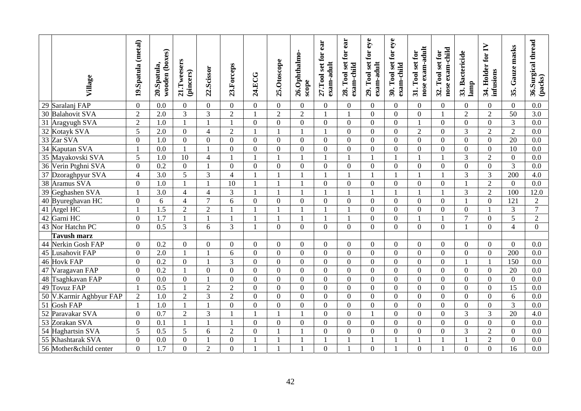| Village                 | 19.Spatula (metal) | wooden (boxes)<br>20.Spatula, | 21.Tweesers<br>(pincers) | 22.Scissor     | 23.Forceps      | 24.ECG           | 25.Otoscope    | 26.Ophthalmo-<br>scope   | 27.Tool set for ear<br>exam-adult | ear<br>$\mathbf{for}$<br>set<br>exam-child<br>$\Gamma$ ool<br>28. | 29. Tool set for eye<br>exam-adult | 30. Tool set for eye<br>exam-child | nose exam-adult<br>31. Tool set for | nose exam-child<br>32. Tool set for | 33. Bactericide<br>lamp | 34. Holder for IV<br>infusions | Gauze masks<br>35. | 36.Surgical thread<br>(packs) |
|-------------------------|--------------------|-------------------------------|--------------------------|----------------|-----------------|------------------|----------------|--------------------------|-----------------------------------|-------------------------------------------------------------------|------------------------------------|------------------------------------|-------------------------------------|-------------------------------------|-------------------------|--------------------------------|--------------------|-------------------------------|
| 29 Saralanj FAP         | $\mathbf{0}$       | 0.0                           | $\overline{0}$           | $\overline{0}$ | $\overline{0}$  | $\overline{0}$   | $\overline{0}$ | $\overline{0}$           | $\overline{0}$                    | $\overline{0}$                                                    | $\overline{0}$                     | $\overline{0}$                     | $\mathbf{0}$                        | $\overline{0}$                      | $\overline{0}$          | $\mathbf{0}$                   | $\overline{0}$     | 0.0                           |
| 30 Balahovit SVA        | $\overline{2}$     | 2.0                           | $\overline{3}$           | 3              | $\overline{2}$  |                  | $\overline{2}$ | $\overline{2}$           |                                   | $\mathbf{1}$                                                      | $\overline{0}$                     | $\mathbf{0}$                       | $\overline{0}$                      |                                     | $\overline{2}$          | $\overline{2}$                 | $\overline{50}$    | $\overline{3.0}$              |
| 31 Aragyugh SVA         | $\overline{2}$     | $\overline{1.0}$              | $\mathbf{1}$             | $\mathbf{1}$   | $\mathbf{1}$    | $\overline{0}$   | $\overline{0}$ | $\overline{0}$           | $\overline{0}$                    | $\overline{0}$                                                    | $\overline{0}$                     | $\overline{0}$                     | $\overline{1}$                      | $\overline{0}$                      | $\overline{0}$          | $\overline{0}$                 | $\overline{3}$     | $\overline{0.0}$              |
| 32 Kotayk SVA           | 5                  | 2.0                           | $\overline{0}$           | $\overline{4}$ | $\overline{2}$  |                  |                | $\overline{1}$           |                                   | $\Omega$                                                          | $\overline{0}$                     | $\mathbf{0}$                       | $\overline{2}$                      | $\overline{0}$                      | 3                       | $\overline{2}$                 | $\overline{2}$     | 0.0                           |
| 33 Zar SVA              | $\overline{0}$     | 1.0                           | $\theta$                 | $\mathbf{0}$   | $\overline{0}$  | $\overline{0}$   | $\overline{0}$ | $\overline{0}$           | $\overline{0}$                    | $\theta$                                                          | $\overline{0}$                     | $\overline{0}$                     | $\overline{0}$                      | $\overline{0}$                      | $\overline{0}$          | $\overline{0}$                 | $\overline{20}$    | 0.0                           |
| 34 Kaputan SVA          | $\overline{1}$     | 0.0                           | $\mathbf{1}$             | $\mathbf{1}$   | $\overline{0}$  | $\overline{0}$   | $\overline{0}$ | $\overline{0}$           | $\overline{0}$                    | $\overline{0}$                                                    | $\overline{0}$                     | $\overline{0}$                     | $\overline{0}$                      | $\overline{0}$                      | $\mathbf{0}$            | $\overline{0}$                 | $\overline{10}$    | 0.0                           |
| 35 Mayakovski SVA       | 5                  | 1.0                           | 10                       | $\overline{4}$ | $\mathbf{1}$    |                  |                | $\overline{\phantom{a}}$ |                                   | 1                                                                 |                                    | $\mathbf{1}$                       |                                     | 1                                   | $\overline{3}$          | $\overline{2}$                 | $\mathbf{0}$       | 0.0                           |
| 36 Verin Ptghni SVA     | $\theta$           | $\overline{0.2}$              | $\overline{0}$           |                | $\overline{0}$  | $\Omega$         | $\Omega$       | $\overline{0}$           | $\theta$                          | $\overline{0}$                                                    | $\theta$                           | $\mathbf{0}$                       | $\theta$                            | $\Omega$                            | $\overline{0}$          | $\overline{0}$                 | 3                  | $0.0\,$                       |
| 37 Dzoraghpyur SVA      | $\overline{4}$     | 3.0                           | 5                        | 3              | $\overline{4}$  |                  |                | $\overline{1}$           |                                   | $\mathbf{1}$                                                      |                                    | $\mathbf{1}$                       |                                     |                                     | 3                       | $\overline{3}$                 | 200                | 4.0                           |
| 38 Aramus SVA           | $\overline{0}$     | 1.0                           | 1                        | $\mathbf{1}$   | $\overline{10}$ | $\mathbf{1}$     |                | $\blacksquare$           | $\overline{0}$                    | $\Omega$                                                          | $\Omega$                           | $\mathbf{0}$                       | $\Omega$                            | $\Omega$                            | $\overline{1}$          | $\overline{2}$                 | $\Omega$           | 0.0                           |
| 39 Geghashen SVA        | $\overline{1}$     | 3.0                           | $\overline{4}$           | $\overline{4}$ | $\overline{3}$  |                  |                | $\mathbf{1}$             |                                   |                                                                   |                                    | $\mathbf{1}$                       |                                     |                                     | 3                       | $\overline{2}$                 | 100                | 12.0                          |
| 40 Byureghavan HC       | $\overline{0}$     | 6                             | $\overline{4}$           | $\tau$         | 6               | $\overline{0}$   | $\overline{0}$ | $\overline{0}$           | $\mathbf{0}$                      | $\Omega$                                                          | $\Omega$                           | $\overline{0}$                     | $\overline{0}$                      | $\overline{0}$                      | $\overline{1}$          | $\overline{0}$                 | 121                | $\overline{2}$                |
| 41 Argel HC             | $\overline{1}$     | $\overline{1.5}$              | $\overline{2}$           | $\overline{2}$ | $\mathbf{1}$    |                  |                | $\overline{\phantom{a}}$ |                                   | $\mathbf{1}$                                                      | $\overline{0}$                     | $\mathbf{0}$                       | $\boldsymbol{0}$                    | $\overline{0}$                      | $\boldsymbol{0}$        |                                | $\overline{3}$     | $\overline{7}$                |
| 42 Garni HC             | $\boldsymbol{0}$   | 1.7                           | $\mathbf{1}$             | $\mathbf{1}$   | $\mathbf{1}$    |                  |                | $\blacksquare$           |                                   | $\mathbf{1}$                                                      | $\overline{0}$                     | $\mathbf{0}$                       |                                     |                                     | $\overline{7}$          | $\overline{0}$                 | 5                  | $\overline{2}$                |
| 43 Nor Hatchn PC        | $\theta$           | 0.5                           | $\overline{3}$           | 6              | 3               |                  | $\overline{0}$ | $\overline{0}$           | $\overline{0}$                    | $\Omega$                                                          | $\overline{0}$                     | $\mathbf{0}$                       | $\theta$                            | $\overline{0}$                      |                         | $\overline{0}$                 | $\overline{4}$     | $\overline{0}$                |
| <b>Tavush marz</b>      |                    |                               |                          |                |                 |                  |                |                          |                                   |                                                                   |                                    |                                    |                                     |                                     |                         |                                |                    |                               |
| 44 Nerkin Gosh FAP      | $\overline{0}$     | 0.2                           | $\theta$                 | $\overline{0}$ | $\overline{0}$  | $\theta$         | $\overline{0}$ | $\mathbf{0}$             | $\overline{0}$                    | $\theta$                                                          | $\overline{0}$                     | $\overline{0}$                     | $\mathbf{0}$                        | $\overline{0}$                      | $\Omega$                | $\overline{0}$                 | $\theta$           | 0.0                           |
| 45 Lusahovit FAP        | $\overline{0}$     | $\overline{2.0}$              | $\mathbf{1}$             | $\mathbf{1}$   | 6               | $\overline{0}$   | $\overline{0}$ | $\theta$                 | $\overline{0}$                    | $\Omega$                                                          | $\overline{0}$                     | $\mathbf{0}$                       | $\overline{0}$                      | $\overline{0}$                      | $\overline{0}$          | $\overline{0}$                 | 200                | 0.0                           |
| 46 Hovk FAP             | $\overline{0}$     | 0.2                           | $\overline{0}$           |                | 3               | $\overline{0}$   | $\Omega$       | $\overline{0}$           | $\overline{0}$                    | $\mathbf{0}$                                                      | $\overline{0}$                     | $\mathbf{0}$                       | $\overline{0}$                      | $\theta$                            | $\overline{1}$          |                                | 150                | $0.0\,$                       |
| 47 Varagavan FAP        | $\overline{0}$     | 0.2                           | $\mathbf{1}$             | $\mathbf{0}$   | $\Omega$        | $\Omega$         | $\Omega$       | $\overline{0}$           | $\overline{0}$                    | $\Omega$                                                          | $\Omega$                           | $\mathbf{0}$                       | $\theta$                            | $\Omega$                            | $\overline{0}$          | $\overline{0}$                 | 20                 | 0.0                           |
| 48 Tsaghkavan FAP       | $\overline{0}$     | 0.0                           | $\mathbf{0}$             |                | $\mathbf{0}$    | $\Omega$         | $\overline{0}$ | $\overline{0}$           | $\overline{0}$                    | $\Omega$                                                          | $\mathbf{0}$                       | $\overline{0}$                     | $\theta$                            | $\overline{0}$                      | $\overline{0}$          | $\overline{0}$                 | $\mathbf{0}$       | 0.0                           |
| 49 Tovuz FAP            | $\overline{1}$     | $\overline{0.5}$              | $\mathbf{1}$             | $\overline{2}$ | $\overline{2}$  | $\overline{0}$   | $\overline{0}$ | $\mathbf{0}$             | $\overline{0}$                    | $\mathbf{0}$                                                      | $\theta$                           | $\mathbf{0}$                       | $\overline{0}$                      | $\overline{0}$                      | $\overline{0}$          | $\overline{0}$                 | $\overline{15}$    | 0.0                           |
| 50 V.Karmir Aghbyur FAP | $\overline{2}$     | $\overline{1.0}$              | $\overline{2}$           | $\overline{3}$ | $\overline{2}$  | $\overline{0}$   | $\overline{0}$ | $\overline{0}$           | $\overline{0}$                    | $\overline{0}$                                                    | $\overline{0}$                     | $\overline{0}$                     | $\overline{0}$                      | $\overline{0}$                      | $\overline{0}$          | $\overline{0}$                 | 6                  | 0.0                           |
| 51 Gosh FAP             | $\mathbf{1}$       | 1.0                           | $\mathbf{1}$             | 1              | $\mathbf{0}$    | $\boldsymbol{0}$ | $\overline{0}$ | $\mathbf{0}$             | $\overline{0}$                    | $\overline{0}$                                                    | $\boldsymbol{0}$                   | $\mathbf{0}$                       | $\mathbf{0}$                        | $\overline{0}$                      | $\mathbf{0}$            | $\overline{0}$                 | $\overline{3}$     | 0.0                           |
| 52 Paravakar SVA        | $\boldsymbol{0}$   | $\overline{0.7}$              | $\overline{2}$           | 3              |                 |                  |                | $\overline{1}$           | $\overline{0}$                    | $\overline{0}$                                                    | $\mathbf{1}$                       | $\overline{0}$                     | $\overline{0}$                      | $\overline{0}$                      | $\overline{3}$          | $\overline{3}$                 | $\overline{20}$    | 4.0                           |
| 53 Zorakan SVA          | $\mathbf{0}$       | 0.1                           | $\mathbf{1}$             | $\mathbf{1}$   |                 | $\overline{0}$   | $\overline{0}$ | $\overline{0}$           | $\overline{0}$                    | $\overline{0}$                                                    | $\boldsymbol{0}$                   | $\mathbf{0}$                       | $\overline{0}$                      | $\overline{0}$                      | $\overline{0}$          | $\overline{0}$                 | $\overline{0}$     | 0.0                           |
| 54 Haghartsin SVA       | 5                  | 0.5                           | 5                        | 6              | $\overline{2}$  | $\mathbf{0}$     |                | $\mathbf{1}$             | $\overline{0}$                    | $\overline{0}$                                                    | $\overline{0}$                     | $\mathbf{0}$                       | $\boldsymbol{0}$                    | $\mathbf{0}$                        | 3                       | $\overline{2}$                 | $\overline{0}$     | $0.0\,$                       |
| 55 Khashtarak SVA       | $\overline{0}$     | 0.0                           | $\overline{0}$           |                | $\mathbf{0}$    |                  |                |                          |                                   |                                                                   |                                    |                                    |                                     |                                     |                         | $\overline{c}$                 | $\overline{0}$     | 0.0                           |
| 56 Mother&child center  | $\overline{0}$     | 1.7                           | $\overline{0}$           | $\overline{2}$ | $\mathbf{0}$    |                  |                | $\mathbf{1}$             | $\overline{0}$                    |                                                                   | $\theta$                           |                                    | $\overline{0}$                      |                                     | $\overline{0}$          | $\overline{0}$                 | 16                 | 0.0                           |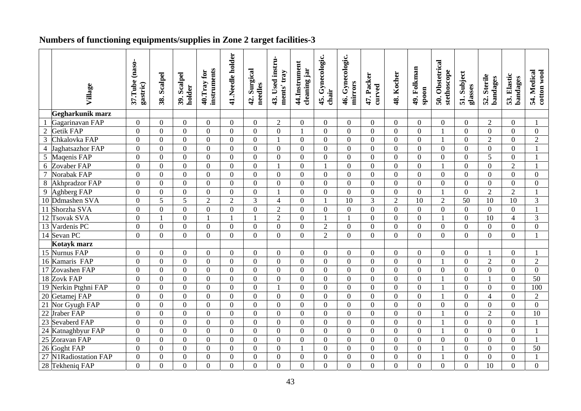# **Numbers of functioning equipments/supplies in Zone 2 target facilities-3**

|                 | Village               | 37.Tube (naso-<br>gastric) | 38. Scalpel      | Scalpel<br>holder<br>39. | instruments<br>40. Tray for | 41.Needle holder | 42. Surgical<br>needles | 43. Used instru-<br>ments' tray | 44.Instrument<br>cleaning jar | 45. Gynecologic.<br>chair | 46. Gynecologic.<br>mirrors | 47. Packer<br>curved | 48. Kocher       | 49. Folkman<br>spoon | 50. Obstetrical<br>stethoscope | 51. Subject<br>glasses | 52. Sterile<br>bandages | 53. Elastic<br>bandages | 54. Medical<br>cotton wool |
|-----------------|-----------------------|----------------------------|------------------|--------------------------|-----------------------------|------------------|-------------------------|---------------------------------|-------------------------------|---------------------------|-----------------------------|----------------------|------------------|----------------------|--------------------------------|------------------------|-------------------------|-------------------------|----------------------------|
|                 |                       |                            |                  |                          |                             |                  |                         |                                 |                               |                           |                             |                      |                  |                      |                                |                        |                         |                         |                            |
|                 | Gegharkunik marz      |                            |                  |                          |                             |                  |                         |                                 |                               |                           |                             |                      |                  |                      |                                |                        |                         |                         |                            |
|                 | Gagarinavan FAP       | $\overline{0}$             | $\overline{0}$   | $\Omega$                 | $\overline{0}$              | $\overline{0}$   | $\overline{0}$          | $\overline{2}$                  | $\mathbf{0}$                  | $\overline{0}$            | $\overline{0}$              | $\overline{0}$       | $\overline{0}$   | $\overline{0}$       | $\overline{0}$                 | $\overline{0}$         | $\overline{2}$          | $\overline{0}$          |                            |
| $\overline{2}$  | Getik FAP             | $\overline{0}$             | $\overline{0}$   | $\overline{0}$           | $\Omega$                    | $\overline{0}$   | $\Omega$                | $\overline{0}$                  | $\mathbf{1}$                  | $\overline{0}$            | $\overline{0}$              | $\overline{0}$       | $\overline{0}$   | $\theta$             | $\overline{1}$                 | $\theta$               | $\overline{0}$          | $\overline{0}$          | $\overline{0}$             |
| $\overline{3}$  | Chkalovka FAP         | $\overline{0}$             | $\overline{0}$   | $\theta$                 | $\Omega$                    | $\overline{0}$   | $\Omega$                | $\mathbf{1}$                    | $\overline{0}$                | $\overline{0}$            | $\Omega$                    | $\Omega$             | $\overline{0}$   | $\Omega$             | $\mathbf{1}$                   | $\theta$               | $\overline{2}$          | $\Omega$                | $\overline{2}$             |
| $\overline{4}$  | Jaghatsazhor FAP      | $\overline{0}$             | $\overline{0}$   | $\overline{0}$           | $\overline{0}$              | $\overline{0}$   | $\Omega$                | $\overline{0}$                  | $\boldsymbol{0}$              | $\overline{0}$            | $\Omega$                    | $\overline{0}$       | $\overline{0}$   | $\Omega$             | $\overline{0}$                 | $\overline{0}$         | $\overline{0}$          | $\Omega$                |                            |
| 5               | Magenis FAP           | $\mathbf{0}$               | $\overline{0}$   | $\Omega$                 | $\Omega$                    | $\overline{0}$   | $\Omega$                | $\overline{0}$                  | $\overline{0}$                | $\overline{0}$            | $\Omega$                    | $\overline{0}$       | $\overline{0}$   | $\Omega$             | $\overline{0}$                 | $\overline{0}$         | $\overline{5}$          | $\Omega$                |                            |
| $\sqrt{6}$      | Zovaber FAP           | $\overline{0}$             | $\mathbf{0}$     | $\overline{0}$           | $\boldsymbol{0}$            | $\overline{0}$   | $\overline{0}$          | $\mathbf{1}$                    | $\overline{0}$                |                           | $\overline{0}$              | $\overline{0}$       | $\boldsymbol{0}$ | $\overline{0}$       | $\overline{1}$                 | $\boldsymbol{0}$       | $\overline{0}$          | $\overline{2}$          |                            |
| $\overline{7}$  | Norabak FAP           | $\boldsymbol{0}$           | $\overline{0}$   | $\overline{0}$           | $\overline{0}$              | $\overline{0}$   | $\overline{0}$          | $\overline{0}$                  | $\boldsymbol{0}$              | $\overline{0}$            | $\overline{0}$              | $\boldsymbol{0}$     | $\mathbf{0}$     | $\overline{0}$       | $\mathbf{0}$                   | $\boldsymbol{0}$       | $\overline{0}$          | $\overline{0}$          | $\boldsymbol{0}$           |
| 8               | <b>Akhpradzor FAP</b> | $\mathbf{0}$               | $\overline{0}$   | $\Omega$                 | $\overline{0}$              | $\overline{0}$   | $\Omega$                | $\overline{0}$                  | $\boldsymbol{0}$              | $\overline{0}$            | $\theta$                    | $\overline{0}$       | $\overline{0}$   | $\overline{0}$       | $\overline{0}$                 | $\overline{0}$         | $\overline{0}$          | $\overline{0}$          | $\boldsymbol{0}$           |
| 9               | Aghberg FAP           | $\overline{0}$             | $\overline{0}$   | $\theta$                 | $\overline{0}$              | $\overline{0}$   | $\overline{0}$          | $\mathbf{1}$                    | $\overline{0}$                | $\overline{0}$            | $\theta$                    | $\overline{0}$       | $\overline{0}$   | $\overline{0}$       | $\mathbf{1}$                   | $\overline{0}$         | $\overline{2}$          | $\overline{2}$          |                            |
| $\overline{10}$ | Ddmashen SVA          | $\overline{0}$             | $\overline{5}$   | $\overline{5}$           | $\overline{2}$              | $\overline{2}$   | 3                       | $\overline{4}$                  | $\overline{0}$                | $\mathbf{1}$              | $\overline{10}$             | $\overline{3}$       | $\overline{2}$   | $\overline{10}$      | $\overline{2}$                 | 50                     | $\overline{10}$         | $\overline{10}$         | 3                          |
|                 | 11 Shorzha SVA        | $\overline{0}$             | $\overline{0}$   | $\Omega$                 | $\overline{0}$              | $\overline{0}$   | $\Omega$                | $\overline{2}$                  | $\mathbf{0}$                  | $\overline{0}$            | $\Omega$                    | $\Omega$             | $\overline{0}$   | $\Omega$             | $\overline{0}$                 | $\overline{0}$         | $\overline{0}$          | $\Omega$                |                            |
|                 | 12 Tsovak SVA         | $\boldsymbol{0}$           | $\mathbf{1}$     | $\Omega$                 |                             |                  |                         | $\overline{2}$                  | $\boldsymbol{0}$              | 1                         |                             | $\theta$             | $\boldsymbol{0}$ | $\Omega$             | $\mathbf{1}$                   | $\overline{0}$         | $\overline{10}$         | $\overline{4}$          | 3                          |
|                 | 13 Vardenis PC        | $\mathbf{0}$               | $\overline{0}$   | $\overline{0}$           | $\overline{0}$              | $\overline{0}$   | $\overline{0}$          | $\overline{0}$                  | $\mathbf{0}$                  | $\overline{c}$            | $\mathbf{0}$                | $\overline{0}$       | $\mathbf{0}$     | $\overline{0}$       | $\overline{0}$                 | $\overline{0}$         | $\overline{0}$          | $\overline{0}$          | $\boldsymbol{0}$           |
|                 | 14 Sevan PC           | $\overline{0}$             | $\overline{0}$   | $\theta$                 | $\overline{0}$              | $\overline{0}$   | $\Omega$                | $\overline{0}$                  | $\overline{0}$                | $\overline{2}$            | $\theta$                    | $\overline{0}$       | $\overline{0}$   | $\Omega$             | $\theta$                       | $\overline{0}$         | $\overline{0}$          | $\theta$                |                            |
|                 | Kotayk marz           |                            |                  |                          |                             |                  |                         |                                 |                               |                           |                             |                      |                  |                      |                                |                        |                         |                         |                            |
|                 | 15 Nurnus FAP         | $\boldsymbol{0}$           | $\overline{0}$   | $\overline{0}$           | $\overline{0}$              | $\overline{0}$   | $\overline{0}$          | $\overline{0}$                  | $\boldsymbol{0}$              | $\boldsymbol{0}$          | $\overline{0}$              | $\overline{0}$       | $\overline{0}$   | $\overline{0}$       | $\overline{0}$                 | $\boldsymbol{0}$       |                         | $\overline{0}$          |                            |
|                 | 16 Kamaris FAP        | $\overline{0}$             | $\overline{0}$   | $\Omega$                 | $\boldsymbol{0}$            | $\overline{0}$   | $\Omega$                | $\mathbf{0}$                    | $\overline{0}$                | $\overline{0}$            | $\Omega$                    | $\overline{0}$       | $\overline{0}$   | $\Omega$             | $\mathbf{1}$                   | $\overline{0}$         | $\overline{2}$          | $\Omega$                | $\overline{2}$             |
|                 | 17 Zovashen FAP       | $\overline{0}$             | $\overline{0}$   | $\Omega$                 | $\overline{0}$              | $\overline{0}$   | $\Omega$                | $\overline{0}$                  | $\mathbf{0}$                  | $\overline{0}$            | $\Omega$                    | $\overline{0}$       | $\overline{0}$   | $\Omega$             | $\Omega$                       | $\overline{0}$         | $\overline{0}$          | $\Omega$                | $\overline{0}$             |
|                 | 18 Zovk FAP           | $\overline{0}$             | $\overline{0}$   | $\overline{0}$           | $\overline{0}$              | $\mathbf{0}$     | $\overline{0}$          | $\boldsymbol{0}$                | $\boldsymbol{0}$              | $\overline{0}$            | $\overline{0}$              | $\boldsymbol{0}$     | $\mathbf{0}$     | $\overline{0}$       | $\mathbf{1}$                   | $\mathbf{0}$           |                         | $\overline{0}$          | 50                         |
|                 | 19 Nerkin Ptghni FAP  | $\overline{0}$             | $\overline{0}$   | $\mathbf{0}$             | $\overline{0}$              | $\overline{0}$   | $\overline{0}$          | $\mathbf{1}$                    | $\boldsymbol{0}$              | $\overline{0}$            | $\overline{0}$              | $\overline{0}$       | $\overline{0}$   | $\overline{0}$       | $\mathbf{1}$                   | $\mathbf{0}$           | $\overline{0}$          | $\overline{0}$          | 100                        |
|                 | 20 Getamej FAP        | $\overline{0}$             | $\overline{0}$   | $\theta$                 | $\overline{0}$              | $\overline{0}$   | $\overline{0}$          | $\overline{0}$                  | $\overline{0}$                | $\overline{0}$            | $\theta$                    | $\overline{0}$       | $\overline{0}$   | $\overline{0}$       | $\mathbf{1}$                   | $\overline{0}$         | $\overline{4}$          | $\theta$                | $\overline{2}$             |
| 21              | Nor Gyugh FAP         | $\overline{0}$             | $\overline{0}$   | $\theta$                 | $\overline{0}$              | $\overline{0}$   | $\Omega$                | $\overline{0}$                  | $\overline{0}$                | $\overline{0}$            | $\theta$                    | $\overline{0}$       | $\overline{0}$   | $\overline{0}$       | $\Omega$                       | $\overline{0}$         | $\overline{0}$          | $\theta$                | $\overline{0}$             |
| 22              | <b>Jraber FAP</b>     | $\overline{0}$             | $\overline{0}$   | $\Omega$                 | $\overline{0}$              | $\overline{0}$   | $\Omega$                | $\Omega$                        | $\overline{0}$                | $\overline{0}$            | $\Omega$                    | $\Omega$             | $\overline{0}$   | $\Omega$             |                                | $\overline{0}$         | $\overline{2}$          | $\Omega$                | $\overline{10}$            |
|                 | 23 Sevaberd FAP       | $\overline{0}$             | $\mathbf{0}$     | $\overline{0}$           | $\overline{0}$              | $\overline{0}$   | $\overline{0}$          | $\overline{0}$                  | $\boldsymbol{0}$              | $\overline{0}$            | $\overline{0}$              | $\overline{0}$       | $\boldsymbol{0}$ | $\overline{0}$       | $\mathbf{1}$                   | $\overline{0}$         | $\overline{0}$          | $\Omega$                |                            |
| 24              | Katnaghbyur FAP       | $\boldsymbol{0}$           | $\boldsymbol{0}$ | $\overline{0}$           | $\overline{0}$              | $\overline{0}$   | $\overline{0}$          | $\boldsymbol{0}$                | $\boldsymbol{0}$              | $\mathbf{0}$              | $\overline{0}$              | $\overline{0}$       | $\boldsymbol{0}$ | $\overline{0}$       | $\mathbf{1}$                   | $\mathbf{0}$           | $\overline{0}$          | $\overline{0}$          |                            |
|                 | 25 Zoravan FAP        | $\overline{0}$             | $\overline{0}$   | $\overline{0}$           | $\boldsymbol{0}$            | $\overline{0}$   | $\overline{0}$          | $\boldsymbol{0}$                | $\overline{0}$                | $\overline{0}$            | $\overline{0}$              | $\boldsymbol{0}$     | $\boldsymbol{0}$ | $\overline{0}$       | $\overline{0}$                 | $\mathbf{0}$           | $\overline{0}$          | $\overline{0}$          |                            |
|                 | 26 Goght FAP          | $\boldsymbol{0}$           | $\overline{0}$   | $\overline{0}$           | $\boldsymbol{0}$            | $\overline{0}$   | $\overline{0}$          | $\boldsymbol{0}$                | $\mathbf{1}$                  | $\overline{0}$            | $\overline{0}$              | $\overline{0}$       | $\mathbf{0}$     | $\overline{0}$       | $\mathbf{1}$                   | $\overline{0}$         | $\overline{0}$          | $\overline{0}$          | 50                         |
| 27              | N1Radiostation FAP    | $\boldsymbol{0}$           | $\mathbf{0}$     | $\mathbf{0}$             | $\overline{0}$              | $\overline{0}$   | $\overline{0}$          | $\boldsymbol{0}$                | $\boldsymbol{0}$              | $\overline{0}$            | $\overline{0}$              | $\boldsymbol{0}$     | $\boldsymbol{0}$ | $\overline{0}$       | $\mathbf{1}$                   | $\mathbf{0}$           | $\overline{0}$          | $\overline{0}$          |                            |
|                 | 28 Tekhenig FAP       | $\overline{0}$             | $\overline{0}$   | $\overline{0}$           | $\overline{0}$              | $\overline{0}$   | $\overline{0}$          | $\overline{0}$                  | $\overline{0}$                | $\overline{0}$            | $\overline{0}$              | $\overline{0}$       | $\overline{0}$   | $\overline{0}$       | $\overline{0}$                 | $\overline{0}$         | 10                      | $\overline{0}$          | $\overline{0}$             |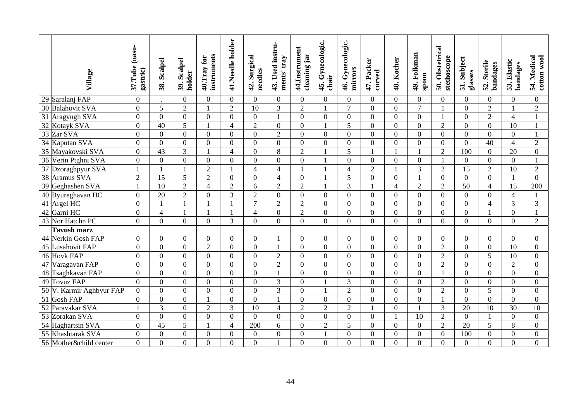|                 | Village                  | 37.Tube (naso-<br>gastric) | 38. Scalpel      | 39. Scalpel<br>holder | instruments<br>40.Tray for | 41.Needle holder | 42. Surgical<br>needles | 43. Used instru-<br>ments' tray | 44.Instrument<br>cleaning jar | 45. Gynecologic.<br>chair | 46. Gynecologic.<br>mirrors | 47. Packer<br>curved | 48. Kocher       | 49. Folkman<br>spoon | 50. Obstetrical<br>stethoscope | 51. Subject<br>glasses | 52. Sterile<br>bandages | 53. Elastic<br>bandages | 54. Medical<br>cotton wool |
|-----------------|--------------------------|----------------------------|------------------|-----------------------|----------------------------|------------------|-------------------------|---------------------------------|-------------------------------|---------------------------|-----------------------------|----------------------|------------------|----------------------|--------------------------------|------------------------|-------------------------|-------------------------|----------------------------|
|                 | 29 Saralanj FAP          | $\boldsymbol{0}$           |                  | $\overline{0}$        | $\overline{0}$             | $\mathbf{0}$     | $\overline{0}$          | $\overline{0}$                  | $\mathbf{0}$                  | $\overline{0}$            | $\overline{0}$              | $\overline{0}$       | $\overline{0}$   | $\overline{0}$       | $\overline{0}$                 | $\theta$               | $\overline{0}$          | $\theta$                | $\overline{0}$             |
|                 | 30 Balahovit SVA         | $\boldsymbol{0}$           | 5                | $\overline{2}$        |                            | $\overline{2}$   | $\overline{10}$         | $\overline{3}$                  | $\overline{2}$                |                           | $\overline{7}$              | $\overline{0}$       | $\mathbf{0}$     | $\overline{7}$       |                                | $\overline{0}$         | $\overline{2}$          |                         | $\overline{2}$             |
| $\overline{31}$ | Aragyugh SVA             | $\overline{0}$             | $\overline{0}$   | $\overline{0}$        | $\overline{0}$             | $\overline{0}$   | $\mathbf{0}$            | 1                               | $\overline{0}$                | $\overline{0}$            | $\overline{0}$              | $\overline{0}$       | $\mathbf{0}$     | $\overline{0}$       |                                | $\overline{0}$         | $\overline{2}$          | $\overline{4}$          | $\mathbf{1}$               |
|                 | 32 Kotayk SVA            | $\mathbf{0}$               | $\overline{40}$  | 5                     | $\mathbf{1}$               | $\overline{4}$   | $\overline{2}$          | $\overline{0}$                  | $\boldsymbol{0}$              |                           | 5                           | $\overline{0}$       | $\boldsymbol{0}$ | $\overline{0}$       | $\overline{2}$                 | $\boldsymbol{0}$       | $\overline{0}$          | $\overline{10}$         | $\mathbf{1}$               |
|                 | 33 Zar SVA               | $\overline{0}$             | $\boldsymbol{0}$ | $\mathbf{0}$          | $\overline{0}$             | $\mathbf{0}$     | $\overline{0}$          | $\overline{2}$                  | $\boldsymbol{0}$              | $\overline{0}$            | $\theta$                    | $\mathbf{0}$         | $\mathbf{0}$     | $\overline{0}$       | $\overline{0}$                 | $\boldsymbol{0}$       | $\overline{0}$          | $\overline{0}$          |                            |
| $\overline{34}$ | Kaputan SVA              | $\boldsymbol{0}$           | $\boldsymbol{0}$ | $\overline{0}$        | $\mathbf{0}$               | $\overline{0}$   | $\overline{0}$          | $\overline{0}$                  | $\boldsymbol{0}$              | $\overline{0}$            | $\overline{0}$              | $\overline{0}$       | $\mathbf{0}$     | $\overline{0}$       | $\overline{0}$                 | $\overline{0}$         | $\overline{40}$         | $\overline{4}$          | $\overline{2}$             |
|                 | 35 Mayakovski SVA        | $\overline{0}$             | 43               | $\overline{3}$        | 1                          | $\overline{4}$   | $\overline{0}$          | 8                               | $\overline{2}$                |                           | 5                           | -1                   | $\mathbf{1}$     |                      | $\overline{2}$                 | 100                    | $\overline{0}$          | 20                      | $\overline{0}$             |
|                 | 36 Verin Ptghni SVA      | $\mathbf{0}$               | $\overline{0}$   | $\overline{0}$        | $\overline{0}$             | $\mathbf{0}$     | $\overline{0}$          | $\overline{0}$                  | $\mathbf{0}$                  |                           | $\overline{0}$              | $\boldsymbol{0}$     | $\boldsymbol{0}$ | $\overline{0}$       | $\mathbf{1}$                   | $\boldsymbol{0}$       | $\overline{0}$          | $\overline{0}$          | 1                          |
| 37              | Dzoraghpyur SVA          |                            |                  |                       | $\overline{2}$             | $\mathbf{1}$     | $\overline{4}$          | $\overline{4}$                  | $\mathbf{1}$                  |                           | $\overline{4}$              | $\overline{2}$       | $\mathbf{1}$     | $\overline{3}$       | $\overline{2}$                 | 15                     | $\overline{2}$          | 10                      | $\overline{2}$             |
|                 | 38 Aramus SVA            | $\sqrt{2}$                 | $\overline{15}$  | 5                     | $\overline{2}$             | $\mathbf{0}$     | $\overline{0}$          | $\overline{4}$                  | $\overline{0}$                |                           | 5                           | $\overline{0}$       | $\boldsymbol{0}$ |                      | $\overline{0}$                 | $\overline{0}$         | $\overline{0}$          |                         | $\Omega$                   |
|                 | 39 Geghashen SVA         | 1                          | 10               | $\overline{2}$        | $\overline{4}$             | $\overline{2}$   | 6                       | $\overline{2}$                  | $\overline{2}$                |                           | 3                           | $\mathbf{1}$         | $\overline{4}$   | $\overline{2}$       | $\overline{2}$                 | 50                     | $\overline{4}$          | 15                      | 200                        |
|                 | 40 Byureghavan HC        | $\mathbf{0}$               | 20               | $\overline{2}$        | $\boldsymbol{0}$           | 3                | $\overline{2}$          | $\overline{0}$                  | $\overline{0}$                | $\boldsymbol{0}$          | $\mathbf{0}$                | $\mathbf{0}$         | $\mathbf{0}$     | $\overline{0}$       | $\overline{0}$                 | $\mathbf{0}$           | $\overline{0}$          | $\overline{4}$          |                            |
|                 | $\overline{41}$ Argel HC | $\overline{0}$             |                  |                       |                            |                  | $\overline{7}$          | $\overline{2}$                  | $\overline{2}$                | $\overline{0}$            | $\Omega$                    | $\overline{0}$       | $\overline{0}$   | $\overline{0}$       | $\overline{0}$                 | $\overline{0}$         | $\overline{4}$          | 3                       | 3                          |
|                 | 42 Garni HC              | $\overline{0}$             | $\overline{4}$   |                       | $\mathbf{1}$               | $\mathbf{1}$     | $\overline{4}$          | $\overline{0}$                  | $\overline{2}$                | $\overline{0}$            | $\overline{0}$              | $\overline{0}$       | $\mathbf{0}$     | $\overline{0}$       | $\boldsymbol{0}$               | $\mathbf{0}$           |                         | $\Omega$                | $\mathbf{1}$               |
|                 | 43 Nor Hatchn PC         | $\overline{0}$             | $\mathbf{0}$     | $\overline{0}$        | $\overline{0}$             | $\overline{3}$   | $\overline{0}$          | $\overline{0}$                  | $\mathbf{0}$                  | $\mathbf{0}$              | $\overline{0}$              | $\overline{0}$       | $\overline{0}$   | $\overline{0}$       | $\overline{0}$                 | $\mathbf{0}$           | $\overline{0}$          | $\overline{0}$          | $\overline{2}$             |
|                 | Tavush marz              |                            |                  |                       |                            |                  |                         |                                 |                               |                           |                             |                      |                  |                      |                                |                        |                         |                         |                            |
|                 | 44 Nerkin Gosh FAP       | $\theta$                   | $\overline{0}$   | $\theta$              | $\theta$                   | $\mathbf{0}$     | $\theta$                |                                 | $\theta$                      | $\overline{0}$            | $\theta$                    | $\Omega$             | $\overline{0}$   | $\theta$             | $\Omega$                       | $\theta$               | $\overline{0}$          | $\theta$                | $\theta$                   |
| $\overline{45}$ | Lusahovit FAP            | $\overline{0}$             | $\overline{0}$   | $\Omega$              | $\overline{2}$             | $\overline{0}$   | $\overline{0}$          |                                 | $\overline{0}$                | $\overline{0}$            | $\Omega$                    | $\overline{0}$       | $\overline{0}$   | $\theta$             | $\overline{2}$                 | $\overline{0}$         | $\overline{0}$          | $\overline{10}$         | $\overline{0}$             |
|                 | 46 Hovk FAP              | $\overline{0}$             | $\boldsymbol{0}$ | $\theta$              | $\overline{0}$             | $\mathbf{0}$     | $\overline{0}$          | $\overline{2}$                  | $\boldsymbol{0}$              | $\boldsymbol{0}$          | $\overline{0}$              | $\overline{0}$       | $\mathbf{0}$     | $\overline{0}$       | $\overline{2}$                 | $\mathbf{0}$           | $\overline{5}$          | 10                      | $\overline{0}$             |
|                 | 47 Varagavan FAP         | $\overline{0}$             | $\overline{0}$   | $\Omega$              | $\Omega$                   | $\overline{0}$   | $\overline{0}$          | $\overline{2}$                  | $\overline{0}$                | $\overline{0}$            | $\overline{0}$              | $\theta$             | $\mathbf{0}$     | $\overline{0}$       | $\overline{2}$                 | $\mathbf{0}$           | $\overline{0}$          | $\overline{2}$          | $\theta$                   |
|                 | 48 Tsaghkavan FAP        | $\Omega$                   | $\Omega$         | $\Omega$              | $\Omega$                   | $\overline{0}$   | $\overline{0}$          | $\mathbf{1}$                    | $\overline{0}$                | $\Omega$                  | $\Omega$                    | $\overline{0}$       | $\overline{0}$   | $\theta$             | $\mathbf{1}$                   | $\mathbf{0}$           | $\Omega$                | $\theta$                | $\Omega$                   |
| 49              | <b>Tovuz FAP</b>         | $\boldsymbol{0}$           | $\overline{0}$   | $\overline{0}$        | $\overline{0}$             | $\boldsymbol{0}$ | $\boldsymbol{0}$        | 3                               | $\overline{0}$                |                           | 3                           | $\overline{0}$       | $\boldsymbol{0}$ | $\overline{0}$       | $\sqrt{2}$                     | $\overline{0}$         | $\overline{0}$          | $\overline{0}$          | $\overline{0}$             |
|                 | 50 V. Karmir Aghbyur FAP | $\boldsymbol{0}$           | $\overline{0}$   | $\Omega$              | $\boldsymbol{0}$           | $\mathbf{0}$     | $\overline{0}$          | 3                               | $\boldsymbol{0}$              |                           | $\overline{2}$              | $\overline{0}$       | $\mathbf{0}$     | $\theta$             | $\overline{2}$                 | $\overline{0}$         | 5                       | $\Omega$                | $\boldsymbol{0}$           |
| $\overline{51}$ | <b>Gosh FAP</b>          | $\overline{0}$             | $\overline{0}$   | $\Omega$              | $\mathbf{1}$               | $\mathbf{0}$     | $\overline{0}$          |                                 | $\overline{0}$                | $\overline{0}$            | $\Omega$                    | $\overline{0}$       | $\mathbf{0}$     | $\overline{0}$       |                                | $\overline{0}$         | $\overline{0}$          | $\Omega$                | $\overline{0}$             |
| $\overline{52}$ | Paravakar SVA            | $\overline{1}$             | 3                | $\overline{0}$        | $\overline{2}$             | $\overline{3}$   | 10                      | $\overline{4}$                  | $\overline{2}$                | $\overline{2}$            | $\overline{2}$              | $\overline{1}$       | $\overline{0}$   |                      | 3                              | 20                     | $\overline{10}$         | $\overline{30}$         | 10                         |
|                 | 53 Zorakan SVA           | $\overline{0}$             | $\overline{0}$   | $\overline{0}$        | $\overline{0}$             | $\mathbf{0}$     | $\overline{0}$          | $\overline{0}$                  | $\mathbf{0}$                  | $\overline{0}$            | $\overline{0}$              | $\overline{0}$       | $\mathbf{1}$     | 10                   | $\overline{2}$                 | $\mathbf{0}$           |                         | $\overline{0}$          | $\overline{0}$             |
|                 | 54 Haghartsin SVA        | $\overline{0}$             | 45               | 5                     | $\mathbf{1}$               | $\overline{4}$   | 200                     | 6                               | $\boldsymbol{0}$              | $\overline{2}$            | 5                           | $\overline{0}$       | $\mathbf{0}$     | $\overline{0}$       | $\overline{2}$                 | 20                     | 5                       | 8                       | $\overline{0}$             |
| 55              | Khashtarak SVA           | $\mathbf{0}$               | $\overline{0}$   | $\boldsymbol{0}$      | $\boldsymbol{0}$           | $\mathbf{0}$     | $\mathbf{0}$            | $\overline{0}$                  | $\mathbf{0}$                  |                           | $\overline{0}$              | $\boldsymbol{0}$     | $\mathbf{0}$     | $\overline{0}$       | $\overline{0}$                 | 100                    | $\overline{0}$          | $\overline{0}$          | $\boldsymbol{0}$           |
|                 | 56 Mother&child center   | $\overline{0}$             | $\overline{0}$   | $\overline{0}$        | $\overline{0}$             | $\overline{0}$   | $\overline{0}$          |                                 | $\overline{0}$                | $\overline{0}$            | $\Omega$                    | $\overline{0}$       | $\overline{0}$   | $\overline{0}$       | $\overline{0}$                 | $\overline{0}$         | $\overline{0}$          | $\Omega$                | $\overline{0}$             |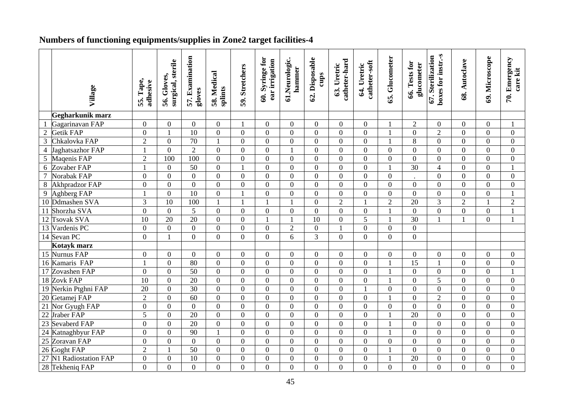# **Numbers of functioning equipments/supplies in Zone2 target facilities-4**

|                 | Village              | 55. Tape,<br>adhesive | surgical, sterile<br>56. Gloves, | 57. Examination<br>gloves | 58. Medical<br>splints | 59. Stretchers   | 60. Syringe for<br>ear irrigation | 61.Neurologic.<br>hammer | 62. Disposable<br>cups | catheter-hard<br>63. Uretric | catheter-soft<br>64. Uretric | 65. Glucometer | 66. Tests for<br>glucometer | boxes for instr.-s<br>67. Sterilization | 68. Autoclave    | 69. Microscope | 70. Emergency<br>care kit |
|-----------------|----------------------|-----------------------|----------------------------------|---------------------------|------------------------|------------------|-----------------------------------|--------------------------|------------------------|------------------------------|------------------------------|----------------|-----------------------------|-----------------------------------------|------------------|----------------|---------------------------|
|                 |                      |                       |                                  |                           |                        |                  |                                   |                          |                        |                              |                              |                |                             |                                         |                  |                |                           |
|                 | Gegharkunik marz     |                       |                                  |                           |                        |                  |                                   |                          |                        |                              |                              |                |                             |                                         |                  |                |                           |
|                 | Gagarinavan FAP      | $\boldsymbol{0}$      | $\overline{0}$                   | $\overline{0}$            | $\overline{0}$         | 1                | $\overline{0}$                    | $\overline{0}$           | $\Omega$               | $\overline{0}$               | $\mathbf{0}$                 |                | $\overline{2}$              | $\overline{0}$                          | $\overline{0}$   | $\overline{0}$ | $\mathbf{1}$              |
| $\overline{2}$  | Getik FAP            | $\boldsymbol{0}$      | 1                                | 10                        | $\Omega$               | $\Omega$         | $\Omega$                          | $\theta$                 | $\Omega$               | $\theta$                     | $\boldsymbol{0}$             |                | $\Omega$                    | $\overline{2}$                          | $\Omega$         | $\overline{0}$ | $\overline{0}$            |
| $\overline{3}$  | Chkalovka FAP        | $\sqrt{2}$            | $\boldsymbol{0}$                 | $\overline{70}$           | $\mathbf{1}$           | $\overline{0}$   | $\overline{0}$                    | $\overline{0}$           | $\mathbf{0}$           | $\overline{0}$               | $\boldsymbol{0}$             |                | 8                           | $\overline{0}$                          | $\overline{0}$   | $\overline{0}$ | $\overline{0}$            |
| $\overline{4}$  | Jaghatsazhor FAP     | $\mathbf{1}$          | $\mathbf{0}$                     | $\overline{2}$            | $\overline{0}$         | $\Omega$         | $\boldsymbol{0}$                  | 1                        | $\overline{0}$         | $\boldsymbol{0}$             | $\overline{0}$               | $\overline{0}$ | $\overline{0}$              | $\theta$                                | $\overline{0}$   | $\overline{0}$ | $\overline{0}$            |
| $\overline{5}$  | Maqenis FAP          | $\overline{2}$        | 100                              | 100                       | $\overline{0}$         | $\theta$         | $\overline{0}$                    | $\overline{0}$           | $\overline{0}$         | $\overline{0}$               | $\overline{0}$               | $\overline{0}$ | $\overline{0}$              | $\overline{0}$                          | $\overline{0}$   | $\overline{0}$ | $\overline{0}$            |
| $6\,$           | Zovaber FAP          | $\mathbf{1}$          | $\boldsymbol{0}$                 | $\overline{50}$           | $\boldsymbol{0}$       | $\mathbf{1}$     | $\mathbf{0}$                      | $\overline{0}$           | $\boldsymbol{0}$       | $\mathbf{0}$                 | $\boldsymbol{0}$             |                | $\overline{30}$             | $\overline{4}$                          | $\overline{0}$   | $\overline{0}$ | $\mathbf{1}$              |
| $\overline{7}$  | Norabak FAP          | $\boldsymbol{0}$      | $\overline{0}$                   | $\mathbf{0}$              | $\mathbf{0}$           | $\overline{0}$   | $\mathbf{0}$                      | $\overline{0}$           | $\boldsymbol{0}$       | $\mathbf{0}$                 | $\overline{0}$               | $\overline{0}$ |                             | $\overline{0}$                          | $\overline{0}$   | $\overline{0}$ | $\mathbf{0}$              |
| $\,8\,$         | Akhpradzor FAP       | $\overline{0}$        | $\overline{0}$                   | $\overline{0}$            | $\overline{0}$         | $\theta$         | $\overline{0}$                    | $\overline{0}$           | $\overline{0}$         | $\overline{0}$               | $\overline{0}$               | $\overline{0}$ | $\overline{0}$              | $\overline{0}$                          | $\theta$         | $\overline{0}$ | $\overline{0}$            |
| $\overline{9}$  | Aghberg FAP          | $\mathbf{1}$          | $\mathbf{0}$                     | 10                        | $\overline{0}$         | $\mathbf{1}$     | $\overline{0}$                    | $\overline{0}$           | $\mathbf{0}$           | $\overline{0}$               | $\overline{0}$               | $\overline{0}$ | $\Omega$                    | $\theta$                                | $\Omega$         | $\Omega$       | $\mathbf{1}$              |
| 10              | Ddmashen SVA         | 3                     | $\overline{10}$                  | 100                       | $\mathbf{1}$           | $\mathbf{1}$     | $\mathbf{1}$                      |                          | $\mathbf{0}$           | $\overline{2}$               | $\mathbf{1}$                 | $\overline{2}$ | $\overline{20}$             | 3                                       | $\overline{2}$   | $\mathbf{1}$   | $\overline{2}$            |
| 11              | Shorzha SVA          | $\boldsymbol{0}$      | $\mathbf{0}$                     | 5                         | $\overline{0}$         | $\overline{0}$   | $\overline{0}$                    | $\overline{0}$           | $\overline{0}$         | $\overline{0}$               | $\overline{0}$               |                | $\overline{0}$              | $\overline{0}$                          | $\overline{0}$   | $\overline{0}$ | $\mathbf{1}$              |
| $\overline{12}$ | <b>Tsovak SVA</b>    | $\overline{10}$       | 20                               | $\overline{20}$           | $\overline{0}$         | $\overline{0}$   | $\mathbf{1}$                      | $\mathbf{1}$             | $\overline{10}$        | $\overline{0}$               | $\overline{5}$               |                | 30                          |                                         | $\mathbf{1}$     | $\overline{0}$ | $\mathbf{1}$              |
| 13              | Vardenis PC          | $\boldsymbol{0}$      | $\boldsymbol{0}$                 | $\boldsymbol{0}$          | $\boldsymbol{0}$       | $\overline{0}$   | $\overline{0}$                    | $\overline{2}$           | $\boldsymbol{0}$       | $\mathbf{1}$                 | $\boldsymbol{0}$             | $\overline{0}$ | $\overline{0}$              |                                         |                  |                |                           |
|                 | 14 Sevan PC          | $\mathbf{0}$          | $\mathbf{1}$                     | $\mathbf{0}$              | $\overline{0}$         | $\overline{0}$   | $\overline{0}$                    | 6                        | 3                      | $\overline{0}$               | $\overline{0}$               | $\overline{0}$ | $\overline{0}$              |                                         |                  |                |                           |
|                 | Kotayk marz          |                       |                                  |                           |                        |                  |                                   |                          |                        |                              |                              |                |                             |                                         |                  |                |                           |
|                 | 15 Nurnus FAP        | $\boldsymbol{0}$      | $\overline{0}$                   | $\overline{0}$            | $\overline{0}$         | $\Omega$         | $\overline{0}$                    | $\theta$                 | $\overline{0}$         | $\overline{0}$               | $\overline{0}$               | $\overline{0}$ | $\Omega$                    | $\overline{0}$                          | $\overline{0}$   | $\Omega$       | $\overline{0}$            |
|                 | 16 Kamaris FAP       | $\mathbf{1}$          | $\mathbf{0}$                     | 80                        | $\overline{0}$         | $\overline{0}$   | $\overline{0}$                    | $\overline{0}$           | $\overline{0}$         | $\overline{0}$               | $\overline{0}$               | $\mathbf{1}$   | 15                          | $\overline{1}$                          | $\theta$         | $\overline{0}$ | $\mathbf{0}$              |
|                 | 17 Zovashen FAP      | $\mathbf{0}$          | $\mathbf{0}$                     | 50                        | $\overline{0}$         | $\overline{0}$   | $\overline{0}$                    | $\overline{0}$           | $\overline{0}$         | $\overline{0}$               | $\overline{0}$               |                | $\overline{0}$              | $\overline{0}$                          | $\theta$         | $\overline{0}$ | $\mathbf{1}$              |
|                 | 18 Zovk FAP          | $\overline{10}$       | $\overline{0}$                   | $\overline{20}$           | $\overline{0}$         | $\Omega$         | $\overline{0}$                    | $\overline{0}$           | $\mathbf{0}$           | $\overline{0}$               | $\overline{0}$               |                | $\Omega$                    | 5                                       | $\Omega$         | $\Omega$       | $\overline{0}$            |
|                 | 19 Nerkin Ptghni FAP | 20                    | $\overline{0}$                   | $\overline{30}$           | $\mathbf{0}$           | $\overline{0}$   | $\overline{0}$                    | $\overline{0}$           | $\boldsymbol{0}$       | $\mathbf{0}$                 | $\mathbf{1}$                 | $\overline{0}$ | $\overline{0}$              | $\overline{0}$                          | $\overline{0}$   | $\overline{0}$ | $\boldsymbol{0}$          |
|                 | 20 Getamej FAP       | $\overline{2}$        | $\overline{0}$                   | 60                        | $\mathbf{0}$           | $\overline{0}$   | $\overline{0}$                    | $\overline{0}$           | $\boldsymbol{0}$       | $\overline{0}$               | $\overline{0}$               |                | $\theta$                    | $\overline{2}$                          | $\theta$         | $\overline{0}$ | $\mathbf{0}$              |
| $\overline{21}$ | Nor Gyugh FAP        | $\overline{0}$        | $\overline{0}$                   | $\mathbf{0}$              | $\overline{0}$         | $\theta$         | $\overline{0}$                    | $\overline{0}$           | $\overline{0}$         | $\mathbf{0}$                 | $\overline{0}$               | $\overline{0}$ | $\overline{0}$              | $\overline{0}$                          | $\theta$         | $\overline{0}$ | $\boldsymbol{0}$          |
|                 | 22 Jraber FAP        | 5                     | $\boldsymbol{0}$                 | $\overline{20}$           | $\overline{0}$         | $\Omega$         | $\Omega$                          | $\Omega$                 | $\overline{0}$         | $\overline{0}$               | $\boldsymbol{0}$             | $\mathbf{1}$   | $\overline{20}$             | $\theta$                                | $\Omega$         | $\Omega$       | $\overline{0}$            |
| 23              | Sevaberd FAP         | $\boldsymbol{0}$      | $\boldsymbol{0}$                 | 20                        | $\mathbf{0}$           | $\overline{0}$   | $\overline{0}$                    | $\overline{0}$           | $\boldsymbol{0}$       | $\mathbf{0}$                 | $\overline{0}$               | $\mathbf{1}$   | $\overline{0}$              | $\overline{0}$                          | $\overline{0}$   | $\overline{0}$ | $\boldsymbol{0}$          |
| 24              | Katnaghbyur FAP      | $\boldsymbol{0}$      | $\overline{0}$                   | 90                        | $\mathbf{1}$           | $\Omega$         | $\overline{0}$                    | $\overline{0}$           | $\overline{0}$         | $\mathbf{0}$                 | $\overline{0}$               | $\mathbf{1}$   | $\overline{0}$              | $\overline{0}$                          | $\overline{0}$   | $\overline{0}$ | $\mathbf{0}$              |
|                 | 25 Zoravan FAP       | $\overline{0}$        | $\overline{0}$                   | $\boldsymbol{0}$          | $\overline{0}$         | $\overline{0}$   | $\overline{0}$                    | $\overline{0}$           | $\overline{0}$         | $\overline{0}$               | $\overline{0}$               | $\overline{0}$ | $\overline{0}$              | $\overline{0}$                          | $\overline{0}$   | $\overline{0}$ | $\overline{0}$            |
| $\overline{26}$ | Goght FAP            | $\sqrt{2}$            | $\mathbf{1}$                     | $\overline{50}$           | $\boldsymbol{0}$       | $\boldsymbol{0}$ | $\overline{0}$                    | $\overline{0}$           | $\boldsymbol{0}$       | $\boldsymbol{0}$             | $\mathbf{0}$                 | $\mathbf{1}$   | $\overline{0}$              | $\overline{0}$                          | $\overline{0}$   | $\overline{0}$ | $\boldsymbol{0}$          |
| 27              | N1 Radiostation FAP  | $\boldsymbol{0}$      | $\boldsymbol{0}$                 | 10                        | $\boldsymbol{0}$       | $\boldsymbol{0}$ | $\boldsymbol{0}$                  | $\overline{0}$           | $\boldsymbol{0}$       | $\mathbf{0}$                 | $\overline{0}$               | $\mathbf{1}$   | 20                          | $\boldsymbol{0}$                        | $\boldsymbol{0}$ | $\overline{0}$ | $\mathbf{0}$              |
|                 | 28 Tekheniq FAP      | $\overline{0}$        | $\mathbf{0}$                     | $\mathbf{0}$              | $\overline{0}$         | $\overline{0}$   | $\overline{0}$                    | $\overline{0}$           | $\overline{0}$         | $\overline{0}$               | $\overline{0}$               | $\overline{0}$ | $\overline{0}$              | $\overline{0}$                          | $\overline{0}$   | $\overline{0}$ | $\overline{0}$            |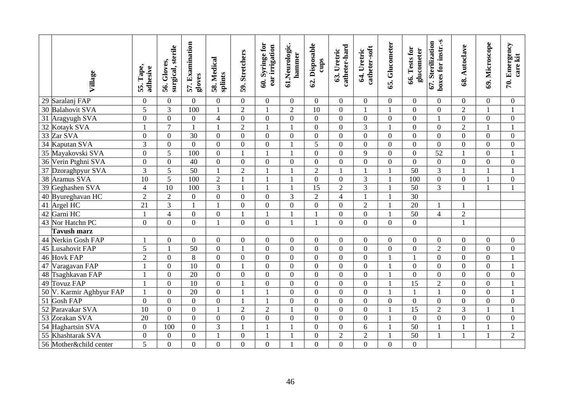|                 | Village                  | 55. Tape,<br>adhesive | surgical, sterile<br>56. Gloves, | 57. Examination<br>gloves | 58. Medical<br>splints | 59. Stretchers | 60. Syringe for<br>ear irrigation | 61.Neurologic.<br>hammer | 62. Disposable<br>cups | catheter-hard<br>63. Uretric | catheter-soft<br>64. Uretric | 65. Glucometer   | 66. Tests for<br>glucometer | boxes for instr.-s<br>67. Sterilization | 68. Autoclave  | 69. Microscope | 70. Emergency<br>care kit |
|-----------------|--------------------------|-----------------------|----------------------------------|---------------------------|------------------------|----------------|-----------------------------------|--------------------------|------------------------|------------------------------|------------------------------|------------------|-----------------------------|-----------------------------------------|----------------|----------------|---------------------------|
|                 | 29 Saralanj FAP          | $\mathbf{0}$          | $\overline{0}$                   | $\theta$                  | $\Omega$               | $\overline{0}$ | $\overline{0}$                    | $\overline{0}$           | $\overline{0}$         | $\overline{0}$               | $\overline{0}$               | $\overline{0}$   | $\Omega$                    | $\theta$                                | $\overline{0}$ | $\overline{0}$ | $\overline{0}$            |
| $\overline{30}$ | <b>Balahovit SVA</b>     | 5                     | 3                                | 100                       | $\mathbf{1}$           | $\overline{2}$ | $\mathbf{1}$                      | $\overline{2}$           | 10                     | $\boldsymbol{0}$             | $\mathbf{1}$                 | 1                | $\overline{0}$              | $\overline{0}$                          | $\overline{2}$ | $\mathbf{1}$   | $\mathbf{1}$              |
| 31              | Aragyugh SVA             | $\boldsymbol{0}$      | $\overline{0}$                   | $\overline{0}$            | $\overline{4}$         | $\mathbf{0}$   | $\overline{0}$                    | $\overline{0}$           | $\boldsymbol{0}$       | $\boldsymbol{0}$             | $\boldsymbol{0}$             | $\overline{0}$   | $\overline{0}$              |                                         | $\overline{0}$ | $\overline{0}$ | $\mathbf{0}$              |
| $\overline{32}$ | Kotayk SVA               | $\mathbf{1}$          | $\overline{7}$                   |                           |                        | $\overline{2}$ | $\mathbf{1}$                      |                          | $\overline{0}$         | $\overline{0}$               | $\overline{3}$               |                  | $\theta$                    | $\theta$                                | $\overline{2}$ |                | $\mathbf{1}$              |
|                 | 33 Zar SVA               | $\boldsymbol{0}$      | $\mathbf{0}$                     | 30                        | $\overline{0}$         | $\overline{0}$ | $\overline{0}$                    | $\overline{0}$           | $\boldsymbol{0}$       | $\mathbf{0}$                 | $\boldsymbol{0}$             | $\boldsymbol{0}$ | $\overline{0}$              | $\theta$                                | $\overline{0}$ | $\overline{0}$ | $\mathbf{0}$              |
|                 | 34 Kaputan SVA           | $\overline{3}$        | $\mathbf{0}$                     | $\theta$                  | $\Omega$               | $\Omega$       | $\overline{0}$                    |                          | $\overline{5}$         | $\mathbf{0}$                 | $\boldsymbol{0}$             | $\overline{0}$   | $\Omega$                    | $\Omega$                                | $\Omega$       | $\Omega$       | $\Omega$                  |
|                 | 35 Mayakovski SVA        | $\boldsymbol{0}$      | $\overline{5}$                   | 100                       | $\overline{0}$         | $\mathbf{1}$   | $\mathbf{1}$                      |                          | $\boldsymbol{0}$       | $\mathbf{0}$                 | $\overline{9}$               | $\overline{0}$   | $\boldsymbol{0}$            | 52                                      | $\mathbf{1}$   | $\overline{0}$ | $\mathbf{1}$              |
|                 | 36 Verin Ptghni SVA      | $\boldsymbol{0}$      | $\boldsymbol{0}$                 | 40                        | $\overline{0}$         | $\overline{0}$ | $\overline{0}$                    | $\overline{0}$           | $\overline{0}$         | $\mathbf{0}$                 | $\overline{0}$               | $\boldsymbol{0}$ | $\overline{0}$              | $\overline{0}$                          | $\overline{0}$ | $\overline{0}$ | $\overline{0}$            |
|                 | 37 Dzoraghpyur SVA       | 3                     | 5                                | 50                        | $\mathbf{1}$           | $\overline{2}$ | $\mathbf{1}$                      |                          | $\overline{2}$         | $\mathbf{1}$                 | $\mathbf{1}$                 | 1                | 50                          | 3                                       | $\mathbf{1}$   | 1              | $\mathbf{1}$              |
|                 | 38 Aramus SVA            | 10                    | $\overline{5}$                   | 100                       | $\overline{2}$         |                |                                   |                          | $\mathbf{0}$           | $\boldsymbol{0}$             | $\overline{3}$               |                  | $\overline{100}$            | $\overline{0}$                          | $\overline{0}$ |                | $\overline{0}$            |
|                 | 39 Geghashen SVA         | $\overline{4}$        | $\overline{10}$                  | 100                       | 3                      | $\mathbf{1}$   | $\mathbf{1}$                      |                          | $\overline{15}$        | $\overline{2}$               | $\overline{3}$               | 1                | $\overline{50}$             | $\overline{3}$                          | $\mathbf{1}$   | $\mathbf{1}$   | $\mathbf{1}$              |
|                 | 40 Byureghavan HC        | $\overline{2}$        | $\overline{2}$                   | $\overline{0}$            | $\mathbf{0}$           | $\overline{0}$ | $\overline{0}$                    | $\overline{3}$           | $\overline{2}$         | $\overline{4}$               | $\mathbf{1}$                 |                  | $\overline{30}$             |                                         |                |                |                           |
|                 | 41 Argel HC              | $\overline{21}$       | $\overline{3}$                   |                           |                        | $\overline{0}$ | $\overline{0}$                    | $\overline{0}$           | $\overline{0}$         | $\overline{0}$               | $\overline{2}$               |                  | $\overline{20}$             |                                         | $\mathbf{1}$   |                |                           |
|                 | 42 Garni HC              | $\mathbf{1}$          | $\overline{4}$                   | $\overline{0}$            | $\boldsymbol{0}$       | $\mathbf{1}$   | $\mathbf{1}$                      |                          |                        | $\boldsymbol{0}$             | $\overline{0}$               |                  | $\overline{50}$             | $\overline{4}$                          | $\overline{2}$ |                |                           |
|                 | 43 Nor Hatchn PC         | $\theta$              | $\overline{0}$                   | $\Omega$                  |                        | $\Omega$       | $\overline{0}$                    |                          |                        | $\theta$                     | $\overline{0}$               | $\overline{0}$   | $\theta$                    |                                         | $\mathbf{1}$   |                |                           |
|                 | Tavush marz              |                       |                                  |                           |                        |                |                                   |                          |                        |                              |                              |                  |                             |                                         |                |                |                           |
|                 | 44 Nerkin Gosh FAP       | 1                     | $\overline{0}$                   | $\Omega$                  | $\Omega$               | $\overline{0}$ | $\overline{0}$                    | $\Omega$                 | $\overline{0}$         | $\overline{0}$               | $\overline{0}$               | $\Omega$         | $\Omega$                    | $\Omega$                                | $\Omega$       | $\Omega$       | $\Omega$                  |
| 45              | Lusahovit FAP            | $\overline{5}$        |                                  | 50                        | $\boldsymbol{0}$       | $\mathbf{1}$   | $\overline{0}$                    | $\boldsymbol{0}$         | $\boldsymbol{0}$       | $\boldsymbol{0}$             | $\boldsymbol{0}$             | $\overline{0}$   | $\overline{0}$              | $\overline{2}$                          | $\overline{0}$ | $\overline{0}$ | $\boldsymbol{0}$          |
| 46              | <b>Hovk FAP</b>          | $\overline{2}$        | $\boldsymbol{0}$                 | 8                         | $\boldsymbol{0}$       | $\overline{0}$ | $\overline{0}$                    | $\overline{0}$           | $\boldsymbol{0}$       | $\mathbf{0}$                 | $\boldsymbol{0}$             | 1                | $\mathbf{1}$                | $\overline{0}$                          | $\overline{0}$ | $\overline{0}$ | $\mathbf{1}$              |
| 47              | Varagavan FAP            | $\mathbf{1}$          | $\overline{0}$                   | 10                        | $\Omega$               |                | $\overline{0}$                    | $\Omega$                 | $\overline{0}$         | $\mathbf{0}$                 | $\boldsymbol{0}$             |                  | $\Omega$                    | $\theta$                                | $\overline{0}$ | $\Omega$       | -1                        |
|                 | 48 Tsaghkavan FAP        | $\mathbf{1}$          | $\overline{0}$                   | $\overline{20}$           | $\overline{0}$         | $\overline{0}$ | $\overline{0}$                    | $\overline{0}$           | $\mathbf{0}$           | $\overline{0}$               | $\overline{0}$               |                  | $\overline{0}$              | $\overline{0}$                          | $\overline{0}$ | $\overline{0}$ | $\mathbf{0}$              |
|                 | 49 Tovuz FAP             | $\mathbf{1}$          | $\overline{0}$                   | 10                        | $\overline{0}$         |                | $\overline{0}$                    | $\overline{0}$           | $\boldsymbol{0}$       | $\boldsymbol{0}$             | $\boldsymbol{0}$             |                  | $\overline{15}$             | $\overline{2}$                          | $\overline{0}$ | $\overline{0}$ | $\mathbf{1}$              |
|                 | 50 V. Karmir Aghbyur FAP | $\mathbf{1}$          | $\overline{0}$                   | $\overline{20}$           | $\theta$               |                |                                   | $\overline{0}$           | $\overline{0}$         | $\mathbf{0}$                 | $\mathbf{0}$                 |                  |                             |                                         | $\theta$       | $\overline{0}$ |                           |
|                 | $\overline{51}$ Gosh FAP | $\boldsymbol{0}$      | $\mathbf{0}$                     | $\overline{0}$            | $\overline{0}$         | $\mathbf{1}$   | $\overline{1}$                    | $\overline{0}$           | $\mathbf{0}$           | $\boldsymbol{0}$             | $\overline{0}$               | $\overline{0}$   | $\overline{0}$              | $\overline{0}$                          | $\overline{0}$ | $\overline{0}$ | $\boldsymbol{0}$          |
| $\overline{52}$ | Paravakar SVA            | 10                    | $\mathbf{0}$                     | $\overline{0}$            |                        | $\overline{2}$ | $\overline{2}$                    |                          | $\boldsymbol{0}$       | $\mathbf{0}$                 | $\overline{0}$               |                  | $\overline{15}$             | $\overline{2}$                          | $\overline{3}$ | $\mathbf{1}$   | $\mathbf{1}$              |
|                 | 53 Zorakan SVA           | 20                    | $\overline{0}$                   | $\theta$                  | $\overline{0}$         | $\overline{0}$ | $\overline{0}$                    | $\overline{0}$           | $\boldsymbol{0}$       | $\mathbf{0}$                 | $\overline{0}$               | $\mathbf{1}$     | $\overline{0}$              | $\Omega$                                | $\overline{0}$ | $\overline{0}$ | $\overline{0}$            |
|                 | 54 Haghartsin SVA        | $\boldsymbol{0}$      | 100                              | $\overline{0}$            | 3                      | $\mathbf{1}$   | 1                                 |                          | $\overline{0}$         | $\boldsymbol{0}$             | 6                            |                  | 50                          |                                         | $\mathbf{1}$   |                | $\mathbf{1}$              |
| $\overline{55}$ | Khashtarak SVA           | $\mathbf{0}$          | $\boldsymbol{0}$                 | $\overline{0}$            |                        | $\overline{0}$ | $\mathbf{1}$                      |                          | $\boldsymbol{0}$       | $\overline{2}$               | $\overline{2}$               |                  | $\overline{50}$             |                                         | $\mathbf{1}$   |                | $\overline{2}$            |
|                 | 56 Mother&child center   | 5                     | $\overline{0}$                   | $\Omega$                  | $\Omega$               | $\Omega$       | $\overline{0}$                    |                          | $\theta$               | $\theta$                     | $\theta$                     | $\Omega$         | $\Omega$                    |                                         |                |                |                           |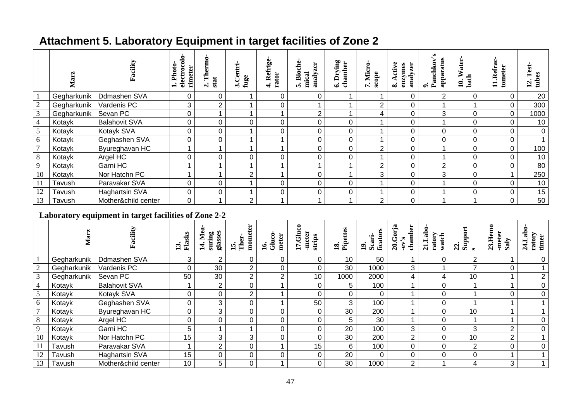# **Attachment 5. Laboratory Equipment in target facilities of Zone 2**

|                | Mar:        | Facility              | ခဲ<br>Photo-<br>electroc<br>rimeter<br>$\div$ | $\mathbf{The}$<br>$2. T$<br>stat | 3.Centri<br>fuge | Refrige-<br>rator<br>$\div$ | 5. Bioche<br>zer<br>mical<br>analyz | Drying<br>chamber<br>ِی | Micro-<br>scope<br>$\bullet$<br>L | Active<br>analyzer<br>enzymes<br>$\dot{\infty}$ | Panchkov's<br>apparatus<br>$\bullet$ | <b>Water</b><br>bath<br>≘ | tometer<br>.Refr<br>$\blacksquare$ | Test.<br>E<br>tub<br>$\mathbf{r}$ |
|----------------|-------------|-----------------------|-----------------------------------------------|----------------------------------|------------------|-----------------------------|-------------------------------------|-------------------------|-----------------------------------|-------------------------------------------------|--------------------------------------|---------------------------|------------------------------------|-----------------------------------|
|                | Gegharkunik | Ddmashen SVA          | 0                                             | 0                                |                  | 0                           | 0                                   |                         |                                   | 0                                               | 2                                    | 0                         | 0                                  | 20                                |
| $\sqrt{2}$     | Gegharkunik | Vardenis PC           | 3                                             | 2                                |                  | 0                           |                                     |                         | $\overline{2}$                    |                                                 |                                      |                           | 0                                  | 300                               |
| 3              | Gegharkunik | Sevan PC              | 0                                             |                                  |                  |                             | $\overline{2}$                      |                         | 4                                 |                                                 | 3                                    | 0                         | $\mathbf 0$                        | 1000                              |
| $\overline{4}$ | Kotayk      | <b>Balahovit SVA</b>  | $\mathbf 0$                                   | 0                                |                  | 0                           | 0                                   | 0                       |                                   |                                                 |                                      | 0                         | 0                                  | 10                                |
| 5              | Kotayk      | Kotayk SVA            | 0                                             | 0                                |                  | 0                           | 0                                   | 0                       |                                   |                                                 | 0                                    | 0                         | 0                                  | $\mathbf 0$                       |
| 6              | Kotayk      | Geghashen SVA         | 0                                             | 0                                |                  |                             | 0                                   | 0                       |                                   |                                                 | 0                                    | 0                         | 0                                  |                                   |
| $\overline{7}$ | Kotayk      | Byureghavan HC        |                                               |                                  |                  |                             | 0                                   | 0                       | $\overline{2}$                    |                                                 |                                      | 0                         | 0                                  | 100                               |
| $8\phantom{.}$ | Kotayk      | Argel HC              | 0                                             | 0                                | 0                | 0                           | 0                                   | 0                       |                                   |                                                 |                                      | 0                         | 0                                  | 10                                |
| 9              | Kotayk      | Garni HC              |                                               |                                  |                  |                             |                                     |                         | $\overline{2}$                    | 0                                               | 2                                    | 0                         | 0                                  | 80                                |
| 10             | Kotayk      | Nor Hatchn PC         |                                               |                                  | 2                |                             | 0                                   |                         | 3                                 |                                                 | 3                                    | 0                         |                                    | 250                               |
| 11             | Tavush      | Paravakar SVA         | 0                                             | 0                                |                  | 0                           | 0                                   | 0                       |                                   |                                                 |                                      | 0                         | 0                                  | 10                                |
| 12             | Tavush      | <b>Haghartsin SVA</b> | 0                                             | 0                                |                  | 0                           | 0                                   | 0                       |                                   |                                                 |                                      | 0                         | $\mathbf 0$                        | 15                                |
| 13             | Tavush      | Mother&child center   | 0                                             |                                  | 2                |                             |                                     |                         | $\overline{2}$                    |                                                 |                                      |                           | 0                                  | 50                                |

### **Laboratory equipment in target facilities of Zone 2-2**

|                | Marz        | cility<br>Ě           | 13.<br>Flasks | glasses<br>$\mathbf{M}$ e<br>suring<br>14. | ter<br>mome<br>Ther.<br>$\mathbf{5}$ | $\boldsymbol{\mathsf{s}}$<br>meter<br>$\tilde{d}$<br>$\mathbf{g}$ | $17.G$ luo<br>-meter<br>strips | ettes<br>È<br>$\overline{18}$ | ficator<br>19.<br>Scari | ಡ<br>ಕ<br>Έ<br>chamb<br>$\frac{C}{20}$<br>S<br>$-eV'$ | Labo.<br>ratory<br>watch<br>$\overline{\mathbf{z}}$ | Support<br>$\mathfrak{a}$ | emo<br>-meter<br>23. H <sub>o</sub><br>Saly | 24.Lab<br>ratory<br>timer |
|----------------|-------------|-----------------------|---------------|--------------------------------------------|--------------------------------------|-------------------------------------------------------------------|--------------------------------|-------------------------------|-------------------------|-------------------------------------------------------|-----------------------------------------------------|---------------------------|---------------------------------------------|---------------------------|
|                | Gegharkunik | Ddmashen SVA          | 3             | $\overline{2}$                             | 0                                    | 0                                                                 | 0                              | 10 <sup>°</sup>               | 50                      |                                                       |                                                     | 2                         |                                             |                           |
| $\overline{2}$ | Gegharkunik | Vardenis PC           | 0             | 30                                         | $\overline{2}$                       | 0                                                                 | 0                              | 30                            | 1000                    | 3                                                     |                                                     | ⇁                         | 0                                           |                           |
| 3              | Gegharkunik | Sevan PC              | 50            | 30                                         | $\overline{2}$                       | $\overline{2}$                                                    | 10 <sup>°</sup>                | 1000                          | 2000                    | 4                                                     | 4                                                   | 10                        |                                             |                           |
| $\overline{4}$ | Kotayk      | <b>Balahovit SVA</b>  |               | 2                                          | $\Omega$                             |                                                                   | 0                              | 5.                            | 100                     |                                                       | $\Omega$                                            |                           |                                             |                           |
| 5              | Kotayk      | Kotayk SVA            | 0             | 0                                          | C                                    |                                                                   |                                | 0                             | 0                       |                                                       |                                                     |                           |                                             |                           |
| 6              | Kotayk      | Geghashen SVA         | $\Omega$      | 3                                          | 0                                    |                                                                   | 50                             | 3                             | 100                     |                                                       |                                                     |                           |                                             |                           |
| $\overline{7}$ | Kotayk      | Byureghavan HC        | 0             | 3                                          | 0                                    | 0                                                                 | 0                              | 30                            | 200                     |                                                       | 0                                                   | 10                        |                                             |                           |
| 8              | Kotayk      | Argel HC              | 0             | 0                                          | 0                                    | 0                                                                 | $\Omega$                       | 5                             | 30                      |                                                       | 0                                                   |                           |                                             |                           |
| 9              | Kotayk      | Garni HC              | 5             |                                            |                                      | 0                                                                 | 0                              | 20                            | 100                     | 3                                                     |                                                     | 3                         | $\overline{2}$                              |                           |
| 10             | Kotayk      | Nor Hatchn PC         | 15            | 3                                          | 3                                    | 0                                                                 |                                | 30                            | 200                     | 2                                                     |                                                     | 10                        | $\overline{2}$                              |                           |
| 11             | Tavush      | Paravakar SVA         |               | 2                                          | 0                                    |                                                                   | 15                             | 6                             | 100                     |                                                       | 0                                                   | $\overline{2}$            | 0                                           | 0                         |
| 12             | Tavush      | <b>Haghartsin SVA</b> | 15            | 0                                          | 0                                    | 0                                                                 | 0                              | 20                            | 0                       | 0                                                     | 0                                                   | 0                         |                                             |                           |
| 13             | Tavush      | Mother&child center   | 10            | 5                                          | $\Omega$                             |                                                                   | $\Omega$                       | 30                            | 1000                    | $\overline{2}$                                        |                                                     | 4                         | 3                                           |                           |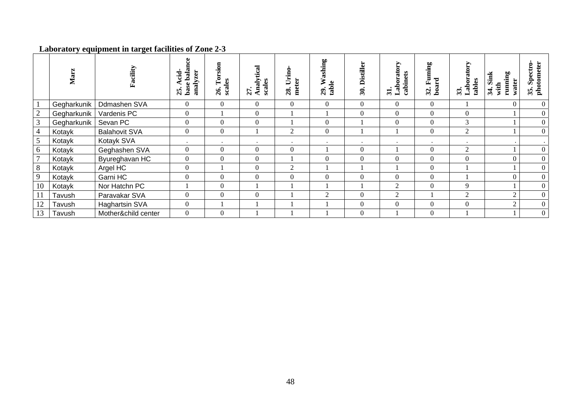#### **Laboratory equipment in target facilities of Zone 2-3**

|                | Marz        | Facility              | e,<br>balaı<br>analyzer<br>E<br>base <sup>1</sup><br>25 | orsion<br>scales<br>⊨<br>26. | Analytical<br>es<br>$\overline{\text{gal}}$<br>$\bullet$<br>27 | oui.<br>Š<br>meter<br>28. | ashing<br>≽<br>≗<br>a<br>29. | stiller<br>Ã<br>30. | Ŋ<br>orato<br>cabinets<br>Lab<br>$\overline{\mathbf{3}}$ | ρg<br>昆<br>32. Fu<br>board | <b>Arope.</b><br>33.<br>Labora<br>tables | running<br>34. Sink<br>water<br>with | Spectro-<br>eter<br>photoi<br>$\bullet$<br>35 |
|----------------|-------------|-----------------------|---------------------------------------------------------|------------------------------|----------------------------------------------------------------|---------------------------|------------------------------|---------------------|----------------------------------------------------------|----------------------------|------------------------------------------|--------------------------------------|-----------------------------------------------|
|                | Gegharkunik | Ddmashen SVA          | $\overline{0}$                                          | $\overline{0}$               | $\overline{0}$                                                 | $\boldsymbol{0}$          | $\boldsymbol{0}$             | $\boldsymbol{0}$    | $\overline{0}$                                           | $\overline{0}$             |                                          | $\theta$                             |                                               |
| $\overline{2}$ | Gegharkunik | Vardenis PC           | $\boldsymbol{0}$                                        |                              | $\boldsymbol{0}$                                               |                           |                              | $\boldsymbol{0}$    | $\overline{0}$                                           | $\overline{0}$             | $\overline{0}$                           |                                      | $\theta$                                      |
| $\overline{3}$ | Gegharkunik | Sevan PC              | $\boldsymbol{0}$                                        | $\overline{0}$               | $\overline{0}$                                                 |                           | $\boldsymbol{0}$             |                     | $\overline{0}$                                           | $\overline{0}$             | 3                                        |                                      | $\boldsymbol{0}$                              |
| $\overline{4}$ | Kotayk      | <b>Balahovit SVA</b>  | $\boldsymbol{0}$                                        | $\overline{0}$               |                                                                | $\overline{c}$            | $\boldsymbol{0}$             |                     |                                                          | $\overline{0}$             | 2                                        |                                      | $\boldsymbol{0}$                              |
| 5              | Kotayk      | Kotayk SVA            | $\bullet$                                               |                              |                                                                |                           | $\bullet$                    |                     |                                                          |                            |                                          |                                      |                                               |
| 6              | Kotayk      | Geghashen SVA         | $\mathbf{0}$                                            | $\boldsymbol{0}$             | $\boldsymbol{0}$                                               | $\boldsymbol{0}$          |                              | $\mathbf{0}$        |                                                          | $\mathbf{0}$               | $\overline{2}$                           |                                      |                                               |
| $\overline{7}$ | Kotayk      | Byureghavan HC        | $\mathbf{0}$                                            | $\boldsymbol{0}$             | $\boldsymbol{0}$                                               |                           | $\Omega$                     | $\boldsymbol{0}$    | $\theta$                                                 | $\Omega$                   | $\Omega$                                 | $\Omega$                             | $\theta$                                      |
| 8              | Kotayk      | Argel HC              | $\mathbf{0}$                                            |                              | $\mathbf{0}$                                                   | $\overline{2}$            |                              |                     |                                                          | $\mathbf{0}$               |                                          |                                      |                                               |
| 9              | Kotayk      | Garni HC              | $\boldsymbol{0}$                                        | $\theta$                     | $\theta$                                                       | $\Omega$                  | $\Omega$                     | $\Omega$            | $\theta$                                                 | $\theta$                   |                                          | $\Omega$                             | $\theta$                                      |
| 10             | Kotayk      | Nor Hatchn PC         |                                                         | $\theta$                     |                                                                |                           |                              |                     | 2                                                        | $\theta$                   | $\mathbf Q$                              |                                      |                                               |
| 11             | Tavush      | Paravakar SVA         | $\overline{0}$                                          | $\Omega$                     | $\boldsymbol{0}$                                               |                           | 2                            | $\Omega$            | 2                                                        |                            | 2                                        | $\overline{2}$                       | $\theta$                                      |
| 12             | Tavush      | <b>Haghartsin SVA</b> | $\mathbf{0}$                                            |                              |                                                                |                           |                              | $\Omega$            | $\theta$                                                 | $\Omega$                   | $\Omega$                                 | $\gamma$                             | $\Omega$                                      |
| 13             | Tavush      | Mother&child center   | $\overline{0}$                                          | $\boldsymbol{0}$             |                                                                |                           |                              | $\boldsymbol{0}$    |                                                          | $\Omega$                   |                                          |                                      | $\mathbf{0}$                                  |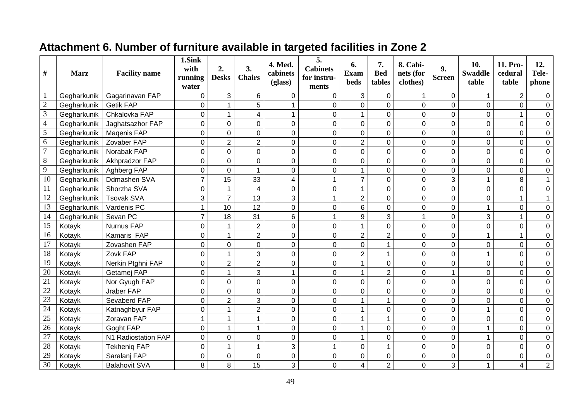# **Attachment 6. Number of furniture available in targeted facilities in Zone 2**

| #               | <b>Marz</b> | <b>Facility name</b> | 1.Sink<br>with<br>running<br>water | 2.<br><b>Desks</b> | 3.<br><b>Chairs</b> | 4. Med.<br>cabinets<br>(glass) | 5.<br><b>Cabinets</b><br>for instru-<br>ments | 6.<br><b>Exam</b><br>beds | 7.<br><b>Bed</b><br>tables | 8. Cabi-<br>nets (for<br>clothes) | 9.<br><b>Screen</b> | 10.<br><b>Swaddle</b><br>table | 11. Pro-<br>cedural<br>table | 12.<br>Tele-<br>phone |
|-----------------|-------------|----------------------|------------------------------------|--------------------|---------------------|--------------------------------|-----------------------------------------------|---------------------------|----------------------------|-----------------------------------|---------------------|--------------------------------|------------------------------|-----------------------|
| $\mathbf{1}$    | Gegharkunik | Gagarinavan FAP      | 0                                  | 3                  | 6                   | 0                              | 0                                             | 3                         | $\mathbf{0}$               |                                   | $\mathbf 0$         | $\mathbf{1}$                   | $\overline{2}$               | 0                     |
| $\sqrt{2}$      | Gegharkunik | <b>Getik FAP</b>     | $\mathbf 0$                        | 1                  | 5                   |                                | 0                                             | $\overline{0}$            | 0                          | $\mathbf 0$                       | $\pmb{0}$           | $\mathbf 0$                    | $\overline{0}$               | $\mathbf 0$           |
| $\overline{3}$  | Gegharkunik | Chkalovka FAP        | $\mathbf 0$                        | $\mathbf{1}$       | $\overline{4}$      |                                | $\Omega$                                      | 1                         | 0                          | $\mathbf 0$                       | $\mathbf 0$         | 0                              | 1                            | $\Omega$              |
| $\overline{4}$  | Gegharkunik | Jaghatsazhor FAP     | $\mathbf 0$                        | 0                  | $\overline{0}$      | 0                              | 0                                             | 0                         | 0                          | $\mathbf 0$                       | $\pmb{0}$           | $\mathbf 0$                    | 0                            | 0                     |
| $\overline{5}$  | Gegharkunik | Magenis FAP          | 0                                  | $\overline{0}$     | $\mathbf 0$         | $\mathbf 0$                    | $\overline{0}$                                | $\overline{0}$            | 0                          | $\mathbf 0$                       | $\pmb{0}$           | 0                              | $\mathbf 0$                  | $\pmb{0}$             |
| 6               | Gegharkunik | Zovaber FAP          | 0                                  | $\overline{2}$     | $\overline{2}$      | $\overline{0}$                 | $\overline{0}$                                | $\overline{2}$            | $\overline{0}$             | $\overline{0}$                    | $\mathbf 0$         | 0                              | $\overline{0}$               | $\pmb{0}$             |
| $\overline{7}$  | Gegharkunik | Norabak FAP          | $\mathbf 0$                        | $\mathbf 0$        | $\mathbf 0$         | 0                              | 0                                             | 0                         | 0                          | 0                                 | $\mathbf 0$         | $\mathbf 0$                    | 0                            | $\mathbf 0$           |
| $\,8\,$         | Gegharkunik | Akhpradzor FAP       | $\overline{0}$                     | $\overline{0}$     | $\mathbf 0$         | $\mathbf 0$                    | $\overline{0}$                                | $\overline{0}$            | 0                          | $\mathbf 0$                       | $\mathsf{O}\xspace$ | 0                              | $\mathbf 0$                  | $\mathbf 0$           |
| 9               | Gegharkunik | Aghberg FAP          | 0                                  | $\overline{0}$     | 1                   | $\mathbf 0$                    | $\mathbf 0$                                   | 1                         | 0                          | $\mathbf 0$                       | $\pmb{0}$           | 0                              | $\mathbf 0$                  | $\pmb{0}$             |
| 10              | Gegharkunik | Ddmashen SVA         | $\overline{7}$                     | 15                 | 33                  | 4                              |                                               | $\overline{7}$            | 0                          | $\mathbf 0$                       | 3                   | 1                              | 8                            | $\mathbf{1}$          |
| 11              | Gegharkunik | Shorzha SVA          | 0                                  | 1                  | 4                   | $\overline{0}$                 | 0                                             | 1                         | 0                          | 0                                 | $\mathbf 0$         | 0                              | $\mathbf 0$                  | $\mathbf 0$           |
| 12              | Gegharkunik | <b>Tsovak SVA</b>    | 3                                  | $\overline{7}$     | 13                  | 3                              |                                               | $\overline{2}$            | $\mathbf 0$                | $\mathbf 0$                       | $\pmb{0}$           | 0                              | $\mathbf{1}$                 |                       |
| 13              | Gegharkunik | Vardenis PC          | $\mathbf{1}$                       | 10                 | 12                  | $\overline{0}$                 | $\overline{0}$                                | 6                         | 0                          | $\mathbf 0$                       | $\mathbf 0$         | $\mathbf{1}$                   | $\mathbf 0$                  | $\overline{0}$        |
| 14              | Gegharkunik | Sevan PC             | $\overline{7}$                     | 18                 | 31                  | 6                              |                                               | 9                         | 3                          |                                   | $\pmb{0}$           | 3                              | $\mathbf{1}$                 | $\pmb{0}$             |
| $\overline{15}$ | Kotayk      | <b>Nurnus FAP</b>    | $\overline{0}$                     | $\mathbf{1}$       | $\overline{2}$      | $\overline{0}$                 | $\overline{0}$                                | 1                         | $\overline{0}$             | $\mathbf 0$                       | $\mathbf 0$         | 0                              | $\overline{0}$               | $\mathbf 0$           |
| 16              | Kotayk      | Kamaris FAP          | 0                                  | $\mathbf{1}$       | $\overline{2}$      | $\overline{0}$                 | $\overline{0}$                                | $\overline{2}$            | $\overline{2}$             | $\overline{0}$                    | $\mathbf 0$         | $\mathbf{1}$                   | $\mathbf{1}$                 | $\pmb{0}$             |
| 17              | Kotayk      | Zovashen FAP         | $\mathbf 0$                        | $\mathbf 0$        | $\mathbf 0$         | 0                              | 0                                             | 0                         | 1                          | 0                                 | $\mathbf 0$         | $\mathbf 0$                    | 0                            | $\mathbf 0$           |
| $\overline{18}$ | Kotayk      | Zovk FAP             | $\overline{0}$                     | $\mathbf{1}$       | 3                   | $\overline{0}$                 | $\overline{0}$                                | $\overline{2}$            | 1                          | $\mathbf 0$                       | $\mathsf{O}\xspace$ | $\mathbf{1}$                   | $\overline{0}$               | $\mathbf 0$           |
| 19              | Kotayk      | Nerkin Ptghni FAP    | $\mathbf 0$                        | $\overline{2}$     | $\overline{2}$      | $\mathbf 0$                    | $\overline{0}$                                | 1                         | 0                          | $\mathbf 0$                       | $\pmb{0}$           | 0                              | 0                            | $\pmb{0}$             |
| $\overline{20}$ | Kotayk      | Getamej FAP          | $\overline{0}$                     | $\mathbf{1}$       | 3                   | 1                              | 0                                             | $\mathbf{1}$              | $\overline{2}$             | $\overline{0}$                    | $\mathbf{1}$        | 0                              | $\overline{0}$               | $\mathbf 0$           |
| $\overline{21}$ | Kotayk      | Nor Gyugh FAP        | 0                                  | $\mathbf 0$        | $\mathbf 0$         | 0                              | $\Omega$                                      | 0                         | 0                          | $\mathbf 0$                       | $\mathbf 0$         | 0                              | 0                            | 0                     |
| 22              | Kotayk      | Jraber FAP           | 0                                  | $\overline{0}$     | $\mathbf 0$         | 0                              | 0                                             | 0                         | $\mathbf 0$                | $\mathbf 0$                       | $\pmb{0}$           | 0                              | $\mathbf 0$                  | 0                     |
| $\overline{23}$ | Kotayk      | Sevaberd FAP         | $\Omega$                           | $\overline{2}$     | 3                   | $\overline{0}$                 | $\overline{0}$                                |                           | 1                          | $\mathbf 0$                       | $\mathbf 0$         | 0                              | $\mathbf 0$                  | $\mathbf 0$           |
| 24              | Kotayk      | Katnaghbyur FAP      | 0                                  | 1                  | $\overline{2}$      | $\mathbf 0$                    | 0                                             | 1                         | 0                          | $\boldsymbol{0}$                  | $\pmb{0}$           | 1                              | $\mathbf 0$                  | $\pmb{0}$             |
| $\overline{25}$ | Kotayk      | Zoravan FAP          | $\mathbf{1}$                       | $\mathbf{1}$       | 1                   | $\overline{0}$                 | 0                                             | 1                         | 1                          | $\mathbf 0$                       | $\mathbf 0$         | 0                              | $\overline{0}$               | $\mathsf{O}\xspace$   |
| $\overline{26}$ | Kotayk      | Goght FAP            | 0                                  | $\mathbf{1}$       | $\mathbf{1}$        | $\overline{0}$                 | 0                                             | $\mathbf{1}$              | 0                          | $\mathbf 0$                       | $\pmb{0}$           | $\mathbf{1}$                   | 0                            | $\pmb{0}$             |
| $\overline{27}$ | Kotayk      | N1 Radiostation FAP  | 0                                  | $\overline{0}$     | $\mathbf 0$         | 0                              | 0                                             | 1                         | 0                          | 0                                 | $\mathbf 0$         | $\mathbf{1}$                   | 0                            | $\boldsymbol{0}$      |
| 28              | Kotayk      | <b>Tekhenig FAP</b>  | $\overline{0}$                     | 1                  | 1                   | 3                              |                                               | 0                         |                            | $\mathbf 0$                       | $\pmb{0}$           | 0                              | $\mathsf 0$                  | $\pmb{0}$             |
| 29              | Kotayk      | Saralanj FAP         | 0                                  | $\mathbf 0$        | $\mathbf 0$         | $\mathbf 0$                    | 0                                             | 0                         | $\overline{0}$             | $\mathbf 0$                       | $\pmb{0}$           | 0                              | 0                            | $\pmb{0}$             |
| $\overline{30}$ | Kotayk      | <b>Balahovit SVA</b> | 8                                  | 8                  | 15                  | 3                              | 0                                             | 4                         | $\overline{2}$             | 0                                 | 3                   | 1                              | 4                            | $\overline{2}$        |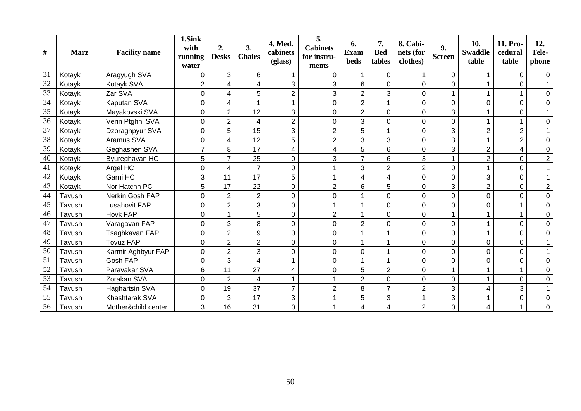| $\#$ | <b>Marz</b> | <b>Facility name</b> | 1.Sink<br>with<br>running<br>water | 2.<br><b>Desks</b> | 3.<br><b>Chairs</b>     | 4. Med.<br>cabinets<br>(glass) | 5.<br><b>Cabinets</b><br>for instru-<br>ments | 6.<br><b>Exam</b><br><b>beds</b> | 7.<br><b>Bed</b><br>tables | 8. Cabi-<br>nets (for<br>clothes) | 9.<br><b>Screen</b> | 10.<br><b>Swaddle</b><br>table | 11. Pro-<br>cedural<br>table | 12.<br>Tele-<br>phone |
|------|-------------|----------------------|------------------------------------|--------------------|-------------------------|--------------------------------|-----------------------------------------------|----------------------------------|----------------------------|-----------------------------------|---------------------|--------------------------------|------------------------------|-----------------------|
| 31   | Kotayk      | Aragyugh SVA         | $\Omega$                           | 3                  | 6                       |                                | 0                                             |                                  | $\Omega$                   |                                   | 0                   | $\mathbf 1$                    | $\overline{0}$               | 0                     |
| 32   | Kotayk      | Kotayk SVA           | $\overline{2}$                     | 4                  | 4                       | 3                              | 3                                             | 6                                | $\Omega$                   | $\overline{0}$                    | 0                   |                                | 0                            |                       |
| 33   | Kotayk      | Zar SVA              | $\mathbf 0$                        | 4                  | 5                       | $\overline{2}$                 | 3                                             | $\overline{2}$                   | 3                          | 0                                 | $\mathbf{1}$        |                                |                              | 0                     |
| 34   | Kotayk      | Kaputan SVA          | $\mathbf 0$                        | 4                  |                         |                                | 0                                             | $\overline{2}$                   |                            | 0                                 | 0                   | 0                              | 0                            | 0                     |
| 35   | Kotayk      | Mayakovski SVA       | 0                                  | $\overline{2}$     | 12                      | 3                              | 0                                             | $\overline{2}$                   | $\Omega$                   | 0                                 | 3                   |                                | 0                            |                       |
| 36   | Kotayk      | Verin Ptghni SVA     | $\mathbf 0$                        | $\overline{2}$     | $\overline{4}$          | $\overline{2}$                 | 0                                             | 3                                | $\mathbf 0$                | 0                                 | 0                   |                                | 1                            | $\Omega$              |
| 37   | Kotayk      | Dzoraghpyur SVA      | 0                                  | 5                  | 15                      | 3                              | $\overline{2}$                                | 5                                |                            | 0                                 | 3                   | $\overline{2}$                 | $\overline{2}$               |                       |
| 38   | Kotayk      | Aramus SVA           | 0                                  | 4                  | 12                      | 5                              | $\overline{2}$                                | 3                                | 3                          | 0                                 | $\overline{3}$      |                                | $\overline{2}$               | $\overline{0}$        |
| 39   | Kotayk      | Geghashen SVA        | $\overline{7}$                     | 8                  | 17                      | 4                              | 4                                             | 5                                | 6                          | 0                                 | 3                   | $\overline{2}$                 | 4                            | $\mathbf 0$           |
| 40   | Kotayk      | Byureghavan HC       | 5                                  | $\overline{7}$     | 25                      | 0                              | 3                                             | $\overline{7}$                   | $6\phantom{1}$             | 3                                 | $\mathbf{1}$        | $\overline{2}$                 | 0                            | $\boldsymbol{2}$      |
| 41   | Kotayk      | Argel HC             | $\mathbf 0$                        | 4                  | $\overline{7}$          | 0                              |                                               | 3                                | $\overline{2}$             | 2                                 | 0                   |                                | 0                            |                       |
| 42   | Kotayk      | Garni HC             | 3                                  | 11                 | 17                      | 5                              |                                               | 4                                | 4                          | 0                                 | $\overline{0}$      | 3                              | 0                            |                       |
| 43   | Kotayk      | Nor Hatchn PC        | 5                                  | 17                 | 22                      | 0                              | $\overline{2}$                                | 6                                | 5                          | 0                                 | 3                   | $\overline{2}$                 | 0                            | $\overline{c}$        |
| 44   | Tavush      | Nerkin Gosh FAP      | $\mathbf 0$                        | $\overline{2}$     | $\overline{2}$          | 0                              | 0                                             |                                  | $\mathbf 0$                | 0                                 | $\mathbf 0$         | $\overline{0}$                 | $\overline{0}$               | $\mathbf 0$           |
| 45   | Tavush      | <b>Lusahovit FAP</b> | $\mathbf 0$                        | $\overline{c}$     | 3                       | 0                              |                                               |                                  | $\mathbf 0$                | 0                                 | 0                   | $\mathbf 0$                    |                              | $\overline{0}$        |
| 46   | Tavush      | <b>Hovk FAP</b>      | $\mathbf 0$                        | 1                  | 5                       | 0                              | $\overline{2}$                                |                                  | $\Omega$                   | 0                                 | $\mathbf{1}$        |                                | 1                            | $\Omega$              |
| 47   | Tavush      | Varagavan FAP        | $\mathbf 0$                        | 3                  | 8                       | 0                              | 0                                             | $\overline{2}$                   | $\mathbf 0$                | 0                                 | 0                   |                                | 0                            | $\overline{0}$        |
| 48   | Tavush      | Tsaghkavan FAP       | $\mathbf 0$                        | $\overline{2}$     | 9                       | 0                              | 0                                             |                                  |                            | 0                                 | 0                   |                                | 0                            | $\overline{0}$        |
| 49   | Tavush      | <b>Tovuz FAP</b>     | $\mathbf 0$                        | $\overline{2}$     | $\overline{2}$          | 0                              | 0                                             |                                  |                            | 0                                 | 0                   | $\mathbf 0$                    | 0                            |                       |
| 50   | Tavush      | Karmir Aghbyur FAP   | $\mathbf 0$                        | $\overline{2}$     | 3                       | 0                              | 0                                             | 0                                |                            | 0                                 | 0                   | 0                              | $\overline{0}$               |                       |
| 51   | Tavush      | Gosh FAP             | $\mathbf 0$                        | 3                  | $\overline{\mathbf{4}}$ |                                | 0                                             |                                  | -1                         | 0                                 | $\mathsf 0$         | 0                              | 0                            | $\Omega$              |
| 52   | Tavush      | Paravakar SVA        | 6                                  | 11                 | 27                      | 4                              | 0                                             | 5                                | $\overline{2}$             | 0                                 | $\mathbf{1}$        |                                | 1                            | $\overline{0}$        |
| 53   | Tavush      | Zorakan SVA          | 0                                  | $\overline{2}$     | 4                       |                                |                                               | $\overline{2}$                   | 0                          | 0                                 | 0                   |                                | 0                            | $\Omega$              |
| 54   | Tavush      | Haghartsin SVA       | 0                                  | 19                 | 37                      | $\overline{7}$                 | $\overline{2}$                                | 8                                | $\overline{7}$             | $\overline{2}$                    | 3                   | 4                              | 3                            |                       |
| 55   | Tavush      | Khashtarak SVA       | 0                                  | 3                  | 17                      | 3                              |                                               | 5                                | $\mathbf{3}$               | 1                                 | 3                   |                                | 0                            | 0                     |
| 56   | Tavush      | Mother&child center  | 3                                  | 16                 | 31                      | 0                              |                                               | 4                                | 4                          | $\overline{2}$                    | 0                   | 4                              | 1                            | $\Omega$              |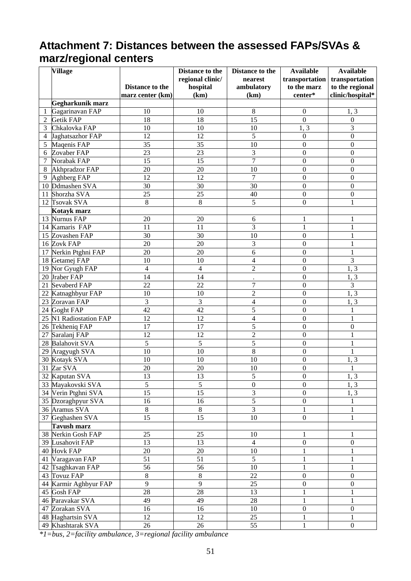# **Attachment 7: Distances between the assessed FAPs/SVAs & marz/regional centers**

| hospital<br>ambulatory<br>to the marz<br>to the regional<br>Distance to the<br>clinic/hospital*<br>(km)<br>center*<br>marz center (km)<br>(km)<br>Gegharkunik marz<br>Gagarinavan FAP<br>8<br>$1, \overline{3}$<br>10<br>10<br>$\boldsymbol{0}$<br>1<br>$\overline{15}$<br><b>Getik FAP</b><br>18<br>18<br>$\overline{0}$<br>$\boldsymbol{0}$<br>$\overline{2}$<br>$\overline{\mathbf{3}}$<br>10<br>$10\,$<br>10<br>Chkalovka FAP<br>1, 3<br>3<br>5<br>12<br>12<br>$\boldsymbol{0}$<br>Jaghatsazhor FAP<br>$\boldsymbol{0}$<br>4<br>$\overline{35}$<br>$\overline{10}$<br>Maqenis FAP<br>35<br>$\boldsymbol{0}$<br>$\boldsymbol{0}$<br>5<br>$\overline{23}$<br>3<br>Zovaber FAP<br>23<br>$\boldsymbol{0}$<br>$\boldsymbol{0}$<br>6<br>$\overline{7}$<br>$\overline{15}$<br>15<br>$\boldsymbol{0}$<br>$\overline{7}$<br>Norabak FAP<br>$\boldsymbol{0}$<br>20<br>20<br>10<br>$\boldsymbol{0}$<br>$\boldsymbol{0}$<br>Akhpradzor FAP<br>8<br>$\overline{7}$<br>12<br>12<br>$\mathbf{0}$<br>$\boldsymbol{0}$<br>Aghberg FAP<br>9<br>$\overline{30}$<br>$\overline{30}$<br>$\overline{30}$<br>10 Ddmashen SVA<br>$\mathbf{0}$<br>$\boldsymbol{0}$<br>11 Shorzha SVA<br>25<br>25<br>40<br>$\boldsymbol{0}$<br>$\boldsymbol{0}$<br>8<br>5<br>12 Tsovak SVA<br>8<br>$\mathbf{1}$<br>$\boldsymbol{0}$<br>Kotayk marz<br>13 Nurnus FAP<br>20<br>20<br>6<br>$\mathbf{1}$<br>1<br>3<br>14 Kamaris FAP<br>11<br>11<br>$\mathbf{1}$<br>$\mathbf 1$<br>$\overline{30}$<br>$\overline{10}$<br>30<br>$\mathbf 1$<br>15 Zovashen FAP<br>$\boldsymbol{0}$<br>20<br>20<br>3<br>$\mathbf 1$<br>16 Zovk FAP<br>$\boldsymbol{0}$<br>20<br>20<br>6<br>$\mathbf{1}$<br>17 Nerkin Ptghni FAP<br>$\boldsymbol{0}$<br>$\overline{3}$<br>10<br>10<br>4<br>$\boldsymbol{0}$<br>18 Getamej FAP<br>$\overline{c}$<br>19 Nor Gyugh FAP<br>$\overline{4}$<br>$\overline{4}$<br>1, 3<br>$\boldsymbol{0}$<br>1, 3<br>20 Jraber FAP<br>14<br>14<br>$\boldsymbol{0}$<br>$\bullet$<br>$\overline{3}$<br>22<br>22<br>$\overline{7}$<br>$\boldsymbol{0}$<br>21 Sevaberd FAP<br>$\overline{2}$<br>10<br>10<br>$\boldsymbol{0}$<br>1, 3<br>22 Katnaghbyur FAP<br>3<br>3<br>$\overline{\mathcal{L}}$<br>1, 3<br>23 Zoravan FAP<br>$\boldsymbol{0}$<br>$\overline{42}$<br>$\overline{42}$<br>5<br>24 Goght FAP<br>$\boldsymbol{0}$<br>$\mathbf{1}$<br>$\overline{12}$<br>$\overline{4}$<br>25 N1 Radiostation FAP<br>12<br>$\boldsymbol{0}$<br>$\mathbf{1}$<br>5<br>17<br>17<br>$\boldsymbol{0}$<br>26 Tekheniq FAP<br>$\boldsymbol{0}$<br>$\overline{2}$<br>12<br>12<br>$\mathbf{1}$<br>27 Saralanj FAP<br>$\boldsymbol{0}$<br>5<br>5<br>5<br>28 Balahovit SVA<br>$\mathbf{1}$<br>$\boldsymbol{0}$<br>$\overline{8}$<br>$\overline{10}$<br>10<br>$\boldsymbol{0}$<br>$\mathbf 1$<br>29 Aragyugh SVA<br>30 Kotayk SVA<br>10<br>10<br>10<br>$\boldsymbol{0}$<br>1, 3<br>20<br>20<br>$\boldsymbol{0}$<br>31 Zar SVA<br>10<br>$\mathbf{1}$<br>13<br>32 Kaputan SVA<br>13<br>5<br>1, 3<br>$\boldsymbol{0}$<br>5<br>5<br>$\boldsymbol{0}$<br>1, 3<br>33 Mayakovski SVA<br>$\boldsymbol{0}$<br>$\overline{15}$<br>$\overline{15}$<br>3<br>1, 3<br>34 Verin Ptghni SVA<br>$\boldsymbol{0}$<br>$\overline{5}$<br>35 Dzoraghpyur SVA<br>16<br>16<br>$\boldsymbol{0}$<br>1<br>$\overline{3}$<br>$\overline{8}$<br>$\overline{8}$<br>36 Aramus SVA<br>$\mathbf{1}$<br>$\mathbf{1}$<br>$\overline{15}$<br>$\overline{15}$<br>10<br>$\mathbf{1}$<br>37 Geghashen SVA<br>$\boldsymbol{0}$<br><b>Tavush marz</b><br>38 Nerkin Gosh FAP<br>25<br>25<br>10<br>1<br>1<br>$\overline{13}$<br>13<br>$\overline{4}$<br>39 Lusahovit FAP<br>$\boldsymbol{0}$<br>$\boldsymbol{0}$<br>20<br>$20\,$<br>$10\,$<br>$\mathbf{1}$<br>$\mathbf{1}$<br>40 Hovk FAP<br>51<br>$\overline{51}$<br>$\overline{5}$<br>41 Varagavan FAP<br>$\mathbf{1}$<br>$\mathbf{1}$<br>$\overline{56}$<br>$\overline{56}$<br>$\overline{10}$<br>$\mathbf{1}$<br>$\mathbf{1}$<br>42 Tsaghkavan FAP<br>$\overline{8}$<br>$\overline{8}$<br>22<br>43 Tovuz FAP<br>$\boldsymbol{0}$<br>$\boldsymbol{0}$<br>$\overline{9}$<br>$\overline{9}$<br>$25\,$<br>44 Karmir Aghbyur FAP<br>$\boldsymbol{0}$<br>$\boldsymbol{0}$<br>$\overline{28}$<br>28<br>$\overline{13}$<br>$\mathbf{1}$<br>45 Gosh FAP<br>$\mathbf{1}$<br>49<br>49<br>$28\,$<br>$\mathbf{1}$<br>$\mathbf{1}$<br>46 Paravakar SVA<br>16<br>16<br>$10\,$<br>$\boldsymbol{0}$<br>$\boldsymbol{0}$<br>47 Zorakan SVA<br>12<br>25<br>12<br>48 Haghartsin SVA<br>$\mathbf{1}$<br>$\mathbf{1}$ | <b>Village</b>    |    | Distance to the  | Distance to the | <b>Available</b> | <b>Available</b> |
|---------------------------------------------------------------------------------------------------------------------------------------------------------------------------------------------------------------------------------------------------------------------------------------------------------------------------------------------------------------------------------------------------------------------------------------------------------------------------------------------------------------------------------------------------------------------------------------------------------------------------------------------------------------------------------------------------------------------------------------------------------------------------------------------------------------------------------------------------------------------------------------------------------------------------------------------------------------------------------------------------------------------------------------------------------------------------------------------------------------------------------------------------------------------------------------------------------------------------------------------------------------------------------------------------------------------------------------------------------------------------------------------------------------------------------------------------------------------------------------------------------------------------------------------------------------------------------------------------------------------------------------------------------------------------------------------------------------------------------------------------------------------------------------------------------------------------------------------------------------------------------------------------------------------------------------------------------------------------------------------------------------------------------------------------------------------------------------------------------------------------------------------------------------------------------------------------------------------------------------------------------------------------------------------------------------------------------------------------------------------------------------------------------------------------------------------------------------------------------------------------------------------------------------------------------------------------------------------------------------------------------------------------------------------------------------------------------------------------------------------------------------------------------------------------------------------------------------------------------------------------------------------------------------------------------------------------------------------------------------------------------------------------------------------------------------------------------------------------------------------------------------------------------------------------------------------------------------------------------------------------------------------------------------------------------------------------------------------------------------------------------------------------------------------------------------------------------------------------------------------------------------------------------------------------------------------------------------------------------------------------------------------------------------------------------------------------------------------------------------------------------------------------------------------------------------------------------------------------------------------------------------------------------------------------------------------------------------------------------------------------------------------------------------------------------------------------------------------------------------------------------------------------------------------------------------------------------------------------------------------------------------------------------------------------------------------------------------------------------------------------------------------------------------------------------------------------|-------------------|----|------------------|-----------------|------------------|------------------|
|                                                                                                                                                                                                                                                                                                                                                                                                                                                                                                                                                                                                                                                                                                                                                                                                                                                                                                                                                                                                                                                                                                                                                                                                                                                                                                                                                                                                                                                                                                                                                                                                                                                                                                                                                                                                                                                                                                                                                                                                                                                                                                                                                                                                                                                                                                                                                                                                                                                                                                                                                                                                                                                                                                                                                                                                                                                                                                                                                                                                                                                                                                                                                                                                                                                                                                                                                                                                                                                                                                                                                                                                                                                                                                                                                                                                                                                                                                                                                                                                                                                                                                                                                                                                                                                                                                                                                                                                                                                   |                   |    | regional clinic/ | nearest         | transportation   | transportation   |
|                                                                                                                                                                                                                                                                                                                                                                                                                                                                                                                                                                                                                                                                                                                                                                                                                                                                                                                                                                                                                                                                                                                                                                                                                                                                                                                                                                                                                                                                                                                                                                                                                                                                                                                                                                                                                                                                                                                                                                                                                                                                                                                                                                                                                                                                                                                                                                                                                                                                                                                                                                                                                                                                                                                                                                                                                                                                                                                                                                                                                                                                                                                                                                                                                                                                                                                                                                                                                                                                                                                                                                                                                                                                                                                                                                                                                                                                                                                                                                                                                                                                                                                                                                                                                                                                                                                                                                                                                                                   |                   |    |                  |                 |                  |                  |
|                                                                                                                                                                                                                                                                                                                                                                                                                                                                                                                                                                                                                                                                                                                                                                                                                                                                                                                                                                                                                                                                                                                                                                                                                                                                                                                                                                                                                                                                                                                                                                                                                                                                                                                                                                                                                                                                                                                                                                                                                                                                                                                                                                                                                                                                                                                                                                                                                                                                                                                                                                                                                                                                                                                                                                                                                                                                                                                                                                                                                                                                                                                                                                                                                                                                                                                                                                                                                                                                                                                                                                                                                                                                                                                                                                                                                                                                                                                                                                                                                                                                                                                                                                                                                                                                                                                                                                                                                                                   |                   |    |                  |                 |                  |                  |
|                                                                                                                                                                                                                                                                                                                                                                                                                                                                                                                                                                                                                                                                                                                                                                                                                                                                                                                                                                                                                                                                                                                                                                                                                                                                                                                                                                                                                                                                                                                                                                                                                                                                                                                                                                                                                                                                                                                                                                                                                                                                                                                                                                                                                                                                                                                                                                                                                                                                                                                                                                                                                                                                                                                                                                                                                                                                                                                                                                                                                                                                                                                                                                                                                                                                                                                                                                                                                                                                                                                                                                                                                                                                                                                                                                                                                                                                                                                                                                                                                                                                                                                                                                                                                                                                                                                                                                                                                                                   |                   |    |                  |                 |                  |                  |
|                                                                                                                                                                                                                                                                                                                                                                                                                                                                                                                                                                                                                                                                                                                                                                                                                                                                                                                                                                                                                                                                                                                                                                                                                                                                                                                                                                                                                                                                                                                                                                                                                                                                                                                                                                                                                                                                                                                                                                                                                                                                                                                                                                                                                                                                                                                                                                                                                                                                                                                                                                                                                                                                                                                                                                                                                                                                                                                                                                                                                                                                                                                                                                                                                                                                                                                                                                                                                                                                                                                                                                                                                                                                                                                                                                                                                                                                                                                                                                                                                                                                                                                                                                                                                                                                                                                                                                                                                                                   |                   |    |                  |                 |                  |                  |
|                                                                                                                                                                                                                                                                                                                                                                                                                                                                                                                                                                                                                                                                                                                                                                                                                                                                                                                                                                                                                                                                                                                                                                                                                                                                                                                                                                                                                                                                                                                                                                                                                                                                                                                                                                                                                                                                                                                                                                                                                                                                                                                                                                                                                                                                                                                                                                                                                                                                                                                                                                                                                                                                                                                                                                                                                                                                                                                                                                                                                                                                                                                                                                                                                                                                                                                                                                                                                                                                                                                                                                                                                                                                                                                                                                                                                                                                                                                                                                                                                                                                                                                                                                                                                                                                                                                                                                                                                                                   |                   |    |                  |                 |                  |                  |
|                                                                                                                                                                                                                                                                                                                                                                                                                                                                                                                                                                                                                                                                                                                                                                                                                                                                                                                                                                                                                                                                                                                                                                                                                                                                                                                                                                                                                                                                                                                                                                                                                                                                                                                                                                                                                                                                                                                                                                                                                                                                                                                                                                                                                                                                                                                                                                                                                                                                                                                                                                                                                                                                                                                                                                                                                                                                                                                                                                                                                                                                                                                                                                                                                                                                                                                                                                                                                                                                                                                                                                                                                                                                                                                                                                                                                                                                                                                                                                                                                                                                                                                                                                                                                                                                                                                                                                                                                                                   |                   |    |                  |                 |                  |                  |
|                                                                                                                                                                                                                                                                                                                                                                                                                                                                                                                                                                                                                                                                                                                                                                                                                                                                                                                                                                                                                                                                                                                                                                                                                                                                                                                                                                                                                                                                                                                                                                                                                                                                                                                                                                                                                                                                                                                                                                                                                                                                                                                                                                                                                                                                                                                                                                                                                                                                                                                                                                                                                                                                                                                                                                                                                                                                                                                                                                                                                                                                                                                                                                                                                                                                                                                                                                                                                                                                                                                                                                                                                                                                                                                                                                                                                                                                                                                                                                                                                                                                                                                                                                                                                                                                                                                                                                                                                                                   |                   |    |                  |                 |                  |                  |
|                                                                                                                                                                                                                                                                                                                                                                                                                                                                                                                                                                                                                                                                                                                                                                                                                                                                                                                                                                                                                                                                                                                                                                                                                                                                                                                                                                                                                                                                                                                                                                                                                                                                                                                                                                                                                                                                                                                                                                                                                                                                                                                                                                                                                                                                                                                                                                                                                                                                                                                                                                                                                                                                                                                                                                                                                                                                                                                                                                                                                                                                                                                                                                                                                                                                                                                                                                                                                                                                                                                                                                                                                                                                                                                                                                                                                                                                                                                                                                                                                                                                                                                                                                                                                                                                                                                                                                                                                                                   |                   |    |                  |                 |                  |                  |
|                                                                                                                                                                                                                                                                                                                                                                                                                                                                                                                                                                                                                                                                                                                                                                                                                                                                                                                                                                                                                                                                                                                                                                                                                                                                                                                                                                                                                                                                                                                                                                                                                                                                                                                                                                                                                                                                                                                                                                                                                                                                                                                                                                                                                                                                                                                                                                                                                                                                                                                                                                                                                                                                                                                                                                                                                                                                                                                                                                                                                                                                                                                                                                                                                                                                                                                                                                                                                                                                                                                                                                                                                                                                                                                                                                                                                                                                                                                                                                                                                                                                                                                                                                                                                                                                                                                                                                                                                                                   |                   |    |                  |                 |                  |                  |
|                                                                                                                                                                                                                                                                                                                                                                                                                                                                                                                                                                                                                                                                                                                                                                                                                                                                                                                                                                                                                                                                                                                                                                                                                                                                                                                                                                                                                                                                                                                                                                                                                                                                                                                                                                                                                                                                                                                                                                                                                                                                                                                                                                                                                                                                                                                                                                                                                                                                                                                                                                                                                                                                                                                                                                                                                                                                                                                                                                                                                                                                                                                                                                                                                                                                                                                                                                                                                                                                                                                                                                                                                                                                                                                                                                                                                                                                                                                                                                                                                                                                                                                                                                                                                                                                                                                                                                                                                                                   |                   |    |                  |                 |                  |                  |
|                                                                                                                                                                                                                                                                                                                                                                                                                                                                                                                                                                                                                                                                                                                                                                                                                                                                                                                                                                                                                                                                                                                                                                                                                                                                                                                                                                                                                                                                                                                                                                                                                                                                                                                                                                                                                                                                                                                                                                                                                                                                                                                                                                                                                                                                                                                                                                                                                                                                                                                                                                                                                                                                                                                                                                                                                                                                                                                                                                                                                                                                                                                                                                                                                                                                                                                                                                                                                                                                                                                                                                                                                                                                                                                                                                                                                                                                                                                                                                                                                                                                                                                                                                                                                                                                                                                                                                                                                                                   |                   |    |                  |                 |                  |                  |
|                                                                                                                                                                                                                                                                                                                                                                                                                                                                                                                                                                                                                                                                                                                                                                                                                                                                                                                                                                                                                                                                                                                                                                                                                                                                                                                                                                                                                                                                                                                                                                                                                                                                                                                                                                                                                                                                                                                                                                                                                                                                                                                                                                                                                                                                                                                                                                                                                                                                                                                                                                                                                                                                                                                                                                                                                                                                                                                                                                                                                                                                                                                                                                                                                                                                                                                                                                                                                                                                                                                                                                                                                                                                                                                                                                                                                                                                                                                                                                                                                                                                                                                                                                                                                                                                                                                                                                                                                                                   |                   |    |                  |                 |                  |                  |
|                                                                                                                                                                                                                                                                                                                                                                                                                                                                                                                                                                                                                                                                                                                                                                                                                                                                                                                                                                                                                                                                                                                                                                                                                                                                                                                                                                                                                                                                                                                                                                                                                                                                                                                                                                                                                                                                                                                                                                                                                                                                                                                                                                                                                                                                                                                                                                                                                                                                                                                                                                                                                                                                                                                                                                                                                                                                                                                                                                                                                                                                                                                                                                                                                                                                                                                                                                                                                                                                                                                                                                                                                                                                                                                                                                                                                                                                                                                                                                                                                                                                                                                                                                                                                                                                                                                                                                                                                                                   |                   |    |                  |                 |                  |                  |
|                                                                                                                                                                                                                                                                                                                                                                                                                                                                                                                                                                                                                                                                                                                                                                                                                                                                                                                                                                                                                                                                                                                                                                                                                                                                                                                                                                                                                                                                                                                                                                                                                                                                                                                                                                                                                                                                                                                                                                                                                                                                                                                                                                                                                                                                                                                                                                                                                                                                                                                                                                                                                                                                                                                                                                                                                                                                                                                                                                                                                                                                                                                                                                                                                                                                                                                                                                                                                                                                                                                                                                                                                                                                                                                                                                                                                                                                                                                                                                                                                                                                                                                                                                                                                                                                                                                                                                                                                                                   |                   |    |                  |                 |                  |                  |
|                                                                                                                                                                                                                                                                                                                                                                                                                                                                                                                                                                                                                                                                                                                                                                                                                                                                                                                                                                                                                                                                                                                                                                                                                                                                                                                                                                                                                                                                                                                                                                                                                                                                                                                                                                                                                                                                                                                                                                                                                                                                                                                                                                                                                                                                                                                                                                                                                                                                                                                                                                                                                                                                                                                                                                                                                                                                                                                                                                                                                                                                                                                                                                                                                                                                                                                                                                                                                                                                                                                                                                                                                                                                                                                                                                                                                                                                                                                                                                                                                                                                                                                                                                                                                                                                                                                                                                                                                                                   |                   |    |                  |                 |                  |                  |
|                                                                                                                                                                                                                                                                                                                                                                                                                                                                                                                                                                                                                                                                                                                                                                                                                                                                                                                                                                                                                                                                                                                                                                                                                                                                                                                                                                                                                                                                                                                                                                                                                                                                                                                                                                                                                                                                                                                                                                                                                                                                                                                                                                                                                                                                                                                                                                                                                                                                                                                                                                                                                                                                                                                                                                                                                                                                                                                                                                                                                                                                                                                                                                                                                                                                                                                                                                                                                                                                                                                                                                                                                                                                                                                                                                                                                                                                                                                                                                                                                                                                                                                                                                                                                                                                                                                                                                                                                                                   |                   |    |                  |                 |                  |                  |
|                                                                                                                                                                                                                                                                                                                                                                                                                                                                                                                                                                                                                                                                                                                                                                                                                                                                                                                                                                                                                                                                                                                                                                                                                                                                                                                                                                                                                                                                                                                                                                                                                                                                                                                                                                                                                                                                                                                                                                                                                                                                                                                                                                                                                                                                                                                                                                                                                                                                                                                                                                                                                                                                                                                                                                                                                                                                                                                                                                                                                                                                                                                                                                                                                                                                                                                                                                                                                                                                                                                                                                                                                                                                                                                                                                                                                                                                                                                                                                                                                                                                                                                                                                                                                                                                                                                                                                                                                                                   |                   |    |                  |                 |                  |                  |
|                                                                                                                                                                                                                                                                                                                                                                                                                                                                                                                                                                                                                                                                                                                                                                                                                                                                                                                                                                                                                                                                                                                                                                                                                                                                                                                                                                                                                                                                                                                                                                                                                                                                                                                                                                                                                                                                                                                                                                                                                                                                                                                                                                                                                                                                                                                                                                                                                                                                                                                                                                                                                                                                                                                                                                                                                                                                                                                                                                                                                                                                                                                                                                                                                                                                                                                                                                                                                                                                                                                                                                                                                                                                                                                                                                                                                                                                                                                                                                                                                                                                                                                                                                                                                                                                                                                                                                                                                                                   |                   |    |                  |                 |                  |                  |
|                                                                                                                                                                                                                                                                                                                                                                                                                                                                                                                                                                                                                                                                                                                                                                                                                                                                                                                                                                                                                                                                                                                                                                                                                                                                                                                                                                                                                                                                                                                                                                                                                                                                                                                                                                                                                                                                                                                                                                                                                                                                                                                                                                                                                                                                                                                                                                                                                                                                                                                                                                                                                                                                                                                                                                                                                                                                                                                                                                                                                                                                                                                                                                                                                                                                                                                                                                                                                                                                                                                                                                                                                                                                                                                                                                                                                                                                                                                                                                                                                                                                                                                                                                                                                                                                                                                                                                                                                                                   |                   |    |                  |                 |                  |                  |
|                                                                                                                                                                                                                                                                                                                                                                                                                                                                                                                                                                                                                                                                                                                                                                                                                                                                                                                                                                                                                                                                                                                                                                                                                                                                                                                                                                                                                                                                                                                                                                                                                                                                                                                                                                                                                                                                                                                                                                                                                                                                                                                                                                                                                                                                                                                                                                                                                                                                                                                                                                                                                                                                                                                                                                                                                                                                                                                                                                                                                                                                                                                                                                                                                                                                                                                                                                                                                                                                                                                                                                                                                                                                                                                                                                                                                                                                                                                                                                                                                                                                                                                                                                                                                                                                                                                                                                                                                                                   |                   |    |                  |                 |                  |                  |
|                                                                                                                                                                                                                                                                                                                                                                                                                                                                                                                                                                                                                                                                                                                                                                                                                                                                                                                                                                                                                                                                                                                                                                                                                                                                                                                                                                                                                                                                                                                                                                                                                                                                                                                                                                                                                                                                                                                                                                                                                                                                                                                                                                                                                                                                                                                                                                                                                                                                                                                                                                                                                                                                                                                                                                                                                                                                                                                                                                                                                                                                                                                                                                                                                                                                                                                                                                                                                                                                                                                                                                                                                                                                                                                                                                                                                                                                                                                                                                                                                                                                                                                                                                                                                                                                                                                                                                                                                                                   |                   |    |                  |                 |                  |                  |
|                                                                                                                                                                                                                                                                                                                                                                                                                                                                                                                                                                                                                                                                                                                                                                                                                                                                                                                                                                                                                                                                                                                                                                                                                                                                                                                                                                                                                                                                                                                                                                                                                                                                                                                                                                                                                                                                                                                                                                                                                                                                                                                                                                                                                                                                                                                                                                                                                                                                                                                                                                                                                                                                                                                                                                                                                                                                                                                                                                                                                                                                                                                                                                                                                                                                                                                                                                                                                                                                                                                                                                                                                                                                                                                                                                                                                                                                                                                                                                                                                                                                                                                                                                                                                                                                                                                                                                                                                                                   |                   |    |                  |                 |                  |                  |
|                                                                                                                                                                                                                                                                                                                                                                                                                                                                                                                                                                                                                                                                                                                                                                                                                                                                                                                                                                                                                                                                                                                                                                                                                                                                                                                                                                                                                                                                                                                                                                                                                                                                                                                                                                                                                                                                                                                                                                                                                                                                                                                                                                                                                                                                                                                                                                                                                                                                                                                                                                                                                                                                                                                                                                                                                                                                                                                                                                                                                                                                                                                                                                                                                                                                                                                                                                                                                                                                                                                                                                                                                                                                                                                                                                                                                                                                                                                                                                                                                                                                                                                                                                                                                                                                                                                                                                                                                                                   |                   |    |                  |                 |                  |                  |
|                                                                                                                                                                                                                                                                                                                                                                                                                                                                                                                                                                                                                                                                                                                                                                                                                                                                                                                                                                                                                                                                                                                                                                                                                                                                                                                                                                                                                                                                                                                                                                                                                                                                                                                                                                                                                                                                                                                                                                                                                                                                                                                                                                                                                                                                                                                                                                                                                                                                                                                                                                                                                                                                                                                                                                                                                                                                                                                                                                                                                                                                                                                                                                                                                                                                                                                                                                                                                                                                                                                                                                                                                                                                                                                                                                                                                                                                                                                                                                                                                                                                                                                                                                                                                                                                                                                                                                                                                                                   |                   |    |                  |                 |                  |                  |
|                                                                                                                                                                                                                                                                                                                                                                                                                                                                                                                                                                                                                                                                                                                                                                                                                                                                                                                                                                                                                                                                                                                                                                                                                                                                                                                                                                                                                                                                                                                                                                                                                                                                                                                                                                                                                                                                                                                                                                                                                                                                                                                                                                                                                                                                                                                                                                                                                                                                                                                                                                                                                                                                                                                                                                                                                                                                                                                                                                                                                                                                                                                                                                                                                                                                                                                                                                                                                                                                                                                                                                                                                                                                                                                                                                                                                                                                                                                                                                                                                                                                                                                                                                                                                                                                                                                                                                                                                                                   |                   |    |                  |                 |                  |                  |
|                                                                                                                                                                                                                                                                                                                                                                                                                                                                                                                                                                                                                                                                                                                                                                                                                                                                                                                                                                                                                                                                                                                                                                                                                                                                                                                                                                                                                                                                                                                                                                                                                                                                                                                                                                                                                                                                                                                                                                                                                                                                                                                                                                                                                                                                                                                                                                                                                                                                                                                                                                                                                                                                                                                                                                                                                                                                                                                                                                                                                                                                                                                                                                                                                                                                                                                                                                                                                                                                                                                                                                                                                                                                                                                                                                                                                                                                                                                                                                                                                                                                                                                                                                                                                                                                                                                                                                                                                                                   |                   |    |                  |                 |                  |                  |
|                                                                                                                                                                                                                                                                                                                                                                                                                                                                                                                                                                                                                                                                                                                                                                                                                                                                                                                                                                                                                                                                                                                                                                                                                                                                                                                                                                                                                                                                                                                                                                                                                                                                                                                                                                                                                                                                                                                                                                                                                                                                                                                                                                                                                                                                                                                                                                                                                                                                                                                                                                                                                                                                                                                                                                                                                                                                                                                                                                                                                                                                                                                                                                                                                                                                                                                                                                                                                                                                                                                                                                                                                                                                                                                                                                                                                                                                                                                                                                                                                                                                                                                                                                                                                                                                                                                                                                                                                                                   |                   |    |                  |                 |                  |                  |
|                                                                                                                                                                                                                                                                                                                                                                                                                                                                                                                                                                                                                                                                                                                                                                                                                                                                                                                                                                                                                                                                                                                                                                                                                                                                                                                                                                                                                                                                                                                                                                                                                                                                                                                                                                                                                                                                                                                                                                                                                                                                                                                                                                                                                                                                                                                                                                                                                                                                                                                                                                                                                                                                                                                                                                                                                                                                                                                                                                                                                                                                                                                                                                                                                                                                                                                                                                                                                                                                                                                                                                                                                                                                                                                                                                                                                                                                                                                                                                                                                                                                                                                                                                                                                                                                                                                                                                                                                                                   |                   |    |                  |                 |                  |                  |
|                                                                                                                                                                                                                                                                                                                                                                                                                                                                                                                                                                                                                                                                                                                                                                                                                                                                                                                                                                                                                                                                                                                                                                                                                                                                                                                                                                                                                                                                                                                                                                                                                                                                                                                                                                                                                                                                                                                                                                                                                                                                                                                                                                                                                                                                                                                                                                                                                                                                                                                                                                                                                                                                                                                                                                                                                                                                                                                                                                                                                                                                                                                                                                                                                                                                                                                                                                                                                                                                                                                                                                                                                                                                                                                                                                                                                                                                                                                                                                                                                                                                                                                                                                                                                                                                                                                                                                                                                                                   |                   |    |                  |                 |                  |                  |
|                                                                                                                                                                                                                                                                                                                                                                                                                                                                                                                                                                                                                                                                                                                                                                                                                                                                                                                                                                                                                                                                                                                                                                                                                                                                                                                                                                                                                                                                                                                                                                                                                                                                                                                                                                                                                                                                                                                                                                                                                                                                                                                                                                                                                                                                                                                                                                                                                                                                                                                                                                                                                                                                                                                                                                                                                                                                                                                                                                                                                                                                                                                                                                                                                                                                                                                                                                                                                                                                                                                                                                                                                                                                                                                                                                                                                                                                                                                                                                                                                                                                                                                                                                                                                                                                                                                                                                                                                                                   |                   |    |                  |                 |                  |                  |
|                                                                                                                                                                                                                                                                                                                                                                                                                                                                                                                                                                                                                                                                                                                                                                                                                                                                                                                                                                                                                                                                                                                                                                                                                                                                                                                                                                                                                                                                                                                                                                                                                                                                                                                                                                                                                                                                                                                                                                                                                                                                                                                                                                                                                                                                                                                                                                                                                                                                                                                                                                                                                                                                                                                                                                                                                                                                                                                                                                                                                                                                                                                                                                                                                                                                                                                                                                                                                                                                                                                                                                                                                                                                                                                                                                                                                                                                                                                                                                                                                                                                                                                                                                                                                                                                                                                                                                                                                                                   |                   |    |                  |                 |                  |                  |
|                                                                                                                                                                                                                                                                                                                                                                                                                                                                                                                                                                                                                                                                                                                                                                                                                                                                                                                                                                                                                                                                                                                                                                                                                                                                                                                                                                                                                                                                                                                                                                                                                                                                                                                                                                                                                                                                                                                                                                                                                                                                                                                                                                                                                                                                                                                                                                                                                                                                                                                                                                                                                                                                                                                                                                                                                                                                                                                                                                                                                                                                                                                                                                                                                                                                                                                                                                                                                                                                                                                                                                                                                                                                                                                                                                                                                                                                                                                                                                                                                                                                                                                                                                                                                                                                                                                                                                                                                                                   |                   |    |                  |                 |                  |                  |
|                                                                                                                                                                                                                                                                                                                                                                                                                                                                                                                                                                                                                                                                                                                                                                                                                                                                                                                                                                                                                                                                                                                                                                                                                                                                                                                                                                                                                                                                                                                                                                                                                                                                                                                                                                                                                                                                                                                                                                                                                                                                                                                                                                                                                                                                                                                                                                                                                                                                                                                                                                                                                                                                                                                                                                                                                                                                                                                                                                                                                                                                                                                                                                                                                                                                                                                                                                                                                                                                                                                                                                                                                                                                                                                                                                                                                                                                                                                                                                                                                                                                                                                                                                                                                                                                                                                                                                                                                                                   |                   |    |                  |                 |                  |                  |
|                                                                                                                                                                                                                                                                                                                                                                                                                                                                                                                                                                                                                                                                                                                                                                                                                                                                                                                                                                                                                                                                                                                                                                                                                                                                                                                                                                                                                                                                                                                                                                                                                                                                                                                                                                                                                                                                                                                                                                                                                                                                                                                                                                                                                                                                                                                                                                                                                                                                                                                                                                                                                                                                                                                                                                                                                                                                                                                                                                                                                                                                                                                                                                                                                                                                                                                                                                                                                                                                                                                                                                                                                                                                                                                                                                                                                                                                                                                                                                                                                                                                                                                                                                                                                                                                                                                                                                                                                                                   |                   |    |                  |                 |                  |                  |
|                                                                                                                                                                                                                                                                                                                                                                                                                                                                                                                                                                                                                                                                                                                                                                                                                                                                                                                                                                                                                                                                                                                                                                                                                                                                                                                                                                                                                                                                                                                                                                                                                                                                                                                                                                                                                                                                                                                                                                                                                                                                                                                                                                                                                                                                                                                                                                                                                                                                                                                                                                                                                                                                                                                                                                                                                                                                                                                                                                                                                                                                                                                                                                                                                                                                                                                                                                                                                                                                                                                                                                                                                                                                                                                                                                                                                                                                                                                                                                                                                                                                                                                                                                                                                                                                                                                                                                                                                                                   |                   |    |                  |                 |                  |                  |
|                                                                                                                                                                                                                                                                                                                                                                                                                                                                                                                                                                                                                                                                                                                                                                                                                                                                                                                                                                                                                                                                                                                                                                                                                                                                                                                                                                                                                                                                                                                                                                                                                                                                                                                                                                                                                                                                                                                                                                                                                                                                                                                                                                                                                                                                                                                                                                                                                                                                                                                                                                                                                                                                                                                                                                                                                                                                                                                                                                                                                                                                                                                                                                                                                                                                                                                                                                                                                                                                                                                                                                                                                                                                                                                                                                                                                                                                                                                                                                                                                                                                                                                                                                                                                                                                                                                                                                                                                                                   |                   |    |                  |                 |                  |                  |
|                                                                                                                                                                                                                                                                                                                                                                                                                                                                                                                                                                                                                                                                                                                                                                                                                                                                                                                                                                                                                                                                                                                                                                                                                                                                                                                                                                                                                                                                                                                                                                                                                                                                                                                                                                                                                                                                                                                                                                                                                                                                                                                                                                                                                                                                                                                                                                                                                                                                                                                                                                                                                                                                                                                                                                                                                                                                                                                                                                                                                                                                                                                                                                                                                                                                                                                                                                                                                                                                                                                                                                                                                                                                                                                                                                                                                                                                                                                                                                                                                                                                                                                                                                                                                                                                                                                                                                                                                                                   |                   |    |                  |                 |                  |                  |
|                                                                                                                                                                                                                                                                                                                                                                                                                                                                                                                                                                                                                                                                                                                                                                                                                                                                                                                                                                                                                                                                                                                                                                                                                                                                                                                                                                                                                                                                                                                                                                                                                                                                                                                                                                                                                                                                                                                                                                                                                                                                                                                                                                                                                                                                                                                                                                                                                                                                                                                                                                                                                                                                                                                                                                                                                                                                                                                                                                                                                                                                                                                                                                                                                                                                                                                                                                                                                                                                                                                                                                                                                                                                                                                                                                                                                                                                                                                                                                                                                                                                                                                                                                                                                                                                                                                                                                                                                                                   |                   |    |                  |                 |                  |                  |
|                                                                                                                                                                                                                                                                                                                                                                                                                                                                                                                                                                                                                                                                                                                                                                                                                                                                                                                                                                                                                                                                                                                                                                                                                                                                                                                                                                                                                                                                                                                                                                                                                                                                                                                                                                                                                                                                                                                                                                                                                                                                                                                                                                                                                                                                                                                                                                                                                                                                                                                                                                                                                                                                                                                                                                                                                                                                                                                                                                                                                                                                                                                                                                                                                                                                                                                                                                                                                                                                                                                                                                                                                                                                                                                                                                                                                                                                                                                                                                                                                                                                                                                                                                                                                                                                                                                                                                                                                                                   |                   |    |                  |                 |                  |                  |
|                                                                                                                                                                                                                                                                                                                                                                                                                                                                                                                                                                                                                                                                                                                                                                                                                                                                                                                                                                                                                                                                                                                                                                                                                                                                                                                                                                                                                                                                                                                                                                                                                                                                                                                                                                                                                                                                                                                                                                                                                                                                                                                                                                                                                                                                                                                                                                                                                                                                                                                                                                                                                                                                                                                                                                                                                                                                                                                                                                                                                                                                                                                                                                                                                                                                                                                                                                                                                                                                                                                                                                                                                                                                                                                                                                                                                                                                                                                                                                                                                                                                                                                                                                                                                                                                                                                                                                                                                                                   |                   |    |                  |                 |                  |                  |
|                                                                                                                                                                                                                                                                                                                                                                                                                                                                                                                                                                                                                                                                                                                                                                                                                                                                                                                                                                                                                                                                                                                                                                                                                                                                                                                                                                                                                                                                                                                                                                                                                                                                                                                                                                                                                                                                                                                                                                                                                                                                                                                                                                                                                                                                                                                                                                                                                                                                                                                                                                                                                                                                                                                                                                                                                                                                                                                                                                                                                                                                                                                                                                                                                                                                                                                                                                                                                                                                                                                                                                                                                                                                                                                                                                                                                                                                                                                                                                                                                                                                                                                                                                                                                                                                                                                                                                                                                                                   |                   |    |                  |                 |                  |                  |
|                                                                                                                                                                                                                                                                                                                                                                                                                                                                                                                                                                                                                                                                                                                                                                                                                                                                                                                                                                                                                                                                                                                                                                                                                                                                                                                                                                                                                                                                                                                                                                                                                                                                                                                                                                                                                                                                                                                                                                                                                                                                                                                                                                                                                                                                                                                                                                                                                                                                                                                                                                                                                                                                                                                                                                                                                                                                                                                                                                                                                                                                                                                                                                                                                                                                                                                                                                                                                                                                                                                                                                                                                                                                                                                                                                                                                                                                                                                                                                                                                                                                                                                                                                                                                                                                                                                                                                                                                                                   |                   |    |                  |                 |                  |                  |
|                                                                                                                                                                                                                                                                                                                                                                                                                                                                                                                                                                                                                                                                                                                                                                                                                                                                                                                                                                                                                                                                                                                                                                                                                                                                                                                                                                                                                                                                                                                                                                                                                                                                                                                                                                                                                                                                                                                                                                                                                                                                                                                                                                                                                                                                                                                                                                                                                                                                                                                                                                                                                                                                                                                                                                                                                                                                                                                                                                                                                                                                                                                                                                                                                                                                                                                                                                                                                                                                                                                                                                                                                                                                                                                                                                                                                                                                                                                                                                                                                                                                                                                                                                                                                                                                                                                                                                                                                                                   |                   |    |                  |                 |                  |                  |
|                                                                                                                                                                                                                                                                                                                                                                                                                                                                                                                                                                                                                                                                                                                                                                                                                                                                                                                                                                                                                                                                                                                                                                                                                                                                                                                                                                                                                                                                                                                                                                                                                                                                                                                                                                                                                                                                                                                                                                                                                                                                                                                                                                                                                                                                                                                                                                                                                                                                                                                                                                                                                                                                                                                                                                                                                                                                                                                                                                                                                                                                                                                                                                                                                                                                                                                                                                                                                                                                                                                                                                                                                                                                                                                                                                                                                                                                                                                                                                                                                                                                                                                                                                                                                                                                                                                                                                                                                                                   |                   |    |                  |                 |                  |                  |
|                                                                                                                                                                                                                                                                                                                                                                                                                                                                                                                                                                                                                                                                                                                                                                                                                                                                                                                                                                                                                                                                                                                                                                                                                                                                                                                                                                                                                                                                                                                                                                                                                                                                                                                                                                                                                                                                                                                                                                                                                                                                                                                                                                                                                                                                                                                                                                                                                                                                                                                                                                                                                                                                                                                                                                                                                                                                                                                                                                                                                                                                                                                                                                                                                                                                                                                                                                                                                                                                                                                                                                                                                                                                                                                                                                                                                                                                                                                                                                                                                                                                                                                                                                                                                                                                                                                                                                                                                                                   |                   |    |                  |                 |                  |                  |
|                                                                                                                                                                                                                                                                                                                                                                                                                                                                                                                                                                                                                                                                                                                                                                                                                                                                                                                                                                                                                                                                                                                                                                                                                                                                                                                                                                                                                                                                                                                                                                                                                                                                                                                                                                                                                                                                                                                                                                                                                                                                                                                                                                                                                                                                                                                                                                                                                                                                                                                                                                                                                                                                                                                                                                                                                                                                                                                                                                                                                                                                                                                                                                                                                                                                                                                                                                                                                                                                                                                                                                                                                                                                                                                                                                                                                                                                                                                                                                                                                                                                                                                                                                                                                                                                                                                                                                                                                                                   |                   |    |                  |                 |                  |                  |
|                                                                                                                                                                                                                                                                                                                                                                                                                                                                                                                                                                                                                                                                                                                                                                                                                                                                                                                                                                                                                                                                                                                                                                                                                                                                                                                                                                                                                                                                                                                                                                                                                                                                                                                                                                                                                                                                                                                                                                                                                                                                                                                                                                                                                                                                                                                                                                                                                                                                                                                                                                                                                                                                                                                                                                                                                                                                                                                                                                                                                                                                                                                                                                                                                                                                                                                                                                                                                                                                                                                                                                                                                                                                                                                                                                                                                                                                                                                                                                                                                                                                                                                                                                                                                                                                                                                                                                                                                                                   |                   |    |                  |                 |                  |                  |
|                                                                                                                                                                                                                                                                                                                                                                                                                                                                                                                                                                                                                                                                                                                                                                                                                                                                                                                                                                                                                                                                                                                                                                                                                                                                                                                                                                                                                                                                                                                                                                                                                                                                                                                                                                                                                                                                                                                                                                                                                                                                                                                                                                                                                                                                                                                                                                                                                                                                                                                                                                                                                                                                                                                                                                                                                                                                                                                                                                                                                                                                                                                                                                                                                                                                                                                                                                                                                                                                                                                                                                                                                                                                                                                                                                                                                                                                                                                                                                                                                                                                                                                                                                                                                                                                                                                                                                                                                                                   |                   |    |                  |                 |                  |                  |
|                                                                                                                                                                                                                                                                                                                                                                                                                                                                                                                                                                                                                                                                                                                                                                                                                                                                                                                                                                                                                                                                                                                                                                                                                                                                                                                                                                                                                                                                                                                                                                                                                                                                                                                                                                                                                                                                                                                                                                                                                                                                                                                                                                                                                                                                                                                                                                                                                                                                                                                                                                                                                                                                                                                                                                                                                                                                                                                                                                                                                                                                                                                                                                                                                                                                                                                                                                                                                                                                                                                                                                                                                                                                                                                                                                                                                                                                                                                                                                                                                                                                                                                                                                                                                                                                                                                                                                                                                                                   |                   |    |                  |                 |                  |                  |
|                                                                                                                                                                                                                                                                                                                                                                                                                                                                                                                                                                                                                                                                                                                                                                                                                                                                                                                                                                                                                                                                                                                                                                                                                                                                                                                                                                                                                                                                                                                                                                                                                                                                                                                                                                                                                                                                                                                                                                                                                                                                                                                                                                                                                                                                                                                                                                                                                                                                                                                                                                                                                                                                                                                                                                                                                                                                                                                                                                                                                                                                                                                                                                                                                                                                                                                                                                                                                                                                                                                                                                                                                                                                                                                                                                                                                                                                                                                                                                                                                                                                                                                                                                                                                                                                                                                                                                                                                                                   |                   |    |                  |                 |                  |                  |
|                                                                                                                                                                                                                                                                                                                                                                                                                                                                                                                                                                                                                                                                                                                                                                                                                                                                                                                                                                                                                                                                                                                                                                                                                                                                                                                                                                                                                                                                                                                                                                                                                                                                                                                                                                                                                                                                                                                                                                                                                                                                                                                                                                                                                                                                                                                                                                                                                                                                                                                                                                                                                                                                                                                                                                                                                                                                                                                                                                                                                                                                                                                                                                                                                                                                                                                                                                                                                                                                                                                                                                                                                                                                                                                                                                                                                                                                                                                                                                                                                                                                                                                                                                                                                                                                                                                                                                                                                                                   |                   |    |                  |                 |                  |                  |
|                                                                                                                                                                                                                                                                                                                                                                                                                                                                                                                                                                                                                                                                                                                                                                                                                                                                                                                                                                                                                                                                                                                                                                                                                                                                                                                                                                                                                                                                                                                                                                                                                                                                                                                                                                                                                                                                                                                                                                                                                                                                                                                                                                                                                                                                                                                                                                                                                                                                                                                                                                                                                                                                                                                                                                                                                                                                                                                                                                                                                                                                                                                                                                                                                                                                                                                                                                                                                                                                                                                                                                                                                                                                                                                                                                                                                                                                                                                                                                                                                                                                                                                                                                                                                                                                                                                                                                                                                                                   | 49 Khashtarak SVA | 26 | 26               | $\overline{55}$ | $\mathbf{1}$     | $\overline{0}$   |

*\*1=bus, 2=facility ambulance, 3=regional facility ambulance*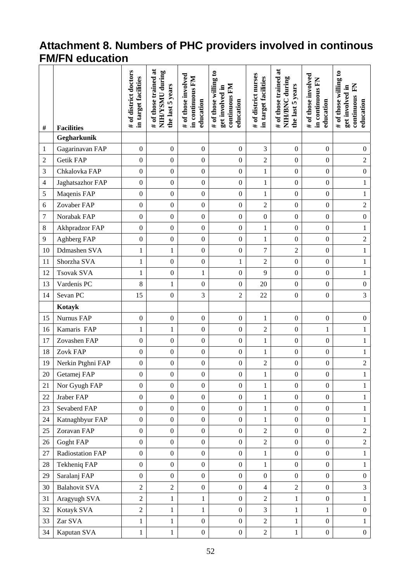### **Attachment 8. Numbers of PHC providers involved in continous FM/FN education**

| #              | <b>Facilities</b>    | # of district doctors<br>in target facilities | # of those trained at<br>NIH/YSMU during<br>the last 5 years | # of those involved<br>in continuous FM<br>education | # of those willing to<br>continuous FM<br>get involved in<br>education | # of district nurses<br>in target facilities | # of those trained at<br>NIH/BNC during<br>the last 5 years | # of those involved<br>in continuous FN<br>education | # of those willing to<br>E<br>get involved in<br>continuous<br>education |
|----------------|----------------------|-----------------------------------------------|--------------------------------------------------------------|------------------------------------------------------|------------------------------------------------------------------------|----------------------------------------------|-------------------------------------------------------------|------------------------------------------------------|--------------------------------------------------------------------------|
|                | Gegharkunik          |                                               |                                                              |                                                      |                                                                        |                                              |                                                             |                                                      |                                                                          |
| 1              | Gagarinavan FAP      | $\boldsymbol{0}$                              | $\boldsymbol{0}$                                             | $\boldsymbol{0}$                                     | $\boldsymbol{0}$                                                       | 3                                            | $\boldsymbol{0}$                                            | $\boldsymbol{0}$                                     | $\boldsymbol{0}$                                                         |
| $\overline{c}$ | <b>Getik FAP</b>     | $\boldsymbol{0}$                              | $\boldsymbol{0}$                                             | $\boldsymbol{0}$                                     | $\boldsymbol{0}$                                                       | $\overline{c}$                               | $\boldsymbol{0}$                                            | $\boldsymbol{0}$                                     | $\overline{2}$                                                           |
| 3              | Chkalovka FAP        | $\boldsymbol{0}$                              | $\boldsymbol{0}$                                             | $\boldsymbol{0}$                                     | $\boldsymbol{0}$                                                       | $\,1$                                        | $\boldsymbol{0}$                                            | $\boldsymbol{0}$                                     | $\boldsymbol{0}$                                                         |
| 4              | Jaghatsazhor FAP     | $\boldsymbol{0}$                              | $\boldsymbol{0}$                                             | $\boldsymbol{0}$                                     | $\boldsymbol{0}$                                                       | $\mathbf{1}$                                 | $\boldsymbol{0}$                                            | $\boldsymbol{0}$                                     | $\mathbf{1}$                                                             |
| 5              | Maqenis FAP          | $\boldsymbol{0}$                              | $\boldsymbol{0}$                                             | $\boldsymbol{0}$                                     | $\boldsymbol{0}$                                                       | $\mathbf{1}$                                 | $\boldsymbol{0}$                                            | $\boldsymbol{0}$                                     | $\,1$                                                                    |
| 6              | Zovaber FAP          | $\boldsymbol{0}$                              | $\boldsymbol{0}$                                             | $\boldsymbol{0}$                                     | $\boldsymbol{0}$                                                       | $\overline{2}$                               | $\boldsymbol{0}$                                            | $\boldsymbol{0}$                                     | $\overline{2}$                                                           |
| 7              | Norabak FAP          | $\boldsymbol{0}$                              | $\boldsymbol{0}$                                             | $\boldsymbol{0}$                                     | $\boldsymbol{0}$                                                       | $\boldsymbol{0}$                             | $\boldsymbol{0}$                                            | $\boldsymbol{0}$                                     | $\boldsymbol{0}$                                                         |
| 8              | Akhpradzor FAP       | $\boldsymbol{0}$                              | $\boldsymbol{0}$                                             | $\boldsymbol{0}$                                     | $\boldsymbol{0}$                                                       | $\mathbf{1}$                                 | $\boldsymbol{0}$                                            | $\boldsymbol{0}$                                     | $\,1$                                                                    |
| 9              | Aghberg FAP          | $\boldsymbol{0}$                              | $\boldsymbol{0}$                                             | $\boldsymbol{0}$                                     | $\boldsymbol{0}$                                                       | $\mathbf{1}$                                 | $\boldsymbol{0}$                                            | $\boldsymbol{0}$                                     | $\overline{2}$                                                           |
| 10             | Ddmashen SVA         | 1                                             | $\mathbf{1}$                                                 | $\boldsymbol{0}$                                     | $\boldsymbol{0}$                                                       | 7                                            | $\sqrt{2}$                                                  | $\boldsymbol{0}$                                     | $\mathbf{1}$                                                             |
| 11             | Shorzha SVA          | $\mathbf{1}$                                  | $\boldsymbol{0}$                                             | $\boldsymbol{0}$                                     | 1                                                                      | $\overline{2}$                               | $\boldsymbol{0}$                                            | $\boldsymbol{0}$                                     | $\,1$                                                                    |
| 12             | <b>Tsovak SVA</b>    | $\mathbf{1}$                                  | $\boldsymbol{0}$                                             | $\mathbf{1}$                                         | $\boldsymbol{0}$                                                       | 9                                            | $\boldsymbol{0}$                                            | $\boldsymbol{0}$                                     | $\mathbf{1}$                                                             |
| 13             | Vardenis PC          | 8                                             | 1                                                            | $\boldsymbol{0}$                                     | $\boldsymbol{0}$                                                       | 20                                           | $\boldsymbol{0}$                                            | $\boldsymbol{0}$                                     | $\boldsymbol{0}$                                                         |
| 14             | Sevan PC             | 15                                            | $\boldsymbol{0}$                                             | 3                                                    | $\overline{2}$                                                         | 22                                           | $\boldsymbol{0}$                                            | $\boldsymbol{0}$                                     | $\overline{3}$                                                           |
|                | Kotayk               |                                               |                                                              |                                                      |                                                                        |                                              |                                                             |                                                      |                                                                          |
| 15             | Nurnus FAP           | $\boldsymbol{0}$                              | $\boldsymbol{0}$                                             | $\boldsymbol{0}$                                     | $\boldsymbol{0}$                                                       | $\mathbf{1}$                                 | $\boldsymbol{0}$                                            | $\boldsymbol{0}$                                     | $\boldsymbol{0}$                                                         |
| 16             | Kamaris FAP          | $\mathbf{1}$                                  | $\mathbf{1}$                                                 | $\boldsymbol{0}$                                     | $\boldsymbol{0}$                                                       | $\sqrt{2}$                                   | $\boldsymbol{0}$                                            | $\mathbf{1}$                                         | $\mathbf{1}$                                                             |
| 17             | Zovashen FAP         | $\boldsymbol{0}$                              | $\boldsymbol{0}$                                             | $\boldsymbol{0}$                                     | $\boldsymbol{0}$                                                       | $\mathbf{1}$                                 | $\boldsymbol{0}$                                            | $\boldsymbol{0}$                                     | $\,1$                                                                    |
| 18             | Zovk FAP             | $\boldsymbol{0}$                              | $\boldsymbol{0}$                                             | $\boldsymbol{0}$                                     | $\boldsymbol{0}$                                                       | $\mathbf{1}$                                 | $\boldsymbol{0}$                                            | $\boldsymbol{0}$                                     | $\,1$                                                                    |
| 19             | Nerkin Ptghni FAP    | $\boldsymbol{0}$                              | $\boldsymbol{0}$                                             | $\boldsymbol{0}$                                     | $\boldsymbol{0}$                                                       | $\sqrt{2}$                                   | $\boldsymbol{0}$                                            | $\boldsymbol{0}$                                     | $\overline{2}$                                                           |
| 20             | Getamej FAP          | $\boldsymbol{0}$                              | $\boldsymbol{0}$                                             | $\boldsymbol{0}$                                     | $\boldsymbol{0}$                                                       | $\mathbf{1}$                                 | $\boldsymbol{0}$                                            | $\boldsymbol{0}$                                     | $\,1$                                                                    |
| 21             | Nor Gyugh FAP        | $\boldsymbol{0}$                              | $\overline{0}$                                               | $\overline{0}$                                       | $\overline{0}$                                                         | $\mathbf{1}$                                 | $\boldsymbol{0}$                                            | $\boldsymbol{0}$                                     | $\mathbf{1}$                                                             |
| 22             | Jraber FAP           | $\boldsymbol{0}$                              | $\boldsymbol{0}$                                             | $\boldsymbol{0}$                                     | $\boldsymbol{0}$                                                       | $\mathbf{1}$                                 | $\mathbf{0}$                                                | $\boldsymbol{0}$                                     | $\mathbf{1}$                                                             |
| 23             | Sevaberd FAP         | $\boldsymbol{0}$                              | $\boldsymbol{0}$                                             | $\boldsymbol{0}$                                     | $\boldsymbol{0}$                                                       | $\mathbf{1}$                                 | $\boldsymbol{0}$                                            | $\boldsymbol{0}$                                     | $\mathbf{1}$                                                             |
| 24             | Katnaghbyur FAP      | $\boldsymbol{0}$                              | $\boldsymbol{0}$                                             | $\boldsymbol{0}$                                     | $\boldsymbol{0}$                                                       | $\mathbf{1}$                                 | $\boldsymbol{0}$                                            | $\boldsymbol{0}$                                     | $\mathbf{1}$                                                             |
| 25             | Zoravan FAP          | $\boldsymbol{0}$                              | $\boldsymbol{0}$                                             | $\boldsymbol{0}$                                     | $\overline{0}$                                                         | $\overline{c}$                               | $\boldsymbol{0}$                                            | $\boldsymbol{0}$                                     | $\sqrt{2}$                                                               |
| 26             | Goght FAP            | $\boldsymbol{0}$                              | $\boldsymbol{0}$                                             | $\boldsymbol{0}$                                     | $\boldsymbol{0}$                                                       | $\overline{c}$                               | $\boldsymbol{0}$                                            | $\boldsymbol{0}$                                     | $\overline{c}$                                                           |
| 27             | Radiostation FAP     | $\boldsymbol{0}$                              | $\boldsymbol{0}$                                             | $\boldsymbol{0}$                                     | $\boldsymbol{0}$                                                       | $\mathbf{1}$                                 | $\boldsymbol{0}$                                            | $\boldsymbol{0}$                                     | $\mathbf{1}$                                                             |
| 28             | Tekheniq FAP         | $\boldsymbol{0}$                              | $\boldsymbol{0}$                                             | $\boldsymbol{0}$                                     | $\overline{0}$                                                         | $\mathbf{1}$                                 | $\overline{0}$                                              | $\boldsymbol{0}$                                     | $\mathbf{1}$                                                             |
| 29             | Saralanj FAP         | $\boldsymbol{0}$                              | $\boldsymbol{0}$                                             | $\boldsymbol{0}$                                     | $\boldsymbol{0}$                                                       | $\boldsymbol{0}$                             | $\boldsymbol{0}$                                            | $\boldsymbol{0}$                                     | $\boldsymbol{0}$                                                         |
| 30             | <b>Balahovit SVA</b> | $\overline{2}$                                | $\overline{2}$                                               | $\overline{0}$                                       | $\boldsymbol{0}$                                                       | 4                                            | $\overline{2}$                                              | $\mathbf{0}$                                         | 3                                                                        |
| 31             | Aragyugh SVA         | $\overline{2}$                                | $\mathbf{1}$                                                 | 1                                                    | $\boldsymbol{0}$                                                       | $\overline{c}$                               | $\mathbf{1}$                                                | $\boldsymbol{0}$                                     | $\mathbf{1}$                                                             |
| 32             | Kotayk SVA           | $\overline{2}$                                | 1                                                            | 1                                                    | $\boldsymbol{0}$                                                       | 3                                            | $\mathbf{1}$                                                | 1                                                    | $\boldsymbol{0}$                                                         |
| 33             | Zar SVA              | $\mathbf{1}$                                  | $\mathbf{1}$                                                 | $\boldsymbol{0}$                                     | $\overline{0}$                                                         | $\overline{c}$                               | $\mathbf{1}$                                                | $\boldsymbol{0}$                                     | $\mathbf{1}$                                                             |
| 34             | Kaputan SVA          | $\mathbf{1}$                                  | 1                                                            | $\boldsymbol{0}$                                     | $\boldsymbol{0}$                                                       | $\overline{c}$                               | $\mathbf{1}$                                                | $\overline{0}$                                       | $\boldsymbol{0}$                                                         |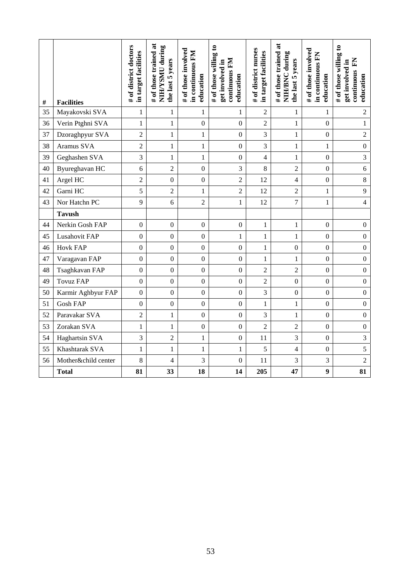| #  | <b>Facilities</b>   | # of district doctors<br>in target facilities | # of those trained at<br>NIH/YSMU during<br>the last 5 years | # of those involved<br>in continuous FM<br>education | # of those willing to<br>continuous FM<br>get involved in<br>education | # of district nurses<br>in target facilities | # of those trained at<br>NIH/BNC during<br>the last 5 years | # of those involved<br>in continuous FN<br>education | # of those willing to<br>E<br>get involved in<br>continuous<br>education |
|----|---------------------|-----------------------------------------------|--------------------------------------------------------------|------------------------------------------------------|------------------------------------------------------------------------|----------------------------------------------|-------------------------------------------------------------|------------------------------------------------------|--------------------------------------------------------------------------|
| 35 | Mayakovski SVA      | 1                                             | 1                                                            | 1                                                    | 1                                                                      | $\overline{2}$                               | 1                                                           | 1                                                    | 2                                                                        |
| 36 | Verin Ptghni SVA    | $\mathbf{1}$                                  | $\mathbf{1}$                                                 | $\boldsymbol{0}$                                     | $\Omega$                                                               | $\overline{2}$                               | $\mathbf{1}$                                                | $\overline{0}$                                       | $\mathbf{1}$                                                             |
| 37 | Dzoraghpyur SVA     | $\overline{2}$                                | $\mathbf{1}$                                                 | $\mathbf{1}$                                         | $\boldsymbol{0}$                                                       | 3                                            | $\mathbf{1}$                                                | $\boldsymbol{0}$                                     | $\overline{c}$                                                           |
| 38 | Aramus SVA          | $\overline{2}$                                | $\mathbf{1}$                                                 | $\mathbf{1}$                                         | $\boldsymbol{0}$                                                       | 3                                            | $\mathbf{1}$                                                | $\mathbf{1}$                                         | $\boldsymbol{0}$                                                         |
| 39 | Geghashen SVA       | $\mathfrak{Z}$                                | $\mathbf{1}$                                                 | 1                                                    | $\boldsymbol{0}$                                                       | 4                                            | 1                                                           | $\boldsymbol{0}$                                     | 3                                                                        |
| 40 | Byureghavan HC      | 6                                             | $\overline{2}$                                               | $\boldsymbol{0}$                                     | 3                                                                      | 8                                            | $\overline{2}$                                              | $\boldsymbol{0}$                                     | 6                                                                        |
| 41 | Argel HC            | $\overline{2}$                                | $\overline{0}$                                               | $\boldsymbol{0}$                                     | $\overline{2}$                                                         | 12                                           | $\overline{4}$                                              | $\boldsymbol{0}$                                     | 8                                                                        |
| 42 | Garni HC            | 5                                             | $\overline{2}$                                               | $\mathbf{1}$                                         | $\overline{2}$                                                         | 12                                           | $\overline{2}$                                              | $\mathbf{1}$                                         | 9                                                                        |
| 43 | Nor Hatchn PC       | 9                                             | 6                                                            | $\overline{2}$                                       | 1                                                                      | 12                                           | $\boldsymbol{7}$                                            | 1                                                    | $\overline{\mathbf{4}}$                                                  |
|    | <b>Tavush</b>       |                                               |                                                              |                                                      |                                                                        |                                              |                                                             |                                                      |                                                                          |
| 44 | Nerkin Gosh FAP     | $\boldsymbol{0}$                              | $\overline{0}$                                               | $\boldsymbol{0}$                                     | $\boldsymbol{0}$                                                       | $\mathbf{1}$                                 | $\mathbf{1}$                                                | $\boldsymbol{0}$                                     | $\boldsymbol{0}$                                                         |
| 45 | Lusahovit FAP       | $\boldsymbol{0}$                              | $\overline{0}$                                               | $\boldsymbol{0}$                                     | $\mathbf{1}$                                                           | $\mathbf{1}$                                 | $\mathbf{1}$                                                | $\boldsymbol{0}$                                     | $\overline{0}$                                                           |
| 46 | <b>Hovk FAP</b>     | $\boldsymbol{0}$                              | $\boldsymbol{0}$                                             | $\boldsymbol{0}$                                     | $\boldsymbol{0}$                                                       | $\mathbf{1}$                                 | $\boldsymbol{0}$                                            | $\boldsymbol{0}$                                     | $\boldsymbol{0}$                                                         |
| 47 | Varagavan FAP       | $\overline{0}$                                | $\overline{0}$                                               | $\boldsymbol{0}$                                     | $\boldsymbol{0}$                                                       | $\mathbf{1}$                                 | 1                                                           | $\mathbf{0}$                                         | $\overline{0}$                                                           |
| 48 | Tsaghkavan FAP      | $\mathbf{0}$                                  | $\mathbf{0}$                                                 | $\boldsymbol{0}$                                     | $\mathbf{0}$                                                           | 2                                            | $\overline{2}$                                              | $\boldsymbol{0}$                                     | $\overline{0}$                                                           |
| 49 | <b>Tovuz FAP</b>    | $\boldsymbol{0}$                              | $\boldsymbol{0}$                                             | $\boldsymbol{0}$                                     | $\mathbf{0}$                                                           | $\overline{c}$                               | $\boldsymbol{0}$                                            | $\boldsymbol{0}$                                     | $\overline{0}$                                                           |
| 50 | Karmir Aghbyur FAP  | $\boldsymbol{0}$                              | $\boldsymbol{0}$                                             | $\boldsymbol{0}$                                     | $\boldsymbol{0}$                                                       | 3                                            | $\boldsymbol{0}$                                            | $\boldsymbol{0}$                                     | $\overline{0}$                                                           |
| 51 | <b>Gosh FAP</b>     | $\mathbf{0}$                                  | $\boldsymbol{0}$                                             | $\boldsymbol{0}$                                     | $\boldsymbol{0}$                                                       | $\mathbf{1}$                                 | $\mathbf{1}$                                                | $\boldsymbol{0}$                                     | $\boldsymbol{0}$                                                         |
| 52 | Paravakar SVA       | $\overline{c}$                                | 1                                                            | $\boldsymbol{0}$                                     | $\boldsymbol{0}$                                                       | 3                                            | 1                                                           | $\mathbf{0}$                                         | $\boldsymbol{0}$                                                         |
| 53 | Zorakan SVA         | 1                                             | 1                                                            | $\boldsymbol{0}$                                     | $\theta$                                                               | $\overline{c}$                               | $\overline{2}$                                              | $\boldsymbol{0}$                                     | $\boldsymbol{0}$                                                         |
| 54 | Haghartsin SVA      | 3                                             | $\overline{2}$                                               | $\mathbf{1}$                                         | $\boldsymbol{0}$                                                       | 11                                           | 3                                                           | $\mathbf{0}$                                         | $\overline{\mathbf{3}}$                                                  |
| 55 | Khashtarak SVA      | 1                                             | $\mathbf{1}$                                                 | 1                                                    | $\mathbf{1}$                                                           | 5                                            | 4                                                           | $\boldsymbol{0}$                                     | 5                                                                        |
| 56 | Mother&child center | 8                                             | $\overline{\mathcal{L}}$                                     | 3                                                    | $\boldsymbol{0}$                                                       | 11                                           | 3                                                           | $\mathfrak{Z}$                                       | $\overline{2}$                                                           |
|    | <b>Total</b>        | 81                                            | 33                                                           | 18                                                   | 14                                                                     | 205                                          | 47                                                          | $\boldsymbol{9}$                                     | 81                                                                       |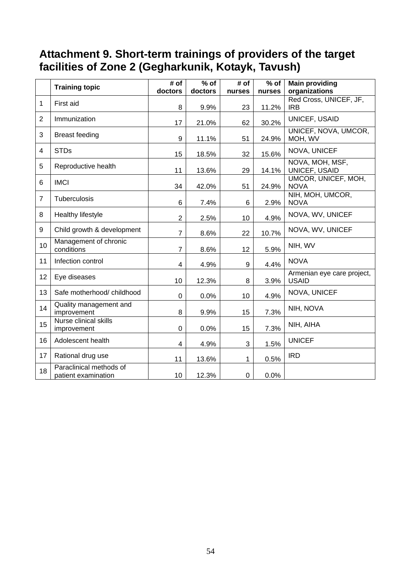### **Attachment 9. Short-term trainings of providers of the target facilities of Zone 2 (Gegharkunik, Kotayk, Tavush)**

|                | <b>Training topic</b>                          | # of           | $%$ of  | # of   | $%$ of | <b>Main providing</b>                      |
|----------------|------------------------------------------------|----------------|---------|--------|--------|--------------------------------------------|
|                |                                                | doctors        | doctors | nurses | nurses | organizations                              |
| 1              | First aid                                      |                |         |        |        | Red Cross, UNICEF, JF,                     |
|                |                                                | 8              | 9.9%    | 23     | 11.2%  | <b>IRB</b>                                 |
| $\overline{2}$ | Immunization                                   | 17             | 21.0%   | 62     | 30.2%  | UNICEF, USAID                              |
| 3              | <b>Breast feeding</b>                          | 9              | 11.1%   | 51     | 24.9%  | UNICEF, NOVA, UMCOR,<br>MOH, WV            |
| 4              | <b>STDs</b>                                    | 15             | 18.5%   | 32     | 15.6%  | NOVA, UNICEF                               |
| 5              | Reproductive health                            | 11             | 13.6%   | 29     | 14.1%  | NOVA, MOH, MSF,<br>UNICEF, USAID           |
| 6              | <b>IMCI</b>                                    | 34             | 42.0%   | 51     | 24.9%  | UMCOR, UNICEF, MOH,<br><b>NOVA</b>         |
| $\overline{7}$ | Tuberculosis                                   | 6              | 7.4%    | 6      | 2.9%   | NIH, MOH, UMCOR,<br><b>NOVA</b>            |
| 8              | Healthy lifestyle                              | $\overline{2}$ | 2.5%    | 10     | 4.9%   | NOVA, WV, UNICEF                           |
| 9              | Child growth & development                     | $\overline{7}$ | 8.6%    | 22     | 10.7%  | NOVA, WV, UNICEF                           |
| 10             | Management of chronic<br>conditions            | $\overline{7}$ | 8.6%    | 12     | 5.9%   | NIH, WV                                    |
| 11             | Infection control                              | 4              | 4.9%    | 9      | 4.4%   | <b>NOVA</b>                                |
| 12             | Eye diseases                                   | 10             | 12.3%   | 8      | 3.9%   | Armenian eye care project,<br><b>USAID</b> |
| 13             | Safe motherhood/childhood                      | $\mathbf 0$    | 0.0%    | 10     | 4.9%   | NOVA, UNICEF                               |
| 14             | Quality management and<br>improvement          | 8              | 9.9%    | 15     | 7.3%   | NIH, NOVA                                  |
| 15             | Nurse clinical skills<br>improvement           | $\mathbf 0$    | 0.0%    | 15     | 7.3%   | NIH, AIHA                                  |
| 16             | Adolescent health                              | 4              | 4.9%    | 3      | 1.5%   | <b>UNICEF</b>                              |
| 17             | Rational drug use                              | 11             | 13.6%   | 1      | 0.5%   | <b>IRD</b>                                 |
| 18             | Paraclinical methods of<br>patient examination | 10             | 12.3%   | 0      | 0.0%   |                                            |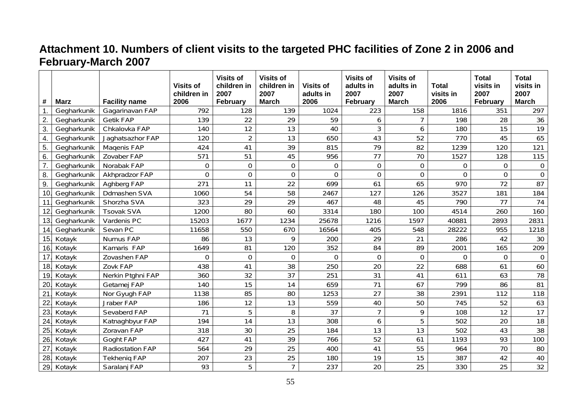# **Attachment 10. Numbers of client visits to the targeted PHC facilities of Zone 2 in 2006 and February-March 2007**

| #               | <b>Marz</b> | <b>Facility name</b> | <b>Visits of</b><br>children in<br>2006 | <b>Visits of</b><br>children in<br>2007<br><b>February</b> | <b>Visits of</b><br>children in<br>2007<br><b>March</b> | <b>Visits of</b><br>adults in<br>2006 | <b>Visits of</b><br>adults in<br>2007<br>February | <b>Visits of</b><br>adults in<br>2007<br><b>March</b> | <b>Total</b><br>visits in<br>2006 | <b>Total</b><br>visits in<br>2007<br>February | <b>Total</b><br>visits in<br>2007<br><b>March</b> |
|-----------------|-------------|----------------------|-----------------------------------------|------------------------------------------------------------|---------------------------------------------------------|---------------------------------------|---------------------------------------------------|-------------------------------------------------------|-----------------------------------|-----------------------------------------------|---------------------------------------------------|
| $\mathbf{1}$ .  | Gegharkunik | Gagarinavan FAP      | 792                                     | 128                                                        | 139                                                     | 1024                                  | 223                                               | 158                                                   | 1816                              | 351                                           | 297                                               |
| 2.              | Gegharkunik | <b>Getik FAP</b>     | 139                                     | 22                                                         | 29                                                      | 59                                    | 6                                                 | $\overline{7}$                                        | 198                               | 28                                            | 36                                                |
| 3.              | Gegharkunik | Chkalovka FAP        | 140                                     | 12                                                         | 13                                                      | 40                                    | 3                                                 | $\boldsymbol{6}$                                      | 180                               | 15                                            | $\overline{19}$                                   |
| 4.              | Gegharkunik | Jaghatsazhor FAP     | 120                                     | $\overline{2}$                                             | 13                                                      | 650                                   | 43                                                | 52                                                    | 770                               | 45                                            | 65                                                |
| 5.              | Gegharkunik | Magenis FAP          | 424                                     | 41                                                         | 39                                                      | 815                                   | 79                                                | 82                                                    | 1239                              | 120                                           | 121                                               |
| 6.              | Gegharkunik | Zovaber FAP          | 571                                     | 51                                                         | 45                                                      | 956                                   | 77                                                | 70                                                    | 1527                              | 128                                           | 115                                               |
| 7.              | Gegharkunik | Norabak FAP          | $\boldsymbol{0}$                        | $\mathbf 0$                                                | $\mathbf 0$                                             | 0                                     | $\mathbf 0$                                       | $\boldsymbol{0}$                                      | $\mathbf 0$                       | 0                                             | $\overline{0}$                                    |
| 8.              | Gegharkunik | Akhpradzor FAP       | $\mathbf 0$                             | $\overline{0}$                                             | $\overline{0}$                                          | 0                                     | $\overline{0}$                                    | $\mathbf 0$                                           | $\mathbf{0}$                      | $\mathbf 0$                                   | $\mathbf 0$                                       |
| 9.              | Gegharkunik | Aghberg FAP          | 271                                     | 11                                                         | 22                                                      | 699                                   | 61                                                | 65                                                    | 970                               | 72                                            | 87                                                |
| 10.             | Gegharkunik | Ddmashen SVA         | 1060                                    | 54                                                         | 58                                                      | 2467                                  | 127                                               | 126                                                   | 3527                              | 181                                           | 184                                               |
| 11.             | Gegharkunik | Shorzha SVA          | 323                                     | 29                                                         | 29                                                      | 467                                   | 48                                                | 45                                                    | 790                               | 77                                            | 74                                                |
| 12.             | Gegharkunik | <b>Tsovak SVA</b>    | 1200                                    | 80                                                         | 60                                                      | 3314                                  | 180                                               | 100                                                   | 4514                              | 260                                           | 160                                               |
| 13.             | Gegharkunik | Vardenis PC          | 15203                                   | 1677                                                       | 1234                                                    | 25678                                 | 1216                                              | 1597                                                  | 40881                             | 2893                                          | 2831                                              |
| 14.             | Gegharkunik | Sevan PC             | 11658                                   | 550                                                        | 670                                                     | 16564                                 | 405                                               | 548                                                   | 28222                             | 955                                           | 1218                                              |
| 15.             | Kotayk      | Nurnus FAP           | 86                                      | 13                                                         | 9                                                       | 200                                   | 29                                                | 21                                                    | 286                               | 42                                            | 30                                                |
| 16.             | Kotayk      | Kamaris FAP          | 1649                                    | 81                                                         | 120                                                     | 352                                   | 84                                                | 89                                                    | 2001                              | 165                                           | 209                                               |
| 17.             | Kotayk      | Zovashen FAP         | $\mathbf 0$                             | 0                                                          | $\mathbf 0$                                             | $\mathbf 0$                           | 0                                                 | $\mathbf 0$                                           | $\mathbf 0$                       | 0                                             | $\Omega$                                          |
| 18 <sub>1</sub> | Kotayk      | Zovk FAP             | 438                                     | 41                                                         | 38                                                      | 250                                   | 20                                                | 22                                                    | 688                               | 61                                            | 60                                                |
| 19.             | Kotayk      | Nerkin Ptghni FAP    | 360                                     | 32                                                         | 37                                                      | 251                                   | 31                                                | 41                                                    | 611                               | 63                                            | 78                                                |
| 20.             | Kotayk      | Getamej FAP          | 140                                     | 15                                                         | 14                                                      | 659                                   | 71                                                | 67                                                    | 799                               | 86                                            | 81                                                |
| 21.             | Kotayk      | Nor Gyugh FAP        | 1138                                    | 85                                                         | 80                                                      | 1253                                  | 27                                                | 38                                                    | 2391                              | 112                                           | 118                                               |
| 22.             | Kotayk      | Jraber FAP           | 186                                     | 12                                                         | 13                                                      | 559                                   | 40                                                | 50                                                    | 745                               | 52                                            | 63                                                |
| 23.             | Kotayk      | Sevaberd FAP         | 71                                      | 5                                                          | 8                                                       | 37                                    | $\overline{7}$                                    | 9                                                     | 108                               | 12                                            | $\overline{17}$                                   |
| 24.             | Kotayk      | Katnaghbyur FAP      | 194                                     | 14                                                         | 13                                                      | 308                                   | 6                                                 | 5                                                     | 502                               | 20                                            | 18                                                |
| 25.             | Kotayk      | Zoravan FAP          | 318                                     | 30                                                         | 25                                                      | 184                                   | 13                                                | 13                                                    | 502                               | 43                                            | 38                                                |
| 26.             | Kotayk      | Goght FAP            | 427                                     | 41                                                         | 39                                                      | 766                                   | 52                                                | 61                                                    | 1193                              | 93                                            | 100                                               |
| 27.             | Kotayk      | Radiostation FAP     | 564                                     | 29                                                         | 25                                                      | 400                                   | 41                                                | 55                                                    | 964                               | 70                                            | 80                                                |
| 28.             | Kotayk      | <b>Tekhenig FAP</b>  | 207                                     | 23                                                         | 25                                                      | 180                                   | 19                                                | 15                                                    | 387                               | 42                                            | 40                                                |
| 29.             | Kotayk      | Saralanj FAP         | 93                                      | 5                                                          | $\overline{7}$                                          | 237                                   | 20                                                | 25                                                    | 330                               | 25                                            | 32                                                |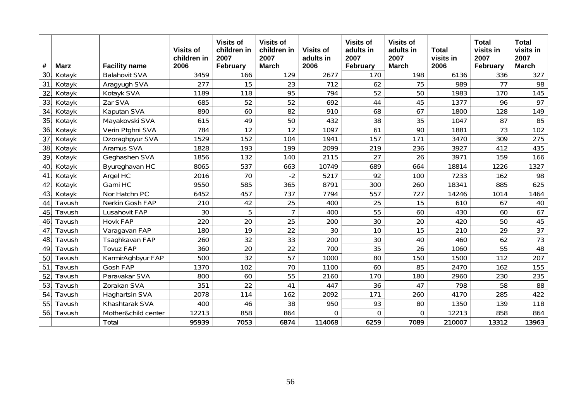| #   | <b>Marz</b> | <b>Facility name</b> | <b>Visits of</b><br>children in<br>2006 | <b>Visits of</b><br>children in<br>2007<br>February | <b>Visits of</b><br>children in<br>2007<br><b>March</b> | <b>Visits of</b><br>adults in<br>2006 | <b>Visits of</b><br>adults in<br>2007<br>February | <b>Visits of</b><br>adults in<br>2007<br><b>March</b> | <b>Total</b><br>visits in<br>2006 | <b>Total</b><br>visits in<br>2007<br>February | <b>Total</b><br>visits in<br>2007<br><b>March</b> |
|-----|-------------|----------------------|-----------------------------------------|-----------------------------------------------------|---------------------------------------------------------|---------------------------------------|---------------------------------------------------|-------------------------------------------------------|-----------------------------------|-----------------------------------------------|---------------------------------------------------|
| 30. | Kotayk      | <b>Balahovit SVA</b> | 3459                                    | 166                                                 | 129                                                     | 2677                                  | 170                                               | 198                                                   | 6136                              | 336                                           | 327                                               |
| 31. | Kotayk      | Aragyugh SVA         | 277                                     | 15                                                  | 23                                                      | 712                                   | 62                                                | 75                                                    | 989                               | 77                                            | 98                                                |
| 32  | Kotayk      | Kotayk SVA           | 1189                                    | 118                                                 | 95                                                      | 794                                   | 52                                                | 50                                                    | 1983                              | 170                                           | 145                                               |
| 33. | Kotayk      | Zar SVA              | 685                                     | 52                                                  | 52                                                      | 692                                   | 44                                                | 45                                                    | 1377                              | 96                                            | 97                                                |
| 34. | Kotayk      | Kaputan SVA          | 890                                     | 60                                                  | 82                                                      | 910                                   | 68                                                | 67                                                    | 1800                              | 128                                           | 149                                               |
| 35. | Kotayk      | Mayakovski SVA       | 615                                     | 49                                                  | 50                                                      | 432                                   | 38                                                | 35                                                    | 1047                              | 87                                            | 85                                                |
| 36. | Kotayk      | Verin Ptghni SVA     | 784                                     | 12                                                  | 12                                                      | 1097                                  | 61                                                | 90                                                    | 1881                              | 73                                            | 102                                               |
| 37. | Kotayk      | Dzoraghpyur SVA      | 1529                                    | 152                                                 | 104                                                     | 1941                                  | 157                                               | 171                                                   | 3470                              | 309                                           | 275                                               |
| 38. | Kotayk      | Aramus SVA           | 1828                                    | 193                                                 | 199                                                     | 2099                                  | 219                                               | 236                                                   | 3927                              | 412                                           | 435                                               |
| 39. | Kotayk      | Geghashen SVA        | 1856                                    | 132                                                 | 140                                                     | 2115                                  | 27                                                | 26                                                    | 3971                              | 159                                           | 166                                               |
| 40. | Kotayk      | Byureghavan HC       | 8065                                    | 537                                                 | 663                                                     | 10749                                 | 689                                               | 664                                                   | 18814                             | 1226                                          | 1327                                              |
| 41. | Kotayk      | Argel HC             | 2016                                    | 70                                                  | $-2$                                                    | 5217                                  | 92                                                | 100                                                   | 7233                              | 162                                           | 98                                                |
| 42  | Kotayk      | Garni HC             | 9550                                    | 585                                                 | 365                                                     | 8791                                  | 300                                               | 260                                                   | 18341                             | 885                                           | 625                                               |
| 43. | Kotayk      | Nor Hatchn PC        | 6452                                    | 457                                                 | 737                                                     | 7794                                  | 557                                               | 727                                                   | 14246                             | 1014                                          | 1464                                              |
| 44  | Tavush      | Nerkin Gosh FAP      | 210                                     | 42                                                  | 25                                                      | 400                                   | 25                                                | 15                                                    | 610                               | 67                                            | 40                                                |
| 45. | Tavush      | Lusahovit FAP        | 30                                      | 5                                                   | $\overline{7}$                                          | 400                                   | 55                                                | 60                                                    | 430                               | 60                                            | 67                                                |
| 46. | Tavush      | <b>Hovk FAP</b>      | 220                                     | 20                                                  | 25                                                      | 200                                   | 30                                                | 20                                                    | 420                               | 50                                            | 45                                                |
| 47  | Tavush      | Varagavan FAP        | 180                                     | 19                                                  | 22                                                      | 30                                    | 10                                                | 15                                                    | 210                               | 29                                            | 37                                                |
| 48. | Tavush      | Tsaghkavan FAP       | 260                                     | 32                                                  | 33                                                      | 200                                   | 30                                                | 40                                                    | 460                               | 62                                            | $\overline{73}$                                   |
| 49. | Tavush      | <b>Tovuz FAP</b>     | 360                                     | 20                                                  | 22                                                      | 700                                   | 35                                                | 26                                                    | 1060                              | 55                                            | 48                                                |
| 50  | Tavush      | KarmirAghbyur FAP    | 500                                     | $\overline{32}$                                     | 57                                                      | 1000                                  | 80                                                | 150                                                   | 1500                              | 112                                           | 207                                               |
| 51  | Tavush      | Gosh FAP             | 1370                                    | 102                                                 | 70                                                      | 1100                                  | 60                                                | 85                                                    | 2470                              | 162                                           | 155                                               |
| 52  | Tavush      | Paravakar SVA        | 800                                     | 60                                                  | 55                                                      | 2160                                  | 170                                               | 180                                                   | 2960                              | 230                                           | 235                                               |
| 53. | Tavush      | Zorakan SVA          | 351                                     | $\overline{22}$                                     | 41                                                      | 447                                   | 36                                                | 47                                                    | 798                               | 58                                            | $\overline{88}$                                   |
| 54  | Tavush      | Haghartsin SVA       | 2078                                    | 114                                                 | 162                                                     | 2092                                  | 171                                               | 260                                                   | 4170                              | 285                                           | 422                                               |
| 55. | Tavush      | Khashtarak SVA       | 400                                     | 46                                                  | 38                                                      | 950                                   | 93                                                | 80                                                    | 1350                              | 139                                           | 118                                               |
| 56. | Tavush      | Mother&child center  | 12213                                   | 858                                                 | 864                                                     | $\Omega$                              | $\Omega$                                          | 0                                                     | 12213                             | 858                                           | 864                                               |
|     |             | <b>Total</b>         | 95939                                   | 7053                                                | 6874                                                    | 114068                                | 6259                                              | 7089                                                  | 210007                            | 13312                                         | 13963                                             |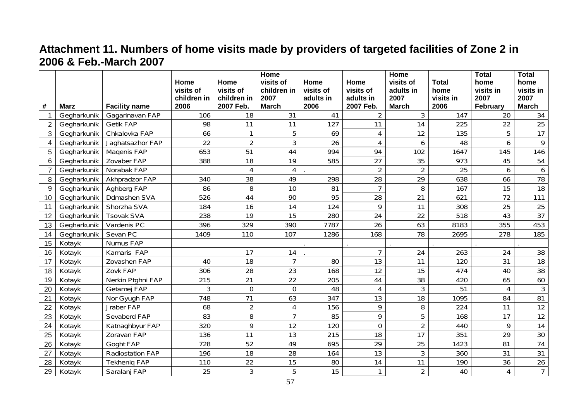# **Attachment 11. Numbers of home visits made by providers of targeted facilities of Zone 2 in 2006 & Feb.-March 2007**

|                          |             |                         |                     |                          | Home                 |                   |                        | Home                 |                   | <b>Total</b>     | <b>Total</b>         |
|--------------------------|-------------|-------------------------|---------------------|--------------------------|----------------------|-------------------|------------------------|----------------------|-------------------|------------------|----------------------|
|                          |             |                         | Home                | Home                     | visits of            | Home              | Home                   | visits of            | <b>Total</b>      | home             | home                 |
|                          |             |                         | visits of           | visits of                | children in          | visits of         | visits of              | adults in            | home              | visits in        | visits in            |
| #                        | <b>Marz</b> | <b>Facility name</b>    | children in<br>2006 | children in<br>2007 Feb. | 2007<br><b>March</b> | adults in<br>2006 | adults in<br>2007 Feb. | 2007<br><b>March</b> | visits in<br>2006 | 2007<br>February | 2007<br><b>March</b> |
|                          | Gegharkunik | Gagarinavan FAP         | 106                 | 18                       | 31                   | 41                | 2                      | 3                    | 147               | 20               | 34                   |
| 2                        | Gegharkunik | <b>Getik FAP</b>        | 98                  | 11                       | 11                   | 127               | 11                     | 14                   | 225               | 22               | 25                   |
| 3                        | Gegharkunik | Chkalovka FAP           | 66                  | $\mathbf{1}$             | 5                    | 69                | 4                      | 12                   | 135               | 5                | 17                   |
| $\overline{\mathcal{A}}$ | Gegharkunik | Jaghatsazhor FAP        | 22                  | $\overline{2}$           | 3                    | 26                | 4                      | 6                    | 48                | 6                | 9                    |
| 5                        | Gegharkunik | Magenis FAP             | 653                 | 51                       | 44                   | 994               | 94                     | 102                  | 1647              | 145              | 146                  |
| 6                        | Gegharkunik | Zovaber FAP             | 388                 | 18                       | 19                   | 585               | 27                     | 35                   | 973               | 45               | 54                   |
|                          | Gegharkunik | Norabak FAP             |                     | 4                        | $\overline{4}$       |                   | $\overline{2}$         | $\overline{2}$       | 25                | 6                | 6                    |
| 8                        | Gegharkunik | Akhpradzor FAP          | 340                 | 38                       | 49                   | 298               | 28                     | 29                   | 638               | 66               | 78                   |
| 9                        | Gegharkunik | Aghberg FAP             | 86                  | 8                        | 10                   | 81                | $\overline{7}$         | 8                    | 167               | 15               | 18                   |
| 10                       | Gegharkunik | Ddmashen SVA            | 526                 | 44                       | 90                   | 95                | 28                     | 21                   | 621               | 72               | 111                  |
| 11                       | Gegharkunik | Shorzha SVA             | 184                 | 16                       | 14                   | 124               | 9                      | 11                   | 308               | 25               | 25                   |
| 12                       | Gegharkunik | <b>Tsovak SVA</b>       | 238                 | 19                       | 15                   | 280               | 24                     | 22                   | 518               | 43               | $\overline{37}$      |
| 13                       | Gegharkunik | Vardenis PC             | 396                 | 329                      | 390                  | 7787              | 26                     | 63                   | 8183              | 355              | 453                  |
| 14                       | Gegharkunik | Sevan PC                | 1409                | 110                      | 107                  | 1286              | 168                    | 78                   | 2695              | 278              | 185                  |
| 15                       | Kotayk      | Nurnus FAP              |                     |                          |                      |                   |                        |                      |                   |                  |                      |
| 16                       | Kotayk      | Kamaris FAP             |                     | 17                       | 14                   |                   | $\overline{7}$         | 24                   | 263               | 24               | 38                   |
| 17                       | Kotayk      | Zovashen FAP            | 40                  | 18                       | $\overline{7}$       | 80                | 13                     | 11                   | 120               | 31               | 18                   |
| 18                       | Kotayk      | Zovk FAP                | 306                 | 28                       | 23                   | 168               | 12                     | 15                   | 474               | 40               | 38                   |
| 19                       | Kotayk      | Nerkin Ptghni FAP       | 215                 | 21                       | 22                   | 205               | 44                     | 38                   | 420               | 65               | 60                   |
| 20                       | Kotayk      | Getamej FAP             | 3                   | 0                        | $\mathbf 0$          | 48                | 4                      | 3                    | 51                | 4                | 3                    |
| 21                       | Kotayk      | Nor Gyugh FAP           | 748                 | 71                       | 63                   | 347               | 13                     | 18                   | 1095              | 84               | 81                   |
| 22                       | Kotayk      | Jraber FAP              | 68                  | $\overline{2}$           | $\overline{4}$       | 156               | 9                      | 8                    | 224               | 11               | 12                   |
| 23                       | Kotayk      | Sevaberd FAP            | 83                  | 8                        | $\overline{7}$       | 85                | 9                      | 5                    | 168               | 17               | 12                   |
| 24                       | Kotayk      | Katnaghbyur FAP         | 320                 | 9                        | 12                   | 120               | 0                      | $\overline{2}$       | 440               | 9                | 14                   |
| 25                       | Kotayk      | Zoravan FAP             | 136                 | 11                       | 13                   | 215               | 18                     | 17                   | 351               | 29               | 30                   |
| 26                       | Kotayk      | Goght FAP               | 728                 | 52                       | 49                   | 695               | 29                     | 25                   | 1423              | 81               | 74                   |
| 27                       | Kotayk      | <b>Radiostation FAP</b> | 196                 | 18                       | 28                   | 164               | 13                     | 3                    | 360               | 31               | 31                   |
| 28                       | Kotayk      | <b>Tekhenig FAP</b>     | 110                 | 22                       | 15                   | 80                | 14                     | 11                   | 190               | 36               | 26                   |
| 29                       | Kotayk      | Saralanj FAP            | 25                  | $\overline{3}$           | 5                    | 15                | 1                      | $\overline{2}$       | 40                | 4                | $\overline{7}$       |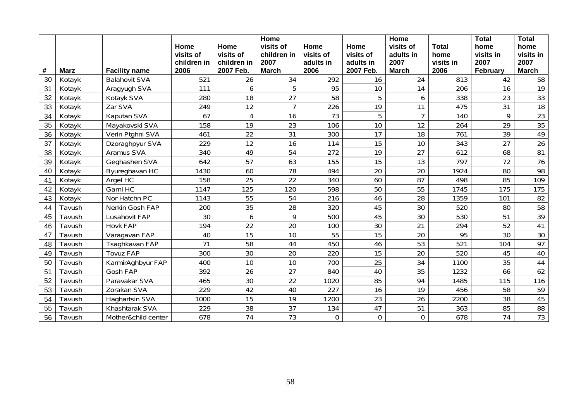|    |             |                      |             |             | Home           |           |           | Home           |              | <b>Total</b>    | <b>Total</b>    |
|----|-------------|----------------------|-------------|-------------|----------------|-----------|-----------|----------------|--------------|-----------------|-----------------|
|    |             |                      | Home        | Home        | visits of      | Home      | Home      | visits of      | <b>Total</b> | home            | home            |
|    |             |                      | visits of   | visits of   | children in    | visits of | visits of | adults in      | home         | visits in       | visits in       |
|    |             |                      | children in | children in | 2007           | adults in | adults in | 2007           | visits in    | 2007            | 2007            |
| #  | <b>Marz</b> | <b>Facility name</b> | 2006        | 2007 Feb.   | <b>March</b>   | 2006      | 2007 Feb. | <b>March</b>   | 2006         | February        | <b>March</b>    |
| 30 | Kotayk      | <b>Balahovit SVA</b> | 521         | 26          | 34             | 292       | 16        | 24             | 813          | 42              | 58              |
| 31 | Kotayk      | Aragyugh SVA         | 111         | 6           | 5              | 95        | 10        | 14             | 206          | 16              | 19              |
| 32 | Kotayk      | Kotayk SVA           | 280         | 18          | 27             | 58        | 5         | 6              | 338          | 23              | 33              |
| 33 | Kotayk      | Zar SVA              | 249         | 12          | $\overline{7}$ | 226       | 19        | 11             | 475          | 31              | 18              |
| 34 | Kotayk      | Kaputan SVA          | 67          | 4           | 16             | 73        | 5         | $\overline{7}$ | 140          | 9               | 23              |
| 35 | Kotayk      | Mayakovski SVA       | 158         | 19          | 23             | 106       | 10        | 12             | 264          | 29              | 35              |
| 36 | Kotayk      | Verin Ptghni SVA     | 461         | 22          | 31             | 300       | 17        | 18             | 761          | 39              | 49              |
| 37 | Kotayk      | Dzoraghpyur SVA      | 229         | 12          | 16             | 114       | 15        | 10             | 343          | 27              | 26              |
| 38 | Kotayk      | Aramus SVA           | 340         | 49          | 54             | 272       | 19        | 27             | 612          | 68              | 81              |
| 39 | Kotayk      | Geghashen SVA        | 642         | 57          | 63             | 155       | 15        | 13             | 797          | $\overline{72}$ | $\overline{76}$ |
| 40 | Kotayk      | Byureghavan HC       | 1430        | 60          | 78             | 494       | 20        | 20             | 1924         | 80              | 98              |
| 41 | Kotayk      | Argel HC             | 158         | 25          | 22             | 340       | 60        | 87             | 498          | 85              | 109             |
| 42 | Kotayk      | Garni HC             | 1147        | 125         | 120            | 598       | 50        | 55             | 1745         | 175             | 175             |
| 43 | Kotayk      | Nor Hatchn PC        | 1143        | 55          | 54             | 216       | 46        | 28             | 1359         | 101             | 82              |
| 44 | Tavush      | Nerkin Gosh FAP      | 200         | 35          | 28             | 320       | 45        | 30             | 520          | 80              | 58              |
| 45 | Tavush      | Lusahovit FAP        | 30          | 6           | 9              | 500       | 45        | 30             | 530          | 51              | 39              |
| 46 | Tavush      | <b>Hovk FAP</b>      | 194         | 22          | 20             | 100       | 30        | 21             | 294          | 52              | 41              |
| 47 | Tavush      | Varagavan FAP        | 40          | 15          | 10             | 55        | 15        | 20             | 95           | 30              | $\overline{30}$ |
| 48 | Tavush      | Tsaghkavan FAP       | 71          | 58          | 44             | 450       | 46        | 53             | 521          | 104             | 97              |
| 49 | Tavush      | <b>Tovuz FAP</b>     | 300         | 30          | 20             | 220       | 15        | 20             | 520          | 45              | 40              |
| 50 | Tavush      | KarmirAghbyur FAP    | 400         | 10          | 10             | 700       | 25        | 34             | 1100         | 35              | 44              |
| 51 | Tavush      | Gosh FAP             | 392         | 26          | 27             | 840       | 40        | 35             | 1232         | 66              | 62              |
| 52 | Tavush      | Paravakar SVA        | 465         | 30          | 22             | 1020      | 85        | 94             | 1485         | 115             | 116             |
| 53 | Tavush      | Zorakan SVA          | 229         | 42          | 40             | 227       | 16        | 19             | 456          | 58              | 59              |
| 54 | Tavush      | Haghartsin SVA       | 1000        | 15          | 19             | 1200      | 23        | 26             | 2200         | 38              | 45              |
| 55 | Tavush      | Khashtarak SVA       | 229         | 38          | 37             | 134       | 47        | 51             | 363          | 85              | 88              |
| 56 | Tavush      | Mother&child center  | 678         | 74          | 73             | $\Omega$  | $\Omega$  | 0              | 678          | 74              | 73              |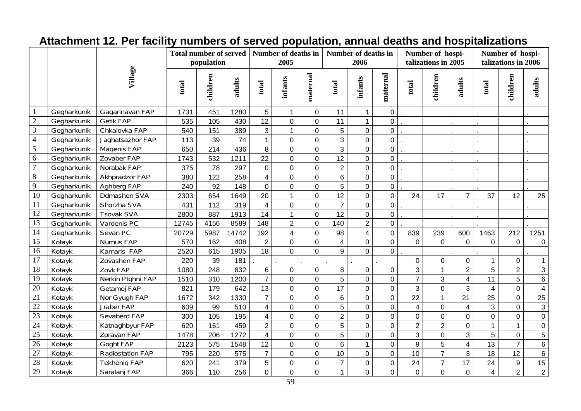#### **Number of deaths in talizations in 2005 Number of hospi- talizations in 2006 Total number of served Number of deaths in Number of hospipopulation 2005 2006 Village maternal maternal**  children **children**  maternal maternal **children children**  children **infants**  hildren **infants adults adults adults total total total total total**  1 | Gegharkunik | Gagarinavan FAP | 1731 | 451 | 1280 | 6 | 11 | 0 | 11 | 1 | 0 | . . | . . | . . | . . | . . | 2 Gegharkunik Getik FAP 535 105 430 12 0 0 11 1 0 . . . . 3 | Gegharkunik | Chkalovka FAP | 540 | 151 | 389 | 3 | 1 | 0 | 5 | 0 | 0 | | | . | . | . | . | . | . | . | . | . | . | . | . 4 | Gegharkunik | Jaghatsazhor FAP | 113 | 39 | 74 | 1 | 0 | 3 | 0 | 0 | | . | . | . | . | . | . | . | . | . | . | . 5 | Gegharkunik | Maqenis FAP | 650 | 214 | 436 | 8 | 0 | 3 | 0 | 0 | | . | . | . | . | . | . | . 6 | Gegharkunik | Zovaber FAP | 1743 | 532 | 1211 | 22 | 0 | 12 | 0 | 0 | | . | . | . | . | . | . | . | . 7 Gegharkunik Norabak FAP 375 78 297 0 0 0 2 0 0 . . . . 8 Gegharkunik Akhpradzor FAP 380 122 258 4 0 0 6 0 0 . . . . 9 Gegharkunik Aghberg FAP 240 92 148 0 0 0 5 0 0 . . . . 10 | Gegharkunik | Ddmashen SVA | 2303 | 654 | 1649 | 20 | 11 | 0 | 12 | 0 | 0 | 24 | 17 | 7 | 37 | 12 | 25 11 | Gegharkunik | Shorzha SVA | 431 | 112 | 319 | 4 | 0 | 0 | 7 | 0 | 0 | . | | | | | | | | | | | | 12 | Gegharkunik | Tsovak SVA | 2800 | 887 | 1913 | 14 | 1 | 0 | 12 | 0 | 0 | . | . | . | . | . | . | . | . | . | . | . | . | . 13 | Gegharkunik | Vardenis PC | 12745 | 4156 | 8589 | 148 | 2 | 0 | 140 | 2 | 0 |. | |. |. |. |. 14 | Gegharkunik | Sevan PC | 20729 | 5987 | 14742 | 192 | 4 | 0 | 831 | 239 | 600 | 1463 | 212 | 1251 | 1251 | 1251 | 125 15 | Kotayk | Nurnus FAP | 570 | 162 | 408 | 2 | 0 | 0 | 1 | 0 | 0 | 0 | 0 | 0 | 0 | 0 | 0 | 0 | 0 | 0 | 0 | 0 | 0 | 0 | 0 | 0 | 16 | Kotayk | Kamaris FAP | 2520 | 615 | 1905 | 18 | 0 | 9 | 0 | 0 |. | . | . | . | . | . | . | . | . | . | . | . | . | . | . | . | 17 |Kotayk | Zovashen FAP | 220 | 39 | 181 | . | . | . | . | . | 0 | 0 | 0 | 1 | 0 | 1 | 0 | 1 18 | Kotayk | Zovk FAP | 1080 | 248 | 832 | 6 | 0 | 8 | 0 | 0 | 3 | 1 | 2 | 3 | 1 | 2 | 3 | 3 | 1 | 2 | 2 | 3 | 1 | 2 | 3 19 |Kotayk |Nerkin Ptghni FAP | 1510 | 310 | 1200 | 7 | 0 | 0 | 5 | 0 | 0 | 7 | 3 | 4 | 11 | 5 | 6 20 | Kotayk | Getamej FAP | 821 | 179 | 642 | 13 | 0 | 17 | 0 | 0 | 3 | 1 | 0 | 4 | 0 | 4 | 0 | 4 | 0 | 4 | 0 | 4 | 21 | Kotayk | Nor Gyugh FAP | 1672 | 342 | 1330 | 7 | 0 | 0 | 6 | 0 | 22 | 1 | 21 | 25 | 0 | 25 22 Kotayk Jraber FAP 609 99 510 4 0 0 5 0 0 4 0 4 3 0 3 23 | Kotayk | Sevaberd FAP | 300 | 105 | 195 | 4 | 0 | 0 | 2 | 0 | 0 | 0 | 0 | 0 | 0 | 0 | 0 | 0 | 0 | 0 | 0 | 0 | 0 | 0 | 0 24 | Kotayk | Katnaghbyur FAP | 620 | 161 | 459 | 2 | 0 | 5 | 0 | 0 | 2 | 2 | 0 | 1 | 1 | 0 25 | Kotayk | Zoravan FAP | 1478 | 206 | 1272 | 4 | 0 | 5 | 0 | 0 | 3 | 0 | 5 | 0 | 5 | 0 | 5 | 0 | 5 | 0 | 5 | 0 26 | Kotayk | Goght FAP | 2123 | 575 | 1548 | 12 | 0 | 0 | 6 | 1 | 0 | 9 | 5 | 4 | 13 | 7 | 6 27 | Kotayk | Radiostation FAP | 795 | 220 | 575 | 7 | 0 | 10 | 0 | 10 | 7 | 3 | 18 | 12 | 6 28 Kotayk Tekheniq FAP 620 241 379 5 0 0 7 0 0 24 <sup>7</sup> 17 24 9 15 29 Kotayk Saralanj FAP 366 110 256 0 0 0 1 0 0 0 0 0 4 2 2

### **Attachment 12. Per facility numbers of served population, annual deaths and hospitalizations**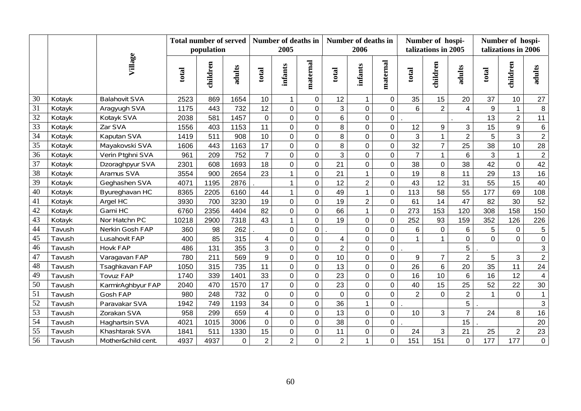|                 |        |                      | <b>Total number of served</b><br>population |          |             |                         | <b>Number of deaths in</b><br>2005 |                |                | Number of deaths in<br>2006 |                | Number of hospi-<br>talizations in 2005 |                |                         | Number of hospi-<br>talizations in 2006 |                |                     |
|-----------------|--------|----------------------|---------------------------------------------|----------|-------------|-------------------------|------------------------------------|----------------|----------------|-----------------------------|----------------|-----------------------------------------|----------------|-------------------------|-----------------------------------------|----------------|---------------------|
|                 |        | Village              | total                                       | children | adults      | total                   | <b>infants</b>                     | maternal       | total          | infants                     | maternal       | total                                   | children       | adults                  | total                                   | children       | adults              |
| 30              | Kotayk | <b>Balahovit SVA</b> | 2523                                        | 869      | 1654        | 10                      | $\mathbf{1}$                       | $\mathbf 0$    | 12             | $\mathbf{1}$                | $\mathbf 0$    | 35                                      | 15             | 20                      | 37                                      | 10             | 27                  |
| 31              | Kotayk | Aragyugh SVA         | 1175                                        | 443      | 732         | 12                      | $\mathbf 0$                        | $\mathbf 0$    | 3              | $\mathsf 0$                 | $\mathbf 0$    | 6                                       | $\overline{2}$ | $\overline{\mathbf{A}}$ | 9                                       | $\mathbf{1}$   | $\,8\,$             |
| 32              | Kotayk | Kotayk SVA           | 2038                                        | 581      | 1457        | $\mathsf 0$             | $\mathbf 0$                        | 0              | $\,6$          | $\mathbf 0$                 | $\mathsf 0$    |                                         |                |                         | 13                                      | $\overline{c}$ | 11                  |
| $\overline{33}$ | Kotayk | Zar SVA              | 1556                                        | 403      | 1153        | 11                      | $\mathbf 0$                        | $\mathbf 0$    | 8              | 0                           | $\mathbf 0$    | 12                                      | 9              | 3                       | 15                                      | 9              | $\,6\,$             |
| 34              | Kotayk | Kaputan SVA          | 1419                                        | 511      | 908         | 10                      | $\overline{0}$                     | $\overline{0}$ | 8              | $\overline{0}$              | $\overline{0}$ | 3                                       | $\mathbf{1}$   | $\overline{2}$          | 5                                       | $\overline{3}$ | $\overline{2}$      |
| $\overline{35}$ | Kotayk | Mayakovski SVA       | 1606                                        | 443      | 1163        | 17                      | $\mathbf 0$                        | $\overline{0}$ | 8              | 0                           | $\overline{0}$ | 32                                      | $\overline{7}$ | 25                      | 38                                      | 10             | 28                  |
| 36              | Kotayk | Verin Ptghni SVA     | 961                                         | 209      | 752         | $\overline{7}$          | $\mathbf 0$                        | 0              | 3              | 0                           | $\mathbf 0$    | $\overline{7}$                          | $\mathbf{1}$   | 6                       | 3                                       | $\mathbf{1}$   | $\sqrt{2}$          |
| 37              | Kotayk | Dzoraghpyur SVA      | 2301                                        | 608      | 1693        | 18                      | $\mathbf 0$                        | $\overline{0}$ | 21             | 0                           | $\overline{0}$ | 38                                      | $\overline{0}$ | 38                      | 42                                      | $\mathbf 0$    | 42                  |
| 38              | Kotayk | Aramus SVA           | 3554                                        | 900      | 2654        | 23                      | $\mathbf{1}$                       | $\overline{0}$ | 21             | $\mathbf{1}$                | $\overline{0}$ | 19                                      | 8              | 11                      | 29                                      | 13             | 16                  |
| 39              | Kotayk | Geghashen SVA        | 4071                                        | 1195     | 2876        |                         | $\mathbf{1}$                       | $\overline{0}$ | 12             | $\overline{2}$              | 0              | 43                                      | 12             | 31                      | 55                                      | 15             | 40                  |
| $\overline{40}$ | Kotayk | Byureghavan HC       | 8365                                        | 2205     | 6160        | 44                      |                                    | $\mathbf 0$    | 49             | $\mathbf{1}$                | $\mathbf 0$    | 113                                     | 58             | 55                      | 177                                     | 69             | 108                 |
| 41              | Kotayk | Argel HC             | 3930                                        | 700      | 3230        | 19                      | $\mathbf 0$                        | 0              | 19             | $\overline{2}$              | 0              | 61                                      | 14             | 47                      | 82                                      | 30             | 52                  |
| 42              | Kotayk | Garni HC             | 6760                                        | 2356     | 4404        | 82                      | $\overline{0}$                     | $\overline{0}$ | 66             | $\mathbf{1}$                | $\pmb{0}$      | 273                                     | 153            | 120                     | 308                                     | 158            | 150                 |
| 43              | Kotayk | Nor Hatchn PC        | 10218                                       | 2900     | 7318        | 43                      | $\mathbf{1}$                       | $\overline{0}$ | 19             | $\mathbf 0$                 | $\mathbf 0$    | 252                                     | 93             | 159                     | 352                                     | 126            | 226                 |
| 44              | Tavush | Nerkin Gosh FAP      | 360                                         | 98       | 262         |                         | $\mathbf 0$                        | $\mathsf{O}$   |                | 0                           | $\pmb{0}$      | $6\phantom{1}$                          | $\mathbf 0$    | $6\phantom{a}$          | 5                                       | $\mathsf 0$    | $\,$ 5 $\,$         |
| 45              | Tavush | Lusahovit FAP        | 400                                         | 85       | 315         | 4                       | $\mathbf 0$                        | 0              | $\overline{4}$ | $\overline{0}$              | $\mathbf 0$    |                                         |                | $\mathbf{0}$            | $\overline{0}$                          | $\overline{0}$ | $\mathsf{O}\xspace$ |
| 46              | Tavush | <b>Hovk FAP</b>      | 486                                         | 131      | 355         | $\overline{3}$          | $\mathbf 0$                        | $\mathbf 0$    | $\overline{2}$ | 0                           | $\mathbf 0$    |                                         |                | 5                       |                                         |                | 3                   |
| 47              | Tavush | Varagavan FAP        | 780                                         | 211      | 569         | 9                       | $\overline{0}$                     | $\overline{0}$ | 10             | $\overline{0}$              | $\overline{0}$ | 9                                       | $\overline{7}$ | $\overline{2}$          | 5                                       | 3              | $\overline{2}$      |
| 48              | Tavush | Tsaghkavan FAP       | 1050                                        | 315      | 735         | 11                      | $\mathbf 0$                        | 0              | 13             | $\overline{0}$              | $\overline{0}$ | 26                                      | 6              | 20                      | 35                                      | 11             | 24                  |
| 49              | Tavush | <b>Tovuz FAP</b>     | 1740                                        | 339      | 1401        | 33                      | $\mathbf 0$                        | $\mathbf 0$    | 23             | 0                           | 0              | 16                                      | 10             | 6                       | 16                                      | 12             | $\overline{4}$      |
| 50              | Tavush | KarmirAghbyur FAP    | 2040                                        | 470      | 1570        | 17                      | $\mathbf 0$                        | $\overline{0}$ | 23             | 0                           | $\mathbf 0$    | 40                                      | 15             | 25                      | 52                                      | 22             | 30                  |
| 51              | Tavush | Gosh FAP             | 980                                         | 248      | 732         | $\mathbf 0$             | $\mathbf 0$                        | $\overline{0}$ | $\mathbf 0$    | 0                           | $\mathbf 0$    | $\overline{2}$                          | $\Omega$       | $\overline{2}$          | $\mathbf{1}$                            | $\overline{0}$ | $\mathbf{1}$        |
| $\overline{52}$ | Tavush | Paravakar SVA        | 1942                                        | 749      | 1193        | 34                      | $\overline{0}$                     | $\overline{0}$ | 36             | $\mathbf{1}$                | 0              |                                         |                | 5                       |                                         |                | $\mathbf{3}$        |
| 53              | Tavush | Zorakan SVA          | 958                                         | 299      | 659         | $\overline{\mathbf{4}}$ | $\mathbf 0$                        | $\mathbf 0$    | 13             | $\mathbf 0$                 | 0              | 10                                      | 3              | $\overline{7}$          | 24                                      | 8              | 16                  |
| 54              | Tavush | Haghartsin SVA       | 4021                                        | 1015     | 3006        | $\mathbf 0$             | $\mathbf 0$                        | 0              | 38             | $\overline{0}$              | 0              |                                         |                | 15                      |                                         |                | 20                  |
| 55              | Tavush | Khashtarak SVA       | 1841                                        | 511      | 1330        | 15                      | $\mathbf 0$                        | $\overline{0}$ | 11             | 0                           | $\mathbf 0$    | 24                                      | 3              | 21                      | 25                                      | $\overline{c}$ | 23                  |
| $\overline{56}$ | Tavush | Mother&child cent.   | 4937                                        | 4937     | $\mathbf 0$ | $\overline{2}$          | $\overline{2}$                     | $\overline{0}$ | $\overline{2}$ | $\mathbf{1}$                | $\overline{0}$ | 151                                     | 151            | $\overline{0}$          | 177                                     | 177            | $\mathbf 0$         |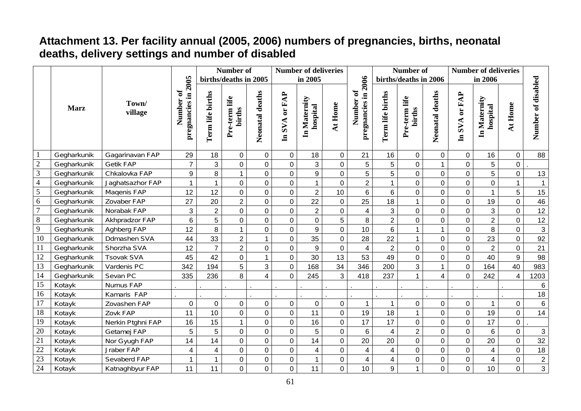# **Attachment 13. Per facility annual (2005, 2006) numbers of pregnancies, births, neonatal deaths, delivery settings and number of disabled**

|                  |                            |                   |                                  |                  | Number of               |                  |                | <b>Number of deliveries</b> |                |                                    |                  | Number of               |                  | <b>Number of deliveries</b> |                          |                |                    |
|------------------|----------------------------|-------------------|----------------------------------|------------------|-------------------------|------------------|----------------|-----------------------------|----------------|------------------------------------|------------------|-------------------------|------------------|-----------------------------|--------------------------|----------------|--------------------|
|                  |                            |                   |                                  |                  | births/deaths in 2005   |                  |                | in 2005                     |                |                                    |                  | births/deaths in 2006   |                  |                             | in 2006                  |                |                    |
|                  | <b>Marz</b><br>Gegharkunik | Town/<br>village  | pregnancies in 2005<br>Number of | Term life births | Pre-term life<br>births | Neonatal deaths  | In SVA or FAP  | In Maternity<br>hospital    | At Home        | pregnancies in 2006<br>ð<br>Number | Term life births | Pre-term life<br>births | Neonatal deaths  | In SVA or FAP               | In Maternity<br>hospital | At Home        | Number of disabled |
|                  |                            | Gagarinavan FAP   | 29                               | 18               | $\mathbf 0$             | $\overline{0}$   | $\mathbf 0$    | 18                          | $\overline{0}$ | 21                                 | 16               | $\mathbf 0$             | $\mathbf 0$      | $\mathbf 0$                 | 16                       | $\mathbf 0$    | 88                 |
| $\sqrt{2}$       | Gegharkunik                | <b>Getik FAP</b>  | $\overline{7}$                   | 3                | $\overline{0}$          | $\boldsymbol{0}$ | $\overline{0}$ | $\overline{3}$              | $\mathbf 0$    | 5                                  | 5                | $\pmb{0}$               | $\mathbf{1}$     | $\mathbf 0$                 | 5                        | $\mathbf 0$    |                    |
| $\mathfrak{Z}$   | Gegharkunik                | Chkalovka FAP     | 9                                | 8                | $\mathbf{1}$            | $\overline{0}$   | $\overline{0}$ | 9                           | $\overline{0}$ | $\overline{5}$                     | $\overline{5}$   | $\mathbf 0$             | $\overline{0}$   | $\overline{0}$              | 5                        | $\pmb{0}$      | 13                 |
| $\overline{4}$   | Gegharkunik                | Jaghatsazhor FAP  | 1                                | $\mathbf{1}$     | $\overline{0}$          | $\mathbf 0$      | 0              | $\mathbf{1}$                | $\overline{0}$ | $\overline{2}$                     | $\mathbf 1$      | $\mathbf 0$             | $\mathbf 0$      | 0                           | 0                        | $\mathbf{1}$   | $\overline{1}$     |
| $\overline{5}$   | Gegharkunik                | Magenis FAP       | 12                               | 12               | $\mathbf 0$             | $\overline{0}$   | $\overline{0}$ | $\overline{2}$              | 10             | 6                                  | 6                | $\mathbf 0$             | $\overline{0}$   | $\overline{0}$              | $\mathbf{1}$             | 5              | 15                 |
| $\sqrt{6}$       | Gegharkunik                | Zovaber FAP       | 27                               | 20               | $\overline{2}$          | $\boldsymbol{0}$ | $\mathbf 0$    | 22                          | $\mathbf 0$    | 25                                 | 18               | $\mathbf{1}$            | $\mathbf 0$      | $\mathbf 0$                 | 19                       | $\mathbf 0$    | 46                 |
| $\boldsymbol{7}$ | Gegharkunik                | Norabak FAP       | 3                                | $\overline{2}$   | $\mathbf 0$             | $\mathbf 0$      | $\mathbf 0$    | $\overline{2}$              | $\mathbf 0$    | $\overline{\mathbf{4}}$            | 3                | $\pmb{0}$               | $\boldsymbol{0}$ | 0                           | 3                        | $\mathbf 0$    | $\overline{12}$    |
| $8\,$            | Gegharkunik                | Akhpradzor FAP    | 6                                | 5                | $\overline{0}$          | $\mathbf 0$      | 0              | $\overline{0}$              | 5              | 8                                  | $\overline{2}$   | $\mathbf 0$             | $\overline{0}$   | $\overline{0}$              | $\overline{2}$           | $\mathbf 0$    | 12                 |
| $\overline{9}$   | Gegharkunik                | Aghberg FAP       | 12                               | 8                | $\mathbf{1}$            | $\mathbf 0$      | $\mathbf 0$    | 9                           | $\overline{0}$ | 10                                 | 6                |                         | $\mathbf{1}$     | 0                           | 8                        | $\mathbf 0$    | $\mathbf{3}$       |
| 10               | Gegharkunik                | Ddmashen SVA      | 44                               | 33               | $\overline{2}$          |                  | 0              | 35                          | $\mathbf 0$    | 28                                 | 22               | $\mathbf{1}$            | $\overline{0}$   | 0                           | 23                       | $\mathbf 0$    | 92                 |
| 11               | Gegharkunik                | Shorzha SVA       | 12                               | $\overline{7}$   | $\overline{2}$          | $\mathbf 0$      | $\mathbf 0$    | 9                           | $\mathbf 0$    | $\overline{\mathbf{4}}$            | $\overline{2}$   | $\pmb{0}$               | $\mathbf 0$      | 0                           | $\overline{2}$           | $\mathbf 0$    | $\overline{21}$    |
| 12               | Gegharkunik                | <b>Tsovak SVA</b> | 45                               | 42               | $\mathbf 0$             | $\mathbf{1}$     | 0              | 30                          | 13             | 53                                 | 49               | $\mathbf 0$             | $\overline{0}$   | $\mathbf 0$                 | 40                       | 9              | 98                 |
| $\overline{13}$  | Gegharkunik                | Vardenis PC       | 342                              | 194              | 5                       | 3                | $\mathbf 0$    | 168                         | 34             | 346                                | 200              | $\overline{3}$          | $\mathbf{1}$     | $\overline{0}$              | 164                      | 40             | 983                |
| 14               | Gegharkunik                | Sevan PC          | 335                              | 236              | 8                       | $\overline{4}$   | 0              | 245                         | 3              | 418                                | 237              |                         | $\overline{4}$   | $\overline{0}$              | 242                      | 4              | 1203               |
| 15               | Kotayk                     | Nurnus FAP        |                                  |                  |                         |                  |                |                             |                |                                    |                  |                         |                  |                             |                          |                | 6                  |
| 16               | Kotayk                     | Kamaris FAP       |                                  |                  |                         |                  |                |                             |                |                                    |                  |                         |                  |                             |                          |                | 18                 |
| $\overline{17}$  | Kotayk                     | Zovashen FAP      | $\mathbf 0$                      | $\mathbf 0$      | $\mathbf 0$             | $\mathbf 0$      | $\mathbf 0$    | 0                           | $\overline{0}$ | $\mathbf{1}$                       |                  | $\mathbf 0$             | $\mathbf 0$      | $\mathbf 0$                 | $\mathbf{1}$             | $\mathbf 0$    | $6\phantom{1}6$    |
| 18               | Kotayk                     | Zovk FAP          | 11                               | 10               | $\overline{0}$          | $\pmb{0}$        | $\mathbf 0$    | 11                          | $\mathbf 0$    | 19                                 | 18               | $\mathbf 1$             | $\mathbf 0$      | $\mathbf 0$                 | 19                       | $\overline{0}$ | 14                 |
| 19               | Kotayk                     | Nerkin Ptghni FAP | 16                               | 15               | $\mathbf{1}$            | $\boldsymbol{0}$ | 0              | 16                          | $\mathbf 0$    | 17                                 | 17               | $\pmb{0}$               | $\mathbf 0$      | $\pmb{0}$                   | 17                       | $\mathbf 0$    |                    |
| 20               | Kotayk                     | Getamej FAP       | 5                                | 5                | $\pmb{0}$               | $\pmb{0}$        | 0              | 5                           | $\mathbf 0$    | $\,6$                              | $\overline{4}$   | $\overline{2}$          | $\mathbf 0$      | 0                           | 6                        | $\mathbf 0$    | $\mathbf{3}$       |
| $\overline{21}$  | Kotayk                     | Nor Gyugh FAP     | 14                               | 14               | $\mathbf 0$             | $\mathbf 0$      | $\overline{0}$ | 14                          | $\overline{0}$ | 20                                 | 20               | $\mathbf 0$             | $\overline{0}$   | $\mathbf 0$                 | 20                       | $\mathbf 0$    | 32                 |
| $\overline{22}$  | Kotayk                     | Jraber FAP        | 4                                | $\overline{4}$   | $\overline{0}$          | $\mathbf 0$      | $\mathbf 0$    | $\overline{4}$              | $\overline{0}$ | $\overline{4}$                     | $\overline{4}$   | $\mathbf 0$             | $\mathbf 0$      | $\mathbf 0$                 | $\overline{\mathbf{4}}$  | $\mathbf 0$    | 18                 |
| 23               | Kotayk                     | Sevaberd FAP      | 1                                | $\mathbf{1}$     | $\boldsymbol{0}$        | $\boldsymbol{0}$ | 0              | $\mathbf{1}$                | $\mathbf 0$    | $\overline{\mathbf{4}}$            | $\overline{4}$   | $\pmb{0}$               | $\mathbf 0$      | 0                           | $\overline{\mathbf{4}}$  | $\mathsf 0$    | $\frac{2}{3}$      |
| $\overline{24}$  | Kotayk                     | Katnaghbyur FAP   | 11                               | 11               | $\overline{0}$          | $\mathbf 0$      | 0              | 11                          | 0              | 10                                 | 9                | 1                       | $\overline{0}$   | $\overline{0}$              | 10                       | $\mathbf 0$    |                    |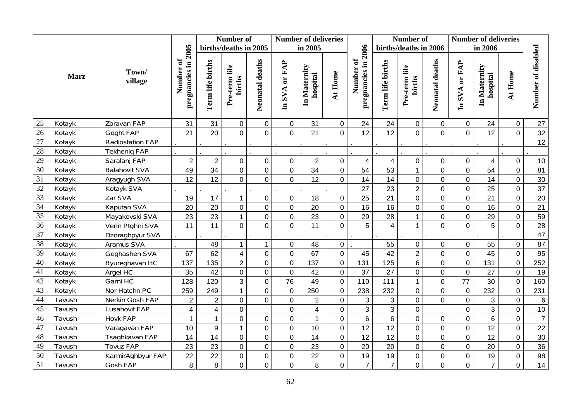|                 |             |                      |                                  |                  | Number of               |                 |                | <b>Number of deliveries</b> |                |                                  |                  | Number of               |                  | <b>Number of deliveries</b> |                          |                     |                    |
|-----------------|-------------|----------------------|----------------------------------|------------------|-------------------------|-----------------|----------------|-----------------------------|----------------|----------------------------------|------------------|-------------------------|------------------|-----------------------------|--------------------------|---------------------|--------------------|
|                 |             |                      |                                  |                  | births/deaths in 2005   |                 |                | in 2005                     |                |                                  |                  | births/deaths in 2006   |                  |                             | in 2006                  |                     |                    |
|                 | <b>Marz</b> | Town/<br>village     | pregnancies in 2005<br>Number of | Term life births | Pre-term life<br>births | Neonatal deaths | In SVA or FAP  | In Maternity<br>hospital    | At Home        | pregnancies in 2006<br>Number of | Term life births | Pre-term life<br>births | Neonatal deaths  | In SVA or FAP               | In Maternity<br>hospital | At Home             | Number of disabled |
| 25              | Kotayk      | Zoravan FAP          | 31                               | 31               | $\mathbf 0$             | $\mathbf 0$     | $\mathbf 0$    | 31                          | $\overline{0}$ | 24                               | 24               | $\mathbf 0$             | $\mathbf 0$      | $\mathbf 0$                 | 24                       | $\mathbf 0$         | 27                 |
| 26              | Kotayk      | Goght FAP            | 21                               | 20               | $\overline{0}$          | $\overline{0}$  | $\overline{0}$ | 21                          | $\overline{0}$ | 12                               | 12               | $\Omega$                | $\overline{0}$   | $\overline{0}$              | 12                       | $\overline{0}$      | 32                 |
| $\overline{27}$ | Kotayk      | Radiostation FAP     |                                  |                  |                         |                 |                |                             |                |                                  |                  |                         |                  |                             |                          |                     | 12                 |
| 28              | Kotayk      | <b>Tekhenig FAP</b>  |                                  |                  |                         |                 |                |                             |                |                                  |                  |                         |                  |                             |                          |                     |                    |
| 29              | Kotayk      | Saralanj FAP         | $\overline{c}$                   | $\overline{2}$   | $\boldsymbol{0}$        | $\mathsf 0$     | 0              | $\overline{2}$              | $\mathbf 0$    | $\overline{\mathbf{4}}$          | $\overline{4}$   | $\pmb{0}$               | $\mathbf 0$      | $\pmb{0}$                   | $\overline{\mathbf{4}}$  | $\pmb{0}$           | 10                 |
| $\overline{30}$ | Kotayk      | <b>Balahovit SVA</b> | 49                               | 34               | $\mathbf 0$             | $\pmb{0}$       | $\mathbf 0$    | 34                          | $\mathbf 0$    | 54                               | 53               | $\mathbf 1$             | $\overline{0}$   | $\mathbf 0$                 | 54                       | $\mathsf{O}\xspace$ | 81                 |
| $\overline{31}$ | Kotayk      | Aragyugh SVA         | 12                               | 12               | $\overline{0}$          | $\mathbf 0$     | $\mathbf 0$    | 12                          | $\overline{0}$ | 14                               | 14               | $\mathbf 0$             | $\mathbf 0$      | $\mathbf 0$                 | 14                       | $\pmb{0}$           | $30\,$             |
| $\overline{32}$ | Kotayk      | Kotayk SVA           |                                  |                  |                         |                 |                |                             |                | 27                               | 23               | $\overline{2}$          | $\overline{0}$   | $\overline{0}$              | 25                       | $\mathbf 0$         | $\overline{37}$    |
| 33              | Kotayk      | Zar SVA              | 19                               | 17               | $\mathbf{1}$            | $\pmb{0}$       | $\mathbf 0$    | 18                          | $\overline{0}$ | 25                               | 21               | $\mathbf 0$             | $\mathbf 0$      | $\mathbf 0$                 | 21                       | $\mathsf{O}$        | 20                 |
| 34              | Kotayk      | Kaputan SVA          | 20                               | 20               | $\mathbf 0$             | $\overline{0}$  | 0              | 20                          | $\overline{0}$ | 16                               | 16               | $\mathbf 0$             | $\overline{0}$   | $\mathbf 0$                 | 16                       | $\mathbf 0$         | 21                 |
| $\overline{35}$ | Kotayk      | Mayakovski SVA       | 23                               | 23               | $\mathbf{1}$            | $\pmb{0}$       | $\mathbf 0$    | 23                          | $\overline{0}$ | 29                               | 28               | $\mathbf{1}$            | $\mathbf 0$      | $\mathbf 0$                 | 29                       | $\mathbf 0$         | 59                 |
| $\overline{36}$ | Kotayk      | Verin Ptghni SVA     | 11                               | 11               | $\overline{0}$          | 0               | $\mathbf 0$    | 11                          | $\overline{0}$ | 5                                | $\overline{4}$   | $\mathbf{1}$            | $\mathbf 0$      | $\mathbf 0$                 | 5                        | $\mathbf 0$         | 28                 |
| $\overline{37}$ | Kotayk      | Dzoraghpyur SVA      |                                  |                  |                         |                 |                |                             |                |                                  |                  |                         |                  |                             |                          |                     | 47                 |
| 38              | Kotayk      | Aramus SVA           |                                  | 48               | $\mathbf 1$             | $\mathbf{1}$    | 0              | 48                          | $\overline{0}$ |                                  | 55               | $\mathbf 0$             | $\mathbf 0$      | $\boldsymbol{0}$            | 55                       | $\pmb{0}$           | 87                 |
| 39              | Kotayk      | Geghashen SVA        | 67                               | 62               | $\overline{4}$          | $\mathbf 0$     | $\overline{0}$ | 67                          | $\overline{0}$ | 45                               | 42               | $\overline{2}$          | $\mathbf 0$      | $\overline{0}$              | 45                       | $\mathsf{O}\xspace$ | 95                 |
| $\overline{40}$ | Kotayk      | Byureghavan HC       | 137                              | 135              | $\overline{2}$          | $\mathbf 0$     | 0              | 137                         | $\overline{0}$ | 131                              | 125              | 6                       | $\overline{0}$   | $\mathbf 0$                 | 131                      | $\pmb{0}$           | 252                |
| 41              | Kotayk      | Argel HC             | 35                               | 42               | $\overline{0}$          | $\overline{0}$  | $\overline{0}$ | 42                          | $\overline{0}$ | 37                               | 27               | $\overline{0}$          | $\mathbf 0$      | $\overline{0}$              | 27                       | $\mathbf 0$         | 19                 |
| 42              | Kotayk      | Garni HC             | 128                              | 120              | $\mathbf{3}$            | $\pmb{0}$       | 76             | 49                          | $\overline{0}$ | 110                              | 111              | $\mathbf{1}$            | $\mathbf 0$      | 77                          | 30                       | $\pmb{0}$           | 160                |
| $\overline{43}$ | Kotayk      | Nor Hatchn PC        | 259                              | 249              | $\mathbf{1}$            | $\mathbf 0$     | $\overline{0}$ | 250                         | $\mathbf 0$    | 238                              | 232              | $\overline{0}$          | $\overline{0}$   | $\mathbf 0$                 | 232                      | $\mathbf 0$         | 231                |
| 44              | Tavush      | Nerkin Gosh FAP      | $\overline{2}$                   | $\overline{2}$   | $\mathbf 0$             | $\overline{0}$  | $\mathbf 0$    | $\overline{2}$              | $\overline{0}$ | 3                                | $\mathbf{3}$     | $\mathbf 0$             | $\overline{0}$   | $\mathbf 0$                 | 3                        | $\mathsf{O}\xspace$ | $6\phantom{1}6$    |
| 45              | Tavush      | Lusahovit FAP        | $\overline{\mathbf{4}}$          | 4                | $\mathbf 0$             |                 | 0              | $\overline{\mathbf{4}}$     | $\overline{0}$ | 3                                | $\overline{3}$   | $\boldsymbol{0}$        |                  | $\mathbf 0$                 | $\overline{3}$           | $\mathbf 0$         | 10                 |
| 46              | Tavush      | <b>Hovk FAP</b>      | $\mathbf{1}$                     | $\mathbf{1}$     | $\overline{0}$          | $\pmb{0}$       | $\mathsf 0$    | $\mathbf{1}$                | $\overline{0}$ | $\boldsymbol{6}$                 | $\overline{6}$   | $\overline{0}$          | $\boldsymbol{0}$ | $\overline{0}$              | $\,6$                    | $\pmb{0}$           | $\boldsymbol{7}$   |
| 47              | Tavush      | Varagavan FAP        | 10                               | 9                | $\mathbf{1}$            | $\mathbf 0$     | $\mathbf 0$    | 10                          | $\overline{0}$ | 12                               | 12               | $\boldsymbol{0}$        | $\overline{0}$   | $\mathbf 0$                 | 12                       | $\overline{0}$      | 22                 |
| 48              | Tavush      | Tsaghkavan FAP       | 14                               | 14               | $\mathbf 0$             | $\mathbf 0$     | $\mathbf 0$    | 14                          | $\overline{0}$ | 12                               | 12               | $\overline{0}$          | $\overline{0}$   | $\mathbf 0$                 | 12                       | $\mathbf 0$         | 30                 |
| 49              | Tavush      | <b>Tovuz FAP</b>     | 23                               | 23               | $\mathbf 0$             | $\pmb{0}$       | 0              | 23                          | $\mathbf 0$    | 20                               | 20               | $\overline{0}$          | $\overline{0}$   | $\pmb{0}$                   | 20                       | $\mathbf 0$         | 36                 |
| $\overline{50}$ | Tavush      | KarmirAghbyur FAP    | 22                               | 22               | $\boldsymbol{0}$        | $\pmb{0}$       | $\mathbf 0$    | 22                          | $\overline{0}$ | 19                               | 19               | $\boldsymbol{0}$        | $\mathbf 0$      | $\mathbf 0$                 | 19                       | $\pmb{0}$           | 98                 |
| $\overline{51}$ | Tavush      | Gosh FAP             | 8                                | 8                | $\overline{0}$          | $\overline{0}$  | 0              | 8                           | 0              | $\overline{7}$                   | $\overline{7}$   | $\mathbf 0$             | $\overline{0}$   | $\mathbf 0$                 | $\overline{7}$           | 0                   | 14                 |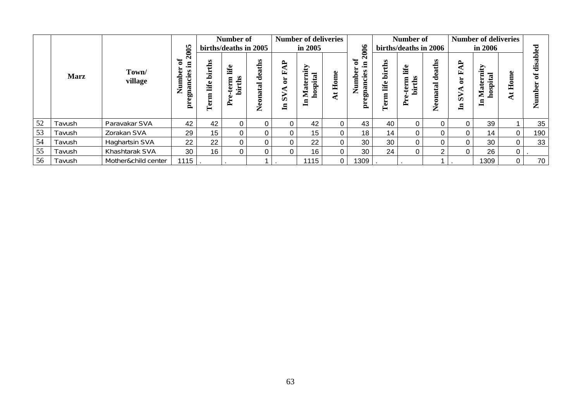|    |             |                       |                                                                         | Number of                     |                       |                                                    |                                                                | <b>Number of deliveries</b>              |                |                                                            |                                         | Number of                     |                    |                                                        | <b>Number of deliveries</b>                                |             |                         |
|----|-------------|-----------------------|-------------------------------------------------------------------------|-------------------------------|-----------------------|----------------------------------------------------|----------------------------------------------------------------|------------------------------------------|----------------|------------------------------------------------------------|-----------------------------------------|-------------------------------|--------------------|--------------------------------------------------------|------------------------------------------------------------|-------------|-------------------------|
|    |             |                       | 2005                                                                    |                               | births/deaths in 2005 |                                                    |                                                                | in 2005                                  |                |                                                            | births/deaths in 2006                   |                               |                    | in 2006                                                |                                                            |             | g                       |
|    | <b>Marz</b> | Town/<br>village      | ð<br>- 드<br>5<br>gnancies<br>$_{\text{umb}}$<br>$\mathbf{Z}$<br>تة<br>ä | ths<br>.=<br>ء<br>life<br>Ter | Life<br>İr<br>ഋ<br>≏  | aths<br>ω<br>ರ<br>$\mathbf{\alpha}$<br>ਛ<br>Φ<br>Z | $\mathbf{A}$<br>Œ,<br>$\overline{5}$<br>⋖<br>$\mathbf{S}$<br>ョ | Maternity<br>$\mathbf{E}$<br>hospit<br>딩 | Home<br>∢      | 2006<br>$\mathbf{a}$<br>- 드<br>E<br>gnancie<br>Z<br>ω<br>ä | ths<br>ir<br>Dir<br>life<br>Ē<br>ä<br>⊨ | life<br>chs<br>term<br>Ė<br>Ě | deaths<br>Neonatal | $\mathbf{A}$<br>国<br>ă<br>$\mathbf{S}$<br>$\mathbf{H}$ | nity<br>ನ<br>hospit<br>نە<br>$\ddot{\mathbf{a}}$<br>≅<br>ᆯ | Ě           | Ø<br>宅<br>ω<br>umb<br>Ž |
| 52 | Tavush      | Paravakar SVA         | 42                                                                      | 42                            | 0                     |                                                    | 0                                                              | 42                                       | 0              | 43                                                         | 40                                      | 0                             |                    |                                                        | 39                                                         |             | 35                      |
| 53 | Tavush      | Zorakan SVA           | 29                                                                      | 15                            | 0                     |                                                    | 0                                                              | 15                                       | $\Omega$       | 18                                                         | 14                                      | $\Omega$                      |                    |                                                        | 14                                                         | 0           | 190                     |
| 54 | Tavush      | <b>Haghartsin SVA</b> | 22                                                                      | 22                            | 0                     |                                                    | 0                                                              | 22                                       | $\Omega$       | 30                                                         | 30                                      | $\Omega$                      |                    |                                                        | 30                                                         | $\mathbf 0$ | 33                      |
| 55 | Tavush      | Khashtarak SVA        | 30                                                                      | 16                            | 0                     |                                                    | 0                                                              | 16 <sub>1</sub>                          | 0              | 30                                                         | 24                                      | $\Omega$                      | റ                  |                                                        | 26                                                         | 0           |                         |
| 56 | Tavush      | Mother&child center   | 1115                                                                    |                               |                       |                                                    |                                                                | 1115                                     | $\overline{0}$ | 1309                                                       |                                         |                               |                    |                                                        | 1309                                                       | 0           | 70                      |